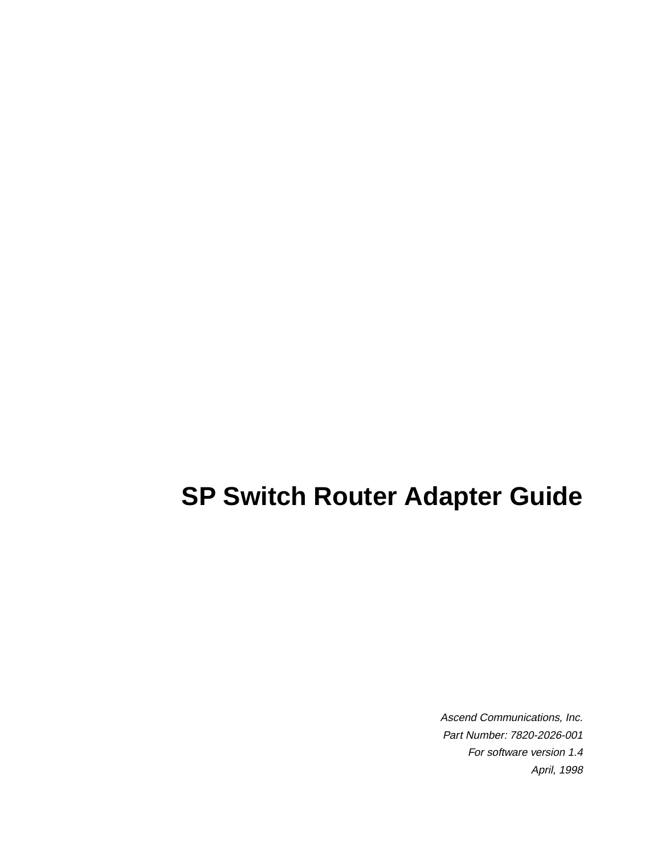# **SP Switch Router Adapter Guide**

Ascend Communications, Inc. Part Number: 7820-2026-001 For software version 1.4 April, 1998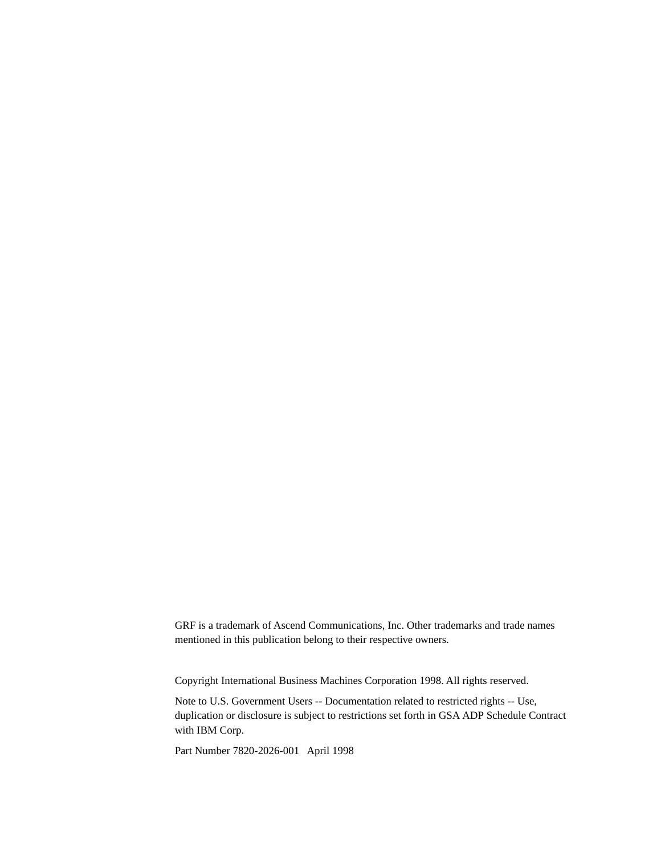GRF is a trademark of Ascend Communications, Inc. Other trademarks and trade names mentioned in this publication belong to their respective owners.

Copyright International Business Machines Corporation 1998. All rights reserved.

Note to U.S. Government Users -- Documentation related to restricted rights -- Use, duplication or disclosure is subject to restrictions set forth in GSA ADP Schedule Contract with IBM Corp.

Part Number 7820-2026-001 April 1998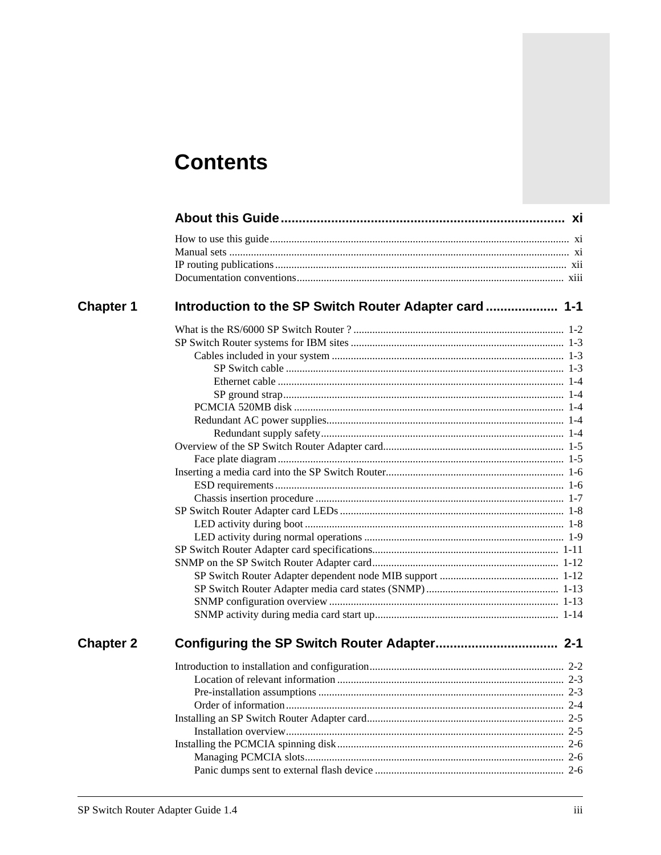## **Contents**

| <b>Chapter 1</b> |         |
|------------------|---------|
|                  |         |
|                  |         |
|                  |         |
|                  |         |
|                  |         |
|                  |         |
|                  |         |
|                  |         |
|                  |         |
|                  |         |
|                  |         |
|                  |         |
|                  |         |
|                  |         |
|                  |         |
|                  |         |
|                  |         |
|                  |         |
|                  |         |
|                  |         |
|                  |         |
|                  |         |
|                  |         |
| <b>Chapter 2</b> |         |
|                  |         |
|                  |         |
|                  | $2 - 3$ |
|                  |         |
|                  |         |
|                  |         |
|                  |         |
|                  |         |
|                  |         |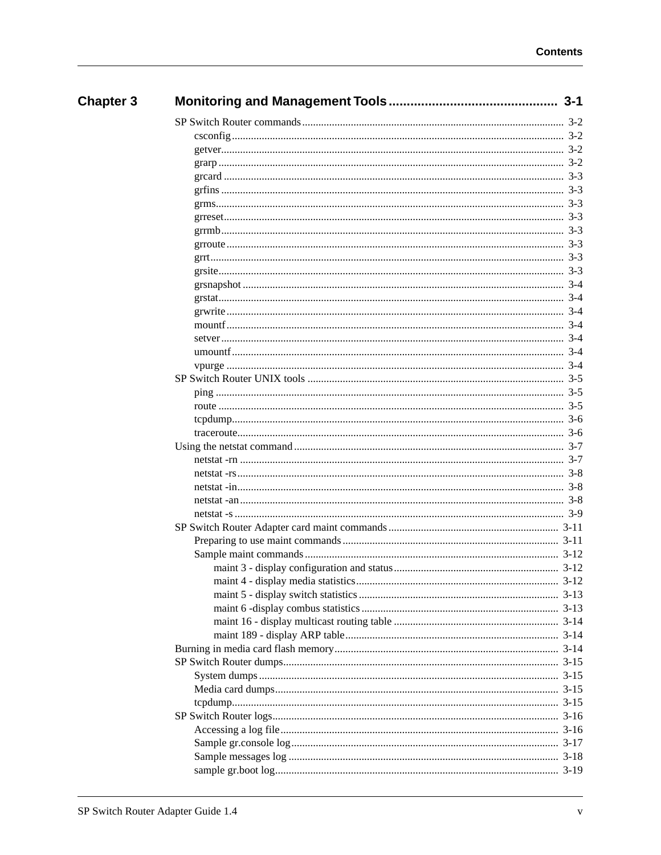| <b>Chapter 3</b> |         |
|------------------|---------|
|                  |         |
|                  |         |
|                  |         |
|                  |         |
|                  |         |
|                  |         |
|                  |         |
|                  |         |
|                  |         |
|                  |         |
|                  |         |
|                  | $3-3$   |
|                  | $3-4$   |
|                  |         |
|                  |         |
|                  |         |
|                  |         |
|                  |         |
|                  |         |
|                  |         |
|                  |         |
|                  |         |
|                  |         |
|                  |         |
|                  | $3 - 7$ |
|                  |         |
|                  |         |
|                  |         |
|                  |         |
|                  |         |
|                  |         |
|                  |         |
|                  |         |
|                  |         |
|                  |         |
|                  |         |
|                  |         |
|                  |         |
|                  |         |
|                  |         |
|                  |         |
|                  |         |
|                  |         |
|                  |         |
|                  |         |
|                  |         |
|                  |         |
|                  |         |
|                  |         |
|                  |         |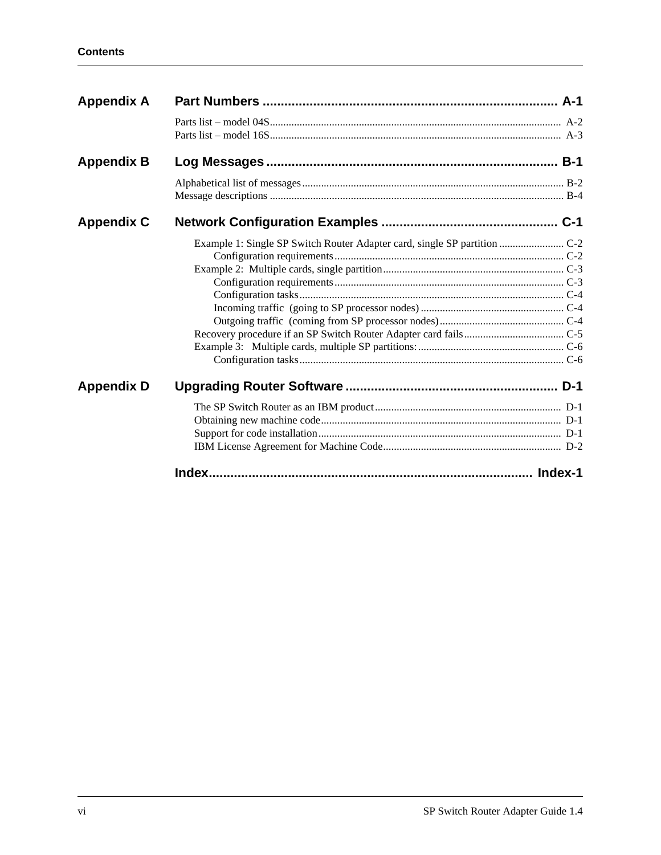| <b>Appendix A</b> |                                                                           |  |
|-------------------|---------------------------------------------------------------------------|--|
|                   |                                                                           |  |
| <b>Appendix B</b> |                                                                           |  |
|                   |                                                                           |  |
| <b>Appendix C</b> |                                                                           |  |
|                   | Example 1: Single SP Switch Router Adapter card, single SP partition  C-2 |  |
| <b>Appendix D</b> |                                                                           |  |
|                   |                                                                           |  |
|                   |                                                                           |  |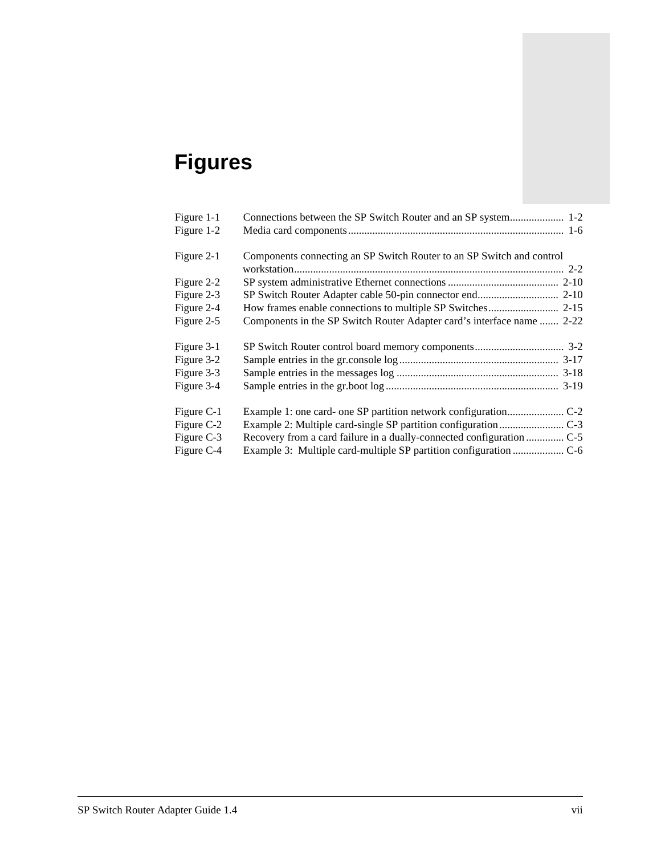# **Figures**

| Figure 1-1 |                                                                        |
|------------|------------------------------------------------------------------------|
| Figure 1-2 |                                                                        |
| Figure 2-1 | Components connecting an SP Switch Router to an SP Switch and control  |
|            |                                                                        |
| Figure 2-2 |                                                                        |
| Figure 2-3 |                                                                        |
| Figure 2-4 |                                                                        |
| Figure 2-5 | Components in the SP Switch Router Adapter card's interface name  2-22 |
| Figure 3-1 |                                                                        |
| Figure 3-2 |                                                                        |
| Figure 3-3 |                                                                        |
| Figure 3-4 |                                                                        |
| Figure C-1 |                                                                        |
| Figure C-2 |                                                                        |
| Figure C-3 |                                                                        |
| Figure C-4 |                                                                        |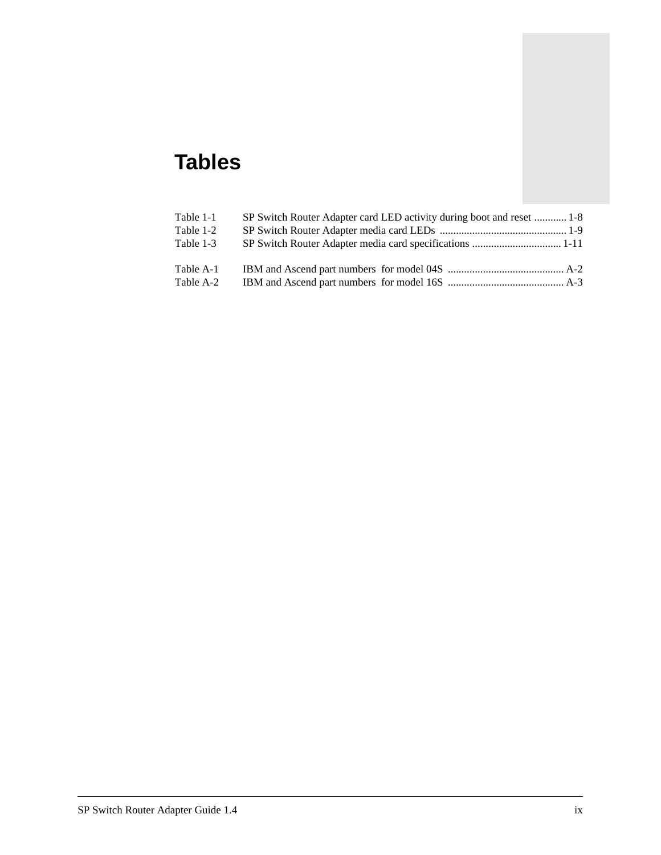## **Tables**

| Table 1-1 | SP Switch Router Adapter card LED activity during boot and reset  1-8 |
|-----------|-----------------------------------------------------------------------|
| Table 1-2 |                                                                       |
| Table 1-3 |                                                                       |
| Table A-1 |                                                                       |
| Table A-2 |                                                                       |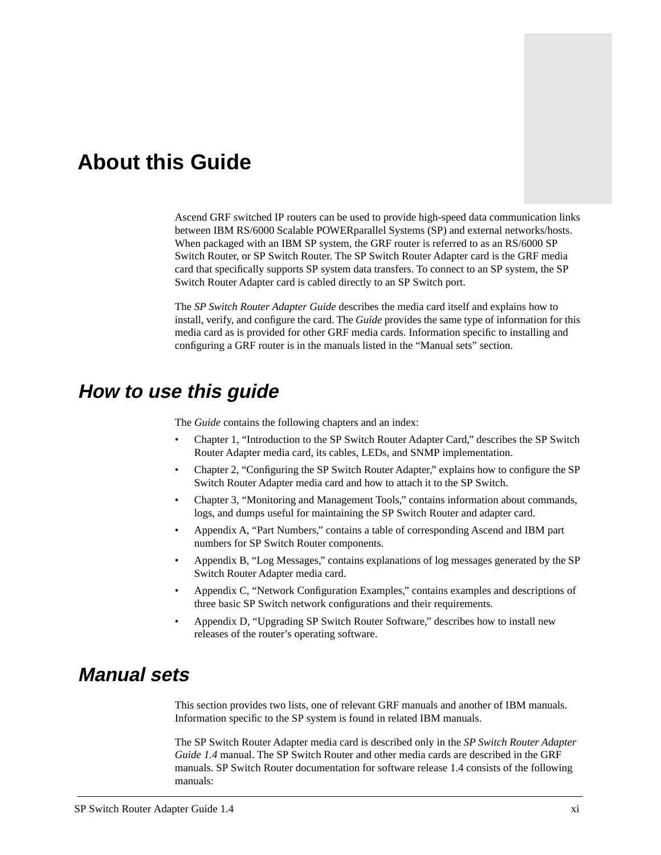## <span id="page-10-0"></span>**About this Guide**

Ascend GRF switched IP routers can be used to provide high-speed data communication links between IBM RS/6000 Scalable POWERparallel Systems (SP) and external networks/hosts. When packaged with an IBM SP system, the GRF router is referred to as an RS/6000 SP Switch Router, or SP Switch Router. The SP Switch Router Adapter card is the GRF media card that specifically supports SP system data transfers. To connect to an SP system, the SP Switch Router Adapter card is cabled directly to an SP Switch port.

The *SP Switch Router Adapter Guide* describes the media card itself and explains how to install, verify, and configure the card. The *Guide* provides the same type of information for this media card as is provided for other GRF media cards. Information specific to installing and configuring a GRF router is in the manuals listed in the "Manual sets" section.

## **How to use this guide**

The *Guide* contains the following chapters and an index:

- Chapter 1, "Introduction to the SP Switch Router Adapter Card," describes the SP Switch Router Adapter media card, its cables, LEDs, and SNMP implementation.
- Chapter 2, "Configuring the SP Switch Router Adapter," explains how to configure the SP Switch Router Adapter media card and how to attach it to the SP Switch.
- Chapter 3, "Monitoring and Management Tools," contains information about commands, logs, and dumps useful for maintaining the SP Switch Router and adapter card.
- Appendix A, "Part Numbers," contains a table of corresponding Ascend and IBM part numbers for SP Switch Router components.
- Appendix B, "Log Messages," contains explanations of log messages generated by the SP Switch Router Adapter media card.
- Appendix C, "Network Configuration Examples," contains examples and descriptions of three basic SP Switch network configurations and their requirements.
- Appendix D, "Upgrading SP Switch Router Software," describes how to install new releases of the router's operating software.

## **Manual sets**

This section provides two lists, one of relevant GRF manuals and another of IBM manuals. Information specific to the SP system is found in related IBM manuals.

The SP Switch Router Adapter media card is described only in the *SP Switch Router Adapter Guide 1.4* manual. The SP Switch Router and other media cards are described in the GRF manuals. SP Switch Router documentation for software release 1.4 consists of the following manuals: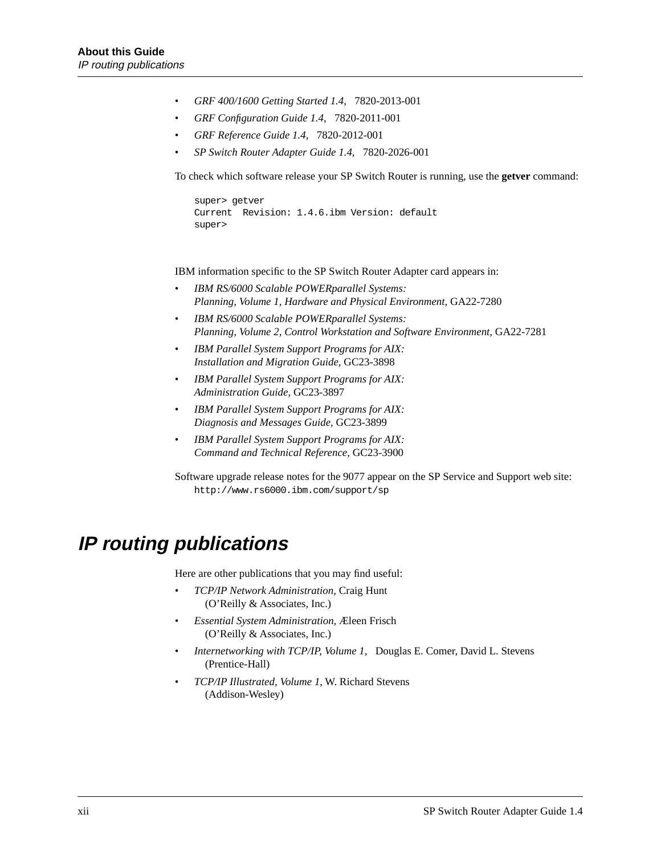- <span id="page-11-0"></span>• *GRF 400/1600 Getting Started 1.4*, 7820-2013-001
- *GRF Configuration Guide 1.4*, 7820-2011-001
- *GRF Reference Guide 1.4*, 7820-2012-001
- *SP Switch Router Adapter Guide 1.4*, 7820-2026-001

To check which software release your SP Switch Router is running, use the **getver** command:

```
super> getver
Current Revision: 1.4.6.ibm Version: default
super>
```
IBM information specific to the SP Switch Router Adapter card appears in:

- *IBM RS/6000 Scalable POWERparallel Systems: Planning, Volume 1, Hardware and Physical Environment,* GA22-7280
- *IBM RS/6000 Scalable POWERparallel Systems: Planning, Volume 2, Control Workstation and Software Environment,* GA22-7281
- *IBM Parallel System Support Programs for AIX: Installation and Migration Guide,* GC23-3898
- *IBM Parallel System Support Programs for AIX: Administration Guide,* GC23-3897
- *IBM Parallel System Support Programs for AIX: Diagnosis and Messages Guide,* GC23-3899
- *IBM Parallel System Support Programs for AIX: Command and Technical Reference,* GC23-3900

Software upgrade release notes for the 9077 appear on the SP Service and Support web site: http://www.rs6000.ibm.com/support/sp

## **IP routing publications**

Here are other publications that you may find useful:

- *TCP/IP Network Administration,* Craig Hunt (O'Reilly & Associates, Inc.)
- *Essential System Administration,* Æleen Frisch (O'Reilly & Associates, Inc.)
- *Internetworking with TCP/IP, Volume 1,* Douglas E. Comer, David L. Stevens (Prentice-Hall)
- *TCP/IP Illustrated, Volume 1*, W. Richard Stevens (Addison-Wesley)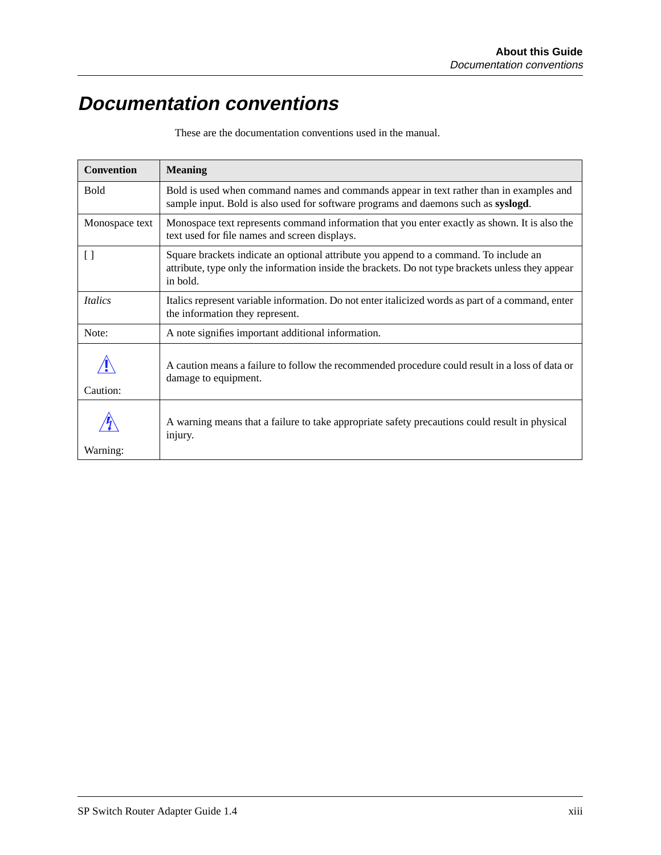## <span id="page-12-0"></span>**Documentation conventions**

These are the documentation conventions used in the manual.

| <b>Convention</b>            | <b>Meaning</b>                                                                                                                                                                                         |
|------------------------------|--------------------------------------------------------------------------------------------------------------------------------------------------------------------------------------------------------|
| <b>Bold</b>                  | Bold is used when command names and commands appear in text rather than in examples and<br>sample input. Bold is also used for software programs and daemons such as syslogd.                          |
| Monospace text               | Monospace text represents command information that you enter exactly as shown. It is also the<br>text used for file names and screen displays.                                                         |
| $\lbrack \rbrack$            | Square brackets indicate an optional attribute you append to a command. To include an<br>attribute, type only the information inside the brackets. Do not type brackets unless they appear<br>in bold. |
| <i><u><b>Italics</b></u></i> | Italics represent variable information. Do not enter italicized words as part of a command, enter<br>the information they represent.                                                                   |
| Note:                        | A note signifies important additional information.                                                                                                                                                     |
| Caution:                     | A caution means a failure to follow the recommended procedure could result in a loss of data or<br>damage to equipment.                                                                                |
|                              | A warning means that a failure to take appropriate safety precautions could result in physical<br>injury.                                                                                              |
| Warning:                     |                                                                                                                                                                                                        |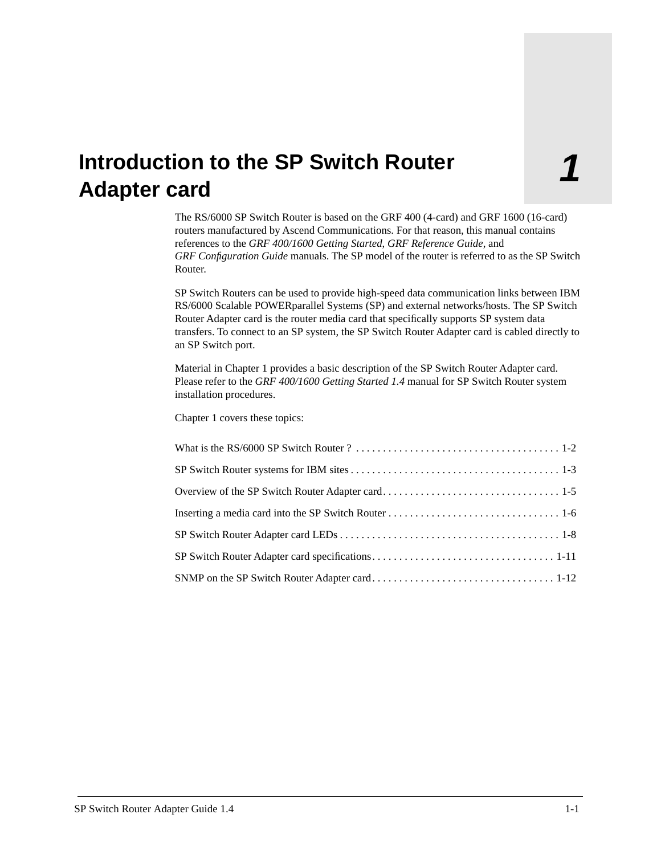## <span id="page-14-0"></span>**1 Introduction to the SP Switch Router Adapter card**

The RS/6000 SP Switch Router is based on the GRF 400 (4-card) and GRF 1600 (16-card) routers manufactured by Ascend Communications. For that reason, this manual contains references to the *GRF 400/1600 Getting Started*, *GRF Reference Guide*, and *GRF Configuration Guide* manuals. The SP model of the router is referred to as the SP Switch Router.

SP Switch Routers can be used to provide high-speed data communication links between IBM RS/6000 Scalable POWERparallel Systems (SP) and external networks/hosts. The SP Switch Router Adapter card is the router media card that specifically supports SP system data transfers. To connect to an SP system, the SP Switch Router Adapter card is cabled directly to an SP Switch port.

Material in Chapter 1 provides a basic description of the SP Switch Router Adapter card. Please refer to the *GRF 400/1600 Getting Started 1.4* manual for SP Switch Router system installation procedures.

Chapter 1 covers these topics: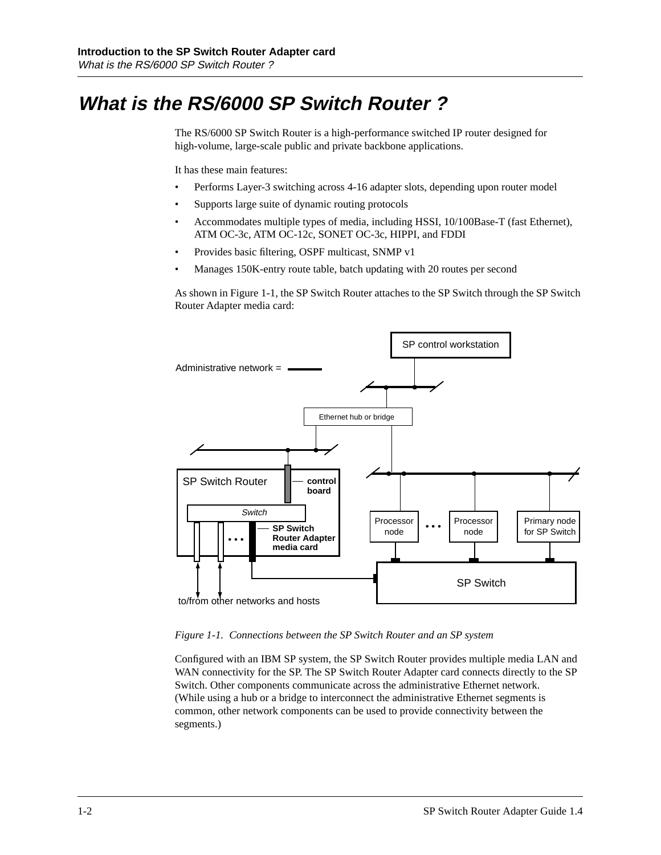## <span id="page-15-0"></span>**What is the RS/6000 SP Switch Router ?**

The RS/6000 SP Switch Router is a high-performance switched IP router designed for high-volume, large-scale public and private backbone applications.

It has these main features:

- Performs Layer-3 switching across 4-16 adapter slots, depending upon router model
- Supports large suite of dynamic routing protocols
- Accommodates multiple types of media, including HSSI, 10/100Base-T (fast Ethernet), ATM OC-3c, ATM OC-12c, SONET OC-3c, HIPPI, and FDDI
- Provides basic filtering, OSPF multicast, SNMP v1
- Manages 150K-entry route table, batch updating with 20 routes per second

As shown in Figure 1-1, the SP Switch Router attaches to the SP Switch through the SP Switch Router Adapter media card:



*Figure 1-1. Connections between the SP Switch Router and an SP system* 

Configured with an IBM SP system, the SP Switch Router provides multiple media LAN and WAN connectivity for the SP. The SP Switch Router Adapter card connects directly to the SP Switch. Other components communicate across the administrative Ethernet network. (While using a hub or a bridge to interconnect the administrative Ethernet segments is common, other network components can be used to provide connectivity between the segments.)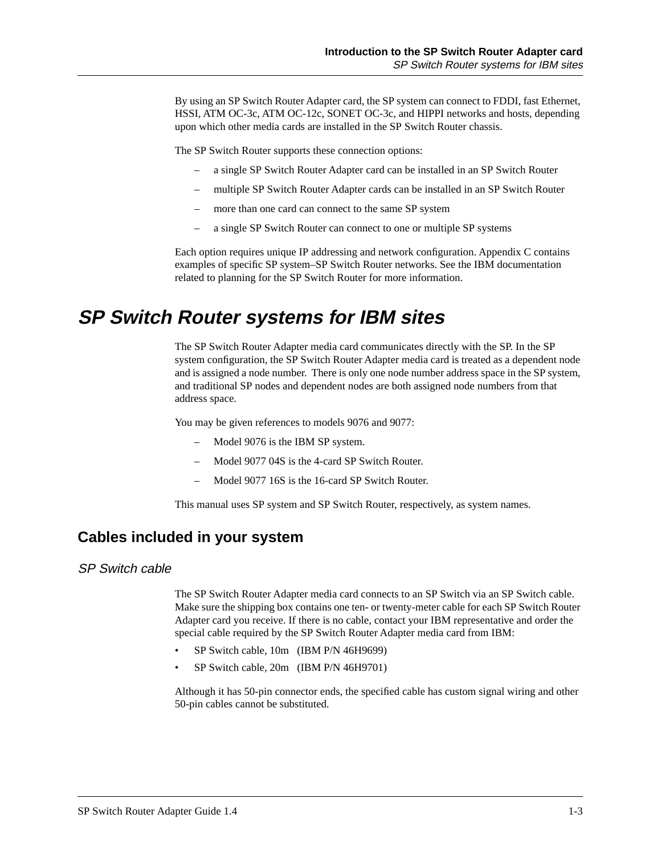<span id="page-16-0"></span>By using an SP Switch Router Adapter card, the SP system can connect to FDDI, fast Ethernet, HSSI, ATM OC-3c, ATM OC-12c, SONET OC-3c, and HIPPI networks and hosts, depending upon which other media cards are installed in the SP Switch Router chassis.

The SP Switch Router supports these connection options:

- a single SP Switch Router Adapter card can be installed in an SP Switch Router
- multiple SP Switch Router Adapter cards can be installed in an SP Switch Router
- more than one card can connect to the same SP system
- a single SP Switch Router can connect to one or multiple SP systems

Each option requires unique IP addressing and network configuration. Appendix C contains examples of specific SP system–SP Switch Router networks. See the IBM documentation related to planning for the SP Switch Router for more information.

## **SP Switch Router systems for IBM sites**

The SP Switch Router Adapter media card communicates directly with the SP. In the SP system configuration, the SP Switch Router Adapter media card is treated as a dependent node and is assigned a node number. There is only one node number address space in the SP system, and traditional SP nodes and dependent nodes are both assigned node numbers from that address space.

You may be given references to models 9076 and 9077:

- Model 9076 is the IBM SP system.
- Model 9077 04S is the 4-card SP Switch Router.
- Model 9077 16S is the 16-card SP Switch Router.

This manual uses SP system and SP Switch Router, respectively, as system names.

### **Cables included in your system**

#### SP Switch cable

The SP Switch Router Adapter media card connects to an SP Switch via an SP Switch cable. Make sure the shipping box contains one ten- or twenty-meter cable for each SP Switch Router Adapter card you receive. If there is no cable, contact your IBM representative and order the special cable required by the SP Switch Router Adapter media card from IBM:

- SP Switch cable, 10m (IBM P/N 46H9699)
- SP Switch cable, 20m (IBM P/N 46H9701)

Although it has 50-pin connector ends, the specified cable has custom signal wiring and other 50-pin cables cannot be substituted.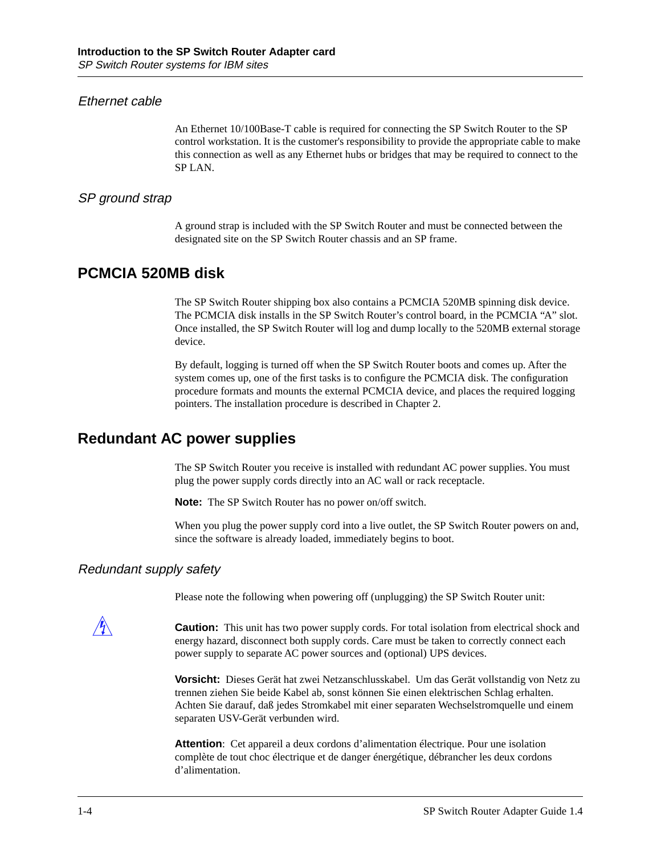#### <span id="page-17-0"></span>Ethernet cable

An Ethernet 10/100Base-T cable is required for connecting the SP Switch Router to the SP control workstation. It is the customer's responsibility to provide the appropriate cable to make this connection as well as any Ethernet hubs or bridges that may be required to connect to the SP LAN.

#### SP ground strap

A ground strap is included with the SP Switch Router and must be connected between the designated site on the SP Switch Router chassis and an SP frame.

### **PCMCIA 520MB disk**

The SP Switch Router shipping box also contains a PCMCIA 520MB spinning disk device. The PCMCIA disk installs in the SP Switch Router's control board, in the PCMCIA "A" slot. Once installed, the SP Switch Router will log and dump locally to the 520MB external storage device.

By default, logging is turned off when the SP Switch Router boots and comes up. After the system comes up, one of the first tasks is to configure the PCMCIA disk. The configuration procedure formats and mounts the external PCMCIA device, and places the required logging pointers. The installation procedure is described in Chapter 2.

### **Redundant AC power supplies**

The SP Switch Router you receive is installed with redundant AC power supplies. You must plug the power supply cords directly into an AC wall or rack receptacle.

**Note:** The SP Switch Router has no power on/off switch.

When you plug the power supply cord into a live outlet, the SP Switch Router powers on and, since the software is already loaded, immediately begins to boot.

#### Redundant supply safety

Please note the following when powering off (unplugging) the SP Switch Router unit:

**Caution:** This unit has two power supply cords. For total isolation from electrical shock and energy hazard, disconnect both supply cords. Care must be taken to correctly connect each power supply to separate AC power sources and (optional) UPS devices.

**Vorsicht:** Dieses Gerät hat zwei Netzanschlusskabel. Um das Gerät vollstandig von Netz zu trennen ziehen Sie beide Kabel ab, sonst können Sie einen elektrischen Schlag erhalten. Achten Sie darauf, daß jedes Stromkabel mit einer separaten Wechselstromquelle und einem separaten USV-Gerät verbunden wird.

**Attention**: Cet appareil a deux cordons d'alimentation électrique. Pour une isolation complète de tout choc électrique et de danger énergétique, débrancher les deux cordons d'alimentation.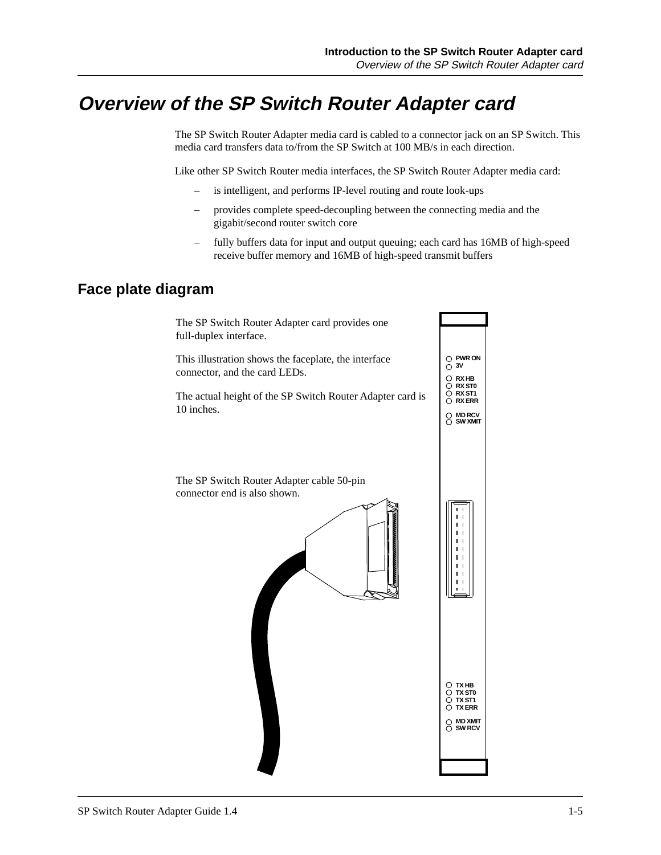## <span id="page-18-0"></span>**Overview of the SP Switch Router Adapter card**

The SP Switch Router Adapter media card is cabled to a connector jack on an SP Switch. This media card transfers data to/from the SP Switch at 100 MB/s in each direction.

Like other SP Switch Router media interfaces, the SP Switch Router Adapter media card:

- is intelligent, and performs IP-level routing and route look-ups
- provides complete speed-decoupling between the connecting media and the gigabit/second router switch core
- fully buffers data for input and output queuing; each card has 16MB of high-speed receive buffer memory and 16MB of high-speed transmit buffers

### **Face plate diagram**

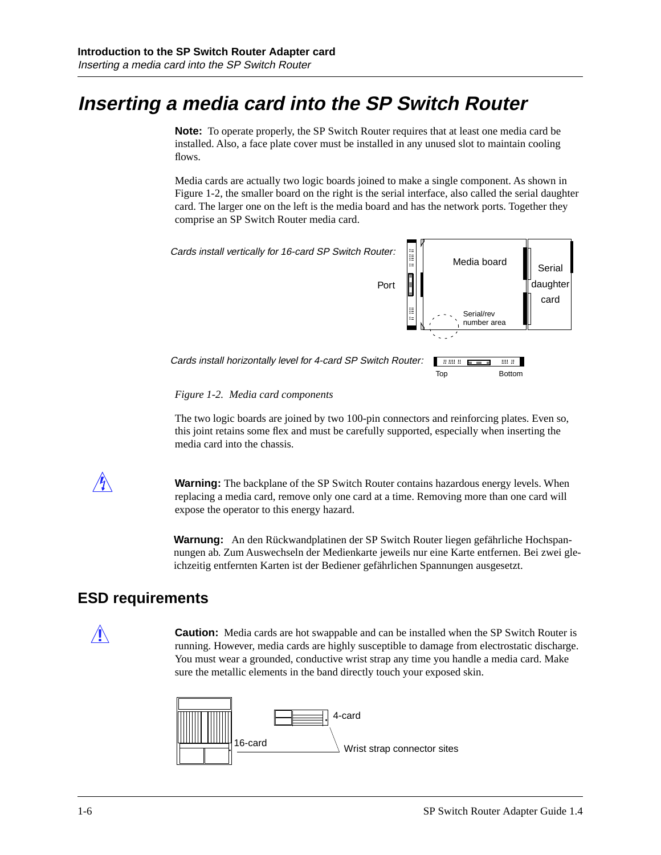## <span id="page-19-0"></span>**Inserting a media card into the SP Switch Router**

**Note:** To operate properly, the SP Switch Router requires that at least one media card be installed. Also, a face plate cover must be installed in any unused slot to maintain cooling flows.

Media cards are actually two logic boards joined to make a single component. As shown in Figure 1-2, the smaller board on the right is the serial interface, also called the serial daughter card. The larger one on the left is the media board and has the network ports. Together they comprise an SP Switch Router media card.



*Figure 1-2. Media card components* 

The two logic boards are joined by two 100-pin connectors and reinforcing plates. Even so, this joint retains some flex and must be carefully supported, especially when inserting the media card into the chassis.

**Warning:** The backplane of the SP Switch Router contains hazardous energy levels. When replacing a media card, remove only one card at a time. Removing more than one card will expose the operator to this energy hazard.

**Warnung:** An den Rückwandplatinen der SP Switch Router liegen gefährliche Hochspannungen ab. Zum Auswechseln der Medienkarte jeweils nur eine Karte entfernen. Bei zwei gleichzeitig entfernten Karten ist der Bediener gefährlichen Spannungen ausgesetzt.

### **ESD requirements**

**Caution:** Media cards are hot swappable and can be installed when the SP Switch Router is running. However, media cards are highly susceptible to damage from electrostatic discharge. You must wear a grounded, conductive wrist strap any time you handle a media card. Make sure the metallic elements in the band directly touch your exposed skin.

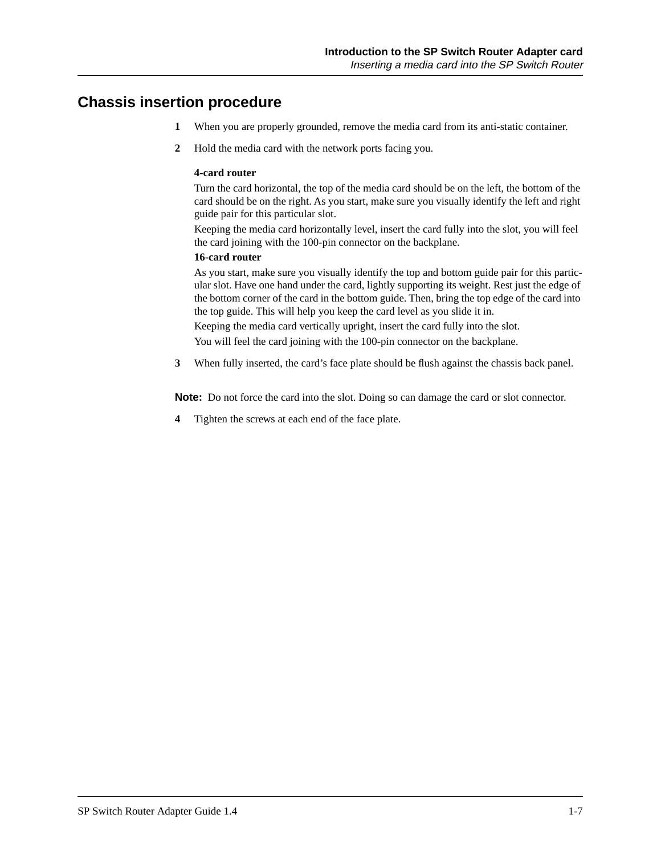### <span id="page-20-0"></span>**Chassis insertion procedure**

- **1** When you are properly grounded, remove the media card from its anti-static container.
- **2** Hold the media card with the network ports facing you.

#### **4-card router**

Turn the card horizontal, the top of the media card should be on the left, the bottom of the card should be on the right. As you start, make sure you visually identify the left and right guide pair for this particular slot.

Keeping the media card horizontally level, insert the card fully into the slot, you will feel the card joining with the 100-pin connector on the backplane.

#### **16-card router**

As you start, make sure you visually identify the top and bottom guide pair for this particular slot. Have one hand under the card, lightly supporting its weight. Rest just the edge of the bottom corner of the card in the bottom guide. Then, bring the top edge of the card into the top guide. This will help you keep the card level as you slide it in.

Keeping the media card vertically upright, insert the card fully into the slot. You will feel the card joining with the 100-pin connector on the backplane.

**3** When fully inserted, the card's face plate should be flush against the chassis back panel.

**Note:** Do not force the card into the slot. Doing so can damage the card or slot connector.

**4** Tighten the screws at each end of the face plate.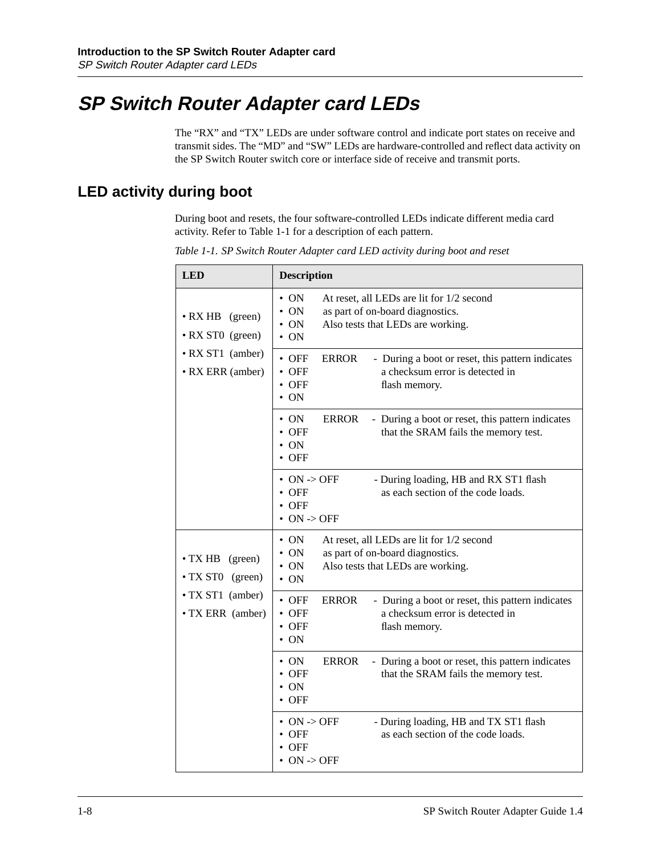## <span id="page-21-0"></span>**SP Switch Router Adapter card LEDs**

The "RX" and "TX" LEDs are under software control and indicate port states on receive and transmit sides. The "MD" and "SW" LEDs are hardware-controlled and reflect data activity on the SP Switch Router switch core or interface side of receive and transmit ports.

## **LED activity during boot**

During boot and resets, the four software-controlled LEDs indicate different media card activity. Refer to Table 1-1 for a description of each pattern.

| <b>LED</b>                                                                  | <b>Description</b>                                                                                                                                                                      |
|-----------------------------------------------------------------------------|-----------------------------------------------------------------------------------------------------------------------------------------------------------------------------------------|
| • RX HB (green)<br>• RX ST0 (green)<br>• RX ST1 (amber)<br>• RX ERR (amber) | $\cdot$ ON<br>At reset, all LEDs are lit for 1/2 second<br>$\bullet$ ON<br>as part of on-board diagnostics.<br>$\bullet$ ON<br>Also tests that LEDs are working.<br>$\bullet$ ON        |
|                                                                             | $\bullet$ OFF<br><b>ERROR</b><br>- During a boot or reset, this pattern indicates<br>$\bullet$ OFF<br>a checksum error is detected in<br>$\bullet$ OFF<br>flash memory.<br>ON           |
|                                                                             | $\bullet$ ON<br><b>ERROR</b><br>- During a boot or reset, this pattern indicates<br><b>OFF</b><br>that the SRAM fails the memory test.<br>$\bullet$ ON<br><b>OFF</b>                    |
|                                                                             | $\bullet$ ON -> OFF<br>- During loading, HB and RX ST1 flash<br>as each section of the code loads.<br><b>OFF</b><br><b>OFF</b><br>$\bullet$ ON -> OFF                                   |
| • TX HB (green)<br>• TX ST0 (green)                                         | $\bullet$ ON<br>At reset, all LEDs are lit for 1/2 second<br>$\bullet$ ON<br>as part of on-board diagnostics.<br>$\bullet$ ON<br>Also tests that LEDs are working.<br>$\bullet$ ON      |
| • TX ST1 (amber)<br>• TX ERR (amber)                                        | <b>ERROR</b><br>$\bullet$ OFF<br>- During a boot or reset, this pattern indicates<br>a checksum error is detected in<br>$\bullet$ OFF<br>$\bullet$ OFF<br>flash memory.<br>$\bullet$ ON |
|                                                                             | $\cdot$ ON<br><b>ERROR</b><br>- During a boot or reset, this pattern indicates<br>$\bullet$ OFF<br>that the SRAM fails the memory test.<br>$\bullet$ ON<br>$\bullet$ OFF                |
|                                                                             | $\bullet$ ON -> OFF<br>- During loading, HB and TX ST1 flash<br>as each section of the code loads.<br>OFF<br>OFF<br>$ON \rightarrow OFF$                                                |

*Table 1-1. SP Switch Router Adapter card LED activity during boot and reset*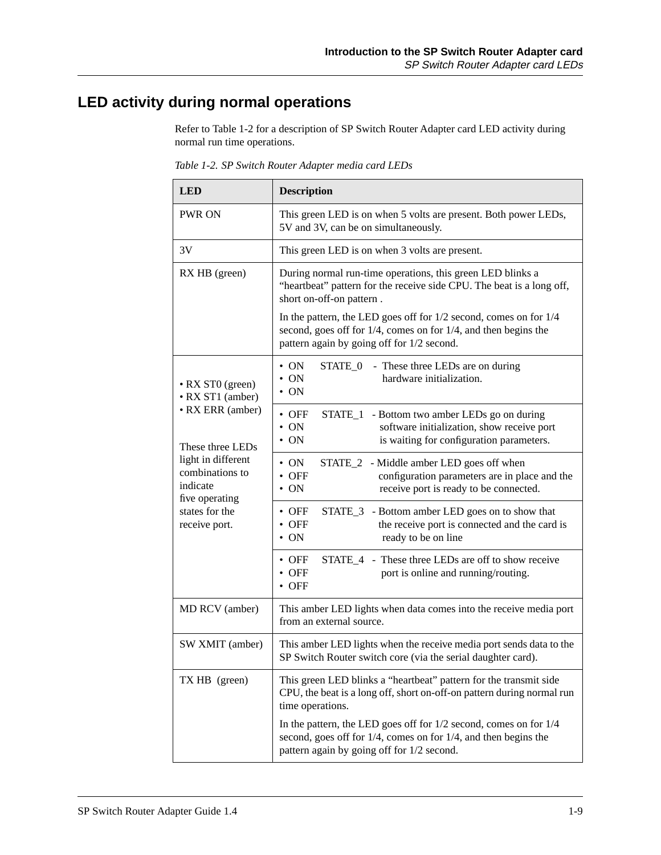## <span id="page-22-0"></span>**LED activity during normal operations**

Refer to Table 1-2 for a description of SP Switch Router Adapter card LED activity during normal run time operations.

| <b>LED</b>                                                          | <b>Description</b>                                                                                                                                                                                                                                                                                                                                              |
|---------------------------------------------------------------------|-----------------------------------------------------------------------------------------------------------------------------------------------------------------------------------------------------------------------------------------------------------------------------------------------------------------------------------------------------------------|
| <b>PWR ON</b>                                                       | This green LED is on when 5 volts are present. Both power LEDs,<br>5V and 3V, can be on simultaneously.                                                                                                                                                                                                                                                         |
| 3V                                                                  | This green LED is on when 3 volts are present.                                                                                                                                                                                                                                                                                                                  |
| RX HB (green)                                                       | During normal run-time operations, this green LED blinks a<br>"heartbeat" pattern for the receive side CPU. The beat is a long off,<br>short on-off-on pattern.<br>In the pattern, the LED goes off for $1/2$ second, comes on for $1/4$<br>second, goes off for $1/4$ , comes on for $1/4$ , and then begins the<br>pattern again by going off for 1/2 second. |
| • RX ST0 (green)<br>• RX ST1 (amber)                                | $\bullet$ ON<br>STATE_0 - These three LEDs are on during<br>$\bullet$ ON<br>hardware initialization.<br>$\bullet$ ON                                                                                                                                                                                                                                            |
| • RX ERR (amber)<br>These three LEDs                                | $\bullet$ OFF<br>STATE_1 - Bottom two amber LEDs go on during<br>$\bullet$ ON<br>software initialization, show receive port<br>$\bullet$ ON<br>is waiting for configuration parameters.                                                                                                                                                                         |
| light in different<br>combinations to<br>indicate<br>five operating | $\bullet$ ON<br>STATE_2 - Middle amber LED goes off when<br>$\bullet$ OFF<br>configuration parameters are in place and the<br>$\cdot$ ON<br>receive port is ready to be connected.                                                                                                                                                                              |
| states for the<br>receive port.                                     | $\bullet$ OFF<br>STATE_3 - Bottom amber LED goes on to show that<br>$\bullet$ OFF<br>the receive port is connected and the card is<br>$\bullet$ ON<br>ready to be on line                                                                                                                                                                                       |
|                                                                     | STATE_4 - These three LEDs are off to show receive<br>$\bullet$ OFF<br>$\bullet$ OFF<br>port is online and running/routing.<br>$\bullet$ OFF                                                                                                                                                                                                                    |
| MD RCV (amber)                                                      | This amber LED lights when data comes into the receive media port<br>from an external source.                                                                                                                                                                                                                                                                   |
| SW XMIT (amber)                                                     | This amber LED lights when the receive media port sends data to the<br>SP Switch Router switch core (via the serial daughter card).                                                                                                                                                                                                                             |
| TX HB (green)                                                       | This green LED blinks a "heartbeat" pattern for the transmit side<br>CPU, the beat is a long off, short on-off-on pattern during normal run<br>time operations.                                                                                                                                                                                                 |
|                                                                     | In the pattern, the LED goes off for $1/2$ second, comes on for $1/4$<br>second, goes off for $1/4$ , comes on for $1/4$ , and then begins the<br>pattern again by going off for 1/2 second.                                                                                                                                                                    |

*Table 1-2. SP Switch Router Adapter media card LEDs*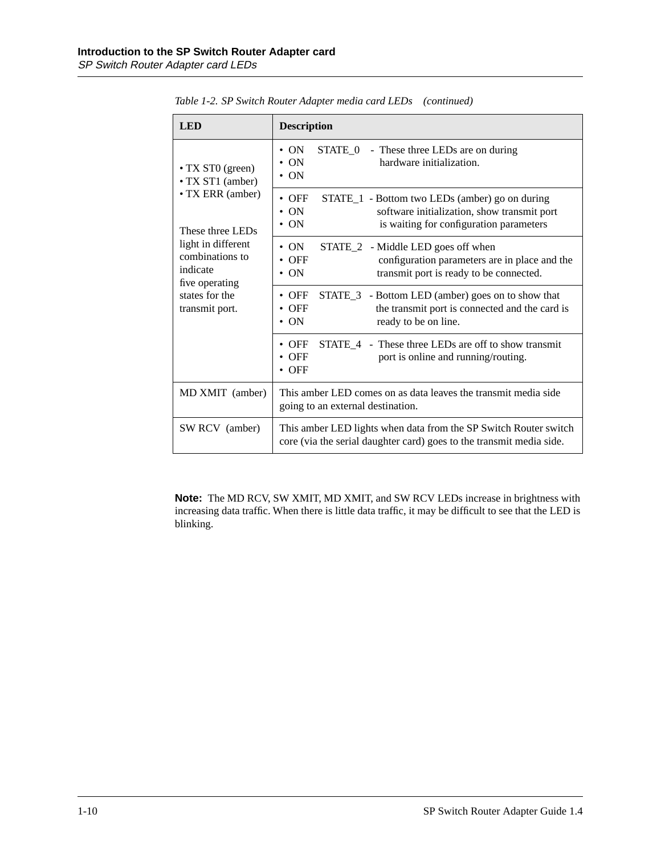| <b>LED</b>                                                          | <b>Description</b>                                                                                                                                                                    |
|---------------------------------------------------------------------|---------------------------------------------------------------------------------------------------------------------------------------------------------------------------------------|
| • TX STO (green)<br>• TX ST1 (amber)                                | STATE_0 - These three LEDs are on during<br>$\cdot$ ON<br>hardware initialization.<br>$\cdot$ ON<br>$\cdot$ ON                                                                        |
| • TX ERR (amber)<br>These three LEDs                                | $\bullet$ OFF<br>STATE_1 - Bottom two LEDs (amber) go on during<br>$\cdot$ ON<br>software initialization, show transmit port<br>is waiting for configuration parameters<br>$\cdot$ ON |
| light in different<br>combinations to<br>indicate<br>five operating | $\cdot$ ON<br>STATE_2 - Middle LED goes off when<br>$\bullet$ OFF<br>configuration parameters are in place and the<br>transmit port is ready to be connected.<br>$\cdot$ ON           |
| states for the<br>transmit port.                                    | $\bullet$ OFF<br>STATE_3 - Bottom LED (amber) goes on to show that<br>$\bullet$ OFF<br>the transmit port is connected and the card is<br>$\cdot$ ON<br>ready to be on line.           |
|                                                                     | STATE_4 - These three LEDs are off to show transmit<br>$\bullet$ OFF<br>$\bullet$ OFF<br>port is online and running/routing.<br>$\bullet$ OFF                                         |
| MD XMIT (amber)                                                     | This amber LED comes on as data leaves the transmit media side<br>going to an external destination.                                                                                   |
| SW RCV (amber)                                                      | This amber LED lights when data from the SP Switch Router switch<br>core (via the serial daughter card) goes to the transmit media side.                                              |

<span id="page-23-0"></span>*Table 1-2. SP Switch Router Adapter media card LEDs (continued)*

**Note:** The MD RCV, SW XMIT, MD XMIT, and SW RCV LEDs increase in brightness with increasing data traffic. When there is little data traffic, it may be difficult to see that the LED is blinking.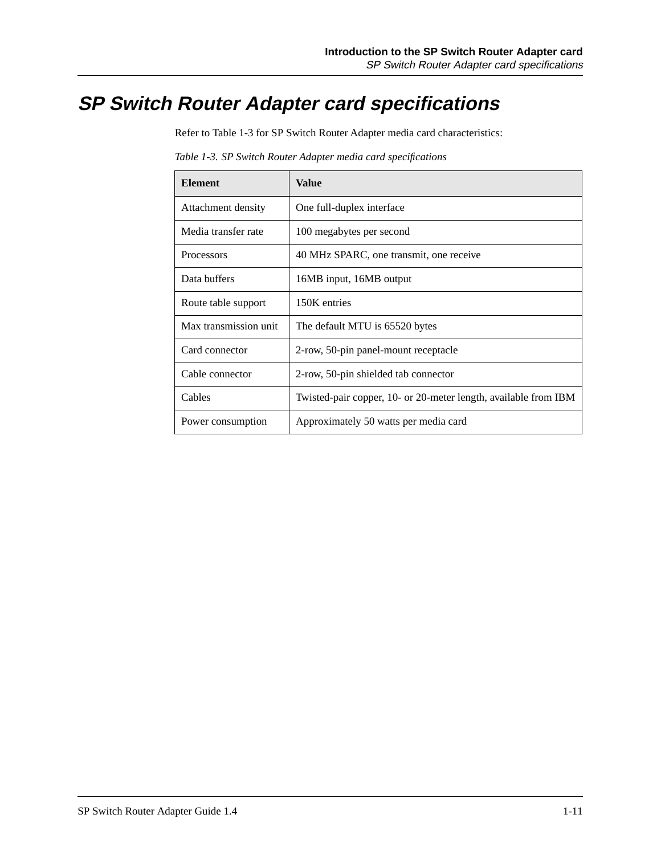## <span id="page-24-0"></span>**SP Switch Router Adapter card specifications**

Refer to Table 1-3 for SP Switch Router Adapter media card characteristics:

| <b>Element</b>        | Value                                                           |
|-----------------------|-----------------------------------------------------------------|
| Attachment density    | One full-duplex interface                                       |
| Media transfer rate   | 100 megabytes per second                                        |
| <b>Processors</b>     | 40 MHz SPARC, one transmit, one receive                         |
| Data buffers          | 16MB input, 16MB output                                         |
| Route table support   | 150K entries                                                    |
| Max transmission unit | The default MTU is 65520 bytes                                  |
| Card connector        | 2-row, 50-pin panel-mount receptacle                            |
| Cable connector       | 2-row, 50-pin shielded tab connector                            |
| Cables                | Twisted-pair copper, 10- or 20-meter length, available from IBM |
| Power consumption     | Approximately 50 watts per media card                           |

*Table 1-3. SP Switch Router Adapter media card specifications*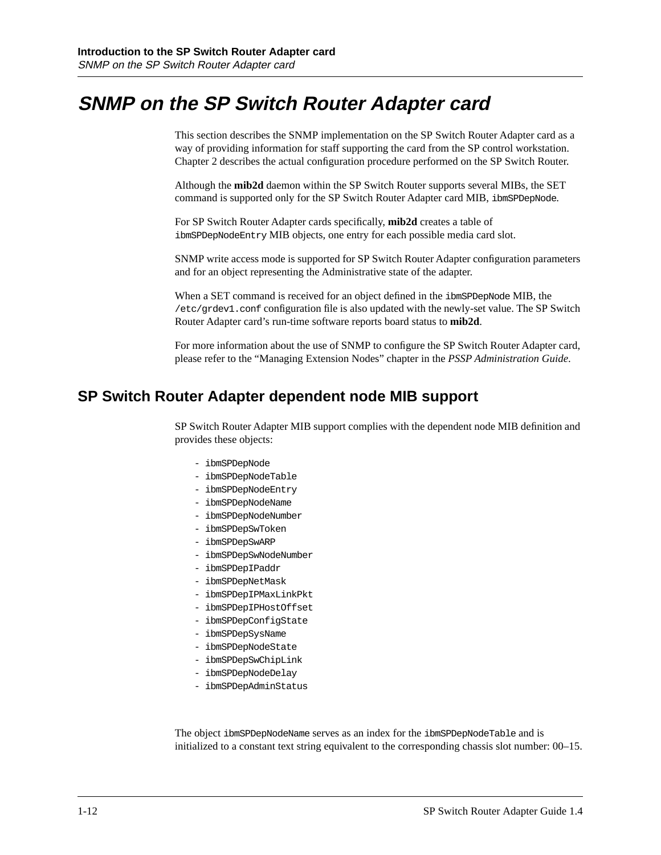## <span id="page-25-0"></span>**SNMP on the SP Switch Router Adapter card**

This section describes the SNMP implementation on the SP Switch Router Adapter card as a way of providing information for staff supporting the card from the SP control workstation. Chapter 2 describes the actual configuration procedure performed on the SP Switch Router.

Although the **mib2d** daemon within the SP Switch Router supports several MIBs, the SET command is supported only for the SP Switch Router Adapter card MIB, ibmSPDepNode.

For SP Switch Router Adapter cards specifically, **mib2d** creates a table of ibmSPDepNodeEntry MIB objects, one entry for each possible media card slot.

SNMP write access mode is supported for SP Switch Router Adapter configuration parameters and for an object representing the Administrative state of the adapter.

When a SET command is received for an object defined in the ibmSPDepNode MIB, the /etc/grdev1.conf configuration file is also updated with the newly-set value. The SP Switch Router Adapter card's run-time software reports board status to **mib2d**.

For more information about the use of SNMP to configure the SP Switch Router Adapter card, please refer to the "Managing Extension Nodes" chapter in the *PSSP Administration Guide*.

### **SP Switch Router Adapter dependent node MIB support**

SP Switch Router Adapter MIB support complies with the dependent node MIB definition and provides these objects:

- ibmSPDepNode
- ibmSPDepNodeTable
- ibmSPDepNodeEntry
- ibmSPDepNodeName
- ibmSPDepNodeNumber
- ibmSPDepSwToken
- ibmSPDepSwARP
- ibmSPDepSwNodeNumber
- ibmSPDepIPaddr
- ibmSPDepNetMask
- ibmSPDepIPMaxLinkPkt
- ibmSPDepIPHostOffset
- ibmSPDepConfigState
- ibmSPDepSysName
- ibmSPDepNodeState
- ibmSPDepSwChipLink
- ibmSPDepNodeDelay
- ibmSPDepAdminStatus

The object ibmSPDepNodeName serves as an index for the ibmSPDepNodeTable and is initialized to a constant text string equivalent to the corresponding chassis slot number: 00–15.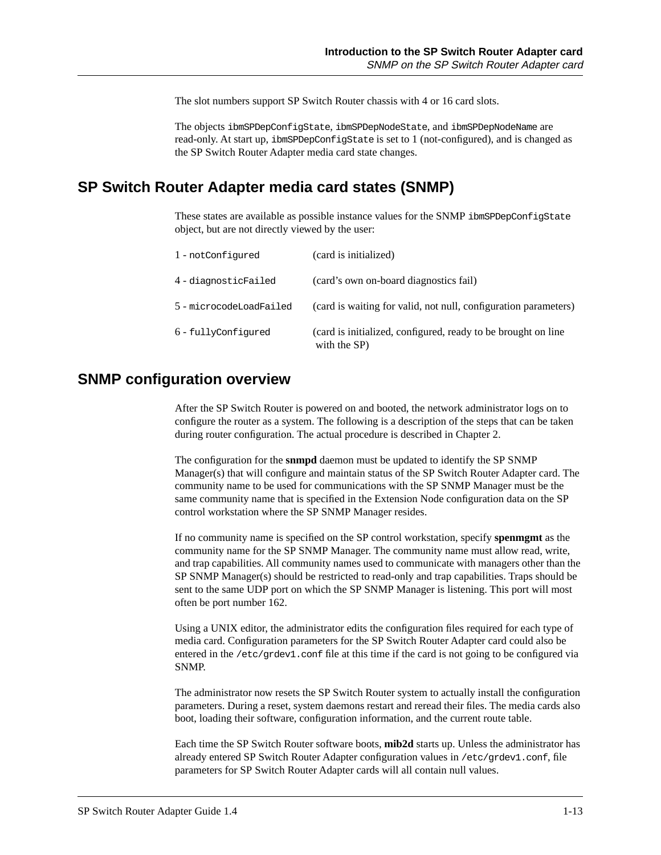The slot numbers support SP Switch Router chassis with 4 or 16 card slots.

The objects ibmSPDepConfigState, ibmSPDepNodeState, and ibmSPDepNodeName are read-only. At start up, ibmSPDepConfigState is set to 1 (not-configured), and is changed as the SP Switch Router Adapter media card state changes.

### <span id="page-26-0"></span>**SP Switch Router Adapter media card states (SNMP)**

These states are available as possible instance values for the SNMP ibmSPDepConfigState object, but are not directly viewed by the user:

| 1 - notConfigured       | (card is initialized)                                                         |
|-------------------------|-------------------------------------------------------------------------------|
| 4-diagnosticFailed      | (card's own on-board diagnostics fail)                                        |
| 5 - microcodeLoadFailed | (card is waiting for valid, not null, configuration parameters)               |
| 6 - fullyConfiqured     | (card is initialized, configured, ready to be brought on line<br>with the SP) |

## **SNMP configuration overview**

After the SP Switch Router is powered on and booted, the network administrator logs on to configure the router as a system. The following is a description of the steps that can be taken during router configuration. The actual procedure is described in Chapter 2.

The configuration for the **snmpd** daemon must be updated to identify the SP SNMP Manager(s) that will configure and maintain status of the SP Switch Router Adapter card. The community name to be used for communications with the SP SNMP Manager must be the same community name that is specified in the Extension Node configuration data on the SP control workstation where the SP SNMP Manager resides.

If no community name is specified on the SP control workstation, specify **spenmgmt** as the community name for the SP SNMP Manager. The community name must allow read, write, and trap capabilities. All community names used to communicate with managers other than the SP SNMP Manager(s) should be restricted to read-only and trap capabilities. Traps should be sent to the same UDP port on which the SP SNMP Manager is listening. This port will most often be port number 162.

Using a UNIX editor, the administrator edits the configuration files required for each type of media card. Configuration parameters for the SP Switch Router Adapter card could also be entered in the /etc/grdev1.conf file at this time if the card is not going to be configured via SNMP.

The administrator now resets the SP Switch Router system to actually install the configuration parameters. During a reset, system daemons restart and reread their files. The media cards also boot, loading their software, configuration information, and the current route table.

Each time the SP Switch Router software boots, **mib2d** starts up. Unless the administrator has already entered SP Switch Router Adapter configuration values in /etc/grdev1.conf, file parameters for SP Switch Router Adapter cards will all contain null values.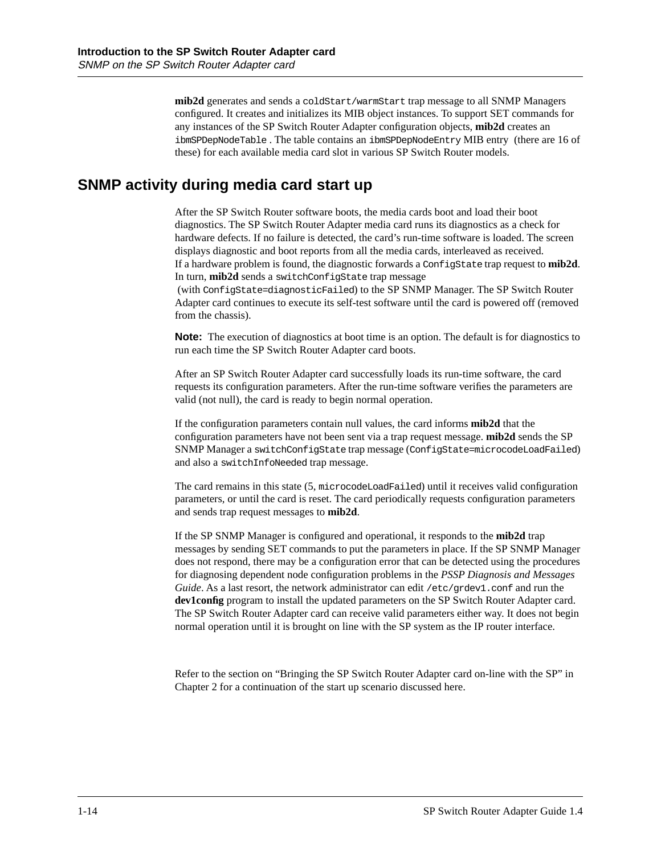**mib2d** generates and sends a coldStart/warmStart trap message to all SNMP Managers configured. It creates and initializes its MIB object instances. To support SET commands for any instances of the SP Switch Router Adapter configuration objects, **mib2d** creates an ibmSPDepNodeTable . The table contains an ibmSPDepNodeEntry MIB entry (there are 16 of these) for each available media card slot in various SP Switch Router models.

### <span id="page-27-0"></span>**SNMP activity during media card start up**

After the SP Switch Router software boots, the media cards boot and load their boot diagnostics. The SP Switch Router Adapter media card runs its diagnostics as a check for hardware defects. If no failure is detected, the card's run-time software is loaded. The screen displays diagnostic and boot reports from all the media cards, interleaved as received. If a hardware problem is found, the diagnostic forwards a ConfigState trap request to **mib2d**. In turn, **mib2d** sends a switchConfigState trap message

 (with ConfigState=diagnosticFailed) to the SP SNMP Manager. The SP Switch Router Adapter card continues to execute its self-test software until the card is powered off (removed from the chassis).

**Note:** The execution of diagnostics at boot time is an option. The default is for diagnostics to run each time the SP Switch Router Adapter card boots.

After an SP Switch Router Adapter card successfully loads its run-time software, the card requests its configuration parameters. After the run-time software verifies the parameters are valid (not null), the card is ready to begin normal operation.

If the configuration parameters contain null values, the card informs **mib2d** that the configuration parameters have not been sent via a trap request message. **mib2d** sends the SP SNMP Manager a switchConfigState trap message (ConfigState=microcodeLoadFailed) and also a switchInfoNeeded trap message.

The card remains in this state (5, microcodeLoadFailed) until it receives valid configuration parameters, or until the card is reset. The card periodically requests configuration parameters and sends trap request messages to **mib2d**.

If the SP SNMP Manager is configured and operational, it responds to the **mib2d** trap messages by sending SET commands to put the parameters in place. If the SP SNMP Manager does not respond, there may be a configuration error that can be detected using the procedures for diagnosing dependent node configuration problems in the *PSSP Diagnosis and Messages Guide*. As a last resort, the network administrator can edit /etc/grdev1.conf and run the **dev1config** program to install the updated parameters on the SP Switch Router Adapter card. The SP Switch Router Adapter card can receive valid parameters either way. It does not begin normal operation until it is brought on line with the SP system as the IP router interface.

Refer to the section on "Bringing the SP Switch Router Adapter card on-line with the SP" in Chapter 2 for a continuation of the start up scenario discussed here.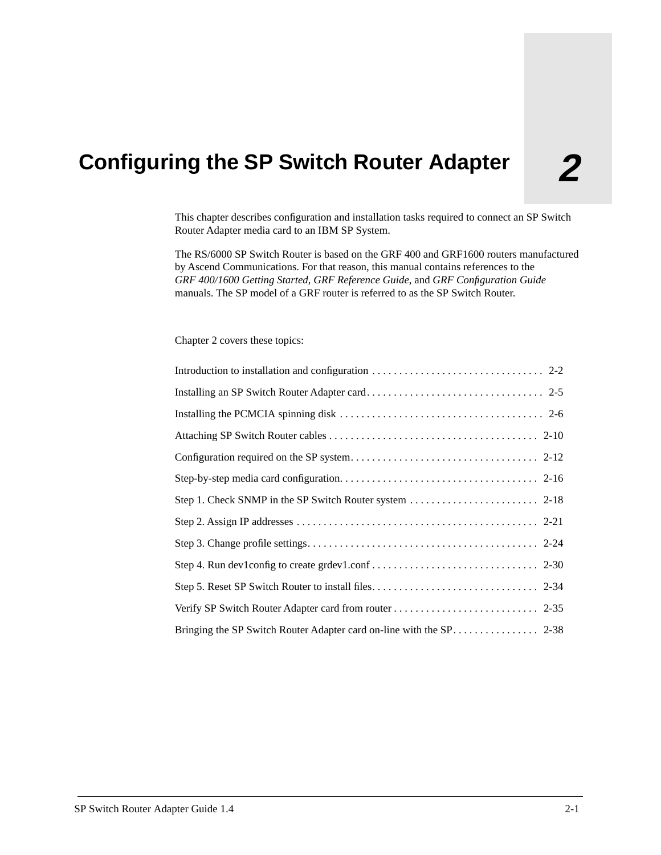# <span id="page-28-0"></span>**2 Configuring the SP Switch Router Adapter**

This chapter describes configuration and installation tasks required to connect an SP Switch Router Adapter media card to an IBM SP System.

The RS/6000 SP Switch Router is based on the GRF 400 and GRF1600 routers manufactured by Ascend Communications. For that reason, this manual contains references to the *GRF 400/1600 Getting Started*, *GRF Reference Guide*, and *GRF Configuration Guide*  manuals. The SP model of a GRF router is referred to as the SP Switch Router.

#### Chapter 2 covers these topics: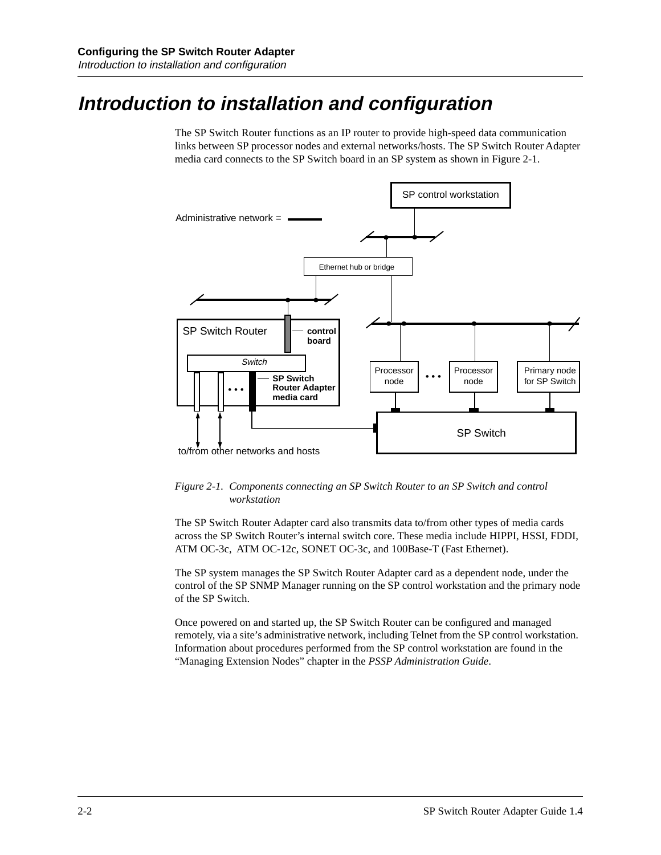## <span id="page-29-0"></span>**Introduction to installation and configuration**

The SP Switch Router functions as an IP router to provide high-speed data communication links between SP processor nodes and external networks/hosts. The SP Switch Router Adapter media card connects to the SP Switch board in an SP system as shown in Figure 2-1.



*Figure 2-1. Components connecting an SP Switch Router to an SP Switch and control workstation* 

The SP Switch Router Adapter card also transmits data to/from other types of media cards across the SP Switch Router's internal switch core. These media include HIPPI, HSSI, FDDI, ATM OC-3c, ATM OC-12c, SONET OC-3c, and 100Base-T (Fast Ethernet).

The SP system manages the SP Switch Router Adapter card as a dependent node, under the control of the SP SNMP Manager running on the SP control workstation and the primary node of the SP Switch.

Once powered on and started up, the SP Switch Router can be configured and managed remotely, via a site's administrative network, including Telnet from the SP control workstation. Information about procedures performed from the SP control workstation are found in the "Managing Extension Nodes" chapter in the *PSSP Administration Guide*.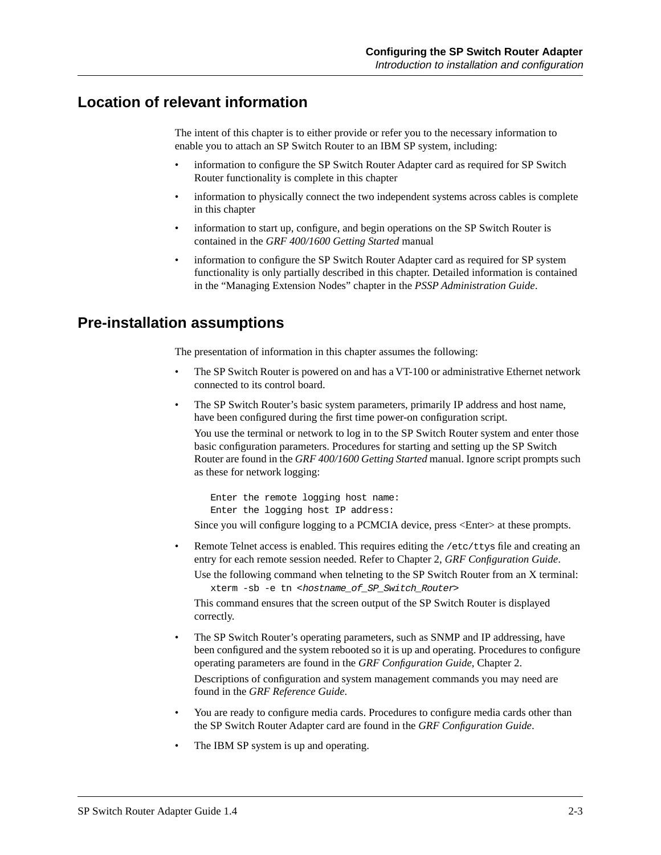### <span id="page-30-0"></span>**Location of relevant information**

The intent of this chapter is to either provide or refer you to the necessary information to enable you to attach an SP Switch Router to an IBM SP system, including:

- information to configure the SP Switch Router Adapter card as required for SP Switch Router functionality is complete in this chapter
- information to physically connect the two independent systems across cables is complete in this chapter
- information to start up, configure, and begin operations on the SP Switch Router is contained in the *GRF 400/1600 Getting Started* manual
- information to configure the SP Switch Router Adapter card as required for SP system functionality is only partially described in this chapter. Detailed information is contained in the "Managing Extension Nodes" chapter in the *PSSP Administration Guide*.

### **Pre-installation assumptions**

The presentation of information in this chapter assumes the following:

- The SP Switch Router is powered on and has a VT-100 or administrative Ethernet network connected to its control board.
- The SP Switch Router's basic system parameters, primarily IP address and host name, have been configured during the first time power-on configuration script.

You use the terminal or network to log in to the SP Switch Router system and enter those basic configuration parameters. Procedures for starting and setting up the SP Switch Router are found in the *GRF 400/1600 Getting Started* manual. Ignore script prompts such as these for network logging:

 Enter the remote logging host name: Enter the logging host IP address:

Since you will configure logging to a PCMCIA device, press <Enter> at these prompts.

- Remote Telnet access is enabled. This requires editing the /etc/ttys file and creating an entry for each remote session needed. Refer to Chapter 2, *GRF Configuration Guide*.
	- Use the following command when telneting to the SP Switch Router from an X terminal: xterm -sb -e tn <hostname\_of\_SP\_Switch\_Router>

This command ensures that the screen output of the SP Switch Router is displayed correctly.

• The SP Switch Router's operating parameters, such as SNMP and IP addressing, have been configured and the system rebooted so it is up and operating. Procedures to configure operating parameters are found in the *GRF Configuration Guide*, Chapter 2.

Descriptions of configuration and system management commands you may need are found in the *GRF Reference Guide*.

- You are ready to configure media cards. Procedures to configure media cards other than the SP Switch Router Adapter card are found in the *GRF Configuration Guide*.
- The IBM SP system is up and operating.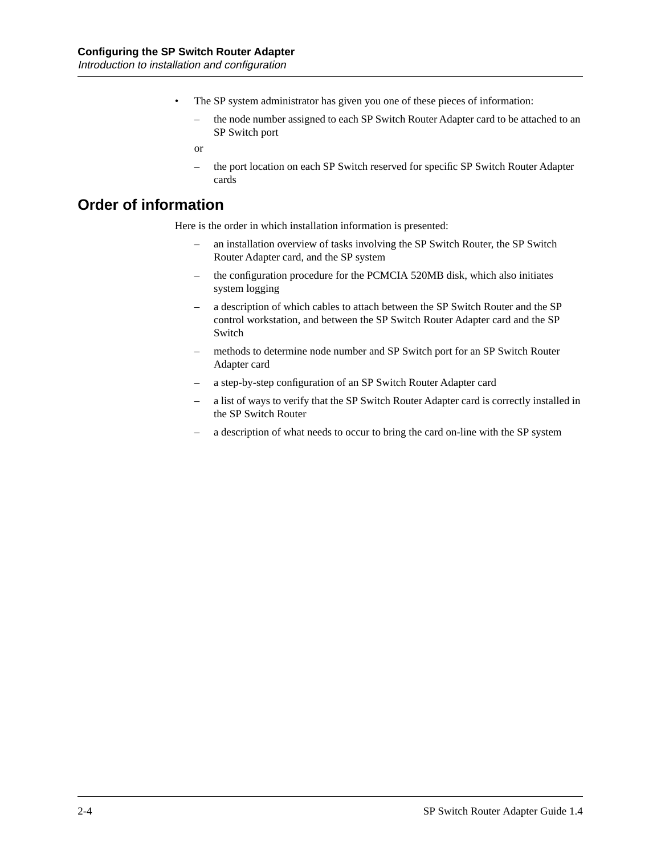- <span id="page-31-0"></span>The SP system administrator has given you one of these pieces of information:
	- the node number assigned to each SP Switch Router Adapter card to be attached to an SP Switch port
	- or
	- the port location on each SP Switch reserved for specific SP Switch Router Adapter cards

### **Order of information**

Here is the order in which installation information is presented:

- an installation overview of tasks involving the SP Switch Router, the SP Switch Router Adapter card, and the SP system
- the configuration procedure for the PCMCIA 520MB disk, which also initiates system logging
- a description of which cables to attach between the SP Switch Router and the SP control workstation, and between the SP Switch Router Adapter card and the SP Switch
- methods to determine node number and SP Switch port for an SP Switch Router Adapter card
- a step-by-step configuration of an SP Switch Router Adapter card
- a list of ways to verify that the SP Switch Router Adapter card is correctly installed in the SP Switch Router
- a description of what needs to occur to bring the card on-line with the SP system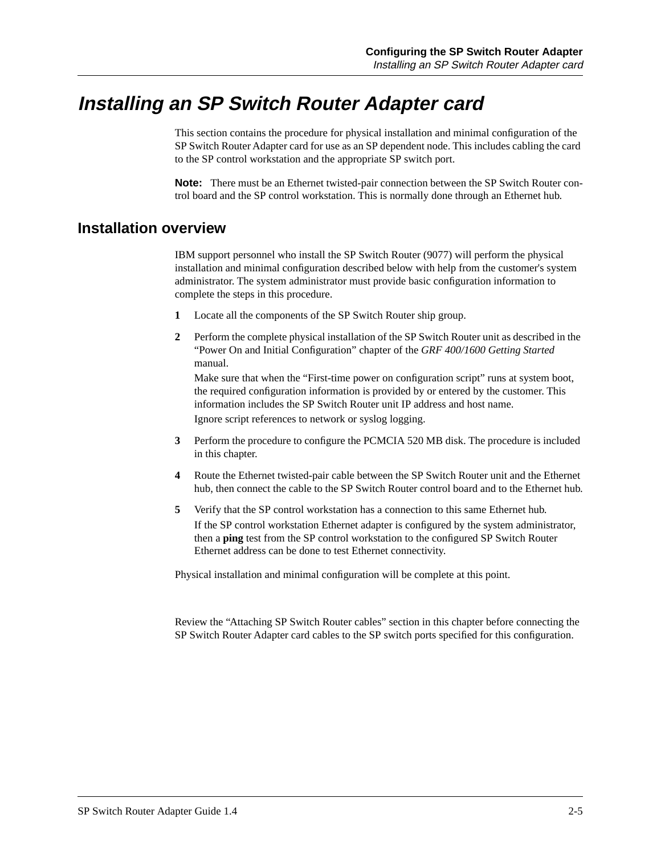## <span id="page-32-0"></span>**Installing an SP Switch Router Adapter card**

This section contains the procedure for physical installation and minimal configuration of the SP Switch Router Adapter card for use as an SP dependent node. This includes cabling the card to the SP control workstation and the appropriate SP switch port.

**Note:** There must be an Ethernet twisted-pair connection between the SP Switch Router control board and the SP control workstation. This is normally done through an Ethernet hub.

### **Installation overview**

IBM support personnel who install the SP Switch Router (9077) will perform the physical installation and minimal configuration described below with help from the customer's system administrator. The system administrator must provide basic configuration information to complete the steps in this procedure.

- **1** Locate all the components of the SP Switch Router ship group.
- **2** Perform the complete physical installation of the SP Switch Router unit as described in the "Power On and Initial Configuration" chapter of the *GRF 400/1600 Getting Started* manual.

Make sure that when the "First-time power on configuration script" runs at system boot, the required configuration information is provided by or entered by the customer. This information includes the SP Switch Router unit IP address and host name. Ignore script references to network or syslog logging.

- **3** Perform the procedure to configure the PCMCIA 520 MB disk. The procedure is included in this chapter.
- **4** Route the Ethernet twisted-pair cable between the SP Switch Router unit and the Ethernet hub, then connect the cable to the SP Switch Router control board and to the Ethernet hub.
- **5** Verify that the SP control workstation has a connection to this same Ethernet hub. If the SP control workstation Ethernet adapter is configured by the system administrator, then a **ping** test from the SP control workstation to the configured SP Switch Router Ethernet address can be done to test Ethernet connectivity.

Physical installation and minimal configuration will be complete at this point.

Review the "Attaching SP Switch Router cables" section in this chapter before connecting the SP Switch Router Adapter card cables to the SP switch ports specified for this configuration.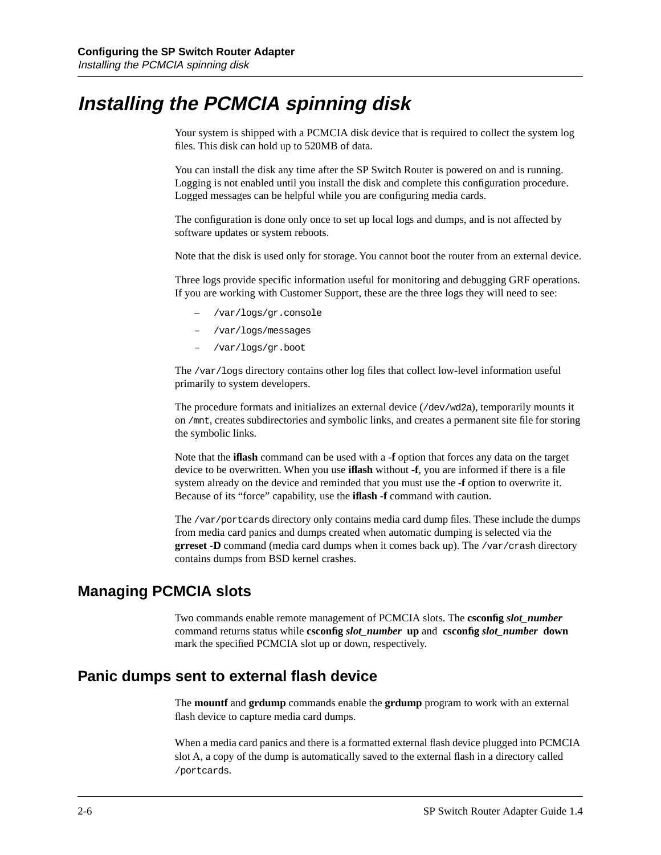## <span id="page-33-0"></span>**Installing the PCMCIA spinning disk**

Your system is shipped with a PCMCIA disk device that is required to collect the system log files. This disk can hold up to 520MB of data.

You can install the disk any time after the SP Switch Router is powered on and is running. Logging is not enabled until you install the disk and complete this configuration procedure. Logged messages can be helpful while you are configuring media cards.

The configuration is done only once to set up local logs and dumps, and is not affected by software updates or system reboots.

Note that the disk is used only for storage. You cannot boot the router from an external device.

Three logs provide specific information useful for monitoring and debugging GRF operations. If you are working with Customer Support, these are the three logs they will need to see:

- /var/logs/gr.console
- /var/logs/messages
- /var/logs/gr.boot

The /var/logs directory contains other log files that collect low-level information useful primarily to system developers.

The procedure formats and initializes an external device (/dev/wd2a), temporarily mounts it on /mnt, creates subdirectories and symbolic links, and creates a permanent site file for storing the symbolic links.

Note that the **iflash** command can be used with a **-f** option that forces any data on the target device to be overwritten. When you use **iflash** without **-f**, you are informed if there is a file system already on the device and reminded that you must use the **-f** option to overwrite it. Because of its "force" capability, use the **iflash -f** command with caution.

The /var/portcards directory only contains media card dump files. These include the dumps from media card panics and dumps created when automatic dumping is selected via the **grreset -D** command (media card dumps when it comes back up). The /var/crash directory contains dumps from BSD kernel crashes.

### **Managing PCMCIA slots**

Two commands enable remote management of PCMCIA slots. The **csconfig** *slot\_number* command returns status while **csconfig** *slot\_number* **up** and **csconfig** *slot\_number* **down**  mark the specified PCMCIA slot up or down, respectively.

### **Panic dumps sent to external flash device**

The **mountf** and **grdump** commands enable the **grdump** program to work with an external flash device to capture media card dumps.

When a media card panics and there is a formatted external flash device plugged into PCMCIA slot A, a copy of the dump is automatically saved to the external flash in a directory called /portcards.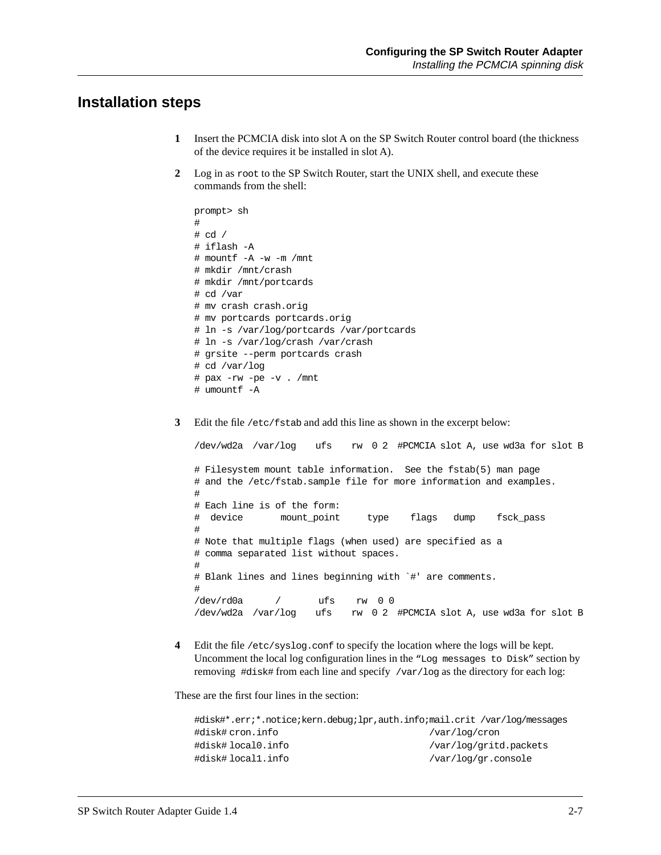### <span id="page-34-0"></span>**Installation steps**

- **1** Insert the PCMCIA disk into slot A on the SP Switch Router control board (the thickness of the device requires it be installed in slot A).
- **2** Log in as root to the SP Switch Router, start the UNIX shell, and execute these commands from the shell:

```
prompt> sh
#
# cd /
# iflash -A 
# mountf -A -w -m /mnt 
# mkdir /mnt/crash
# mkdir /mnt/portcards
# cd /var
# mv crash crash.orig
# mv portcards portcards.orig
# ln -s /var/log/portcards /var/portcards
# ln -s /var/log/crash /var/crash 
# grsite --perm portcards crash
# cd /var/log
# pax -rw -pe -v . /mnt
# umountf -A
```
**3** Edit the file /etc/fstab and add this line as shown in the excerpt below:

/dev/wd2a /var/log ufs rw 0 2 #PCMCIA slot A, use wd3a for slot B # Filesystem mount table information. See the fstab(5) man page # and the /etc/fstab.sample file for more information and examples. # # Each line is of the form: # device mount\_point type flags dump fsck\_pass # # Note that multiple flags (when used) are specified as a # comma separated list without spaces. # # Blank lines and lines beginning with `#' are comments. # /dev/rd0a / ufs rw 0 0 /dev/wd2a /var/log ufs rw 0 2 #PCMCIA slot A, use wd3a for slot B

**4** Edit the file /etc/syslog.conf to specify the location where the logs will be kept. Uncomment the local log configuration lines in the "Log messages to Disk" section by removing #disk# from each line and specify /var/log as the directory for each log:

These are the first four lines in the section:

|                    | #disk#*.err;*.notice;kern.debug;lpr,auth.info;mail.crit /var/log/messages |
|--------------------|---------------------------------------------------------------------------|
| #disk# cron.info   | /var/log/cron                                                             |
| #disk# local0.info | /var/log/gritd.packets                                                    |
| #disk# local1.info | /var/log/gr.console                                                       |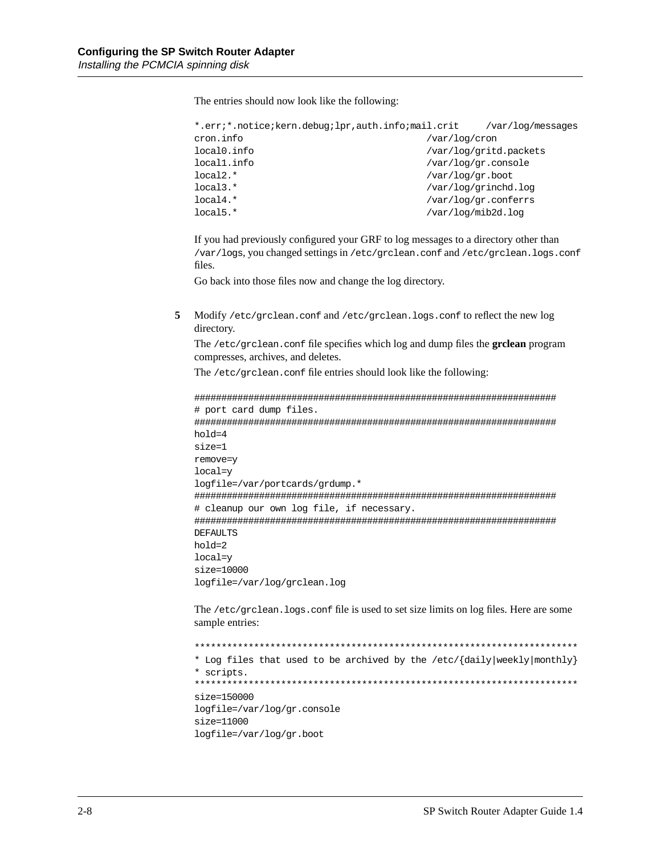The entries should now look like the following:

| *.err;*.notice;kern.debug;lpr,auth.info;mail.crit | /var/log/messages  |  |
|---------------------------------------------------|--------------------|--|
| /var/log/cron                                     |                    |  |
| /var/log/gritd.packets                            |                    |  |
| /var/log/gr.console                               |                    |  |
| /var/log/gr.boot                                  |                    |  |
| /var/log/grinchd.log                              |                    |  |
| /var/log/gr.conferrs                              |                    |  |
|                                                   | /var/log/mib2d.log |  |
|                                                   |                    |  |

If you had previously configured your GRF to log messages to a directory other than /var/logs, you changed settings in /etc/grclean.conf and /etc/grclean.logs.conf files.

Go back into those files now and change the log directory.

**5** Modify /etc/grclean.conf and /etc/grclean.logs.conf to reflect the new log directory.

The /etc/grclean.conf file specifies which log and dump files the **grclean** program compresses, archives, and deletes.

The /etc/grclean.conf file entries should look like the following:

```
###################################################################
# port card dump files.
###################################################################
hold=4
size=1
remove=y
local=y
logfile=/var/portcards/grdump.*
###################################################################
# cleanup our own log file, if necessary.
###################################################################
DEFAULTS
hold=2
local=y
size=10000
logfile=/var/log/grclean.log
```
The /etc/grclean.logs.conf file is used to set size limits on log files. Here are some sample entries:

```
***********************************************************************
* Log files that used to be archived by the /etc/{daily|weekly|monthly}
* scripts.
***********************************************************************
size=150000
logfile=/var/log/gr.console
size=11000
logfile=/var/log/gr.boot
```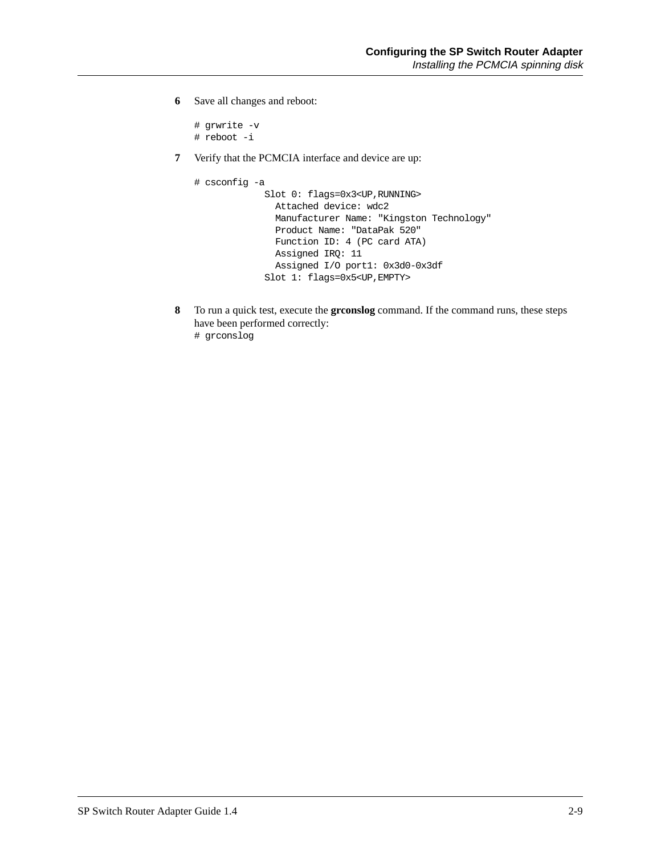**6** Save all changes and reboot:

```
# grwrite -v
# reboot -i
```
**7** Verify that the PCMCIA interface and device are up:

```
# csconfig -a 
              Slot 0: flags=0x3<UP,RUNNING>
                Attached device: wdc2
                Manufacturer Name: "Kingston Technology"
                Product Name: "DataPak 520"
                Function ID: 4 (PC card ATA)
                Assigned IRQ: 11
                Assigned I/O port1: 0x3d0-0x3df
              Slot 1: flags=0x5<UP,EMPTY>
```
**8** To run a quick test, execute the **grconslog** command. If the command runs, these steps have been performed correctly:

```
# grconslog
```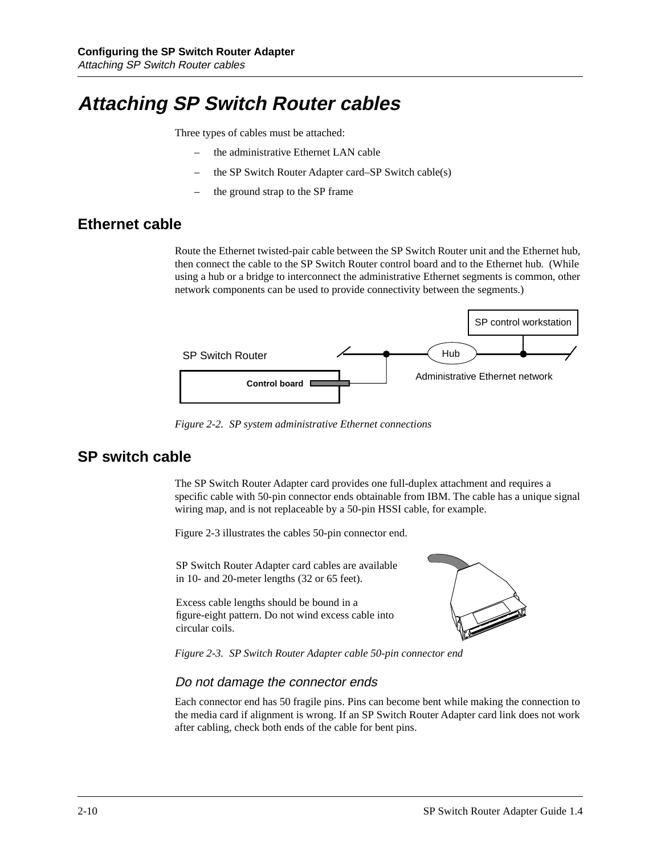# **Attaching SP Switch Router cables**

Three types of cables must be attached:

- the administrative Ethernet LAN cable
- the SP Switch Router Adapter card–SP Switch cable(s)
- the ground strap to the SP frame

## **Ethernet cable**

Route the Ethernet twisted-pair cable between the SP Switch Router unit and the Ethernet hub, then connect the cable to the SP Switch Router control board and to the Ethernet hub. (While using a hub or a bridge to interconnect the administrative Ethernet segments is common, other network components can be used to provide connectivity between the segments.)



*Figure 2-2. SP system administrative Ethernet connections* 

## **SP switch cable**

The SP Switch Router Adapter card provides one full-duplex attachment and requires a specific cable with 50-pin connector ends obtainable from IBM. The cable has a unique signal wiring map, and is not replaceable by a 50-pin HSSI cable, for example.

Figure 2-3 illustrates the cables 50-pin connector end.

SP Switch Router Adapter card cables are available in 10- and 20-meter lengths (32 or 65 feet).

Excess cable lengths should be bound in a figure-eight pattern. Do not wind excess cable into circular coils.



*Figure 2-3. SP Switch Router Adapter cable 50-pin connector end*

## Do not damage the connector ends

Each connector end has 50 fragile pins. Pins can become bent while making the connection to the media card if alignment is wrong. If an SP Switch Router Adapter card link does not work after cabling, check both ends of the cable for bent pins.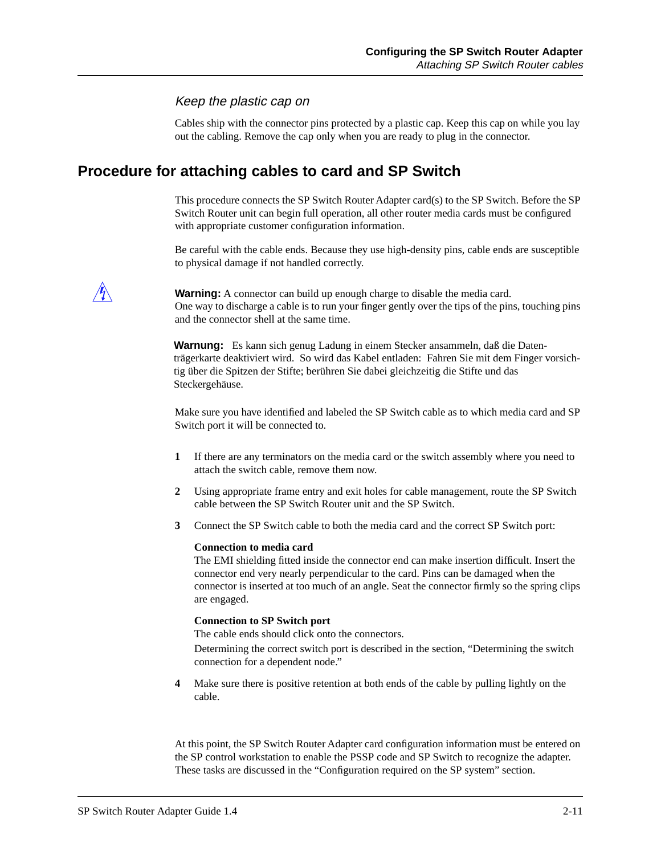#### Keep the plastic cap on

Cables ship with the connector pins protected by a plastic cap. Keep this cap on while you lay out the cabling. Remove the cap only when you are ready to plug in the connector.

## **Procedure for attaching cables to card and SP Switch**

This procedure connects the SP Switch Router Adapter card(s) to the SP Switch. Before the SP Switch Router unit can begin full operation, all other router media cards must be configured with appropriate customer configuration information.

Be careful with the cable ends. Because they use high-density pins, cable ends are susceptible to physical damage if not handled correctly.

**Warning:** A connector can build up enough charge to disable the media card. One way to discharge a cable is to run your finger gently over the tips of the pins, touching pins and the connector shell at the same time.

**Warnung:** Es kann sich genug Ladung in einem Stecker ansammeln, daß die Datenträgerkarte deaktiviert wird. So wird das Kabel entladen: Fahren Sie mit dem Finger vorsichtig über die Spitzen der Stifte; berühren Sie dabei gleichzeitig die Stifte und das Steckergehäuse.

Make sure you have identified and labeled the SP Switch cable as to which media card and SP Switch port it will be connected to.

- **1** If there are any terminators on the media card or the switch assembly where you need to attach the switch cable, remove them now.
- **2** Using appropriate frame entry and exit holes for cable management, route the SP Switch cable between the SP Switch Router unit and the SP Switch.
- **3** Connect the SP Switch cable to both the media card and the correct SP Switch port:

#### **Connection to media card**

The EMI shielding fitted inside the connector end can make insertion difficult. Insert the connector end very nearly perpendicular to the card. Pins can be damaged when the connector is inserted at too much of an angle. Seat the connector firmly so the spring clips are engaged.

#### **Connection to SP Switch port**

The cable ends should click onto the connectors.

Determining the correct switch port is described in the section, "Determining the switch connection for a dependent node."

**4** Make sure there is positive retention at both ends of the cable by pulling lightly on the cable.

At this point, the SP Switch Router Adapter card configuration information must be entered on the SP control workstation to enable the PSSP code and SP Switch to recognize the adapter. These tasks are discussed in the "Configuration required on the SP system" section.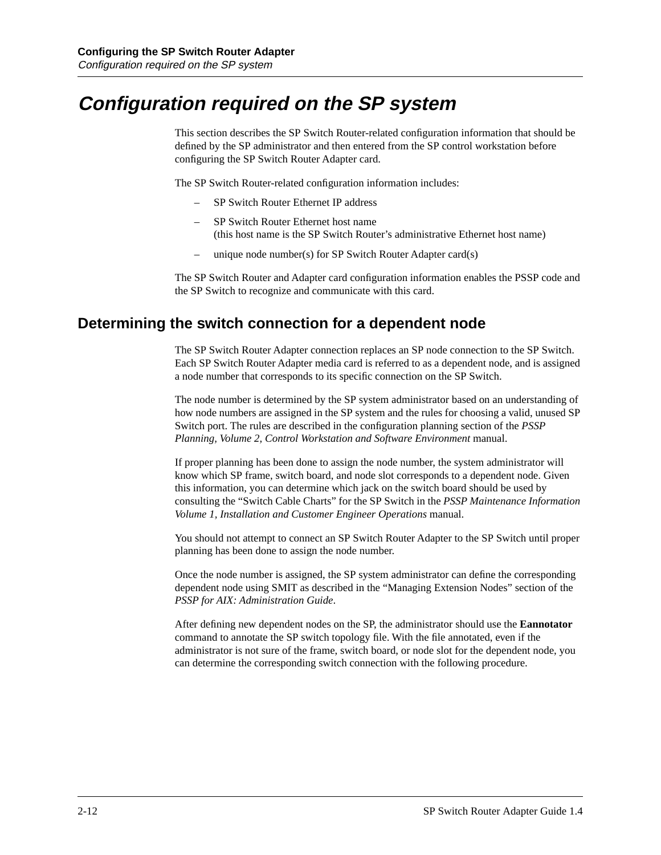# **Configuration required on the SP system**

This section describes the SP Switch Router-related configuration information that should be defined by the SP administrator and then entered from the SP control workstation before configuring the SP Switch Router Adapter card.

The SP Switch Router-related configuration information includes:

- SP Switch Router Ethernet IP address
- SP Switch Router Ethernet host name (this host name is the SP Switch Router's administrative Ethernet host name)
- unique node number(s) for SP Switch Router Adapter card(s)

The SP Switch Router and Adapter card configuration information enables the PSSP code and the SP Switch to recognize and communicate with this card.

## **Determining the switch connection for a dependent node**

The SP Switch Router Adapter connection replaces an SP node connection to the SP Switch. Each SP Switch Router Adapter media card is referred to as a dependent node, and is assigned a node number that corresponds to its specific connection on the SP Switch.

The node number is determined by the SP system administrator based on an understanding of how node numbers are assigned in the SP system and the rules for choosing a valid, unused SP Switch port. The rules are described in the configuration planning section of the *PSSP Planning, Volume 2, Control Workstation and Software Environment* manual.

If proper planning has been done to assign the node number, the system administrator will know which SP frame, switch board, and node slot corresponds to a dependent node. Given this information, you can determine which jack on the switch board should be used by consulting the "Switch Cable Charts" for the SP Switch in the *PSSP Maintenance Information Volume 1, Installation and Customer Engineer Operations* manual.

You should not attempt to connect an SP Switch Router Adapter to the SP Switch until proper planning has been done to assign the node number.

Once the node number is assigned, the SP system administrator can define the corresponding dependent node using SMIT as described in the "Managing Extension Nodes" section of the *PSSP for AIX: Administration Guide*.

After defining new dependent nodes on the SP, the administrator should use the **Eannotator** command to annotate the SP switch topology file. With the file annotated, even if the administrator is not sure of the frame, switch board, or node slot for the dependent node, you can determine the corresponding switch connection with the following procedure.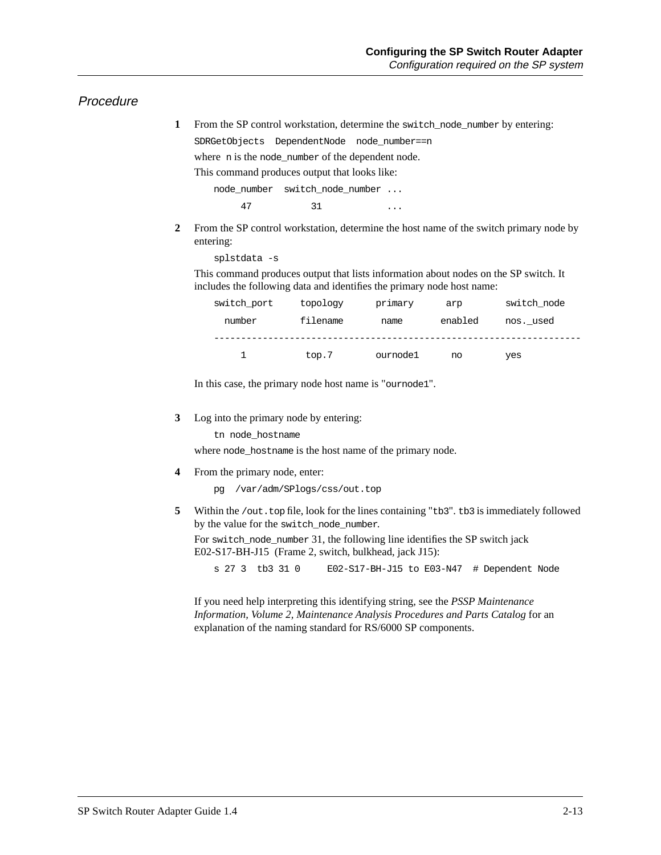#### Procedure

**1** From the SP control workstation, determine the switch\_node\_number by entering:

SDRGetObjects DependentNode node\_number==n

where n is the node\_number of the dependent node.

This command produces output that looks like:

node\_number switch\_node\_number ... 47 31 ...

**2** From the SP control workstation, determine the host name of the switch primary node by entering:

```
splstdata -s
```
This command produces output that lists information about nodes on the SP switch. It includes the following data and identifies the primary node host name:

| switch port | topology | primary  | arp     | switch node |
|-------------|----------|----------|---------|-------------|
| number      | filename | name     | enabled | nos. used   |
|             | top.7    | ournode1 | no      | yes         |

In this case, the primary node host name is "ournode1".

**3** Log into the primary node by entering:

tn node\_hostname

where node\_hostname is the host name of the primary node.

**4** From the primary node, enter:

pg /var/adm/SPlogs/css/out.top

**5** Within the /out.top file, look for the lines containing "tb3". tb3 is immediately followed by the value for the switch\_node\_number.

For switch\_node\_number 31, the following line identifies the SP switch jack E02-S17-BH-J15 (Frame 2, switch, bulkhead, jack J15):

s 27 3 tb3 31 0 E02-S17-BH-J15 to E03-N47 # Dependent Node

If you need help interpreting this identifying string, see the *PSSP Maintenance Information, Volume 2, Maintenance Analysis Procedures and Parts Catalog* for an explanation of the naming standard for RS/6000 SP components.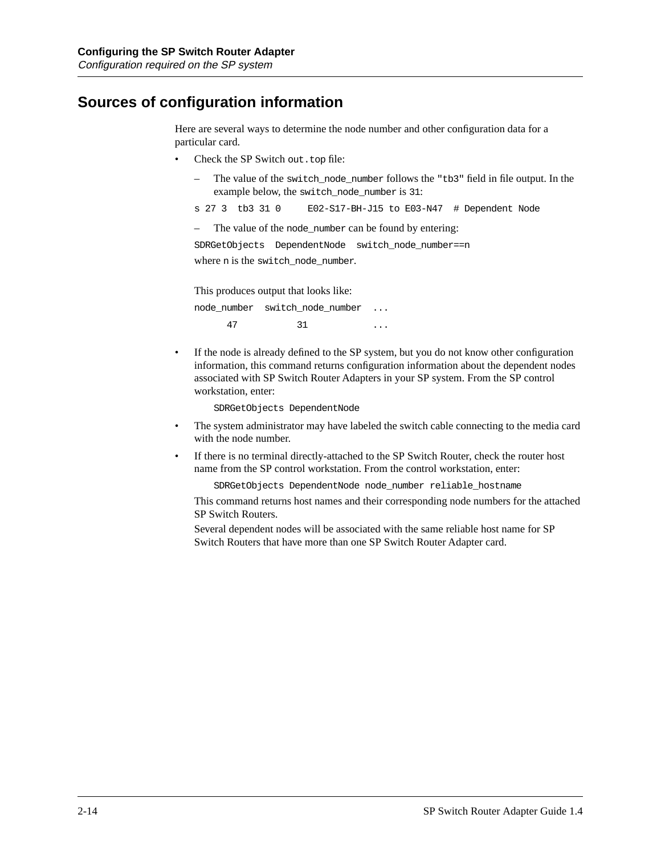## **Sources of configuration information**

Here are several ways to determine the node number and other configuration data for a particular card.

- Check the SP Switch out.top file:
	- The value of the switch\_node\_number follows the "tb3" field in file output. In the example below, the switch\_node\_number is 31:

s 27 3 tb3 31 0 E02-S17-BH-J15 to E03-N47 # Dependent Node

– The value of the node\_number can be found by entering:

SDRGetObjects DependentNode switch\_node\_number==n where n is the switch\_node\_number.

This produces output that looks like:

node\_number switch\_node\_number ... 47 31 ...

• If the node is already defined to the SP system, but you do not know other configuration information, this command returns configuration information about the dependent nodes associated with SP Switch Router Adapters in your SP system. From the SP control workstation, enter:

SDRGetObjects DependentNode

- The system administrator may have labeled the switch cable connecting to the media card with the node number.
- If there is no terminal directly-attached to the SP Switch Router, check the router host name from the SP control workstation. From the control workstation, enter:

SDRGetObjects DependentNode node\_number reliable\_hostname

This command returns host names and their corresponding node numbers for the attached SP Switch Routers.

Several dependent nodes will be associated with the same reliable host name for SP Switch Routers that have more than one SP Switch Router Adapter card.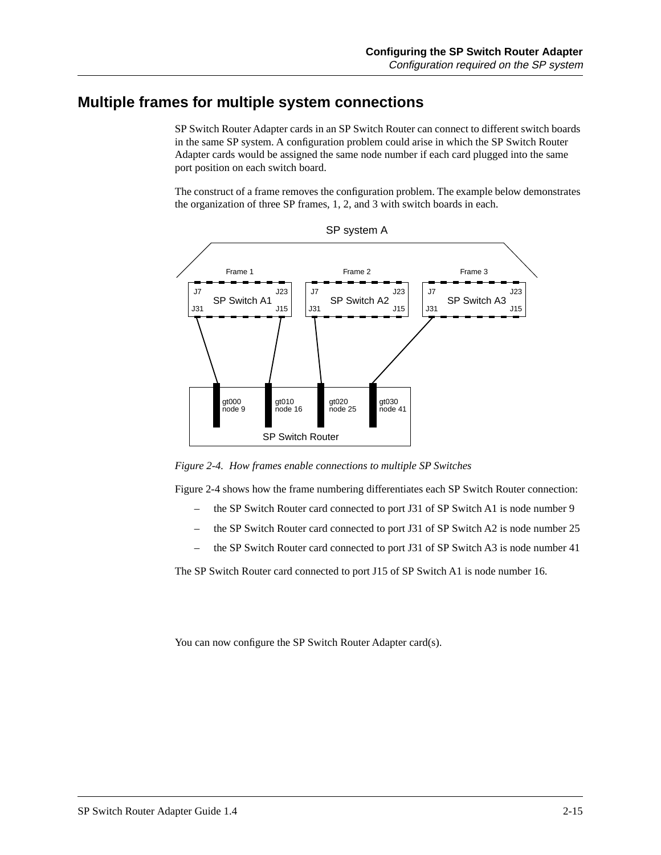## **Multiple frames for multiple system connections**

SP Switch Router Adapter cards in an SP Switch Router can connect to different switch boards in the same SP system. A configuration problem could arise in which the SP Switch Router Adapter cards would be assigned the same node number if each card plugged into the same port position on each switch board.

The construct of a frame removes the configuration problem. The example below demonstrates the organization of three SP frames, 1, 2, and 3 with switch boards in each.





*Figure 2-4. How frames enable connections to multiple SP Switches* 

Figure 2-4 shows how the frame numbering differentiates each SP Switch Router connection:

- the SP Switch Router card connected to port J31 of SP Switch A1 is node number 9
- the SP Switch Router card connected to port J31 of SP Switch A2 is node number 25
- the SP Switch Router card connected to port J31 of SP Switch A3 is node number 41

The SP Switch Router card connected to port J15 of SP Switch A1 is node number 16.

You can now configure the SP Switch Router Adapter card(s).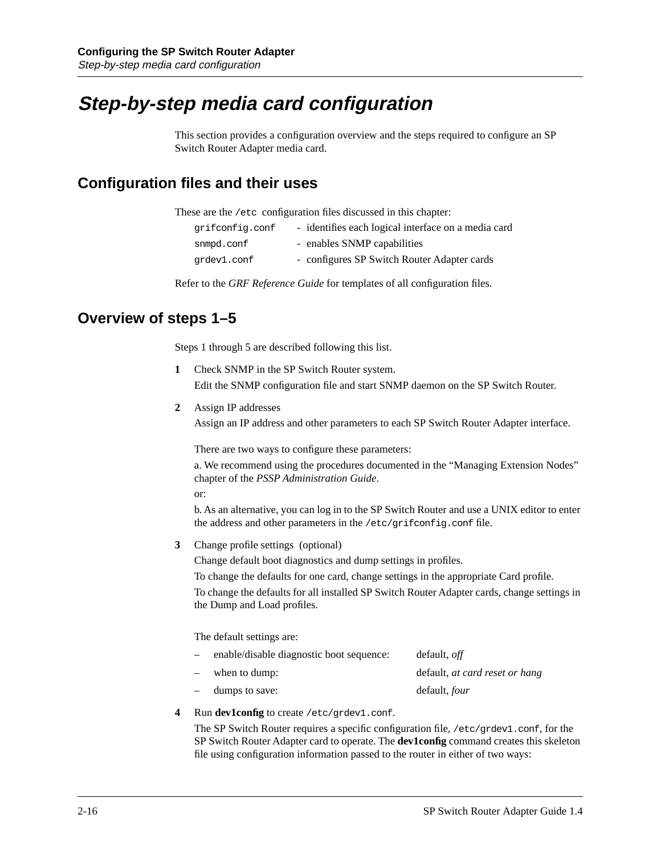# **Step-by-step media card configuration**

This section provides a configuration overview and the steps required to configure an SP Switch Router Adapter media card.

## **Configuration files and their uses**

These are the /etc configuration files discussed in this chapter:

| grifconfig.conf | - identifies each logical interface on a media card |  |
|-----------------|-----------------------------------------------------|--|
|-----------------|-----------------------------------------------------|--|

| snmpd.conf  | - enables SNMP capabilities                 |
|-------------|---------------------------------------------|
| qrdev1.conf | - configures SP Switch Router Adapter cards |

Refer to the *GRF Reference Guide* for templates of all configuration files.

## **Overview of steps 1–5**

Steps 1 through 5 are described following this list.

- **1** Check SNMP in the SP Switch Router system. Edit the SNMP configuration file and start SNMP daemon on the SP Switch Router.
- **2** Assign IP addresses

Assign an IP address and other parameters to each SP Switch Router Adapter interface.

There are two ways to configure these parameters:

a. We recommend using the procedures documented in the "Managing Extension Nodes" chapter of the *PSSP Administration Guide*.

or:

b. As an alternative, you can log in to the SP Switch Router and use a UNIX editor to enter the address and other parameters in the /etc/grifconfig.conf file.

**3** Change profile settings (optional)

Change default boot diagnostics and dump settings in profiles.

To change the defaults for one card, change settings in the appropriate Card profile.

To change the defaults for all installed SP Switch Router Adapter cards, change settings in the Dump and Load profiles.

The default settings are:

| $\overline{\phantom{a}}$        | enable/disable diagnostic boot sequence: | default, <i>off</i>            |
|---------------------------------|------------------------------------------|--------------------------------|
| $\hspace{0.1mm}-\hspace{0.1mm}$ | when to dump:                            | default, at card reset or hang |
| $\overline{\phantom{0}}$        | dumps to save:                           | default, <i>four</i>           |

#### **4** Run **dev1config** to create /etc/grdev1.conf.

The SP Switch Router requires a specific configuration file, /etc/grdev1.conf, for the SP Switch Router Adapter card to operate. The **dev1config** command creates this skeleton file using configuration information passed to the router in either of two ways: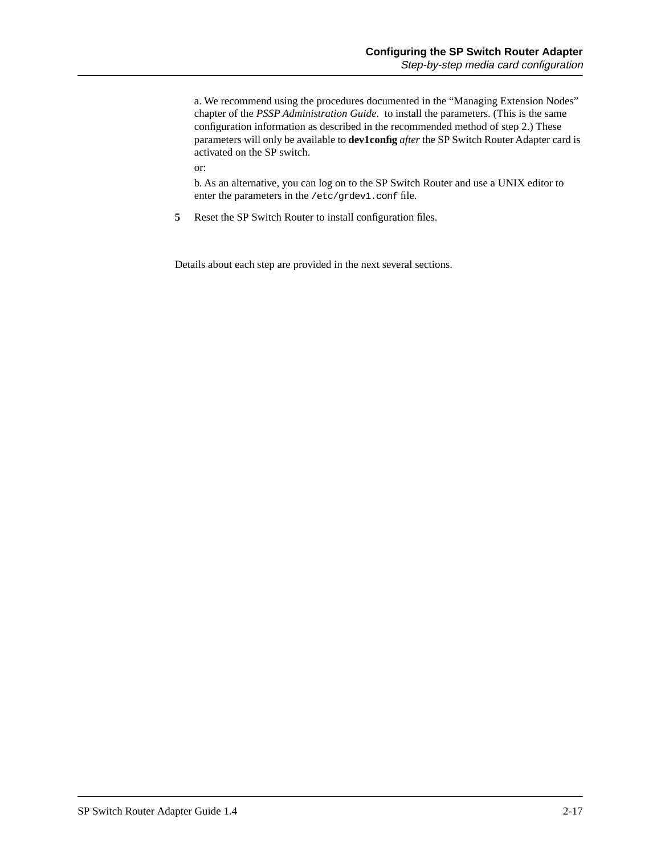a. We recommend using the procedures documented in the "Managing Extension Nodes" chapter of the *PSSP Administration Guide*. to install the parameters. (This is the same configuration information as described in the recommended method of step 2.) These parameters will only be available to **dev1config** *after* the SP Switch Router Adapter card is activated on the SP switch.

or:

b. As an alternative, you can log on to the SP Switch Router and use a UNIX editor to enter the parameters in the /etc/grdev1.conf file.

**5** Reset the SP Switch Router to install configuration files.

Details about each step are provided in the next several sections.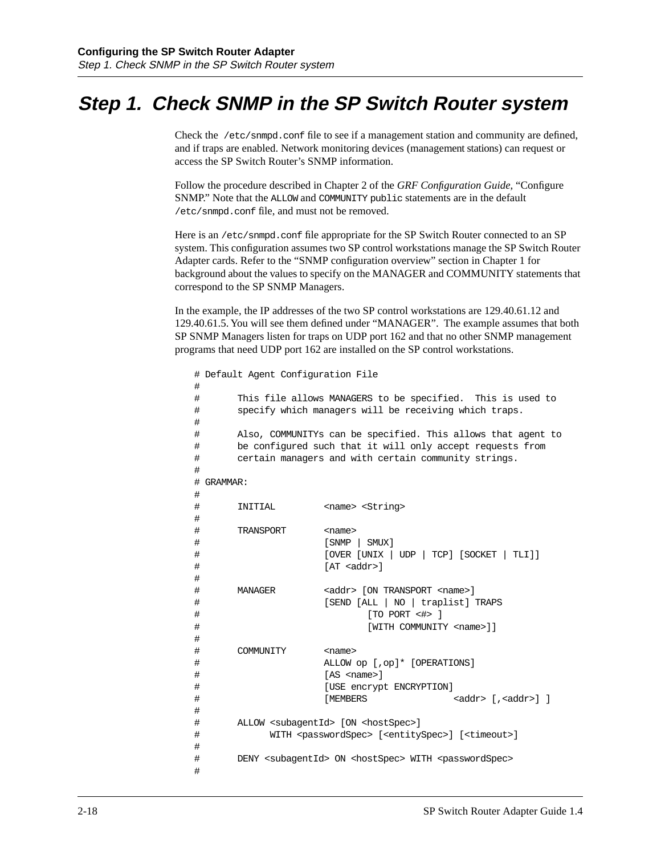# **Step 1. Check SNMP in the SP Switch Router system**

Check the /etc/snmpd.conf file to see if a management station and community are defined, and if traps are enabled. Network monitoring devices (management stations) can request or access the SP Switch Router's SNMP information.

Follow the procedure described in Chapter 2 of the *GRF Configuration Guide,* "Configure SNMP." Note that the ALLOW and COMMUNITY public statements are in the default /etc/snmpd.conf file, and must not be removed.

Here is an /etc/snmpd.conf file appropriate for the SP Switch Router connected to an SP system. This configuration assumes two SP control workstations manage the SP Switch Router Adapter cards. Refer to the "SNMP configuration overview" section in Chapter 1 for background about the values to specify on the MANAGER and COMMUNITY statements that correspond to the SP SNMP Managers.

In the example, the IP addresses of the two SP control workstations are 129.40.61.12 and 129.40.61.5. You will see them defined under "MANAGER". The example assumes that both SP SNMP Managers listen for traps on UDP port 162 and that no other SNMP management programs that need UDP port 162 are installed on the SP control workstations.

```
# Default Agent Configuration File
#
# This file allows MANAGERS to be specified. This is used to
# specify which managers will be receiving which traps.
#
# Also, COMMUNITYs can be specified. This allows that agent to
# be configured such that it will only accept requests from
# certain managers and with certain community strings.
#
# GRAMMAR:
#
# INITIAL <name> <String>
#
# TRANSPORT <name>
# [SNMP | SMUX]
# [OVER [UNIX | UDP | TCP] [SOCKET | TLI]]
# [AT <addr>]
#
# MANAGER <addr> [ON TRANSPORT <name>]
# [SEND [ALL | NO | traplist] TRAPS
# [TO PORT <#> ]
# [WITH COMMUNITY <name>]]
#
# COMMUNITY <name>
# ALLOW op [,op]* [OPERATIONS]
# [AS <name>]
# [USE encrypt ENCRYPTION]
{\rm \quad \  \  } \qquad \qquad {\rm \quad \  } \qquad {\rm \quad \  } \qquad {\rm \quad } \qquad {\rm \quad } \qquad {\rm \quad } \qquad {\rm \quad } \qquad {\rm \quad } \qquad {\rm \quad } \qquad {\rm \quad } \qquad {\rm \quad } \qquad {\rm \quad } \qquad {\rm \quad } \qquad {\rm \quad } \qquad {\rm \quad } \qquad {\rm \quad } \qquad {\rm \quad } \qquad {\rm \quad } \qquad {\rm \quad } \qquad {\rm \quad } \qquad {\rm \quad } \qquad {\rm \quad } \qquad {\rm \quad } \qquad {\rm \quad } \qquad {\rm \quad } \qquad {\rm \quad } \qquad {\rm#
# ALLOW <subagentId> [ON <hostSpec>]
# WITH <passwordSpec> [<entitySpec>] [<timeout>]
#
# DENY <subagentId> ON <hostSpec> WITH <passwordSpec>
#
```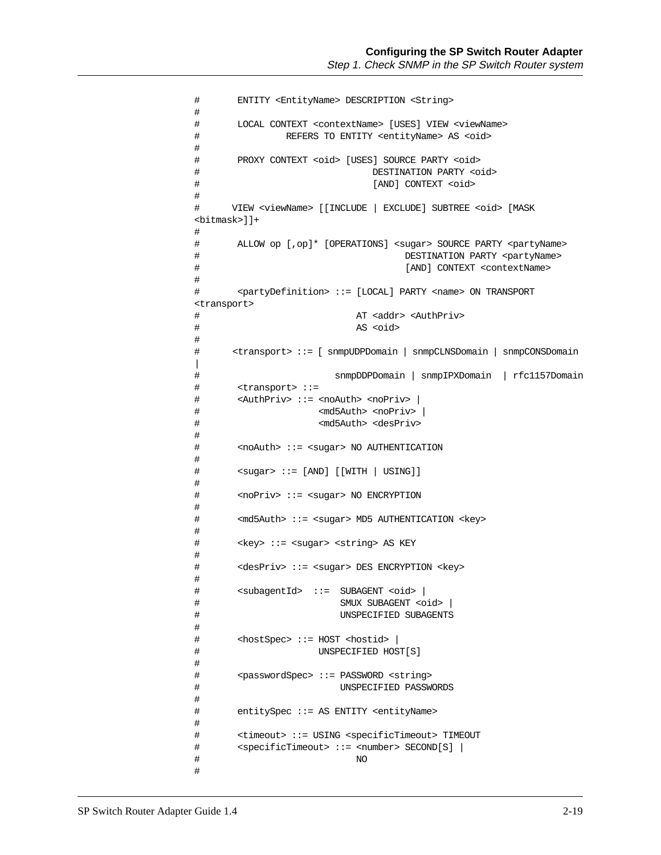```
# ENTITY <EntityName> DESCRIPTION <String>
#
# LOCAL CONTEXT <contextName> [USES] VIEW <viewName>
# REFERS TO ENTITY <entityName> AS <oid>
#
# PROXY CONTEXT <oid> [USES] SOURCE PARTY <oid>
# DESTINATION PARTY <oid>
# [AND] CONTEXT <oid>
#
# VIEW <viewName> [[INCLUDE | EXCLUDE] SUBTREE <oid> [MASK 
<bitmask>]]+
#
# ALLOW op [,op]* [OPERATIONS] <sugar> SOURCE PARTY <partyName>
# DESTINATION PARTY <partyName>
# [AND] CONTEXT <contextName>
#
# <partyDefinition> ::= [LOCAL] PARTY <name> ON TRANSPORT 
<transport>
# AT <addr> <AuthPriv>
# AS <oid>
#
# <transport> ::= [ snmpUDPDomain | snmpCLNSDomain | snmpCONSDomain 
|
# snmpDDPDomain | snmpIPXDomain | rfc1157Domain
# <transport> ::=
# <AuthPriv> ::= <noAuth> <noPriv> |
# <md5Auth> <noPriv> |
# <md5Auth> <desPriv>
#
# <noAuth> ::= <sugar> NO AUTHENTICATION
#
# <sugar> ::= [AND] [[WITH | USING]]
#
# <noPriv> ::= <sugar> NO ENCRYPTION
#
# <md5Auth> ::= <sugar> MD5 AUTHENTICATION <key>
#
# <key> ::= <sugar> <string> AS KEY
#
# <desPriv> ::= <sugar> DES ENCRYPTION <key>
#
# <subagentId> ::= SUBAGENT <oid> |
# SMUX SUBAGENT <oid> |
# UNSPECIFIED SUBAGENTS
#
# <hostSpec> ::= HOST <hostid> |
# UNSPECIFIED HOST[S]
#
# <passwordSpec> ::= PASSWORD <string>
# UNSPECIFIED PASSWORDS
#
# entitySpec ::= AS ENTITY <entityName>
#
# <timeout> ::= USING <specificTimeout> TIMEOUT
# <specificTimeout> ::= <number> SECOND[S] |
# NO
#
```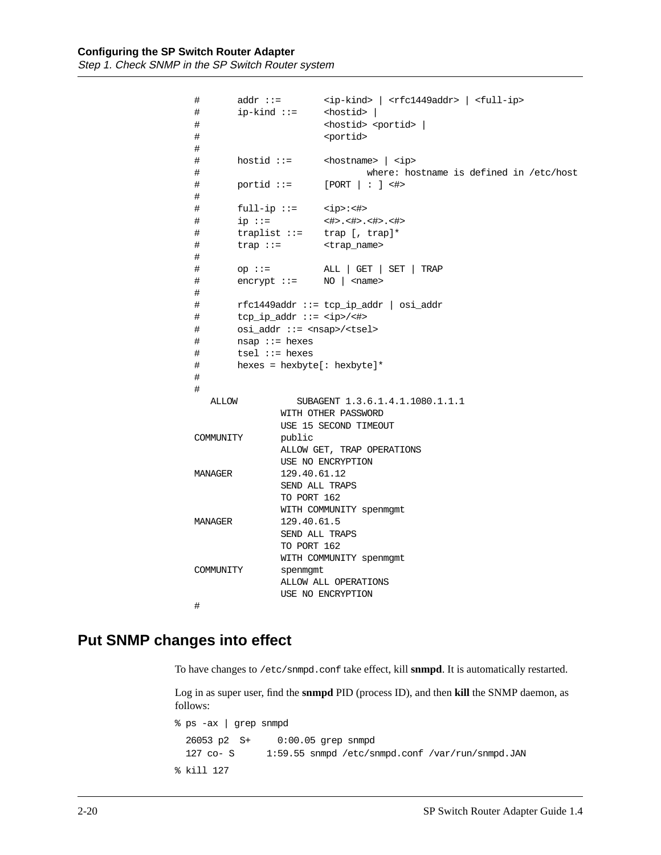```
# addr ::= <ip-kind> | <rfc1449addr> | <full-ip>
# ip-kind ::= <hostid> |
# <hostid> <portid> |
# <portid>
#
# hostid ::= <hostname> | <ip>
# where: hostname is defined in /etc/host
# portid ::= [PORT | : ] <#>
#
# full-ip ::= <ip>:<#>
# ip ::= <#>.<#>.<#>.<#>
# traplist ::= trap [, trap]*
# trap ::= <trap_name>
#
# op ::= ALL | GET | SET | TRAP
# encrypt ::= NO | <name>
#
# rfc1449addr ::= tcp_ip_addr | osi_addr
# tcp_ip_addr ::= <ip>/<#>
# osi_addr ::= <nsap>/<tsel>
# nsap ::= hexes
# tsel ::= hexes
# hexes = hexbyte[: hexbyte]*
#
#
   ALLOW SUBAGENT 1.3.6.1.4.1.1080.1.1.1
             WITH OTHER PASSWORD 
             USE 15 SECOND TIMEOUT 
COMMUNITY public
             ALLOW GET, TRAP OPERATIONS
             USE NO ENCRYPTION
MANAGER 129.40.61.12
             SEND ALL TRAPS
             TO PORT 162
             WITH COMMUNITY spenmgmt
MANAGER 129.40.61.5
             SEND ALL TRAPS
             TO PORT 162
             WITH COMMUNITY spenmgmt
COMMUNITY spenmgmt
             ALLOW ALL OPERATIONS
             USE NO ENCRYPTION
#
```
## **Put SNMP changes into effect**

To have changes to /etc/snmpd.conf take effect, kill **snmpd**. It is automatically restarted.

Log in as super user, find the **snmpd** PID (process ID), and then **kill** the SNMP daemon, as follows:

% ps -ax | grep snmpd 26053 p2 S+ 0:00.05 grep snmpd 127 co- S 1:59.55 snmpd /etc/snmpd.conf /var/run/snmpd.JAN % kill 127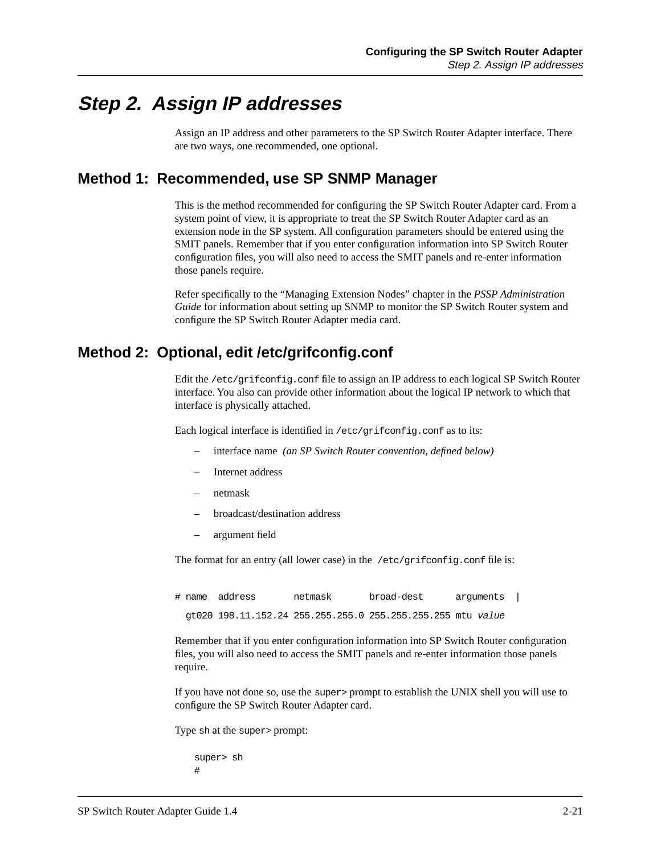# **Step 2. Assign IP addresses**

Assign an IP address and other parameters to the SP Switch Router Adapter interface. There are two ways, one recommended, one optional.

## **Method 1: Recommended, use SP SNMP Manager**

This is the method recommended for configuring the SP Switch Router Adapter card. From a system point of view, it is appropriate to treat the SP Switch Router Adapter card as an extension node in the SP system. All configuration parameters should be entered using the SMIT panels. Remember that if you enter configuration information into SP Switch Router configuration files, you will also need to access the SMIT panels and re-enter information those panels require.

Refer specifically to the "Managing Extension Nodes" chapter in the *PSSP Administration Guide* for information about setting up SNMP to monitor the SP Switch Router system and configure the SP Switch Router Adapter media card.

## **Method 2: Optional, edit /etc/grifconfig.conf**

Edit the /etc/grifconfig.conf file to assign an IP address to each logical SP Switch Router interface. You also can provide other information about the logical IP network to which that interface is physically attached.

Each logical interface is identified in /etc/grifconfig.conf as to its:

- interface name *(an SP Switch Router convention, defined below)*
- Internet address
- netmask
- broadcast/destination address
- argument field

The format for an entry (all lower case) in the /etc/grifconfig.conf file is:

# name address netmask broad-dest arguments | gt020 198.11.152.24 255.255.255.0 255.255.255.255 mtu value

Remember that if you enter configuration information into SP Switch Router configuration files, you will also need to access the SMIT panels and re-enter information those panels require.

If you have not done so, use the super> prompt to establish the UNIX shell you will use to configure the SP Switch Router Adapter card.

Type sh at the super> prompt:

super> sh #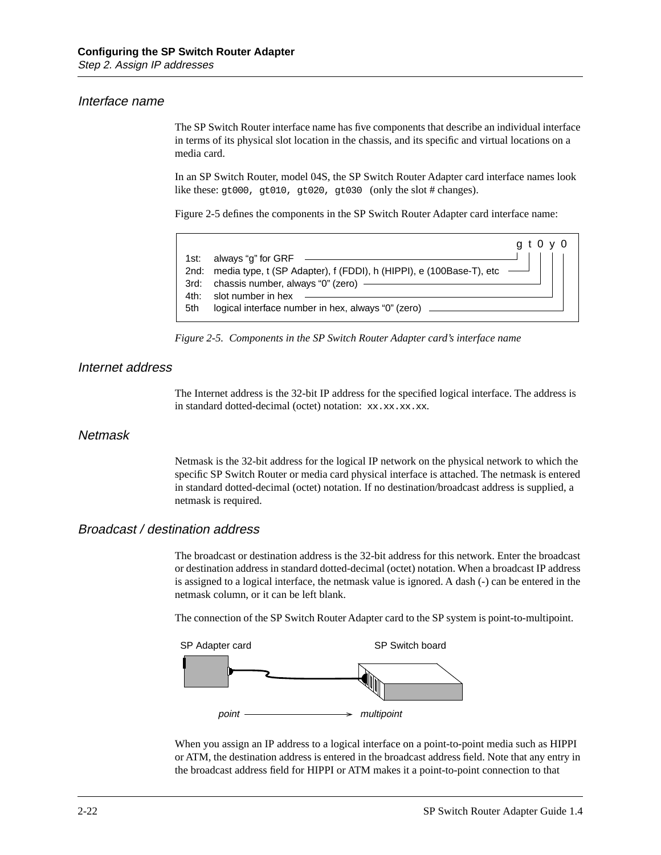#### Interface name

The SP Switch Router interface name has five components that describe an individual interface in terms of its physical slot location in the chassis, and its specific and virtual locations on a media card.

In an SP Switch Router, model 04S, the SP Switch Router Adapter card interface names look like these: gt000, gt010, gt020, gt030 (only the slot # changes).

Figure 2-5 defines the components in the SP Switch Router Adapter card interface name:



*Figure 2-5. Components in the SP Switch Router Adapter card's interface name* 

#### Internet address

The Internet address is the 32-bit IP address for the specified logical interface. The address is in standard dotted-decimal (octet) notation:  $xx$ . $xx$ . $xx$ . $xx$ .

#### **Netmask**

Netmask is the 32-bit address for the logical IP network on the physical network to which the specific SP Switch Router or media card physical interface is attached. The netmask is entered in standard dotted-decimal (octet) notation. If no destination/broadcast address is supplied, a netmask is required.

### Broadcast / destination address

The broadcast or destination address is the 32-bit address for this network. Enter the broadcast or destination address in standard dotted-decimal (octet) notation. When a broadcast IP address is assigned to a logical interface, the netmask value is ignored. A dash (-) can be entered in the netmask column, or it can be left blank.

The connection of the SP Switch Router Adapter card to the SP system is point-to-multipoint.



When you assign an IP address to a logical interface on a point-to-point media such as HIPPI or ATM, the destination address is entered in the broadcast address field. Note that any entry in the broadcast address field for HIPPI or ATM makes it a point-to-point connection to that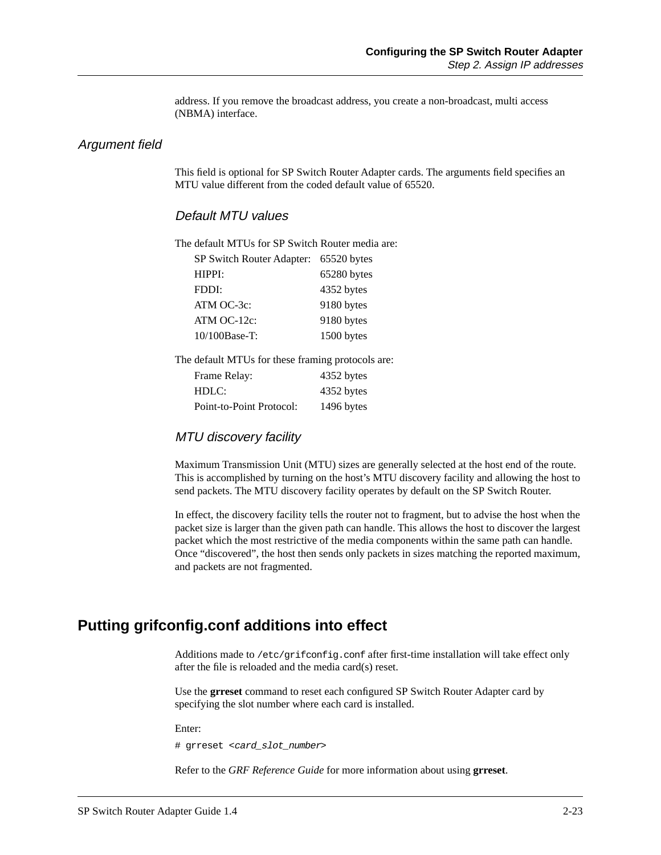address. If you remove the broadcast address, you create a non-broadcast, multi access (NBMA) interface.

#### Argument field

This field is optional for SP Switch Router Adapter cards. The arguments field specifies an MTU value different from the coded default value of 65520.

#### Default MTU values

The default MTUs for SP Switch Router media are:

| SP Switch Router Adapter: | 65520 bytes |
|---------------------------|-------------|
| HPPI:                     | 65280 bytes |
| FDDI:                     | 4352 bytes  |
| $ATM$ OC-3 $c$ :          | 9180 bytes  |
| $ATM$ OC-12 $c$ :         | 9180 bytes  |
| 10/100Base-T:             | 1500 bytes  |

The default MTUs for these framing protocols are:

| Frame Relay:             | 4352 bytes |
|--------------------------|------------|
| HDLC:                    | 4352 bytes |
| Point-to-Point Protocol: | 1496 bytes |

#### MTU discovery facility

Maximum Transmission Unit (MTU) sizes are generally selected at the host end of the route. This is accomplished by turning on the host's MTU discovery facility and allowing the host to send packets. The MTU discovery facility operates by default on the SP Switch Router.

In effect, the discovery facility tells the router not to fragment, but to advise the host when the packet size is larger than the given path can handle. This allows the host to discover the largest packet which the most restrictive of the media components within the same path can handle. Once "discovered", the host then sends only packets in sizes matching the reported maximum, and packets are not fragmented.

## **Putting grifconfig.conf additions into effect**

Additions made to /etc/grifconfig.conf after first-time installation will take effect only after the file is reloaded and the media card(s) reset.

Use the **grreset** command to reset each configured SP Switch Router Adapter card by specifying the slot number where each card is installed.

Enter:

# grreset <card\_slot\_number>

Refer to the *GRF Reference Guide* for more information about using **grreset**.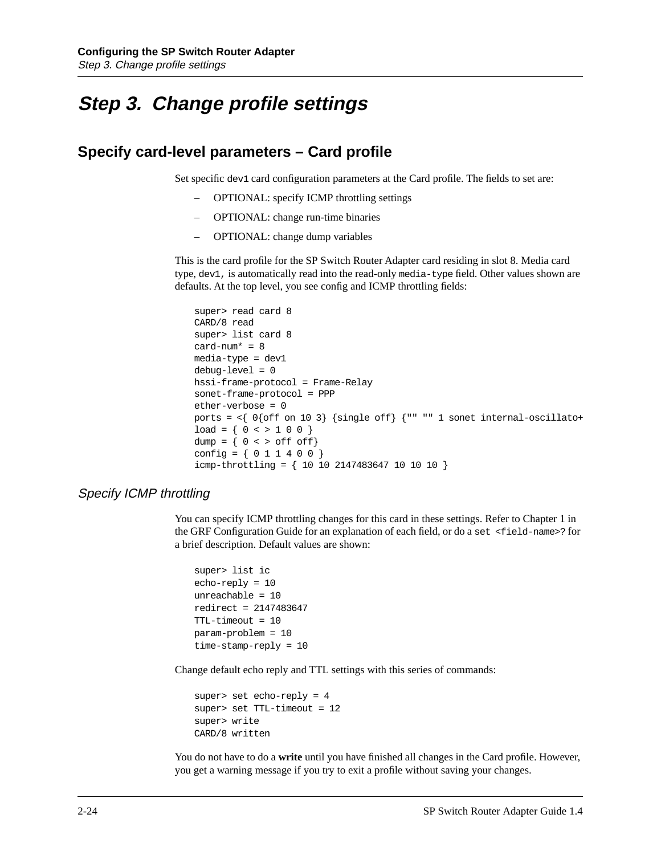# **Step 3. Change profile settings**

## **Specify card-level parameters – Card profile**

Set specific dev1 card configuration parameters at the Card profile. The fields to set are:

- OPTIONAL: specify ICMP throttling settings
- OPTIONAL: change run-time binaries
- OPTIONAL: change dump variables

This is the card profile for the SP Switch Router Adapter card residing in slot 8. Media card type, dev1, is automatically read into the read-only media-type field. Other values shown are defaults. At the top level, you see config and ICMP throttling fields:

```
super> read card 8
CARD/8 read
super> list card 8
card-num* = 8
media-type = dev1
debug-level = 0
hssi-frame-protocol = Frame-Relay
sonet-frame-protocol = PPP
ether-verbose = 0
ports = \{0\} off on 10 3} \{single off\} {"" "" 1 sonet internal-oscillato+
load = \{ 0 \leq x \leq 1 \leq 0 \}dump = \{ 0 \leq x \leq 0 \leq f \leq 0 \leq f\}config = \{ 0 1 1 4 0 0 \}icmp-throttling = { 10 10 2147483647 10 10 10 }
```
#### Specify ICMP throttling

You can specify ICMP throttling changes for this card in these settings. Refer to Chapter 1 in the GRF Configuration Guide for an explanation of each field, or do a set <field-name>? for a brief description. Default values are shown:

```
super> list ic
echo-reply = 10
unreachable = 10
redirect = 2147483647
TTL-timeout = 10
param-problem = 10
time-stamp-reply = 10
```
Change default echo reply and TTL settings with this series of commands:

```
super> set echo-reply = 4 
super> set TTL-timeout = 12 
super> write 
CARD/8 written
```
You do not have to do a **write** until you have finished all changes in the Card profile. However, you get a warning message if you try to exit a profile without saving your changes.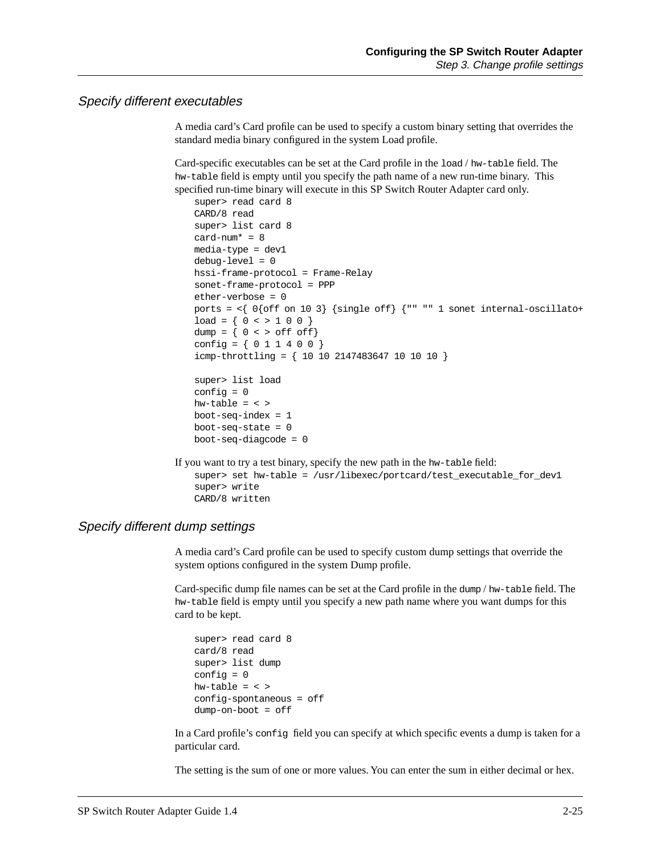#### Specify different executables

A media card's Card profile can be used to specify a custom binary setting that overrides the standard media binary configured in the system Load profile.

Card-specific executables can be set at the Card profile in the load / hw-table field. The hw-table field is empty until you specify the path name of a new run-time binary. This specified run-time binary will execute in this SP Switch Router Adapter card only.

```
super> read card 8
    CARD/8 read
    super> list card 8
    card-num* = 8media-type = dev1
    debug-level = 0
    hssi-frame-protocol = Frame-Relay
    sonet-frame-protocol = PPP
    ether-verbose = 0
    ports = \langle 0{off on 10 3} {single off} {"" "" 1 sonet internal-oscillato+
    load = \{ 0 \leq x \leq 1 \leq 0 \}dump = \{ 0 \leq x \leq 0 \leq x \leq 0 \leq x \leq 0 \}config = \{ 0 1 1 4 0 0 \}icmp-throttling = { 10 10 2147483647 10 10 10 }
    super> list load
    config = 0hw-table = \langle >
   boot-seq-index = 1
   boot-seq-state = 0boot-seq-diagcode = 0 
If you want to try a test binary, specify the new path in the hw-table field: 
    super> set hw-table = /usr/libexec/portcard/test_executable_for_dev1 
    super> write
    CARD/8 written
```
#### Specify different dump settings

A media card's Card profile can be used to specify custom dump settings that override the system options configured in the system Dump profile.

Card-specific dump file names can be set at the Card profile in the dump / hw-table field. The hw-table field is empty until you specify a new path name where you want dumps for this card to be kept.

```
super> read card 8
card/8 read
super> list dump
config = 0hw-table = \langle >
config-spontaneous = off 
dump-on-boot = off
```
In a Card profile's config field you can specify at which specific events a dump is taken for a particular card.

The setting is the sum of one or more values. You can enter the sum in either decimal or hex.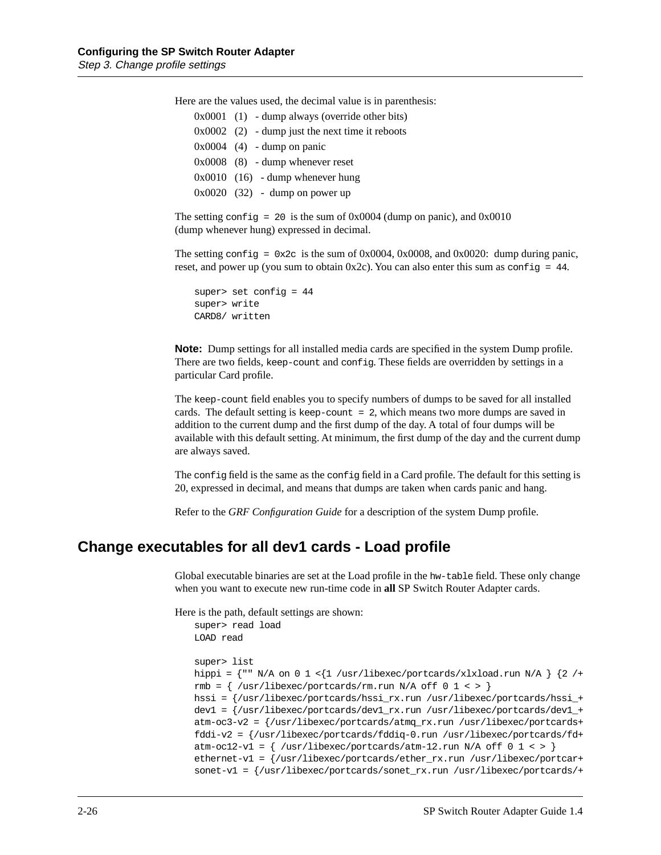Here are the values used, the decimal value is in parenthesis:

| $0x0001$ (1) - dump always (override other bits)  |
|---------------------------------------------------|
| $0x0002$ (2) - dump just the next time it reboots |
| $0x0004$ (4) - dump on panic                      |
| $0x0008$ (8) - dump whenever reset                |
| $0x0010$ (16) - dump whenever hung                |
| $0x0020$ (32) - dump on power up                  |
|                                                   |

The setting config = 20 is the sum of  $0x0004$  (dump on panic), and  $0x0010$ (dump whenever hung) expressed in decimal.

The setting config =  $0x2c$  is the sum of 0x0004, 0x0008, and 0x0020: dump during panic, reset, and power up (you sum to obtain  $0x2c$ ). You can also enter this sum as config = 44.

```
super> set config = 44
super> write
CARD8/ written
```
**Note:** Dump settings for all installed media cards are specified in the system Dump profile. There are two fields, keep-count and config. These fields are overridden by settings in a particular Card profile.

The keep-count field enables you to specify numbers of dumps to be saved for all installed cards. The default setting is keep-count = 2, which means two more dumps are saved in addition to the current dump and the first dump of the day. A total of four dumps will be available with this default setting. At minimum, the first dump of the day and the current dump are always saved.

The config field is the same as the config field in a Card profile. The default for this setting is 20, expressed in decimal, and means that dumps are taken when cards panic and hang.

Refer to the *GRF Configuration Guide* for a description of the system Dump profile.

## **Change executables for all dev1 cards - Load profile**

Global executable binaries are set at the Load profile in the hw-table field. These only change when you want to execute new run-time code in **all** SP Switch Router Adapter cards.

Here is the path, default settings are shown:

```
super> read load
LOAD read
super> list
hippi = \{\ " N/A on 0 1 < \{1 / \text{usr/libexec/portcards/xlxload.run N/A } \} \{2 / +rmb = \{ /usr/libexec/portcards/rm.run N/A off 0 1 < > \}hssi = {/usr/libexec/portcards/hssi_rx.run /usr/libexec/portcards/hssi_+
dev1 = {/usr/libexec/portcards/dev1_rx.run /usr/libexec/portcards/dev1_+
atm-oc3-v2 = {/usr/libexec/portcards/atmq_rx.run /usr/libexec/portcards+
fddi-v2 = {/usr/libexec/portcards/fddiq-0.run /usr/libexec/portcards/fd+
atm-oc12-v1 = \{ /usr/libexec/portcards/atm-12.run N/A off 0 1 < > \}ethernet-v1 = {/usr/libexec/portcards/ether_rx.run /usr/libexec/portcar+
sonet-v1 = {/usr/libexec/portcards/sonet_rx.run /usr/libexec/portcards/+
```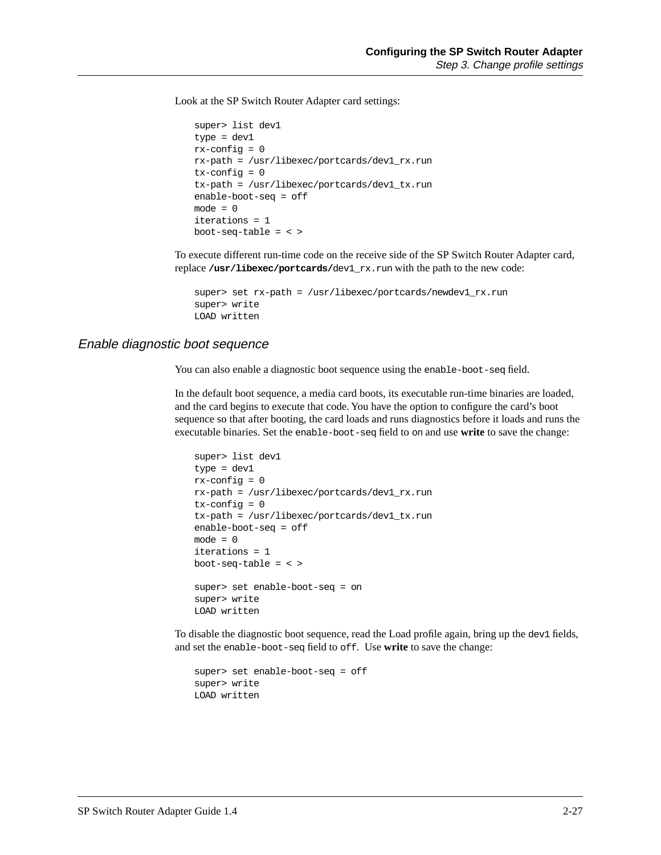Look at the SP Switch Router Adapter card settings:

```
super> list dev1
type = dev1
rx-config = 0
rx-path = /usr/libexec/portcards/dev1_rx.run
tx-config = 0tx-path = /usr/libexec/portcards/dev1_tx.run
enable-boot-seq = off
mode = 0iterations = 1
boot-seq-table = < >
```
To execute different run-time code on the receive side of the SP Switch Router Adapter card, replace **/usr/libexec/portcards/**dev1\_rx.run with the path to the new code:

```
super> set rx-path = /usr/libexec/portcards/newdev1_rx.run
super> write 
LOAD written
```
#### Enable diagnostic boot sequence

You can also enable a diagnostic boot sequence using the enable-boot-seq field.

In the default boot sequence, a media card boots, its executable run-time binaries are loaded, and the card begins to execute that code. You have the option to configure the card's boot sequence so that after booting, the card loads and runs diagnostics before it loads and runs the executable binaries. Set the enable-boot-seq field to on and use **write** to save the change:

```
super> list dev1
type = dev1
rx-config = 0rx-path = /usr/libexec/portcards/dev1_rx.run
tx-config = 0tx-path = /usr/libexec/portcards/dev1_tx.run
enable-boot-seq = off
mode = 0iterations = 1
boot-seq-table = < >
super> set enable-boot-seq = on 
super> write 
LOAD written
```
To disable the diagnostic boot sequence, read the Load profile again, bring up the dev1 fields, and set the enable-boot-seq field to off. Use **write** to save the change:

```
super> set enable-boot-seq = off 
super> write 
LOAD written
```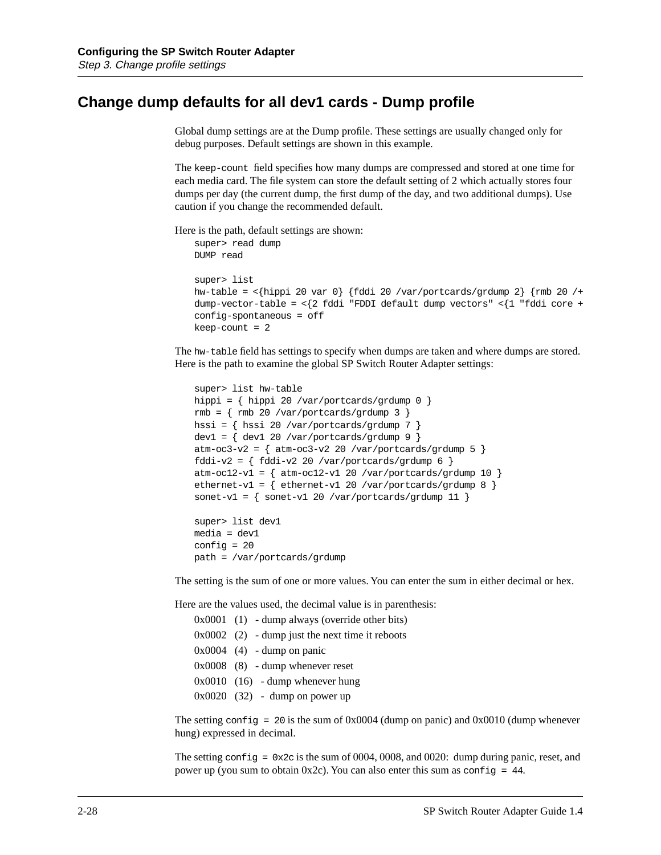## **Change dump defaults for all dev1 cards - Dump profile**

Global dump settings are at the Dump profile. These settings are usually changed only for debug purposes. Default settings are shown in this example.

The keep-count field specifies how many dumps are compressed and stored at one time for each media card. The file system can store the default setting of 2 which actually stores four dumps per day (the current dump, the first dump of the day, and two additional dumps). Use caution if you change the recommended default.

Here is the path, default settings are shown:

```
super> read dump
DUMP read
super> list 
hw-table = <{hippi 20 var 0} {fddi 20 /var/portcards/grdump 2} {rmb 20 /+
dump-vector-table = \langle 2 \text{ fddi} \text{ 'FDDI } \text{ default } \text{dump vectors'' } \langle 1 \text{ 'fddi } \text{ core } +config-spontaneous = off
keep-count = 2
```
The hw-table field has settings to specify when dumps are taken and where dumps are stored. Here is the path to examine the global SP Switch Router Adapter settings:

```
super> list hw-table 
hippi = { hippi 20 /var/portcards/grdump 0 }
rmb = \{ rmb 20 / var/portcards/grdump 3 \}hssi = { hssi 20 /var/portcards/grdump 7 }
dev1 = { dev1 20 /var/portcards/grdump 9 }
atm-oc3-v2 = \{ atm-oc3-v2 20 /var/portcards/grdump 5 \}fddi-v2 = \{ fddi-v2 20 /var/portcards/grdump 6 \}atm-oc12-v1 = \{ atm-oc12-v1 20 / var/portcards/grdump 10 \}ethernet-v1 = \{ ethernet-v1 20 /var/portcards/grdump 8 \}sonet-v1 = \{ sonet-v1 20 /var/portcards/grdump 11 \}super> list dev1
media = dev1
```
The setting is the sum of one or more values. You can enter the sum in either decimal or hex.

Here are the values used, the decimal value is in parenthesis:

| $0x0001$ (1) - dump always (override other bits)  |
|---------------------------------------------------|
| $0x0002$ (2) - dump just the next time it reboots |
| $0x0004$ (4) - dump on panic                      |
| $0x0008$ (8) - dump whenever reset                |
| $0x0010$ (16) - dump whenever hung                |
| $0x0020$ (32) - dump on power up                  |

path = /var/portcards/grdump

config = 20

The setting config = 20 is the sum of  $0x0004$  (dump on panic) and  $0x0010$  (dump whenever hung) expressed in decimal.

The setting config =  $0x2c$  is the sum of 0004, 0008, and 0020: dump during panic, reset, and power up (you sum to obtain  $0x2c$ ). You can also enter this sum as config = 44.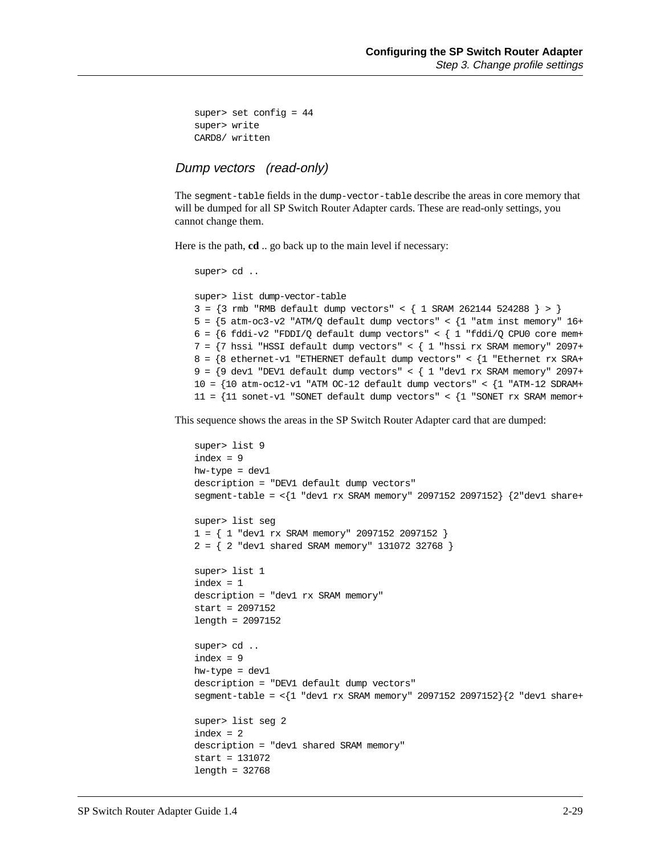```
super> set config = 44
super> write
CARD8/ written
```
## Dump vectors (read-only)

The segment-table fields in the dump-vector-table describe the areas in core memory that will be dumped for all SP Switch Router Adapter cards. These are read-only settings, you cannot change them.

Here is the path, **cd** .. go back up to the main level if necessary:

```
super> cd ..
super> list dump-vector-table 
3 = {3 rmb "RMB default dump vectors" < { 1 SRAM 262144 524288 } > }
5 = \{5 \text{ atm}-oc3-v2 \text{ 'ATM/Q default dump vectors'' } < \{1 \text{ 'atm inst memory'' } 16+\}\6 = \{6 \text{ fddi-v2 } "FDDI/Q default dump vectors" < \{1 \text{ "fddi/Q CPU0 core mem+}7 = {7 hssi "HSSI default dump vectors" < { 1 "hssi rx SRAM memory" 2097+
8 = \{8 \text{ either-int-v1} \text{ "ETHERNET default dump vectors" <math>\{1 \text{ " Ethernet rx SRA+} \}9 = \{9 \text{ dev1} \text{ "DEV1 default dump vectors" <math>\{1 \text{ "dev1 rx SRAM memory" } 2097 + \}10 = \{10 \text{ atm}-\text{oc12-v1} \text{ 'ATM } \text{OC}-12 \text{ default dump vectors'' } < \{1 \text{ 'ATM}-12 \text{ SDRAM+} \}11 = {11 sonet-v1 "SONET default dump vectors" < {1 "SONET rx SRAM memor+
```
This sequence shows the areas in the SP Switch Router Adapter card that are dumped:

```
super> list 9
index = 9hw-type = dev1
description = "DEV1 default dump vectors"
segment-table = <{1 "dev1 rx SRAM memory" 2097152 2097152} {2"dev1 share+
super> list seg
1 = { 1 "dev1 rx SRAM memory" 2097152 2097152 }
2 = \{ 2 "dev1 shared SRAM memory" 131072 32768 }
super> list 1
index = 1
description = "dev1 rx SRAM memory"
start = 2097152
length = 2097152
super> cd ..
index = 9hw-type = dev1
description = "DEV1 default dump vectors"
segment-table = \langle 1 \rangle "dev1 rx SRAM memory" 2097152 2097152 \{2 \rangle "dev1 share+
super> list seg 2
index = 2description = "dev1 shared SRAM memory"
start = 131072
length = 32768
```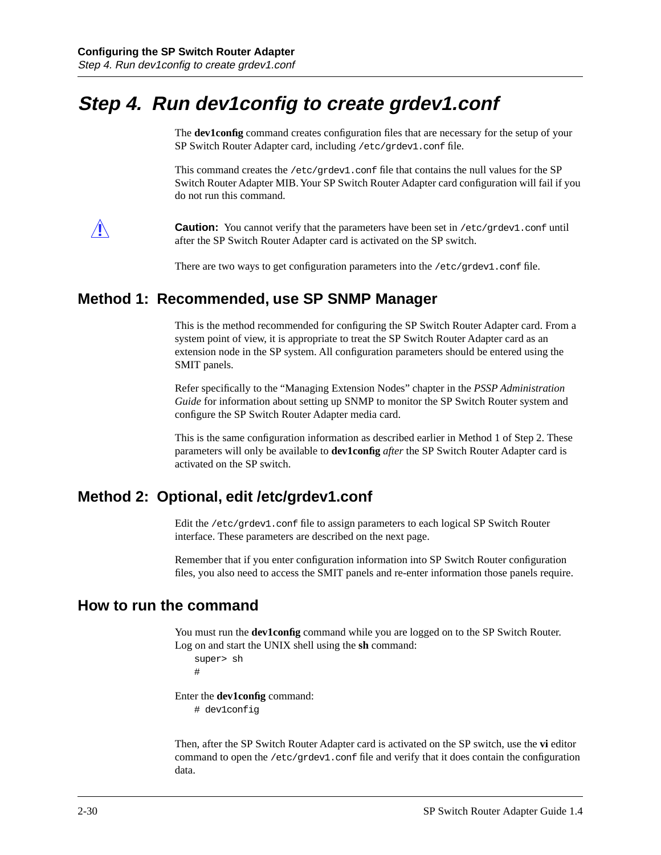# **Step 4. Run dev1config to create grdev1.conf**

The **dev1config** command creates configuration files that are necessary for the setup of your SP Switch Router Adapter card, including /etc/grdev1.conf file.

This command creates the  $/etc/grdev1$ .conf file that contains the null values for the SP Switch Router Adapter MIB. Your SP Switch Router Adapter card configuration will fail if you do not run this command.



**Caution:** You cannot verify that the parameters have been set in /etc/grdev1.conf until after the SP Switch Router Adapter card is activated on the SP switch.

There are two ways to get configuration parameters into the /etc/grdev1.conf file.

## **Method 1: Recommended, use SP SNMP Manager**

This is the method recommended for configuring the SP Switch Router Adapter card. From a system point of view, it is appropriate to treat the SP Switch Router Adapter card as an extension node in the SP system. All configuration parameters should be entered using the SMIT panels.

Refer specifically to the "Managing Extension Nodes" chapter in the *PSSP Administration Guide* for information about setting up SNMP to monitor the SP Switch Router system and configure the SP Switch Router Adapter media card.

This is the same configuration information as described earlier in Method 1 of Step 2. These parameters will only be available to **dev1config** *after* the SP Switch Router Adapter card is activated on the SP switch.

## **Method 2: Optional, edit /etc/grdev1.conf**

Edit the /etc/grdev1.conf file to assign parameters to each logical SP Switch Router interface. These parameters are described on the next page.

Remember that if you enter configuration information into SP Switch Router configuration files, you also need to access the SMIT panels and re-enter information those panels require.

## **How to run the command**

You must run the **dev1config** command while you are logged on to the SP Switch Router. Log on and start the UNIX shell using the **sh** command:

```
super> sh
#
```
Enter the **dev1config** command: # dev1config

Then, after the SP Switch Router Adapter card is activated on the SP switch, use the **vi** editor command to open the /etc/grdev1.conf file and verify that it does contain the configuration data.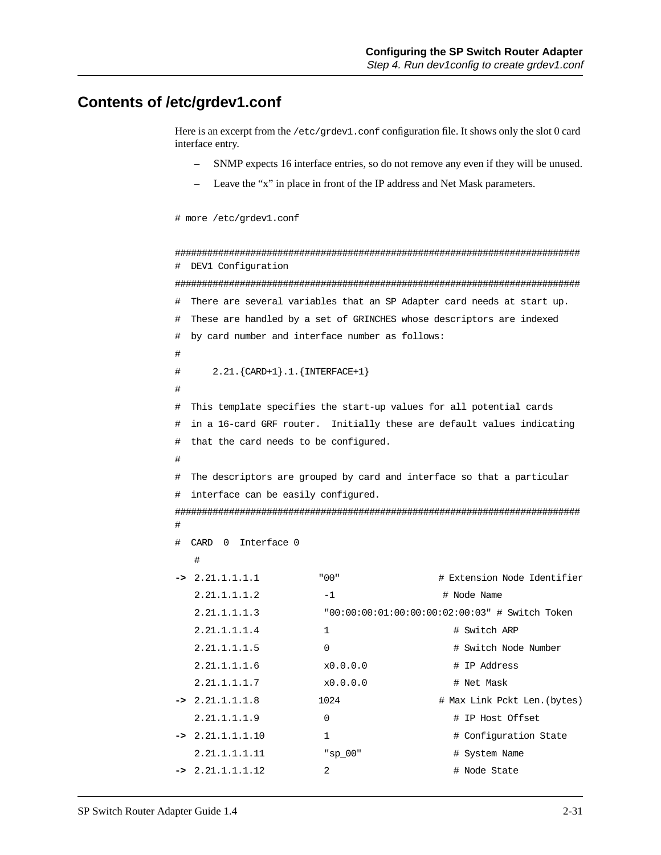## **Contents of /etc/grdev1.conf**

#

#

#

#

Here is an excerpt from the /etc/grdev1.conf configuration file. It shows only the slot 0 card interface entry.

- SNMP expects 16 interface entries, so do not remove any even if they will be unused.
- Leave the "x" in place in front of the IP address and Net Mask parameters.

```
# more /etc/grdev1.conf
```
########################################################################### # DEV1 Configuration

###########################################################################

```
# There are several variables that an SP Adapter card needs at start up.
```

```
# These are handled by a set of GRINCHES whose descriptors are indexed
```

```
# by card number and interface number as follows:
```
# 2.21.{CARD+1}.1.{INTERFACE+1}

```
# This template specifies the start-up values for all potential cards
# in a 16-card GRF router. Initially these are default values indicating
# that the card needs to be configured.
```

```
# The descriptors are grouped by card and interface so that a particular
# interface can be easily configured.
```
########################################################################### #

```
# CARD 0 Interface 0
```

| $\rightarrow$ 2.21.1.1.1.1 | " በበ "     | # Extension Node Identifier                    |
|----------------------------|------------|------------------------------------------------|
| 2.21.1.1.1.2               | $-1$       | # Node Name                                    |
| 2.21.1.1.1.3               |            | "00:00:00:01:00:00:00:02:00:03" # Switch Token |
| 2.21.1.1.1.4               | 1          | # Switch ARP                                   |
| 2.21.1.1.1.5               | $\Omega$   | # Switch Node Number                           |
| 2.21.1.1.1.6               | x0.0.0.0   | # IP Address                                   |
| 2.21.1.1.1.7               | x0.0.0.0   | # Net Mask                                     |
| $-2.21.1.1.1.8$            | 1024       | # Max Link Pckt Len. (bytes)                   |
| 2.21.1.1.1.9               | $\Omega$   | # IP Host Offset                               |
| $-2.21.1.1.1.1$            | 1          | # Configuration State                          |
| 2.21.1.1.1.1               | " $sp 00"$ | # System Name                                  |
| $-2.21.1.1.1.12$           | 2          | # Node State                                   |
|                            |            |                                                |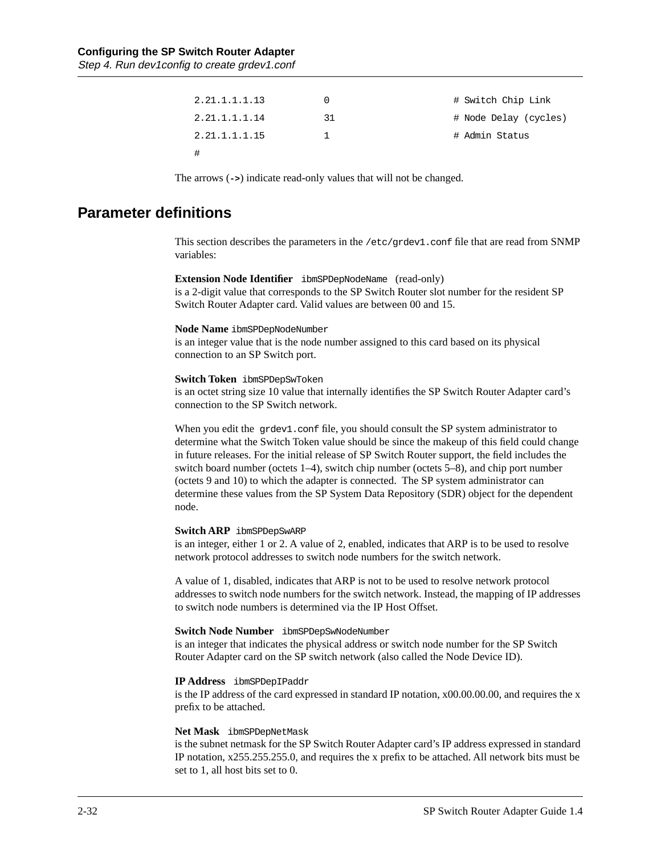| 2.21.1.1.1.13 |    | # Switch Chip Link    |
|---------------|----|-----------------------|
| 2.21.1.1.1.14 | 31 | # Node Delay (cycles) |
| 2.21.1.1.1.15 |    | # Admin Status        |
|               |    |                       |

The arrows (**->**) indicate read-only values that will not be changed.

## **Parameter definitions**

This section describes the parameters in the /etc/grdev1.conf file that are read from SNMP variables:

#### **Extension Node Identifier** ibmSPDepNodeName (read-only)

is a 2-digit value that corresponds to the SP Switch Router slot number for the resident SP Switch Router Adapter card. Valid values are between 00 and 15.

#### **Node Name** ibmSPDepNodeNumber

is an integer value that is the node number assigned to this card based on its physical connection to an SP Switch port.

#### **Switch Token** ibmSPDepSwToken

is an octet string size 10 value that internally identifies the SP Switch Router Adapter card's connection to the SP Switch network.

When you edit the grdev1.conf file, you should consult the SP system administrator to determine what the Switch Token value should be since the makeup of this field could change in future releases. For the initial release of SP Switch Router support, the field includes the switch board number (octets 1–4), switch chip number (octets 5–8), and chip port number (octets 9 and 10) to which the adapter is connected. The SP system administrator can determine these values from the SP System Data Repository (SDR) object for the dependent node.

#### **Switch ARP** ibmSPDepSwARP

is an integer, either 1 or 2. A value of 2, enabled, indicates that ARP is to be used to resolve network protocol addresses to switch node numbers for the switch network.

A value of 1, disabled, indicates that ARP is not to be used to resolve network protocol addresses to switch node numbers for the switch network. Instead, the mapping of IP addresses to switch node numbers is determined via the IP Host Offset.

#### **Switch Node Number** ibmSPDepSwNodeNumber

is an integer that indicates the physical address or switch node number for the SP Switch Router Adapter card on the SP switch network (also called the Node Device ID).

#### **IP Address** ibmSPDepIPaddr

is the IP address of the card expressed in standard IP notation, x00.00.00.00, and requires the x prefix to be attached.

#### **Net Mask** ibmSPDepNetMask

is the subnet netmask for the SP Switch Router Adapter card's IP address expressed in standard IP notation, x255.255.255.0, and requires the x prefix to be attached. All network bits must be set to 1, all host bits set to 0.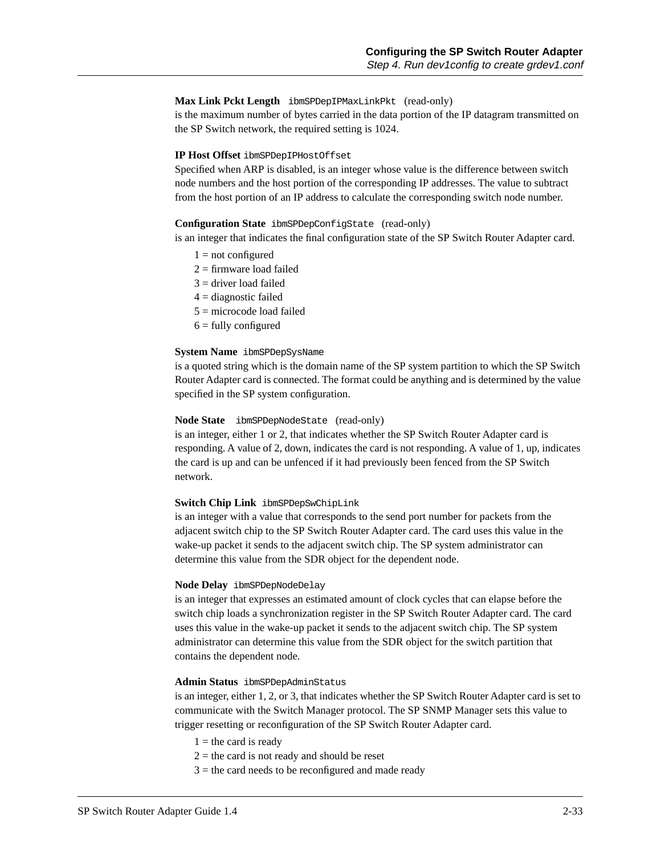#### **Max Link Pckt Length** ibmSPDepIPMaxLinkPkt (read-only)

is the maximum number of bytes carried in the data portion of the IP datagram transmitted on the SP Switch network, the required setting is 1024.

#### **IP Host Offset** ibmSPDepIPHostOffset

Specified when ARP is disabled, is an integer whose value is the difference between switch node numbers and the host portion of the corresponding IP addresses. The value to subtract from the host portion of an IP address to calculate the corresponding switch node number.

#### **Configuration State** ibmSPDepConfigState (read-only)

is an integer that indicates the final configuration state of the SP Switch Router Adapter card.

- $1 = not configured$
- $2 =$  firmware load failed
- $3 =$  driver load failed
- $4 =$  diagnostic failed
- 5 = microcode load failed
- $6 =$  fully configured

#### **System Name** ibmSPDepSysName

is a quoted string which is the domain name of the SP system partition to which the SP Switch Router Adapter card is connected. The format could be anything and is determined by the value specified in the SP system configuration.

#### **Node State** ibmSPDepNodeState (read-only)

is an integer, either 1 or 2, that indicates whether the SP Switch Router Adapter card is responding. A value of 2, down, indicates the card is not responding. A value of 1, up, indicates the card is up and can be unfenced if it had previously been fenced from the SP Switch network.

#### **Switch Chip Link** ibmSPDepSwChipLink

is an integer with a value that corresponds to the send port number for packets from the adjacent switch chip to the SP Switch Router Adapter card. The card uses this value in the wake-up packet it sends to the adjacent switch chip. The SP system administrator can determine this value from the SDR object for the dependent node.

#### **Node Delay** ibmSPDepNodeDelay

is an integer that expresses an estimated amount of clock cycles that can elapse before the switch chip loads a synchronization register in the SP Switch Router Adapter card. The card uses this value in the wake-up packet it sends to the adjacent switch chip. The SP system administrator can determine this value from the SDR object for the switch partition that contains the dependent node.

#### **Admin Status** ibmSPDepAdminStatus

is an integer, either 1, 2, or 3, that indicates whether the SP Switch Router Adapter card is set to communicate with the Switch Manager protocol. The SP SNMP Manager sets this value to trigger resetting or reconfiguration of the SP Switch Router Adapter card.

- $1 =$  the card is ready
- $2 =$  the card is not ready and should be reset
- $3$  = the card needs to be reconfigured and made ready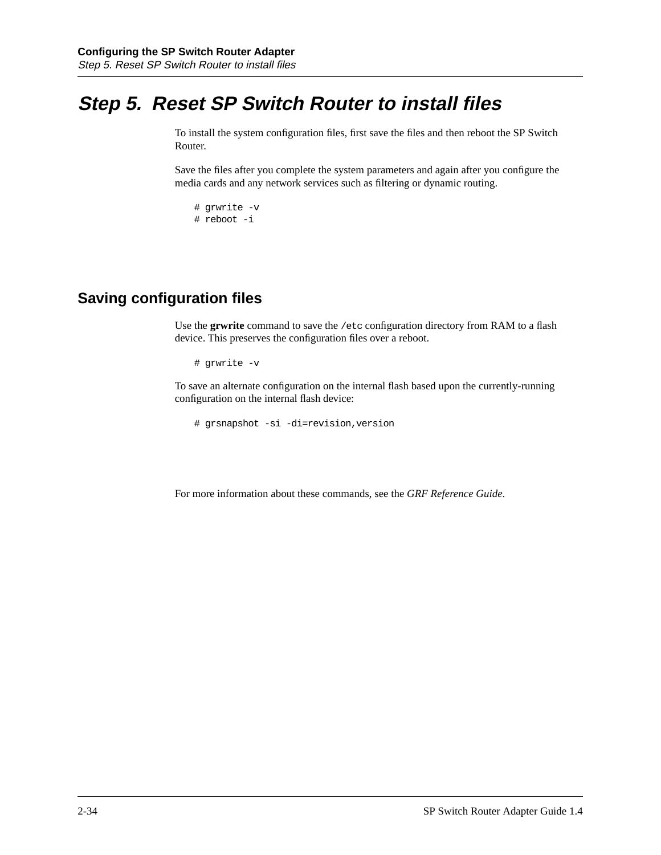# **Step 5. Reset SP Switch Router to install files**

To install the system configuration files, first save the files and then reboot the SP Switch Router.

Save the files after you complete the system parameters and again after you configure the media cards and any network services such as filtering or dynamic routing.

```
# grwrite -v
# reboot -i
```
## **Saving configuration files**

Use the **grwrite** command to save the /etc configuration directory from RAM to a flash device. This preserves the configuration files over a reboot.

```
# grwrite -v
```
To save an alternate configuration on the internal flash based upon the currently-running configuration on the internal flash device:

```
# grsnapshot -si -di=revision,version
```
For more information about these commands, see the *GRF Reference Guide*.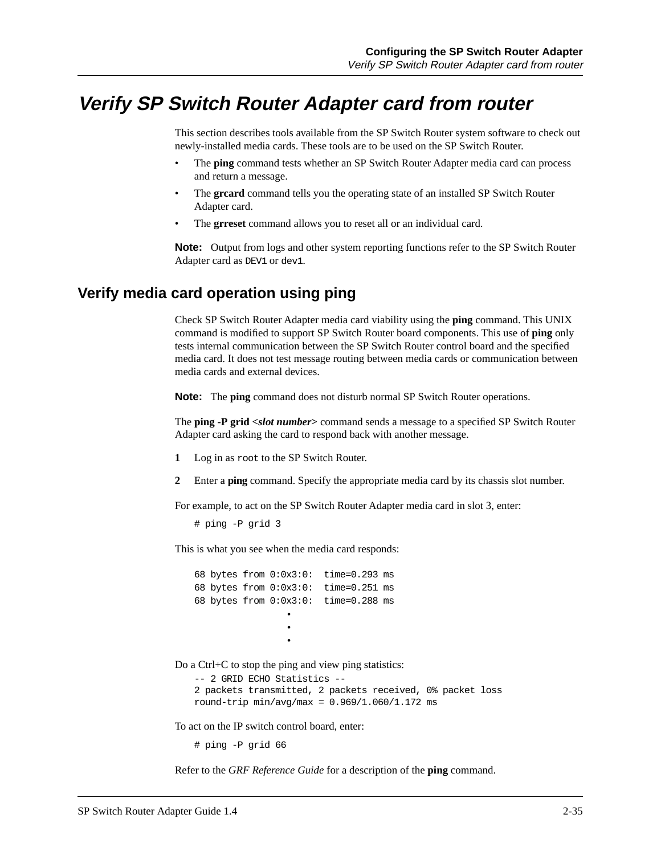## **Verify SP Switch Router Adapter card from router**

This section describes tools available from the SP Switch Router system software to check out newly-installed media cards. These tools are to be used on the SP Switch Router.

- The **ping** command tests whether an SP Switch Router Adapter media card can process and return a message.
- The greard command tells you the operating state of an installed SP Switch Router Adapter card.
- The **grreset** command allows you to reset all or an individual card.

**Note:** Output from logs and other system reporting functions refer to the SP Switch Router Adapter card as DEV1 or dev1.

## **Verify media card operation using ping**

Check SP Switch Router Adapter media card viability using the **ping** command. This UNIX command is modified to support SP Switch Router board components. This use of **ping** only tests internal communication between the SP Switch Router control board and the specified media card. It does not test message routing between media cards or communication between media cards and external devices.

**Note:** The **ping** command does not disturb normal SP Switch Router operations.

The **ping -P grid <***slot number***>** command sends a message to a specified SP Switch Router Adapter card asking the card to respond back with another message.

- **1** Log in as root to the SP Switch Router.
- **2** Enter a **ping** command. Specify the appropriate media card by its chassis slot number.

For example, to act on the SP Switch Router Adapter media card in slot 3, enter:

```
# ping -P grid 3
```
This is what you see when the media card responds:

|  |  | 68 bytes from $0:0x3:0:$ time=0.293 ms |  |
|--|--|----------------------------------------|--|
|  |  | 68 bytes from $0:0x3:0:$ time=0.251 ms |  |
|  |  | 68 bytes from $0:0x3:0:$ time=0.288 ms |  |
|  |  |                                        |  |
|  |  |                                        |  |
|  |  |                                        |  |
|  |  |                                        |  |

Do a Ctrl+C to stop the ping and view ping statistics:

```
-- 2 GRID ECHO Statistics --
2 packets transmitted, 2 packets received, 0% packet loss
round-trip min/avg/max = 0.969/1.060/1.172 ms
```
To act on the IP switch control board, enter:

# ping -P grid 66

Refer to the *GRF Reference Guide* for a description of the **ping** command.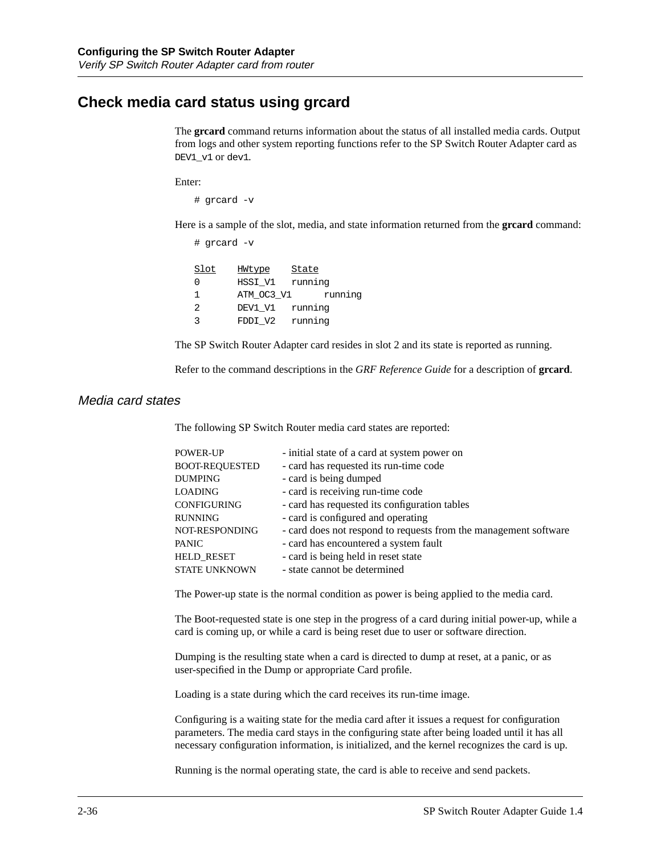## **Check media card status using grcard**

The **grcard** command returns information about the status of all installed media cards. Output from logs and other system reporting functions refer to the SP Switch Router Adapter card as DEV1\_v1 or dev1.

Enter:

# grcard -v

Here is a sample of the slot, media, and state information returned from the **grcard** command:

# grcard -v

| Slot | HWtype     | State   |
|------|------------|---------|
| O    | HSSI V1    | running |
| 1    | ATM OC3 V1 | running |
| 2    | DEV1 V1    | running |
| ્ર   | FDDI V2    | running |

The SP Switch Router Adapter card resides in slot 2 and its state is reported as running.

Refer to the command descriptions in the *GRF Reference Guide* for a description of **grcard**.

#### Media card states

The following SP Switch Router media card states are reported:

| <b>POWER-UP</b>       | - initial state of a card at system power on                     |
|-----------------------|------------------------------------------------------------------|
| <b>BOOT-REQUESTED</b> | - card has requested its run-time code                           |
| <b>DUMPING</b>        | - card is being dumped                                           |
| <b>LOADING</b>        | - card is receiving run-time code                                |
| CONFIGURING           | - card has requested its configuration tables                    |
| <b>RUNNING</b>        | - card is configured and operating                               |
| NOT-RESPONDING        | - card does not respond to requests from the management software |
| <b>PANIC</b>          | - card has encountered a system fault                            |
| <b>HELD RESET</b>     | - card is being held in reset state                              |
| <b>STATE UNKNOWN</b>  | - state cannot be determined                                     |

The Power-up state is the normal condition as power is being applied to the media card.

The Boot-requested state is one step in the progress of a card during initial power-up, while a card is coming up, or while a card is being reset due to user or software direction.

Dumping is the resulting state when a card is directed to dump at reset, at a panic, or as user-specified in the Dump or appropriate Card profile.

Loading is a state during which the card receives its run-time image.

Configuring is a waiting state for the media card after it issues a request for configuration parameters. The media card stays in the configuring state after being loaded until it has all necessary configuration information, is initialized, and the kernel recognizes the card is up.

Running is the normal operating state, the card is able to receive and send packets.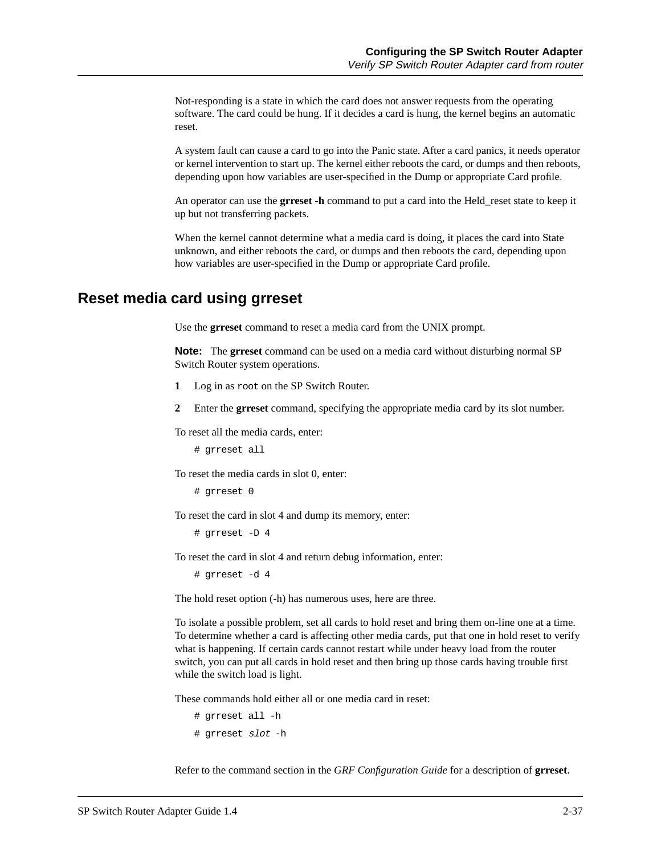Not-responding is a state in which the card does not answer requests from the operating software. The card could be hung. If it decides a card is hung, the kernel begins an automatic reset.

A system fault can cause a card to go into the Panic state. After a card panics, it needs operator or kernel intervention to start up. The kernel either reboots the card, or dumps and then reboots, depending upon how variables are user-specified in the Dump or appropriate Card profile.

An operator can use the **grreset -h** command to put a card into the Held\_reset state to keep it up but not transferring packets.

When the kernel cannot determine what a media card is doing, it places the card into State unknown, and either reboots the card, or dumps and then reboots the card, depending upon how variables are user-specified in the Dump or appropriate Card profile.

## **Reset media card using grreset**

Use the **grreset** command to reset a media card from the UNIX prompt.

**Note:** The **grreset** command can be used on a media card without disturbing normal SP Switch Router system operations.

- **1** Log in as root on the SP Switch Router.
- **2** Enter the **grreset** command, specifying the appropriate media card by its slot number.

To reset all the media cards, enter:

# grreset all

To reset the media cards in slot 0, enter:

# grreset 0

To reset the card in slot 4 and dump its memory, enter:

# grreset -D 4

To reset the card in slot 4 and return debug information, enter:

# grreset -d 4

The hold reset option (-h) has numerous uses, here are three.

To isolate a possible problem, set all cards to hold reset and bring them on-line one at a time. To determine whether a card is affecting other media cards, put that one in hold reset to verify what is happening. If certain cards cannot restart while under heavy load from the router switch, you can put all cards in hold reset and then bring up those cards having trouble first while the switch load is light.

These commands hold either all or one media card in reset:

```
# grreset all -h 
# grreset slot -h
```
Refer to the command section in the *GRF Configuration Guide* for a description of **grreset**.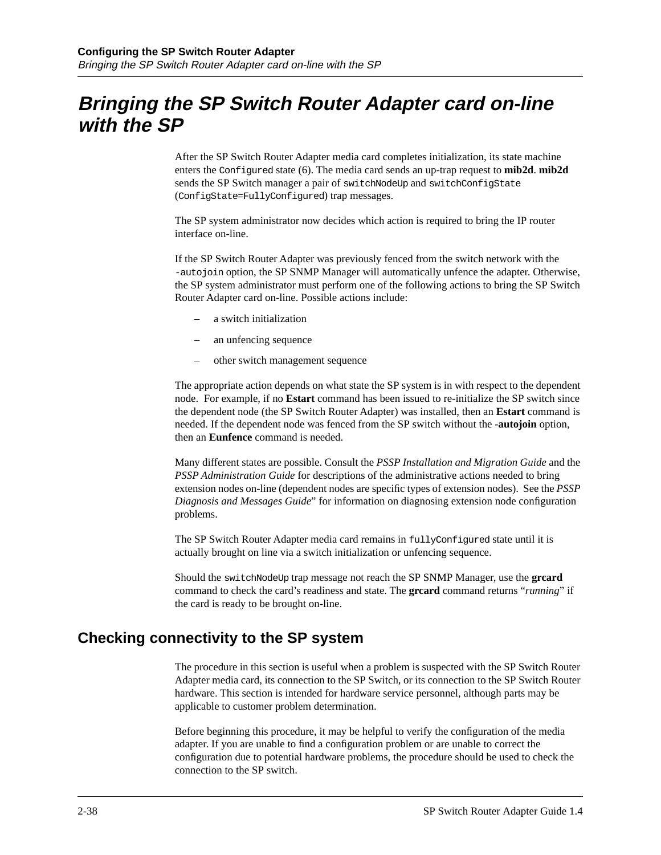# **Bringing the SP Switch Router Adapter card on-line with the SP**

After the SP Switch Router Adapter media card completes initialization, its state machine enters the Configured state (6). The media card sends an up-trap request to **mib2d**. **mib2d** sends the SP Switch manager a pair of switchNodeUp and switchConfigState (ConfigState=FullyConfigured) trap messages.

The SP system administrator now decides which action is required to bring the IP router interface on-line.

If the SP Switch Router Adapter was previously fenced from the switch network with the -autojoin option, the SP SNMP Manager will automatically unfence the adapter. Otherwise, the SP system administrator must perform one of the following actions to bring the SP Switch Router Adapter card on-line. Possible actions include:

- a switch initialization
- an unfencing sequence
- other switch management sequence

The appropriate action depends on what state the SP system is in with respect to the dependent node. For example, if no **Estart** command has been issued to re-initialize the SP switch since the dependent node (the SP Switch Router Adapter) was installed, then an **Estart** command is needed. If the dependent node was fenced from the SP switch without the **-autojoin** option, then an **Eunfence** command is needed.

Many different states are possible. Consult the *PSSP Installation and Migration Guide* and the *PSSP Administration Guide* for descriptions of the administrative actions needed to bring extension nodes on-line (dependent nodes are specific types of extension nodes). See the *PSSP Diagnosis and Messages Guide*" for information on diagnosing extension node configuration problems.

The SP Switch Router Adapter media card remains in fullyConfigured state until it is actually brought on line via a switch initialization or unfencing sequence.

Should the switchNodeUp trap message not reach the SP SNMP Manager, use the **grcard** command to check the card's readiness and state. The **grcard** command returns "*running*" if the card is ready to be brought on-line.

## **Checking connectivity to the SP system**

The procedure in this section is useful when a problem is suspected with the SP Switch Router Adapter media card, its connection to the SP Switch, or its connection to the SP Switch Router hardware. This section is intended for hardware service personnel, although parts may be applicable to customer problem determination.

Before beginning this procedure, it may be helpful to verify the configuration of the media adapter. If you are unable to find a configuration problem or are unable to correct the configuration due to potential hardware problems, the procedure should be used to check the connection to the SP switch.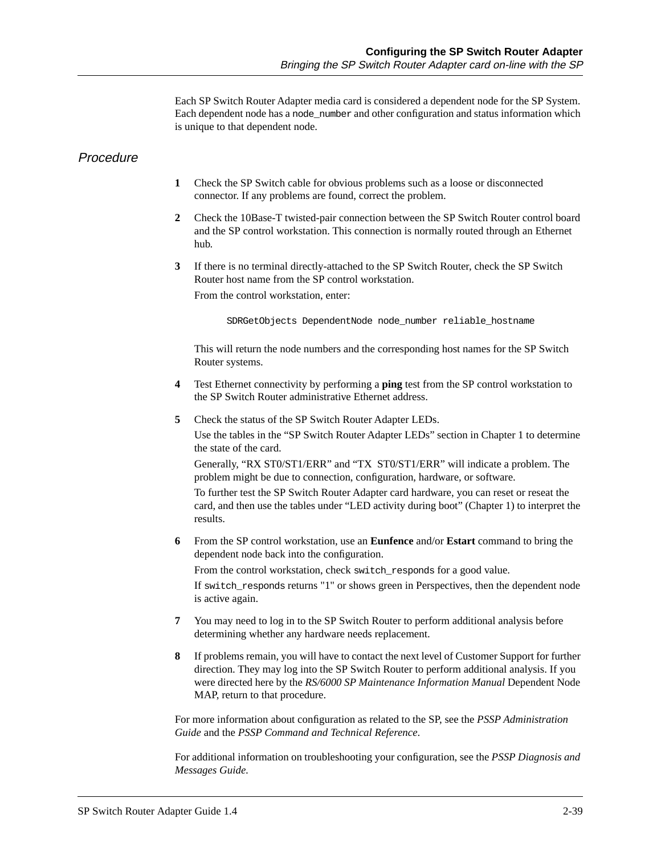Each SP Switch Router Adapter media card is considered a dependent node for the SP System. Each dependent node has a node\_number and other configuration and status information which is unique to that dependent node.

#### **Procedure**

- **1** Check the SP Switch cable for obvious problems such as a loose or disconnected connector. If any problems are found, correct the problem.
- **2** Check the 10Base-T twisted-pair connection between the SP Switch Router control board and the SP control workstation. This connection is normally routed through an Ethernet hub.
- **3** If there is no terminal directly-attached to the SP Switch Router, check the SP Switch Router host name from the SP control workstation.

From the control workstation, enter:

SDRGetObjects DependentNode node\_number reliable\_hostname

This will return the node numbers and the corresponding host names for the SP Switch Router systems.

- **4** Test Ethernet connectivity by performing a **ping** test from the SP control workstation to the SP Switch Router administrative Ethernet address.
- **5** Check the status of the SP Switch Router Adapter LEDs.

Use the tables in the "SP Switch Router Adapter LEDs" section in Chapter 1 to determine the state of the card.

Generally, "RX ST0/ST1/ERR" and "TX ST0/ST1/ERR" will indicate a problem. The problem might be due to connection, configuration, hardware, or software.

To further test the SP Switch Router Adapter card hardware, you can reset or reseat the card, and then use the tables under "LED activity during boot" (Chapter 1) to interpret the results.

**6** From the SP control workstation, use an **Eunfence** and/or **Estart** command to bring the dependent node back into the configuration.

From the control workstation, check switch\_responds for a good value.

If switch\_responds returns "1" or shows green in Perspectives, then the dependent node is active again.

- **7** You may need to log in to the SP Switch Router to perform additional analysis before determining whether any hardware needs replacement.
- **8** If problems remain, you will have to contact the next level of Customer Support for further direction. They may log into the SP Switch Router to perform additional analysis. If you were directed here by the *RS/6000 SP Maintenance Information Manual* Dependent Node MAP, return to that procedure.

For more information about configuration as related to the SP, see the *PSSP Administration Guide* and the *PSSP Command and Technical Reference*.

For additional information on troubleshooting your configuration, see the *PSSP Diagnosis and Messages Guide.*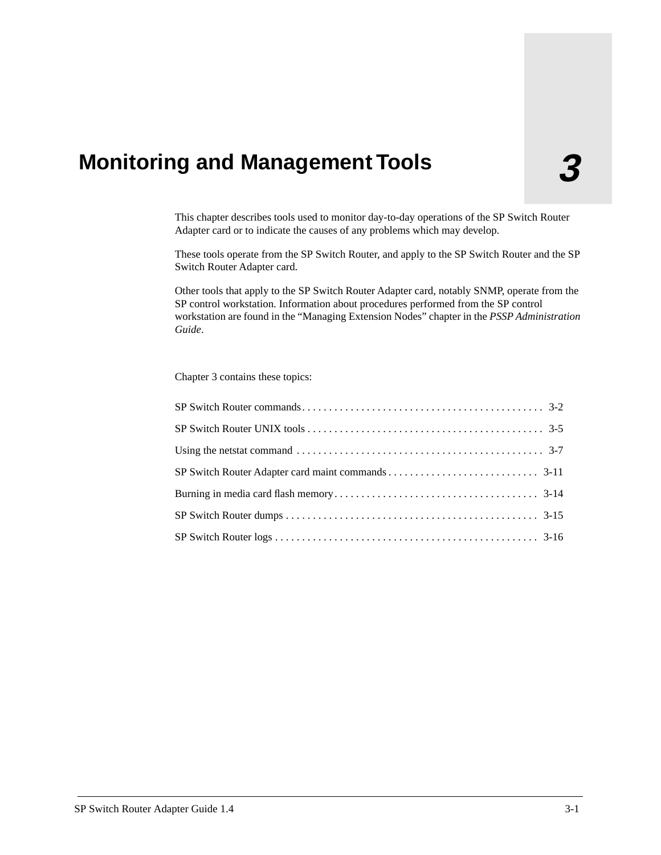# **3 Monitoring and Management Tools**

This chapter describes tools used to monitor day-to-day operations of the SP Switch Router Adapter card or to indicate the causes of any problems which may develop.

These tools operate from the SP Switch Router, and apply to the SP Switch Router and the SP Switch Router Adapter card.

Other tools that apply to the SP Switch Router Adapter card, notably SNMP, operate from the SP control workstation. Information about procedures performed from the SP control workstation are found in the "Managing Extension Nodes" chapter in the *PSSP Administration Guide*.

Chapter 3 contains these topics:

| Using the netstat command $\ldots \ldots \ldots \ldots \ldots \ldots \ldots \ldots \ldots \ldots \ldots \ldots \ldots$ 3-7 |
|----------------------------------------------------------------------------------------------------------------------------|
|                                                                                                                            |
|                                                                                                                            |
|                                                                                                                            |
|                                                                                                                            |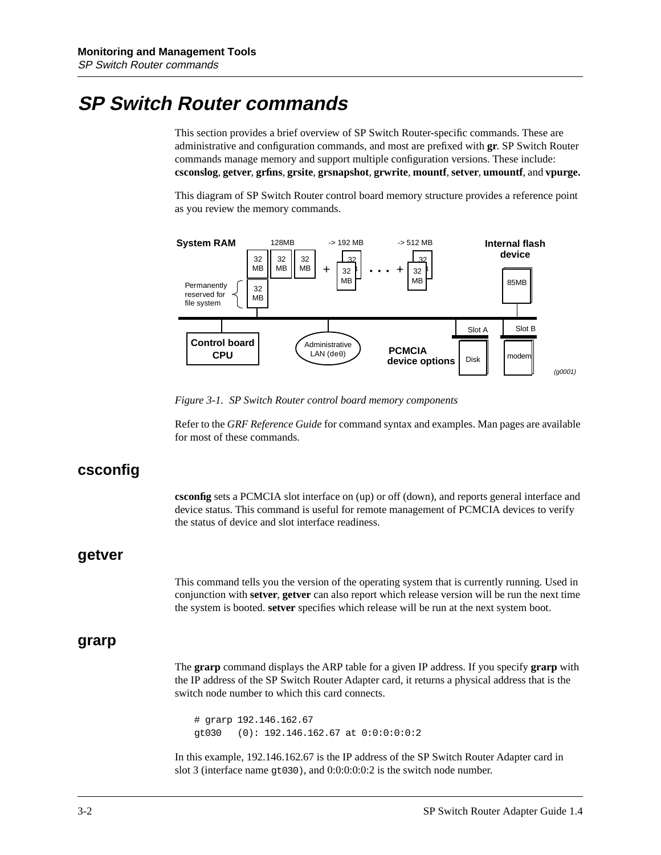# <span id="page-69-0"></span>**SP Switch Router commands**

This section provides a brief overview of SP Switch Router-specific commands. These are administrative and configuration commands, and most are prefixed with **gr**. SP Switch Router commands manage memory and support multiple configuration versions. These include: **csconslog**, **getver**, **grfins**, **grsite**, **grsnapshot**, **grwrite**, **mountf**, **setver**, **umountf**, and **vpurge.**

This diagram of SP Switch Router control board memory structure provides a reference point as you review the memory commands.



*Figure 3-1. SP Switch Router control board memory components* 

Refer to the *GRF Reference Guide* for command syntax and examples. Man pages are available for most of these commands.

## **csconfig**

**csconfig** sets a PCMCIA slot interface on (up) or off (down), and reports general interface and device status. This command is useful for remote management of PCMCIA devices to verify the status of device and slot interface readiness.

## **getver**

This command tells you the version of the operating system that is currently running. Used in conjunction with **setver**, **getver** can also report which release version will be run the next time the system is booted. **setver** specifies which release will be run at the next system boot.

## **grarp**

The **grarp** command displays the ARP table for a given IP address. If you specify **grarp** with the IP address of the SP Switch Router Adapter card, it returns a physical address that is the switch node number to which this card connects.

# grarp 192.146.162.67 gt030 (0): 192.146.162.67 at 0:0:0:0:0:2

In this example, 192.146.162.67 is the IP address of the SP Switch Router Adapter card in slot 3 (interface name gt030), and 0:0:0:0:0:2 is the switch node number.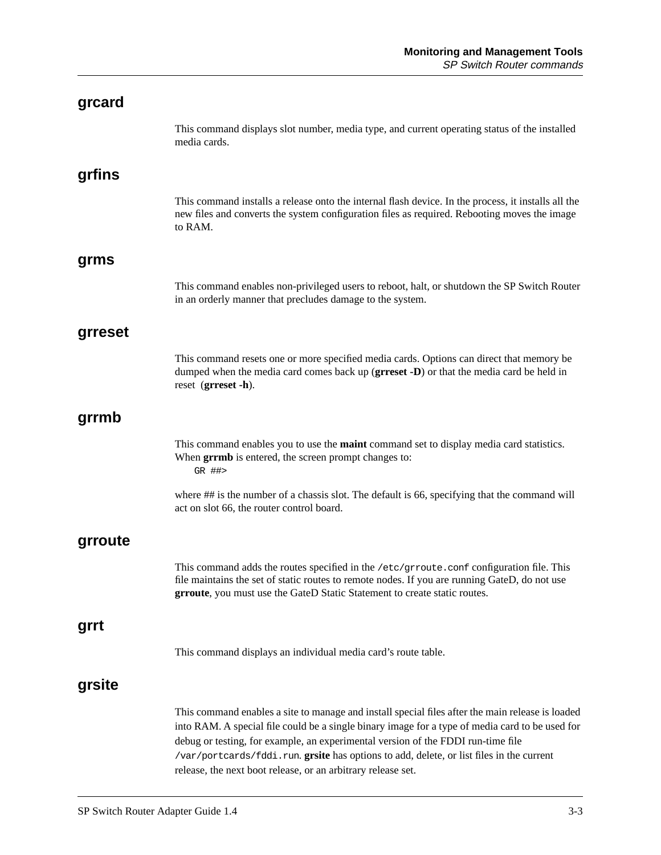| grcard  |                                                                                                                                                                                                                                                                                                                                                                                                                                                    |
|---------|----------------------------------------------------------------------------------------------------------------------------------------------------------------------------------------------------------------------------------------------------------------------------------------------------------------------------------------------------------------------------------------------------------------------------------------------------|
|         | This command displays slot number, media type, and current operating status of the installed<br>media cards.                                                                                                                                                                                                                                                                                                                                       |
| grfins  |                                                                                                                                                                                                                                                                                                                                                                                                                                                    |
|         | This command installs a release onto the internal flash device. In the process, it installs all the<br>new files and converts the system configuration files as required. Rebooting moves the image<br>to RAM.                                                                                                                                                                                                                                     |
| grms    |                                                                                                                                                                                                                                                                                                                                                                                                                                                    |
|         | This command enables non-privileged users to reboot, halt, or shutdown the SP Switch Router<br>in an orderly manner that precludes damage to the system.                                                                                                                                                                                                                                                                                           |
| grreset |                                                                                                                                                                                                                                                                                                                                                                                                                                                    |
|         | This command resets one or more specified media cards. Options can direct that memory be<br>dumped when the media card comes back up (grreset -D) or that the media card be held in<br>reset (grreset -h).                                                                                                                                                                                                                                         |
| grrmb   |                                                                                                                                                                                                                                                                                                                                                                                                                                                    |
|         | This command enables you to use the maint command set to display media card statistics.<br>When grrmb is entered, the screen prompt changes to:<br>GR ##>                                                                                                                                                                                                                                                                                          |
|         | where ## is the number of a chassis slot. The default is 66, specifying that the command will<br>act on slot 66, the router control board.                                                                                                                                                                                                                                                                                                         |
| grroute |                                                                                                                                                                                                                                                                                                                                                                                                                                                    |
|         | This command adds the routes specified in the /etc/grroute.conf configuration file. This<br>file maintains the set of static routes to remote nodes. If you are running GateD, do not use<br>grroute, you must use the GateD Static Statement to create static routes.                                                                                                                                                                             |
| grrt    |                                                                                                                                                                                                                                                                                                                                                                                                                                                    |
|         | This command displays an individual media card's route table.                                                                                                                                                                                                                                                                                                                                                                                      |
| grsite  |                                                                                                                                                                                                                                                                                                                                                                                                                                                    |
|         | This command enables a site to manage and install special files after the main release is loaded<br>into RAM. A special file could be a single binary image for a type of media card to be used for<br>debug or testing, for example, an experimental version of the FDDI run-time file<br>/var/portcards/fddi.run.grsite has options to add, delete, or list files in the current<br>release, the next boot release, or an arbitrary release set. |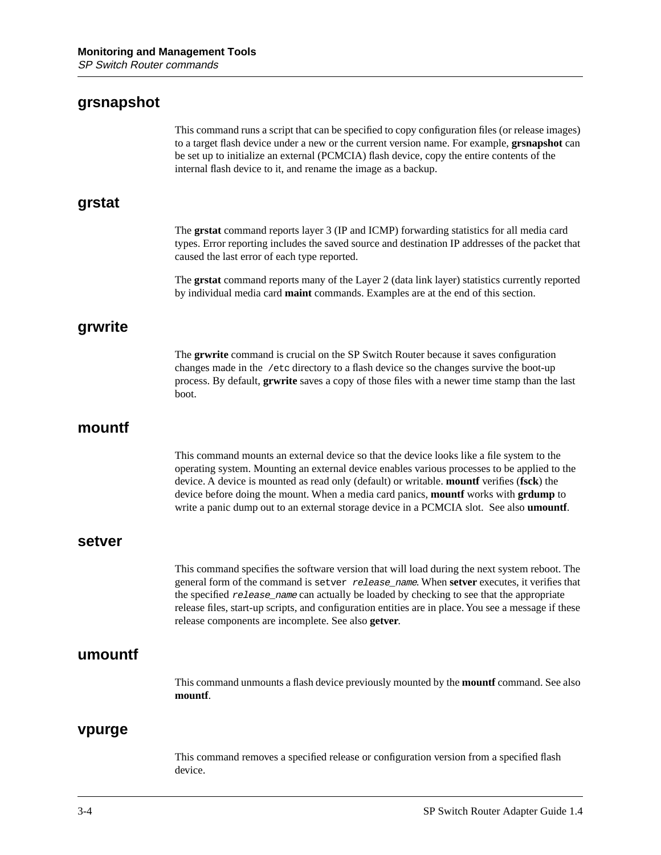## **grsnapshot**

This command runs a script that can be specified to copy configuration files (or release images) to a target flash device under a new or the current version name. For example, **grsnapshot** can be set up to initialize an external (PCMCIA) flash device, copy the entire contents of the internal flash device to it, and rename the image as a backup.

## **grstat**

The **grstat** command reports layer 3 (IP and ICMP) forwarding statistics for all media card types. Error reporting includes the saved source and destination IP addresses of the packet that caused the last error of each type reported.

The **grstat** command reports many of the Layer 2 (data link layer) statistics currently reported by individual media card **maint** commands. Examples are at the end of this section.

## **grwrite**

The **grwrite** command is crucial on the SP Switch Router because it saves configuration changes made in the /etc directory to a flash device so the changes survive the boot-up process. By default, **grwrite** saves a copy of those files with a newer time stamp than the last boot.

## **mountf**

This command mounts an external device so that the device looks like a file system to the operating system. Mounting an external device enables various processes to be applied to the device. A device is mounted as read only (default) or writable. **mountf** verifies (**fsck**) the device before doing the mount. When a media card panics, **mountf** works with **grdump** to write a panic dump out to an external storage device in a PCMCIA slot. See also **umountf**.

#### **setver**

This command specifies the software version that will load during the next system reboot. The general form of the command is setver release\_name. When **setver** executes, it verifies that the specified release name can actually be loaded by checking to see that the appropriate release files, start-up scripts, and configuration entities are in place. You see a message if these release components are incomplete. See also **getver**.

## **umountf**

This command unmounts a flash device previously mounted by the **mountf** command. See also **mountf**.

#### **vpurge**

This command removes a specified release or configuration version from a specified flash device.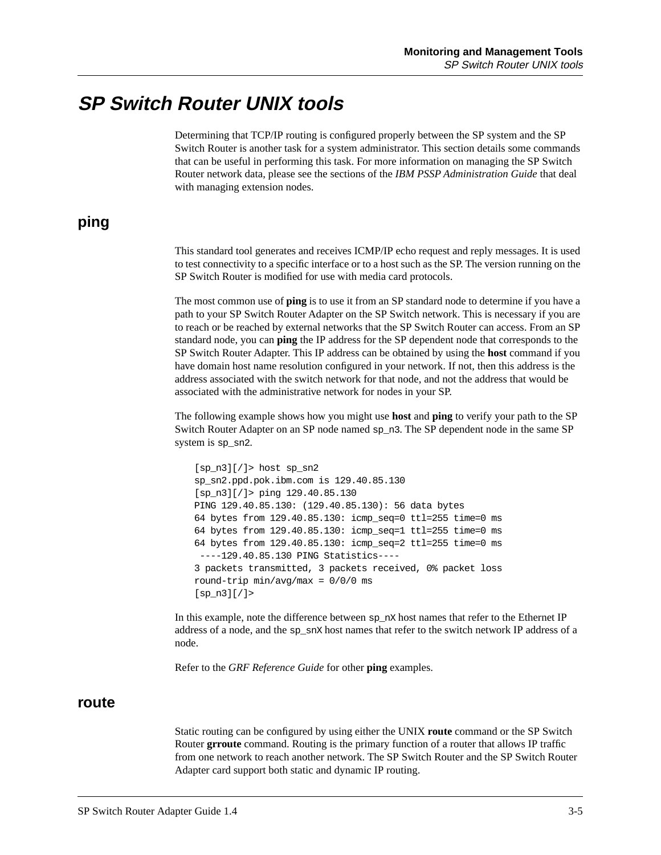# **SP Switch Router UNIX tools**

Determining that TCP/IP routing is configured properly between the SP system and the SP Switch Router is another task for a system administrator. This section details some commands that can be useful in performing this task. For more information on managing the SP Switch Router network data, please see the sections of the *IBM PSSP Administration Guide* that deal with managing extension nodes.

### **ping**

This standard tool generates and receives ICMP/IP echo request and reply messages. It is used to test connectivity to a specific interface or to a host such as the SP. The version running on the SP Switch Router is modified for use with media card protocols.

The most common use of **ping** is to use it from an SP standard node to determine if you have a path to your SP Switch Router Adapter on the SP Switch network. This is necessary if you are to reach or be reached by external networks that the SP Switch Router can access. From an SP standard node, you can **ping** the IP address for the SP dependent node that corresponds to the SP Switch Router Adapter. This IP address can be obtained by using the **host** command if you have domain host name resolution configured in your network. If not, then this address is the address associated with the switch network for that node, and not the address that would be associated with the administrative network for nodes in your SP.

The following example shows how you might use **host** and **ping** to verify your path to the SP Switch Router Adapter on an SP node named sp\_n3. The SP dependent node in the same SP system is sp\_sn2.

```
[sp_n3][/]> host sp_sn2
sp_sn2.ppd.pok.ibm.com is 129.40.85.130
[sp_n3][/]> ping 129.40.85.130
PING 129.40.85.130: (129.40.85.130): 56 data bytes
64 bytes from 129.40.85.130: icmp_seq=0 ttl=255 time=0 ms
64 bytes from 129.40.85.130: icmp_seq=1 ttl=255 time=0 ms
64 bytes from 129.40.85.130: icmp_seq=2 ttl=255 time=0 ms
  ----129.40.85.130 PING Statistics----
3 packets transmitted, 3 packets received, 0% packet loss
round-trip min/avg/max = 0/0/0 ms
[sp_n3][/]>
```
In this example, note the difference between sp\_nX host names that refer to the Ethernet IP address of a node, and the sp\_snX host names that refer to the switch network IP address of a node.

Refer to the *GRF Reference Guide* for other **ping** examples.

#### **route**

Static routing can be configured by using either the UNIX **route** command or the SP Switch Router **grroute** command. Routing is the primary function of a router that allows IP traffic from one network to reach another network. The SP Switch Router and the SP Switch Router Adapter card support both static and dynamic IP routing.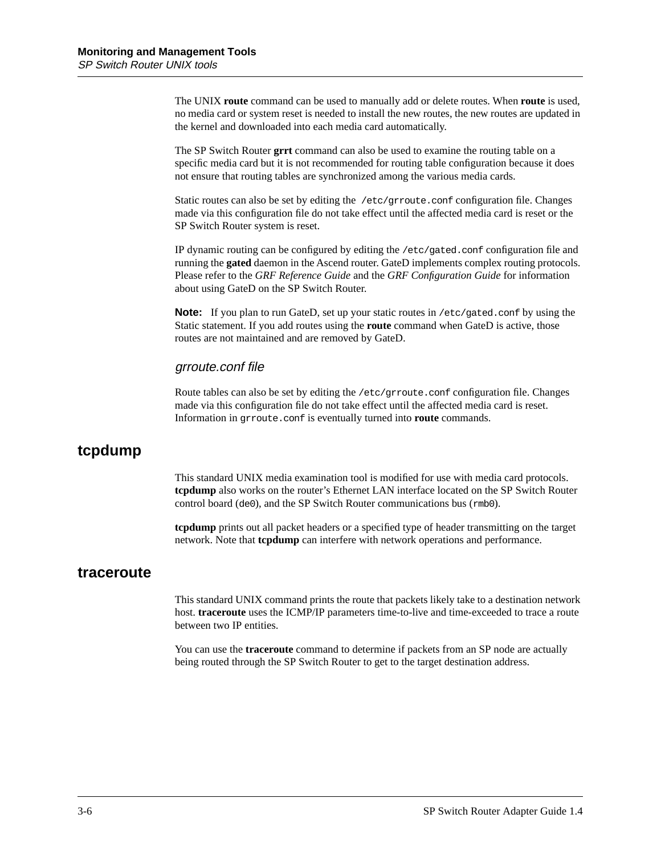The UNIX **route** command can be used to manually add or delete routes. When **route** is used, no media card or system reset is needed to install the new routes, the new routes are updated in the kernel and downloaded into each media card automatically.

The SP Switch Router **grrt** command can also be used to examine the routing table on a specific media card but it is not recommended for routing table configuration because it does not ensure that routing tables are synchronized among the various media cards.

Static routes can also be set by editing the /etc/grroute.conf configuration file. Changes made via this configuration file do not take effect until the affected media card is reset or the SP Switch Router system is reset.

IP dynamic routing can be configured by editing the /etc/gated.conf configuration file and running the **gated** daemon in the Ascend router. GateD implements complex routing protocols. Please refer to the *GRF Reference Guide* and the *GRF Configuration Guide* for information about using GateD on the SP Switch Router.

**Note:** If you plan to run GateD, set up your static routes in /etc/gated.conf by using the Static statement. If you add routes using the **route** command when GateD is active, those routes are not maintained and are removed by GateD.

#### grroute.conf file

Route tables can also be set by editing the /etc/grroute.conf configuration file. Changes made via this configuration file do not take effect until the affected media card is reset. Information in grroute.conf is eventually turned into **route** commands.

### **tcpdump**

This standard UNIX media examination tool is modified for use with media card protocols. **tcpdump** also works on the router's Ethernet LAN interface located on the SP Switch Router control board (de0), and the SP Switch Router communications bus (rmb0).

**tcpdump** prints out all packet headers or a specified type of header transmitting on the target network. Note that **tcpdump** can interfere with network operations and performance.

#### **traceroute**

This standard UNIX command prints the route that packets likely take to a destination network host. **traceroute** uses the ICMP/IP parameters time-to-live and time-exceeded to trace a route between two IP entities.

You can use the **traceroute** command to determine if packets from an SP node are actually being routed through the SP Switch Router to get to the target destination address.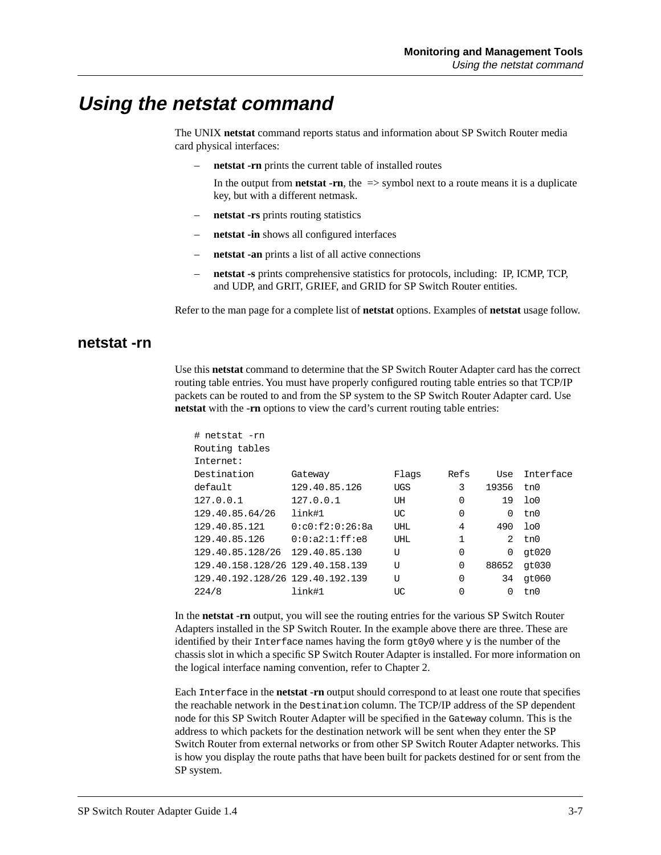# **Using the netstat command**

The UNIX **netstat** command reports status and information about SP Switch Router media card physical interfaces:

– **netstat -rn** prints the current table of installed routes

In the output from **netstat** -rn, the  $\Rightarrow$  symbol next to a route means it is a duplicate key, but with a different netmask.

- **netstat -rs** prints routing statistics
- **netstat -in** shows all configured interfaces
- **netstat -an** prints a list of all active connections
- **netstat -s** prints comprehensive statistics for protocols, including: IP, ICMP, TCP, and UDP, and GRIT, GRIEF, and GRID for SP Switch Router entities.

Refer to the man page for a complete list of **netstat** options. Examples of **netstat** usage follow.

#### **netstat -rn**

Use this **netstat** command to determine that the SP Switch Router Adapter card has the correct routing table entries. You must have properly configured routing table entries so that TCP/IP packets can be routed to and from the SP system to the SP Switch Router Adapter card. Use **netstat** with the **-rn** options to view the card's current routing table entries:

| # netstat -rn                    |                      |            |          |          |                |
|----------------------------------|----------------------|------------|----------|----------|----------------|
| Routing tables                   |                      |            |          |          |                |
| Internet:                        |                      |            |          |          |                |
| Destination                      | Gateway              | Flaqs      | Refs     | Use      | Interface      |
| default                          | 129.40.85.126        | <b>UGS</b> | 3        | 19356    | tn0            |
| 127.0.0.1                        | 127.0.0.1            | UH         | $\Omega$ | 19       | 1 <sub>0</sub> |
| 129.40.85.64/26                  | link#1               | UC         | 0        | $\Omega$ | tn0            |
| 129.40.85.121                    | 0: c0: f2: 0: 26: 8a | UHL        | 4        | 490      | 100            |
| 129.40.85.126                    | 0:0:a2:1:ff:e8       | UHL        | 1        | 2        | tn0            |
| 129.40.85.128/26 129.40.85.130   |                      | U          | $\Omega$ | 0        | qt020          |
| 129.40.158.128/26 129.40.158.139 |                      | U          | $\Omega$ | 88652    | qt030          |
| 129.40.192.128/26 129.40.192.139 |                      | ŢŢ         | $\Omega$ | 34       | qt060          |
| 224/8                            | link#1               | UC         | $\Omega$ | $\Omega$ | tn0            |
|                                  |                      |            |          |          |                |

In the **netstat -rn** output, you will see the routing entries for the various SP Switch Router Adapters installed in the SP Switch Router. In the example above there are three. These are identified by their Interface names having the form  $gt0y0$  where y is the number of the chassis slot in which a specific SP Switch Router Adapter is installed. For more information on the logical interface naming convention, refer to Chapter 2.

Each Interface in the **netstat -rn** output should correspond to at least one route that specifies the reachable network in the Destination column. The TCP/IP address of the SP dependent node for this SP Switch Router Adapter will be specified in the Gateway column. This is the address to which packets for the destination network will be sent when they enter the SP Switch Router from external networks or from other SP Switch Router Adapter networks. This is how you display the route paths that have been built for packets destined for or sent from the SP system.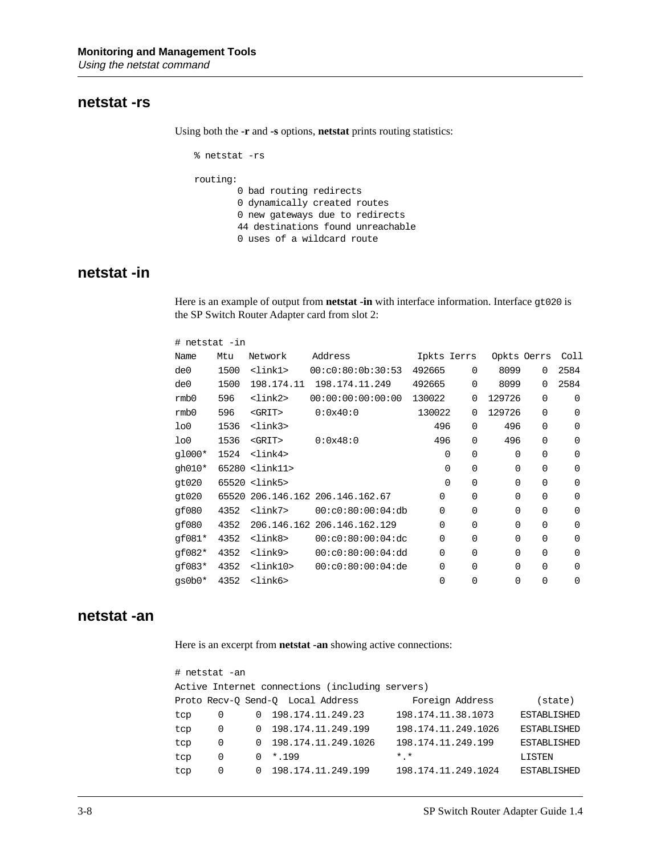#### **netstat -rs**

Using both the **-r** and **-s** options, **netstat** prints routing statistics:

```
% netstat -rs
routing:
         0 bad routing redirects
         0 dynamically created routes
         0 new gateways due to redirects
         44 destinations found unreachable
         0 uses of a wildcard route
```
### **netstat -in**

Here is an example of output from **netstat -in** with interface information. Interface gt020 is the SP Switch Router Adapter card from slot 2:

| # netstat -in    |       |                         |                            |             |          |             |             |          |
|------------------|-------|-------------------------|----------------------------|-------------|----------|-------------|-------------|----------|
| Name             | Mtu   | Network                 | Address                    | Ipkts Ierrs |          | Opkts Oerrs |             | Coll     |
| de0              | 1500  | $<$ lin $k1>$           | 00: c0:80:0b:30:53         | 492665      | $\Omega$ | 8099        | $\Omega$    | 2584     |
| de0              | 1500  | 198.174.11              | 198.174.11.249             | 492665      | $\Omega$ | 8099        | $\Omega$    | 2584     |
| rmb0             | 596   | <link2></link2>         | 00:00:00:00:00:00          | 130022      | $\Omega$ | 129726      | $\Omega$    | $\Omega$ |
| rmb0             | 596   | $<$ GRIT $>$            | 0:0x40:0                   | 130022      | $\Omega$ | 129726      | $\Omega$    | $\Omega$ |
| 1 <sub>0</sub>   | 1536  | <link3></link3>         |                            | 496         | $\Omega$ | 496         | $\Omega$    | $\Omega$ |
| 1 <sub>0</sub>   | 1536  | $<$ GRIT $>$            | 0:0x48:0                   | 496         | $\Omega$ | 496         | $\mathbf 0$ | 0        |
| $q1000*$         | 1524  | $\langle$ link4>        |                            | 0           | 0        | $\Omega$    | $\Omega$    | $\Omega$ |
| gh010*           |       | 65280 <link11></link11> |                            | $\Omega$    | $\Omega$ | $\Omega$    | $\Omega$    | $\Omega$ |
| q <sub>020</sub> |       | 65520 <link5></link5>   |                            | $\Omega$    | $\Omega$ | $\Omega$    | $\Omega$    | $\Omega$ |
| qt020            | 65520 |                         | 206.146.162 206.146.162.67 | $\Omega$    | $\Omega$ | $\Omega$    | $\Omega$    | $\Omega$ |
| qf080            | 4352  | <link7></link7>         | 00: c0:80:00:04:db         | $\Omega$    | 0        | $\Omega$    | $\Omega$    | $\Omega$ |
| qf080            | 4352  | 206.146.162             | 206.146.162.129            | $\Omega$    | $\Omega$ | $\Omega$    | $\Omega$    | $\Omega$ |
| $qf081*$         | 4352  | <link8></link8>         | 00: c0:80:00:04:dc         | $\Omega$    | $\Omega$ | $\Omega$    | $\Omega$    | $\Omega$ |
| $qf082*$         | 4352  | <link9></link9>         | 00: c0:80:00:04:dd         | $\Omega$    | $\Omega$ | $\Omega$    | $\Omega$    | $\Omega$ |
| $qf083*$         | 4352  | $<$ lin $k10>$          | 00: c0:80:00:04:de         | $\Omega$    | $\Omega$ | $\Omega$    | $\Omega$    | 0        |
| $qs0b0*$         | 4352  | $<$ lin $k6$ >          |                            | $\Omega$    | 0        | $\Omega$    | $\Omega$    | 0        |

#### **netstat -an**

Here is an excerpt from **netstat -an** showing active connections:

|     | # netstat -an                                   |          |                                   |                     |                    |
|-----|-------------------------------------------------|----------|-----------------------------------|---------------------|--------------------|
|     | Active Internet connections (including servers) |          |                                   |                     |                    |
|     |                                                 |          | Proto Recv-O Send-O Local Address | Foreign Address     | state)             |
| tcp | 0                                               | $\Omega$ | 198.174.11.249.23                 | 198.174.11.38.1073  | <b>ESTABLISHED</b> |
| tcp | 0                                               | $\Omega$ | 198.174.11.249.199                | 198.174.11.249.1026 | ESTABLISHED        |
| tcp | 0                                               | $\Omega$ | 198.174.11.249.1026               | 198.174.11.249.199  | ESTABLISHED        |
| tcp | $\Omega$                                        | 0        | $*$ , 199                         | $*$ $*$             | LISTEN             |
| tcp | $\Omega$                                        |          | 198.174.11.249.199                | 198.174.11.249.1024 | ESTABLISHED        |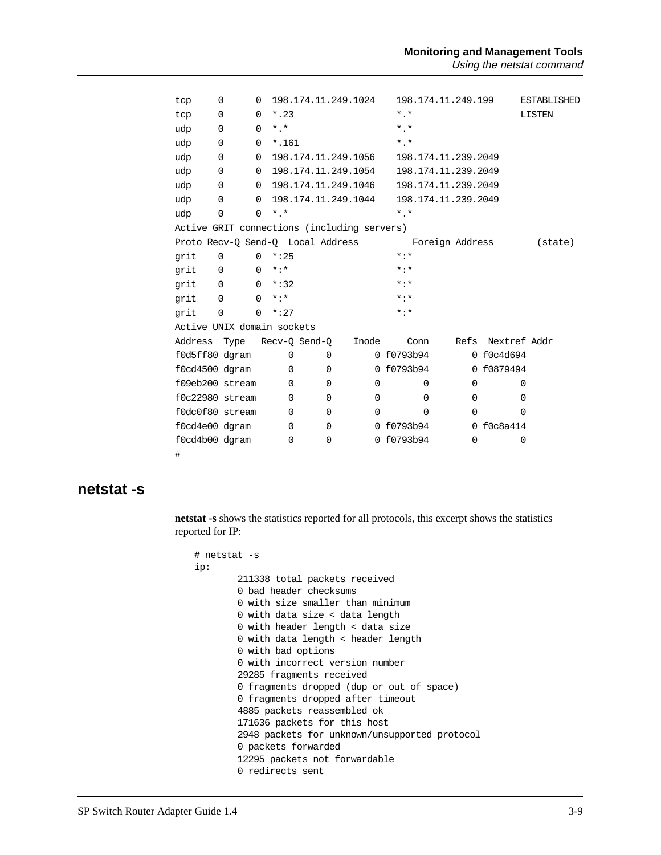| tcp     | 0                                           | 0              |             |                    | 198.174.11.249.1024               |                   | 198.174.11.249.199  |              | <b>ESTABLISHED</b> |
|---------|---------------------------------------------|----------------|-------------|--------------------|-----------------------------------|-------------------|---------------------|--------------|--------------------|
| tcp     | $\Omega$                                    | $\Omega$       | $*$ .23     |                    |                                   | $*$ $*$           |                     |              | LISTEN             |
| udp     | $\mathbf 0$                                 | $\mathbf 0$    | $*$ .*      |                    |                                   | $*$ $*$           |                     |              |                    |
| udp     | 0                                           | 0              | $*$ .161    |                    |                                   | $*$ $*$           |                     |              |                    |
| udp     | $\mathbf 0$                                 | $\mathbf 0$    |             |                    | 198.174.11.249.1056               |                   | 198.174.11.239.2049 |              |                    |
| udp     | 0                                           | $\Omega$       |             |                    | 198.174.11.249.1054               |                   | 198.174.11.239.2049 |              |                    |
| udp     | 0                                           | $\overline{0}$ |             |                    | 198.174.11.249.1046               |                   | 198.174.11.239.2049 |              |                    |
| udp     | 0                                           | $\Omega$       |             |                    | 198.174.11.249.1044               |                   | 198.174.11.239.2049 |              |                    |
| udp     | $\mathbf 0$                                 | $\Omega$       | $*$ $*$     |                    |                                   | $*$ $*$           |                     |              |                    |
|         | Active GRIT connections (including servers) |                |             |                    |                                   |                   |                     |              |                    |
|         |                                             |                |             |                    | Proto Recv-Q Send-Q Local Address |                   | Foreign Address     |              | (state)            |
| grit    | $\Omega$                                    | $\Omega$       | $*:25$      |                    |                                   | $* : *$           |                     |              |                    |
| qrit    | $\mathbf 0$                                 | $\Omega$       | $* : *$     |                    |                                   | $* : *$           |                     |              |                    |
| grit    | $\overline{0}$                              | $\overline{0}$ | $*:32$      |                    |                                   | $\star$ : $\star$ |                     |              |                    |
| qrit    | $\Omega$                                    | $\Omega$       | $* : *$     |                    |                                   | $* : *$           |                     |              |                    |
| grit    | $\Omega$                                    | $\Omega$       | $*:27$      |                    |                                   | $* : *$           |                     |              |                    |
|         | Active UNIX domain sockets                  |                |             |                    |                                   |                   |                     |              |                    |
| Address |                                             |                |             | Type Recv-Q Send-Q | Inode                             | Conn              | Refs                | Nextref Addr |                    |
|         | f0d5ff80 dgram                              |                | $\Omega$    | $\mathbf 0$        |                                   | 0 f0793b94        |                     | 0 f0c4d694   |                    |
|         | f0cd4500 dgram                              |                | $\Omega$    | $\Omega$           |                                   | 0 f0793b94        |                     | 0 f0879494   |                    |
|         | f09eb200 stream                             |                | $\Omega$    | $\Omega$           | $\Omega$                          | $\Omega$          | $\Omega$            | $\Omega$     |                    |
|         | f0c22980 stream                             |                | $\Omega$    | 0                  | $\Omega$                          | $\Omega$          | $\Omega$            | $\Omega$     |                    |
|         | f0dc0f80 stream                             |                | $\Omega$    | $\Omega$           | 0                                 | $\Omega$          | $\Omega$            | $\Omega$     |                    |
|         | f0cd4e00 dgram                              |                | $\Omega$    | $\mathbf 0$        |                                   | 0 f0793b94        |                     | 0 f0c8a414   |                    |
|         | f0cd4b00 dqram                              |                | $\mathbf 0$ | $\mathbf 0$        |                                   | 0 f0793b94        | $\Omega$            | 0            |                    |
| #       |                                             |                |             |                    |                                   |                   |                     |              |                    |

#### **netstat -s**

**netstat -s** shows the statistics reported for all protocols, this excerpt shows the statistics reported for IP:

```
# netstat -s
ip:
         211338 total packets received
         0 bad header checksums
         0 with size smaller than minimum
         0 with data size < data length
         0 with header length < data size
         0 with data length < header length
         0 with bad options
         0 with incorrect version number
         29285 fragments received
         0 fragments dropped (dup or out of space)
         0 fragments dropped after timeout
         4885 packets reassembled ok
         171636 packets for this host
         2948 packets for unknown/unsupported protocol
         0 packets forwarded
         12295 packets not forwardable
         0 redirects sent
```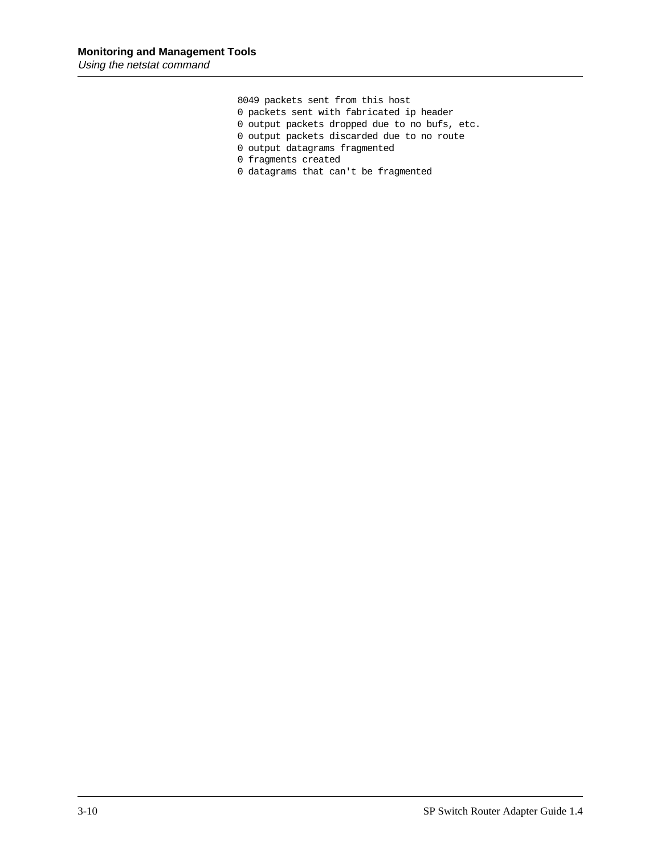8049 packets sent from this host

- 0 packets sent with fabricated ip header
- 0 output packets dropped due to no bufs, etc.
- 0 output packets discarded due to no route
- 0 output datagrams fragmented
- 0 fragments created
- 0 datagrams that can't be fragmented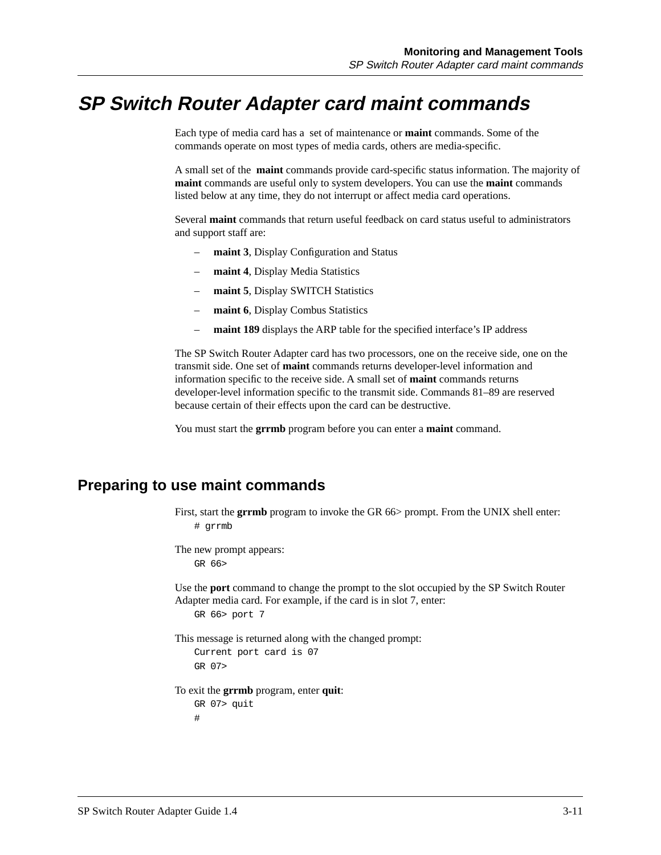# **SP Switch Router Adapter card maint commands**

Each type of media card has a set of maintenance or **maint** commands. Some of the commands operate on most types of media cards, others are media-specific.

A small set of the **maint** commands provide card-specific status information. The majority of **maint** commands are useful only to system developers. You can use the **maint** commands listed below at any time, they do not interrupt or affect media card operations.

Several **maint** commands that return useful feedback on card status useful to administrators and support staff are:

- **maint 3**, Display Configuration and Status
- **maint 4**, Display Media Statistics
- **maint 5**, Display SWITCH Statistics
- **maint 6**, Display Combus Statistics
- **maint 189** displays the ARP table for the specified interface's IP address

The SP Switch Router Adapter card has two processors, one on the receive side, one on the transmit side. One set of **maint** commands returns developer-level information and information specific to the receive side. A small set of **maint** commands returns developer-level information specific to the transmit side. Commands 81–89 are reserved because certain of their effects upon the card can be destructive.

You must start the **grrmb** program before you can enter a **maint** command.

### **Preparing to use maint commands**

First, start the **grrmb** program to invoke the GR 66> prompt. From the UNIX shell enter: # grrmb

The new prompt appears: GR 66>

Use the **port** command to change the prompt to the slot occupied by the SP Switch Router Adapter media card. For example, if the card is in slot 7, enter:

GR 66> port 7

This message is returned along with the changed prompt:

```
Current port card is 07
GR 07>
```
To exit the **grrmb** program, enter **quit**:

```
GR 07> quit
#
```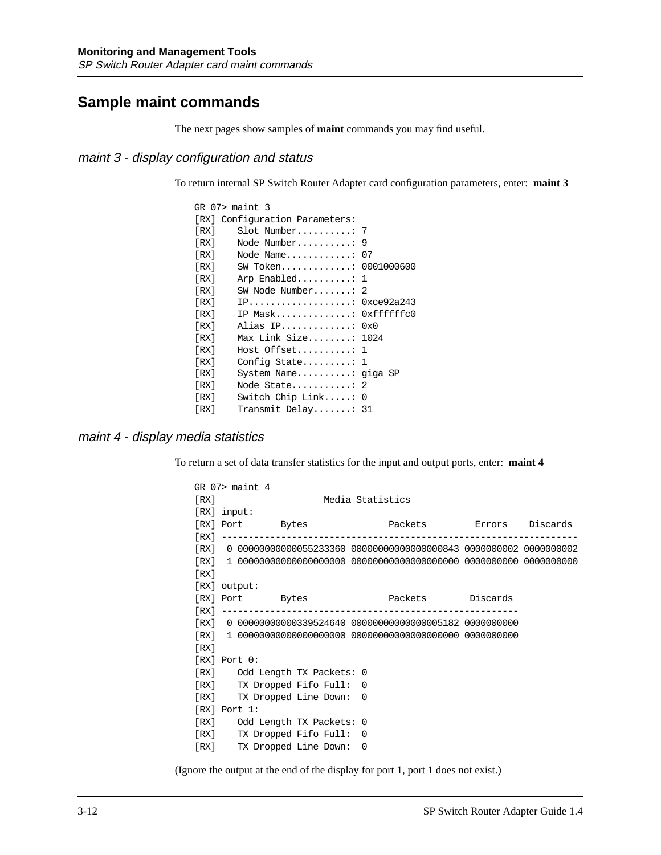## **Sample maint commands**

The next pages show samples of **maint** commands you may find useful.

### maint 3 - display configuration and status

To return internal SP Switch Router Adapter card configuration parameters, enter: **maint 3**

|      | $GR$ 07> maint 3               |  |
|------|--------------------------------|--|
|      | [RX] Configuration Parameters: |  |
| [RX] | $Slot$ Number: 7               |  |
| [RX] | Node Number: $9$               |  |
| [RX] | Node Name: $07$                |  |
| [RX] | SW Token: 0001000600           |  |
| [RX] | Arp Enabled: $1$               |  |
| [RX] | SW Node Number $2$             |  |
| [RX] | $IP$ : 0xce92a243              |  |
| [RX] | IP Mask: 0xfffffffc0           |  |
| [RX] | Alias IP: 0x0                  |  |
| [RX] | Max Link Size: 1024            |  |
| [RX] | $Host$ Offset: 1               |  |
| [RX] | Config State: $1$              |  |
| [RX] | System Name: $qiqa$ SP         |  |
| [RX] | Node State: 2                  |  |
| [RX] | Switch Chip Link: $0$          |  |
| [RX] | Transmit Delay: 31             |  |

#### maint 4 - display media statistics

To return a set of data transfer statistics for the input and output ports, enter: **maint 4**

|      | $GR$ $07>$ maint 4 |                               |                                                                         |  |
|------|--------------------|-------------------------------|-------------------------------------------------------------------------|--|
| [RX] |                    |                               | Media Statistics                                                        |  |
|      | $[RX]$ input:      |                               |                                                                         |  |
|      |                    | [RX] Port Bytes               |                                                                         |  |
|      |                    |                               |                                                                         |  |
|      |                    |                               | [RX] 0 00000000000055233360 000000000000000000843 0000000002 0000000002 |  |
|      |                    |                               |                                                                         |  |
| [RX] |                    |                               |                                                                         |  |
|      | $[RX]$ output:     |                               |                                                                         |  |
|      |                    | [RX] Port Bytes               | Packets Discards                                                        |  |
|      |                    |                               |                                                                         |  |
|      |                    |                               | [RX] 0 00000000000339524640 00000000000000005182 0000000000             |  |
|      |                    |                               |                                                                         |  |
| [RX] |                    |                               |                                                                         |  |
|      | $[RX]$ Port $0:$   |                               |                                                                         |  |
|      |                    | [RX] Odd Length TX Packets: 0 |                                                                         |  |
|      |                    | [RX] TX Dropped Fifo Full: 0  |                                                                         |  |
|      |                    | [RX] TX Dropped Line Down:    | $\Omega$                                                                |  |
|      | $[RX]$ Port 1:     |                               |                                                                         |  |
|      |                    | [RX] Odd Length TX Packets: 0 |                                                                         |  |
|      |                    | [RX] TX Dropped Fifo Full: 0  |                                                                         |  |
| [RX] |                    | TX Dropped Line Down:         | $\Omega$                                                                |  |

(Ignore the output at the end of the display for port 1, port 1 does not exist.)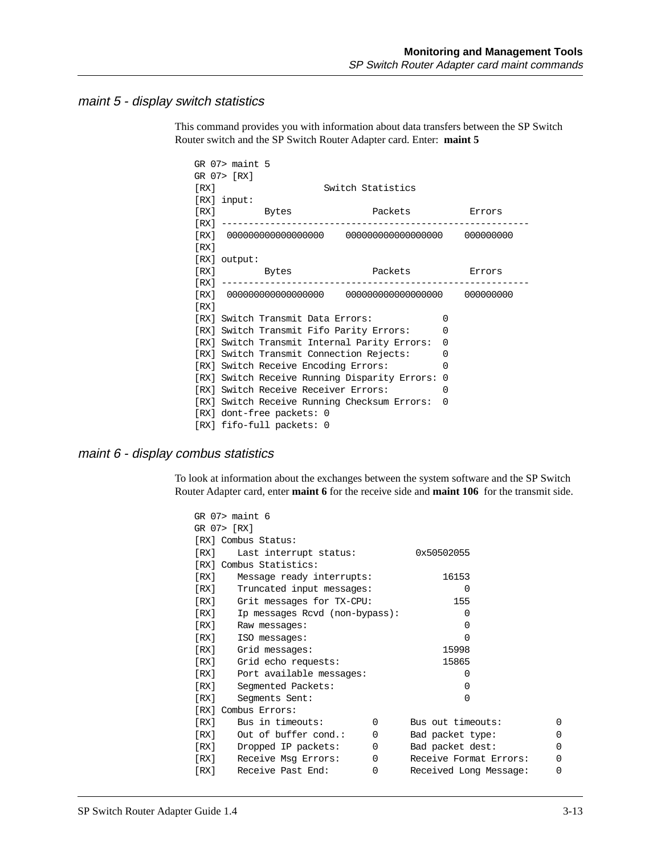#### maint 5 - display switch statistics

This command provides you with information about data transfers between the SP Switch Router switch and the SP Switch Router Adapter card. Enter: **maint 5**

|      | $GR$ $07>$ maint $5$                          |                   |          |  |
|------|-----------------------------------------------|-------------------|----------|--|
|      | GR 07> [RX]                                   |                   |          |  |
| [RX] |                                               | Switch Statistics |          |  |
|      | $[RX]$ input:                                 |                   |          |  |
|      | [RX] Bytes                                    | Packets Errors    |          |  |
|      | [RX] ---------------------------------        |                   |          |  |
|      |                                               |                   |          |  |
| [RX] |                                               |                   |          |  |
|      | $[RX]$ output:                                |                   |          |  |
|      | [RX] Bytes Packets Errors                     |                   |          |  |
|      |                                               |                   |          |  |
|      |                                               |                   |          |  |
| [RX] |                                               |                   |          |  |
|      | [RX] Switch Transmit Data Errors:             |                   | $\Omega$ |  |
|      | [RX] Switch Transmit Fifo Parity Errors:      |                   | $\Omega$ |  |
|      | [RX] Switch Transmit Internal Parity Errors:  |                   | $\Omega$ |  |
|      | [RX] Switch Transmit Connection Rejects:      |                   | $\Omega$ |  |
|      | [RX] Switch Receive Encoding Errors:          |                   | $\Omega$ |  |
|      | [RX] Switch Receive Running Disparity Errors: |                   | $\Omega$ |  |
|      | [RX] Switch Receive Receiver Errors:          |                   | 0        |  |
|      | [RX] Switch Receive Running Checksum Errors:  |                   | $\Omega$ |  |
|      | [RX] dont-free packets: 0                     |                   |          |  |
|      | [RX] fifo-full packets: 0                     |                   |          |  |

#### maint 6 - display combus statistics

To look at information about the exchanges between the system software and the SP Switch Router Adapter card, enter **maint 6** for the receive side and **maint 106** for the transmit side.

| $GR$ $07$ maint $6$                          |          |                        |          |  |
|----------------------------------------------|----------|------------------------|----------|--|
| GR 07> [RX]                                  |          |                        |          |  |
| [RX] Combus Status:                          |          |                        |          |  |
| [RX]<br>0x50502055<br>Last interrupt status: |          |                        |          |  |
| [RX] Combus Statistics:                      |          |                        |          |  |
| [RX]<br>Message ready interrupts:            |          | 16153                  |          |  |
| [RX]<br>Truncated input messages:            |          | $\Omega$               |          |  |
| [RX]<br>Grit messages for TX-CPU:            |          | 155                    |          |  |
| [RX]<br>Ip messages Rcvd (non-bypass):       |          | $\Omega$               |          |  |
| [RX]<br>Raw messages:                        |          | $\Omega$               |          |  |
| [RX]<br>ISO messages:                        |          | $\Omega$               |          |  |
| [RX]<br>Grid messages:                       |          | 15998                  |          |  |
| [RX]<br>Grid echo requests:                  |          |                        |          |  |
| [RX]<br>Port available messages:             |          | 0                      |          |  |
| [RX]<br>Segmented Packets:                   |          | 0                      |          |  |
| [RX]<br>Seqments Sent:                       | $\Omega$ |                        |          |  |
| [RX] Combus Errors:                          |          |                        |          |  |
| Bus in timeouts:<br>[RX]                     | $\Omega$ | Bus out timeouts:      | $\Omega$ |  |
| [RX]<br>Out of buffer cond.:                 | $\Omega$ | Bad packet type:       | $\Omega$ |  |
| [RX]<br>Dropped IP packets:                  | 0        | Bad packet dest:       | $\Omega$ |  |
| [RX]<br>Receive Msq Errors:                  | $\Omega$ | Receive Format Errors: | $\Omega$ |  |
| [RX]<br>Receive Past End:                    | $\Omega$ | Received Long Message: | $\Omega$ |  |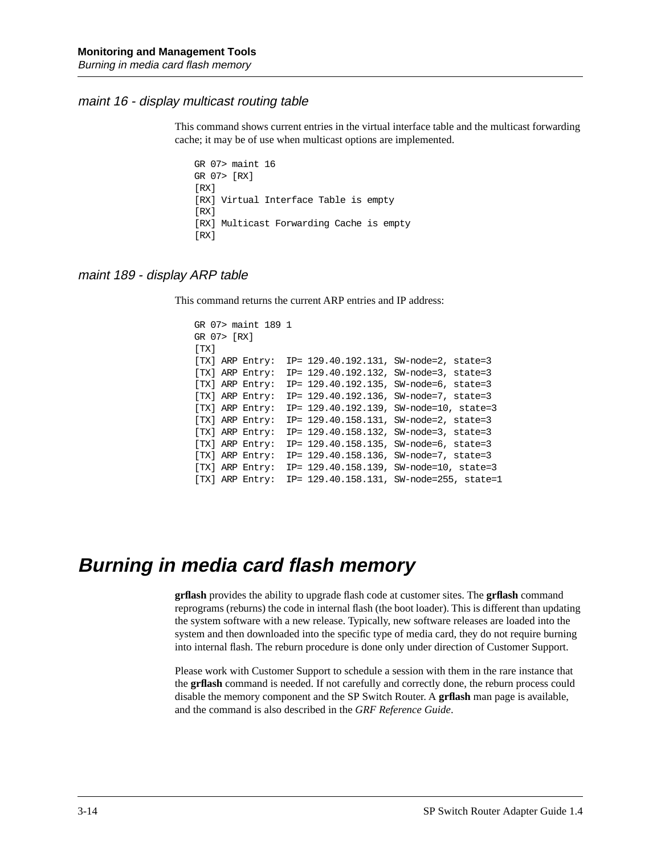#### maint 16 - display multicast routing table

This command shows current entries in the virtual interface table and the multicast forwarding cache; it may be of use when multicast options are implemented.

GR 07> maint 16 GR 07> [RX] [RX] [RX] Virtual Interface Table is empty [RX] [RX] Multicast Forwarding Cache is empty [RX]

#### maint 189 - display ARP table

This command returns the current ARP entries and IP address:

```
GR 07> maint 189 1
GR 07> [RX]
[TX] 
[TX] ARP Entry: IP= 129.40.192.131, SW-node=2, state=3
[TX] ARP Entry: IP= 129.40.192.132, SW-node=3, state=3
[TX] ARP Entry: IP= 129.40.192.135, SW-node=6, state=3
[TX] ARP Entry: IP= 129.40.192.136, SW-node=7, state=3
[TX] ARP Entry: IP= 129.40.192.139, SW-node=10, state=3
[TX] ARP Entry: IP= 129.40.158.131, SW-node=2, state=3
[TX] ARP Entry: IP= 129.40.158.132, SW-node=3, state=3
[TX] ARP Entry: IP= 129.40.158.135, SW-node=6, state=3
[TX] ARP Entry: IP= 129.40.158.136, SW-node=7, state=3
[TX] ARP Entry: IP= 129.40.158.139, SW-node=10, state=3
[TX] ARP Entry: IP= 129.40.158.131, SW-node=255, state=1
```
# **Burning in media card flash memory**

**grflash** provides the ability to upgrade flash code at customer sites. The **grflash** command reprograms (reburns) the code in internal flash (the boot loader). This is different than updating the system software with a new release. Typically, new software releases are loaded into the system and then downloaded into the specific type of media card, they do not require burning into internal flash. The reburn procedure is done only under direction of Customer Support.

Please work with Customer Support to schedule a session with them in the rare instance that the **grflash** command is needed. If not carefully and correctly done, the reburn process could disable the memory component and the SP Switch Router. A **grflash** man page is available, and the command is also described in the *GRF Reference Guide*.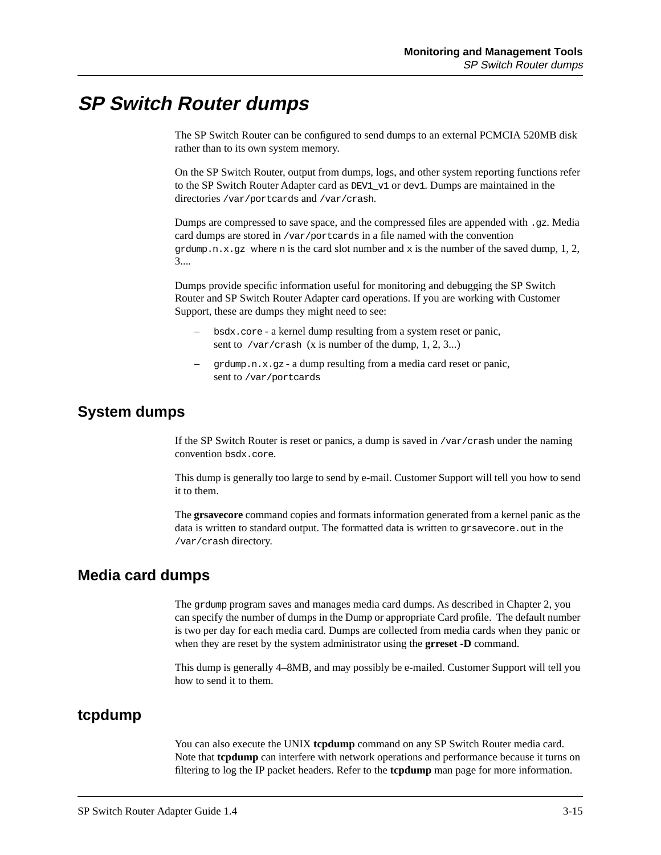# **SP Switch Router dumps**

The SP Switch Router can be configured to send dumps to an external PCMCIA 520MB disk rather than to its own system memory.

On the SP Switch Router, output from dumps, logs, and other system reporting functions refer to the SP Switch Router Adapter card as DEV1 v1 or dev1. Dumps are maintained in the directories /var/portcards and /var/crash.

Dumps are compressed to save space, and the compressed files are appended with .qz. Media card dumps are stored in /var/portcards in a file named with the convention grdump.n.x.gz where n is the card slot number and x is the number of the saved dump, 1, 2, 3....

Dumps provide specific information useful for monitoring and debugging the SP Switch Router and SP Switch Router Adapter card operations. If you are working with Customer Support, these are dumps they might need to see:

- bsdx.core a kernel dump resulting from a system reset or panic, sent to /var/crash (x is number of the dump, 1, 2, 3...)
- grdump.n.x.gz a dump resulting from a media card reset or panic, sent to /var/portcards

# **System dumps**

If the SP Switch Router is reset or panics, a dump is saved in /var/crash under the naming convention bsdx.core.

This dump is generally too large to send by e-mail. Customer Support will tell you how to send it to them.

The **grsavecore** command copies and formats information generated from a kernel panic as the data is written to standard output. The formatted data is written to gr savecore. out in the /var/crash directory.

### **Media card dumps**

The grdump program saves and manages media card dumps. As described in Chapter 2, you can specify the number of dumps in the Dump or appropriate Card profile. The default number is two per day for each media card. Dumps are collected from media cards when they panic or when they are reset by the system administrator using the **grreset -D** command.

This dump is generally 4–8MB, and may possibly be e-mailed. Customer Support will tell you how to send it to them.

### **tcpdump**

You can also execute the UNIX **tcpdump** command on any SP Switch Router media card. Note that **tcpdump** can interfere with network operations and performance because it turns on filtering to log the IP packet headers. Refer to the **tcpdump** man page for more information.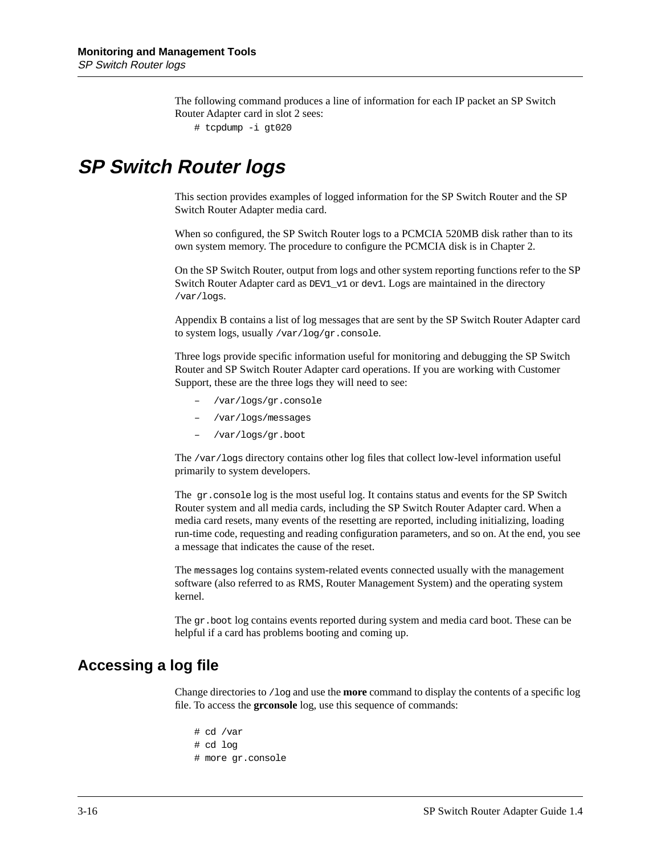The following command produces a line of information for each IP packet an SP Switch Router Adapter card in slot 2 sees:

# tcpdump -i gt020

# **SP Switch Router logs**

This section provides examples of logged information for the SP Switch Router and the SP Switch Router Adapter media card.

When so configured, the SP Switch Router logs to a PCMCIA 520MB disk rather than to its own system memory. The procedure to configure the PCMCIA disk is in Chapter 2.

On the SP Switch Router, output from logs and other system reporting functions refer to the SP Switch Router Adapter card as DEV1\_v1 or dev1. Logs are maintained in the directory /var/logs.

Appendix B contains a list of log messages that are sent by the SP Switch Router Adapter card to system logs, usually /var/log/gr.console.

Three logs provide specific information useful for monitoring and debugging the SP Switch Router and SP Switch Router Adapter card operations. If you are working with Customer Support, these are the three logs they will need to see:

- /var/logs/gr.console
- /var/logs/messages
- /var/logs/gr.boot

The /var/logs directory contains other log files that collect low-level information useful primarily to system developers.

The gr.console log is the most useful log. It contains status and events for the SP Switch Router system and all media cards, including the SP Switch Router Adapter card. When a media card resets, many events of the resetting are reported, including initializing, loading run-time code, requesting and reading configuration parameters, and so on. At the end, you see a message that indicates the cause of the reset.

The messages log contains system-related events connected usually with the management software (also referred to as RMS, Router Management System) and the operating system kernel.

The gr.boot log contains events reported during system and media card boot. These can be helpful if a card has problems booting and coming up.

### **Accessing a log file**

Change directories to /log and use the **more** command to display the contents of a specific log file. To access the **grconsole** log, use this sequence of commands:

# cd /var # cd log # more gr.console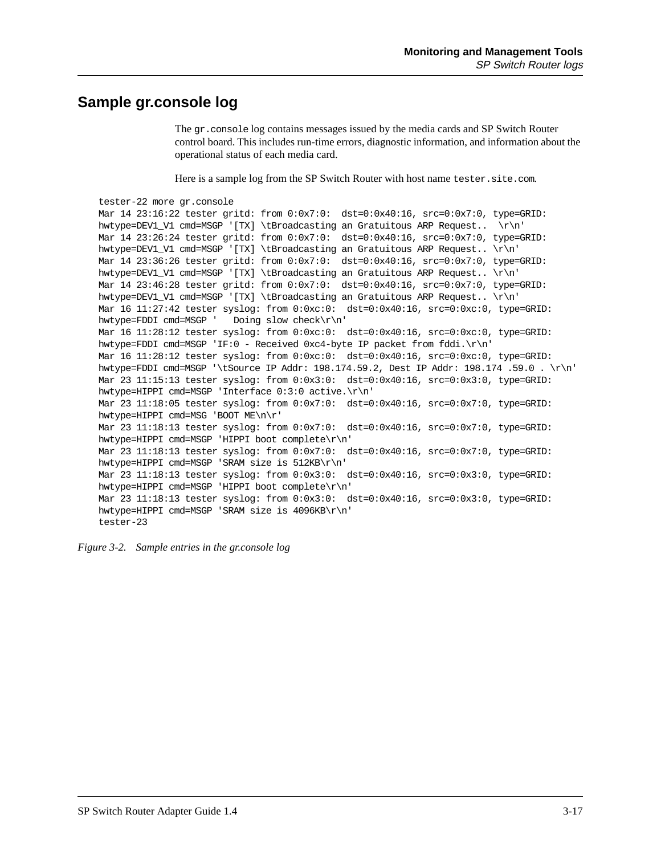### **Sample gr.console log**

The gr.console log contains messages issued by the media cards and SP Switch Router control board. This includes run-time errors, diagnostic information, and information about the operational status of each media card.

Here is a sample log from the SP Switch Router with host name tester.site.com.

```
tester-22 more gr.console
Mar 14 23:16:22 tester gritd: from 0:0x7:0: dst=0:0x40:16, src=0:0x7:0, type=GRID: 
hwtype=DEV1_V1_cmd=MSGP '[TX] \tBroadcasting an Gratuitous ARP Request.. \r\n'
Mar 14 23:26:24 tester gritd: from 0:0x7:0: dst=0:0x40:16, src=0:0x7:0, type=GRID: 
hwtype=DEV1_V1 cmd=MSGP '[TX] \tBroadcasting an Gratuitous ARP Request.. \r\n'
Mar 14 23:36:26 tester gritd: from 0:0x7:0: dst=0:0x40:16, src=0:0x7:0, type=GRID: 
hwtype=DEV1_V1 cmd=MSGP '[TX] \tBroadcasting an Gratuitous ARP Request.. \r\n'
Mar 14 23:46:28 tester gritd: from 0:0x7:0: dst=0:0x40:16, src=0:0x7:0, type=GRID: 
hwtype=DEV1_V1 cmd=MSGP '[TX] \tBroadcasting an Gratuitous ARP Request.. \r\n'
Mar 16 11:27:42 tester syslog: from 0:0xc:0: dst=0:0x40:16, src=0:0xc:0, type=GRID: 
hwtype=FDDI cmd=MSGP ' Doing slow check\r\n'
Mar 16 11:28:12 tester syslog: from 0:0xc:0: dst=0:0x40:16, src=0:0xc:0, type=GRID: 
hwtype=FDDI cmd=MSGP 'IF:0 - Received 0xc4-byte IP packet from fddi.\r\n'
Mar 16 11:28:12 tester syslog: from 0:0xc:0: dst=0:0x40:16, src=0:0xc:0, type=GRID: 
hwtype=FDDI cmd=MSGP '\tSource IP Addr: 198.174.59.2, Dest IP Addr: 198.174 .59.0 . \r\n'
Mar 23 11:15:13 tester syslog: from 0:0x3:0: dst=0:0x40:16, src=0:0x3:0, type=GRID: 
hwtype=HIPPI cmd=MSGP 'Interface 0:3:0 active.\r\n'
Mar 23 11:18:05 tester syslog: from 0:0x7:0: dst=0:0x40:16, src=0:0x7:0, type=GRID: 
hwtype=HIPPI cmd=MSG 'BOOT ME\n\r'
Mar 23 11:18:13 tester syslog: from 0:0x7:0: dst=0:0x40:16, src=0:0x7:0, type=GRID: 
hwtype=HIPPI cmd=MSGP 'HIPPI boot complete\r\n'
Mar 23 11:18:13 tester syslog: from 0:0x7:0: dst=0:0x40:16, src=0:0x7:0, type=GRID: 
hwtype=HIPPI cmd=MSGP 'SRAM size is 512KB\r\n'
Mar 23 11:18:13 tester syslog: from 0:0x3:0: dst=0:0x40:16, src=0:0x3:0, type=GRID: 
hwtype=HIPPI cmd=MSGP 'HIPPI boot complete\r\n'
Mar 23 11:18:13 tester syslog: from 0:0x3:0: dst=0:0x40:16, src=0:0x3:0, type=GRID: 
hwtype=HIPPI cmd=MSGP 'SRAM size is 4096KB\r\n'
tester-23
```
*Figure 3-2. Sample entries in the gr.console log*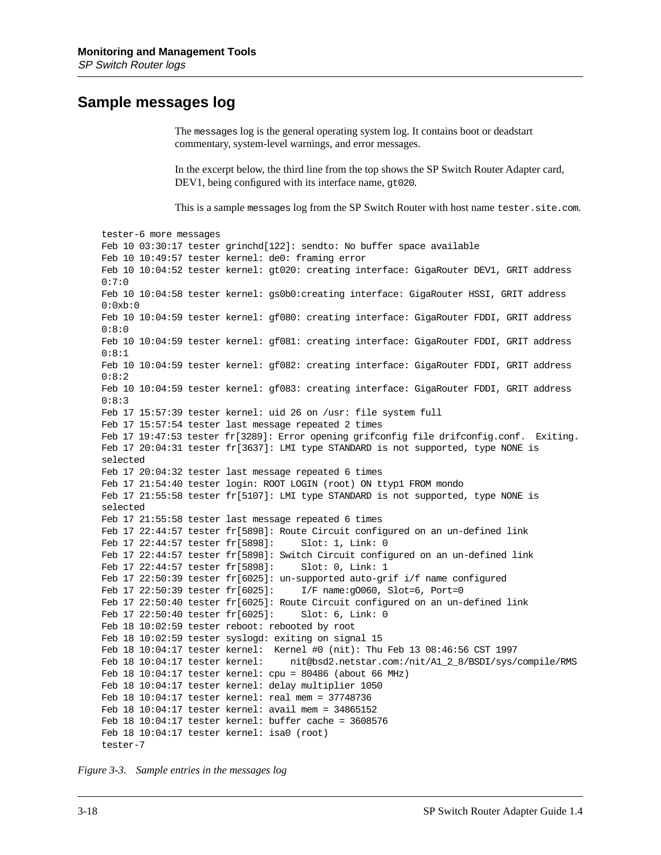### **Sample messages log**

The messages log is the general operating system log. It contains boot or deadstart commentary, system-level warnings, and error messages.

In the excerpt below, the third line from the top shows the SP Switch Router Adapter card, DEV1, being configured with its interface name, gt020.

This is a sample messages log from the SP Switch Router with host name tester.site.com.

tester-6 more messages Feb 10 03:30:17 tester grinchd[122]: sendto: No buffer space available Feb 10 10:49:57 tester kernel: de0: framing error Feb 10 10:04:52 tester kernel: gt020: creating interface: GigaRouter DEV1, GRIT address 0:7:0 Feb 10 10:04:58 tester kernel: gs0b0:creating interface: GigaRouter HSSI, GRIT address  $0:0xb:0$ Feb 10 10:04:59 tester kernel: gf080: creating interface: GigaRouter FDDI, GRIT address 0:8:0 Feb 10 10:04:59 tester kernel: gf081: creating interface: GigaRouter FDDI, GRIT address 0:8:1 Feb 10 10:04:59 tester kernel: gf082: creating interface: GigaRouter FDDI, GRIT address 0:8:2 Feb 10 10:04:59 tester kernel: gf083: creating interface: GigaRouter FDDI, GRIT address 0:8:3 Feb 17 15:57:39 tester kernel: uid 26 on /usr: file system full Feb 17 15:57:54 tester last message repeated 2 times Feb 17 19:47:53 tester fr[3289]: Error opening grifconfig file drifconfig.conf. Exiting. Feb 17 20:04:31 tester fr[3637]: LMI type STANDARD is not supported, type NONE is selected Feb 17 20:04:32 tester last message repeated 6 times Feb 17 21:54:40 tester login: ROOT LOGIN (root) ON ttyp1 FROM mondo Feb 17 21:55:58 tester fr[5107]: LMI type STANDARD is not supported, type NONE is selected Feb 17 21:55:58 tester last message repeated 6 times Feb 17 22:44:57 tester fr[5898]: Route Circuit configured on an un-defined link Feb 17 22:44:57 tester fr[5898]: Slot: 1, Link: 0 Feb 17 22:44:57 tester fr[5898]: Switch Circuit configured on an un-defined link Feb 17 22:44:57 tester fr[5898]: Slot: 0, Link: 1 Feb 17 22:50:39 tester fr[6025]: un-supported auto-grif i/f name configured Feb 17 22:50:39 tester  $fr[6025]$ : I/F name:q0060, Slot=6, Port=0 Feb 17 22:50:40 tester fr[6025]: Route Circuit configured on an un-defined link Feb 17 22:50:40 tester fr[6025]: Slot: 6, Link: 0 Feb 18 10:02:59 tester reboot: rebooted by root Feb 18 10:02:59 tester syslogd: exiting on signal 15 Feb 18 10:04:17 tester kernel: Kernel #0 (nit): Thu Feb 13 08:46:56 CST 1997 Feb 18 10:04:17 tester kernel: nit@bsd2.netstar.com:/nit/A1\_2\_8/BSDI/sys/compile/RMS Feb 18 10:04:17 tester kernel: cpu = 80486 (about 66 MHz) Feb 18 10:04:17 tester kernel: delay multiplier 1050 Feb 18 10:04:17 tester kernel: real mem = 37748736 Feb 18 10:04:17 tester kernel: avail mem = 34865152 Feb 18 10:04:17 tester kernel: buffer cache =  $3608576$ Feb 18 10:04:17 tester kernel: isa0 (root) tester-7

*Figure 3-3. Sample entries in the messages log*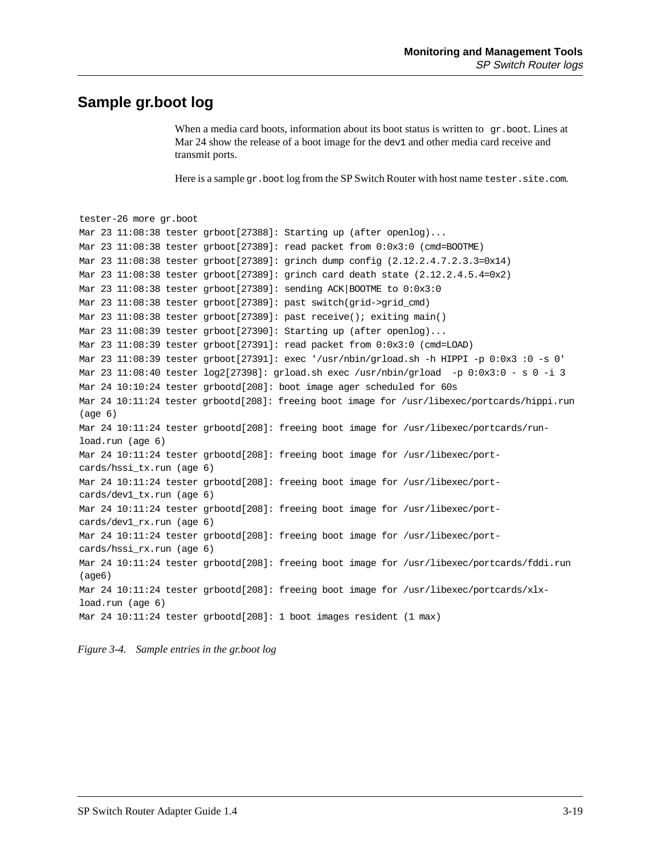### **Sample gr.boot log**

When a media card boots, information about its boot status is written to  $gr.$  boot. Lines at Mar 24 show the release of a boot image for the dev1 and other media card receive and transmit ports.

Here is a sample gr.boot log from the SP Switch Router with host name tester.site.com.

```
tester-26 more gr.boot
Mar 23 11:08:38 tester grboot[27388]: Starting up (after openlog)...
Mar 23 11:08:38 tester grboot[27389]: read packet from 0:0x3:0 (cmd=BOOTME)
Mar 23 11:08:38 tester grboot[27389]: grinch dump config (2.12.2.4.7.2.3.3=0x14)
Mar 23 11:08:38 tester grboot[27389]: grinch card death state (2.12.2.4.5.4=0x2)
Mar 23 11:08:38 tester grboot[27389]: sending ACK|BOOTME to 0:0x3:0
Mar 23 11:08:38 tester grboot[27389]: past switch(grid->grid_cmd)
Mar 23 11:08:38 tester grboot[27389]: past receive(); exiting main()
Mar 23 11:08:39 tester grboot[27390]: Starting up (after openlog)...
Mar 23 11:08:39 tester grboot[27391]: read packet from 0:0x3:0 (cmd=LOAD)
Mar 23 11:08:39 tester grboot[27391]: exec '/usr/nbin/grload.sh -h HIPPI -p 0:0x3 :0 -s 0'
Mar 23 11:08:40 tester log2[27398]: grload.sh exec /usr/nbin/grload -p 0:0x3:0 - s 0 -i 3
Mar 24 10:10:24 tester grbootd[208]: boot image ager scheduled for 60s
Mar 24 10:11:24 tester grbootd[208]: freeing boot image for /usr/libexec/portcards/hippi.run 
(age 6)
Mar 24 10:11:24 tester grbootd[208]: freeing boot image for /usr/libexec/portcards/run-
load.run (age 6)
Mar 24 10:11:24 tester grbootd[208]: freeing boot image for /usr/libexec/port-
cards/hssi_tx.run (age 6)
Mar 24 10:11:24 tester grbootd[208]: freeing boot image for /usr/libexec/port-
cards/dev1_tx.run (age 6)
Mar 24 10:11:24 tester grbootd[208]: freeing boot image for /usr/libexec/port-
cards/dev1_rx.run (age 6)
Mar 24 10:11:24 tester grbootd[208]: freeing boot image for /usr/libexec/port-
cards/hssi_rx.run (age 6)
Mar 24 10:11:24 tester grbootd[208]: freeing boot image for /usr/libexec/portcards/fddi.run 
(age6)
Mar 24 10:11:24 tester grbootd[208]: freeing boot image for /usr/libexec/portcards/xlx-
load.run (age 6)
Mar 24 10:11:24 tester grbootd[208]: 1 boot images resident (1 max)
```
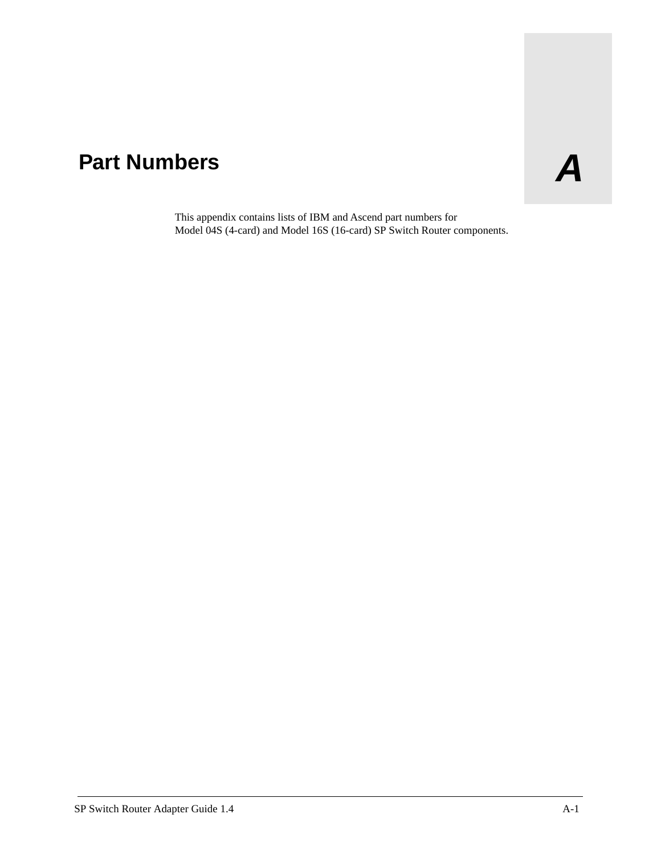# Part Numbers **A**

This appendix contains lists of IBM and Ascend part numbers for Model 04S (4-card) and Model 16S (16-card) SP Switch Router components.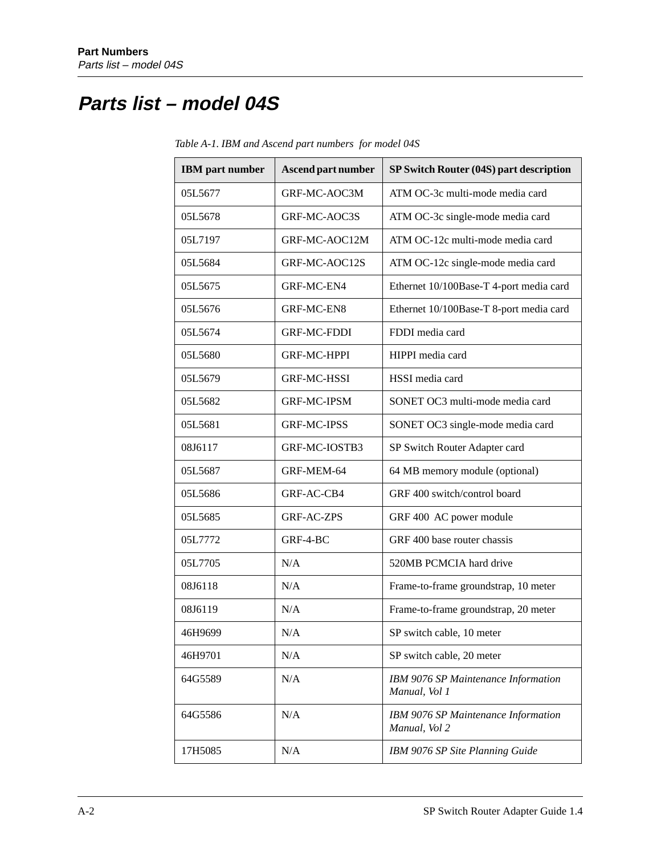# **Parts list – model 04S**

| <b>IBM</b> part number | Ascend part number | SP Switch Router (04S) part description              |
|------------------------|--------------------|------------------------------------------------------|
| 05L5677                | GRF-MC-AOC3M       | ATM OC-3c multi-mode media card                      |
| 05L5678                | GRF-MC-AOC3S       | ATM OC-3c single-mode media card                     |
| 05L7197                | GRF-MC-AOC12M      | ATM OC-12c multi-mode media card                     |
| 05L5684                | GRF-MC-AOC12S      | ATM OC-12c single-mode media card                    |
| 05L5675                | GRF-MC-EN4         | Ethernet 10/100Base-T 4-port media card              |
| 05L5676                | GRF-MC-EN8         | Ethernet 10/100Base-T 8-port media card              |
| 05L5674                | <b>GRF-MC-FDDI</b> | FDDI media card                                      |
| 05L5680                | <b>GRF-MC-HPPI</b> | HIPPI media card                                     |
| 05L5679                | <b>GRF-MC-HSSI</b> | HSSI media card                                      |
| 05L5682                | <b>GRF-MC-IPSM</b> | SONET OC3 multi-mode media card                      |
| 05L5681                | <b>GRF-MC-IPSS</b> | SONET OC3 single-mode media card                     |
| 08J6117                | GRF-MC-IOSTB3      | SP Switch Router Adapter card                        |
| 05L5687                | GRF-MEM-64         | 64 MB memory module (optional)                       |
| 05L5686                | GRF-AC-CB4         | GRF 400 switch/control board                         |
| 05L5685                | <b>GRF-AC-ZPS</b>  | GRF 400 AC power module                              |
| 05L7772                | GRF-4-BC           | GRF 400 base router chassis                          |
| 05L7705                | N/A                | 520MB PCMCIA hard drive                              |
| 08J6118                | N/A                | Frame-to-frame groundstrap, 10 meter                 |
| 08J6119                | N/A                | Frame-to-frame groundstrap, 20 meter                 |
| 46H9699                | N/A                | SP switch cable, 10 meter                            |
| 46H9701                | N/A                | SP switch cable, 20 meter                            |
| 64G5589                | N/A                | IBM 9076 SP Maintenance Information<br>Manual, Vol 1 |
| 64G5586                | N/A                | IBM 9076 SP Maintenance Information<br>Manual, Vol 2 |
| 17H5085                | N/A                | IBM 9076 SP Site Planning Guide                      |

*Table A-1. IBM and Ascend part numbers for model 04S*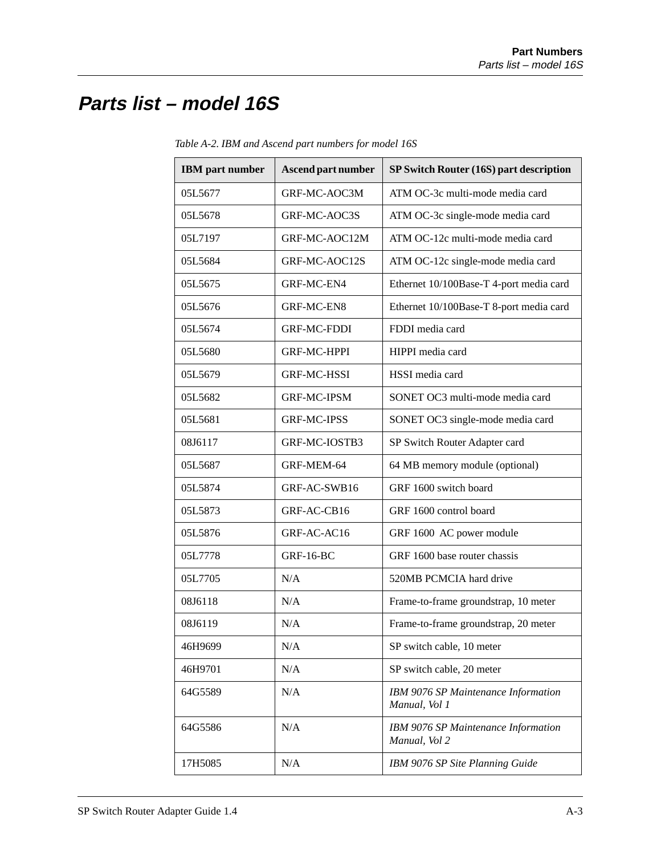# **Parts list – model 16S**

| <b>IBM</b> part number | <b>Ascend part number</b> | SP Switch Router (16S) part description              |
|------------------------|---------------------------|------------------------------------------------------|
| 05L5677                | GRF-MC-AOC3M              | ATM OC-3c multi-mode media card                      |
| 05L5678                | GRF-MC-AOC3S              | ATM OC-3c single-mode media card                     |
| 05L7197                | GRF-MC-AOC12M             | ATM OC-12c multi-mode media card                     |
| 05L5684                | GRF-MC-AOC12S             | ATM OC-12c single-mode media card                    |
| 05L5675                | GRF-MC-EN4                | Ethernet 10/100Base-T 4-port media card              |
| 05L5676                | GRF-MC-EN8                | Ethernet 10/100Base-T 8-port media card              |
| 05L5674                | <b>GRF-MC-FDDI</b>        | FDDI media card                                      |
| 05L5680                | <b>GRF-MC-HPPI</b>        | HIPPI media card                                     |
| 05L5679                | <b>GRF-MC-HSSI</b>        | HSSI media card                                      |
| 05L5682                | <b>GRF-MC-IPSM</b>        | SONET OC3 multi-mode media card                      |
| 05L5681                | <b>GRF-MC-IPSS</b>        | SONET OC3 single-mode media card                     |
| 08J6117                | GRF-MC-IOSTB3             | SP Switch Router Adapter card                        |
| 05L5687                | GRF-MEM-64                | 64 MB memory module (optional)                       |
| 05L5874                | GRF-AC-SWB16              | GRF 1600 switch board                                |
| 05L5873                | GRF-AC-CB16               | GRF 1600 control board                               |
| 05L5876                | GRF-AC-AC16               | GRF 1600 AC power module                             |
| 05L7778                | <b>GRF-16-BC</b>          | GRF 1600 base router chassis                         |
| 05L7705                | N/A                       | 520MB PCMCIA hard drive                              |
| 08J6118                | N/A                       | Frame-to-frame groundstrap, 10 meter                 |
| 08J6119                | N/A                       | Frame-to-frame groundstrap, 20 meter                 |
| 46H9699                | N/A                       | SP switch cable, 10 meter                            |
| 46H9701                | N/A                       | SP switch cable, 20 meter                            |
| 64G5589                | N/A                       | IBM 9076 SP Maintenance Information<br>Manual, Vol 1 |
| 64G5586                | N/A                       | IBM 9076 SP Maintenance Information<br>Manual, Vol 2 |
| 17H5085                | N/A                       | IBM 9076 SP Site Planning Guide                      |

*Table A-2. IBM and Ascend part numbers for model 16S*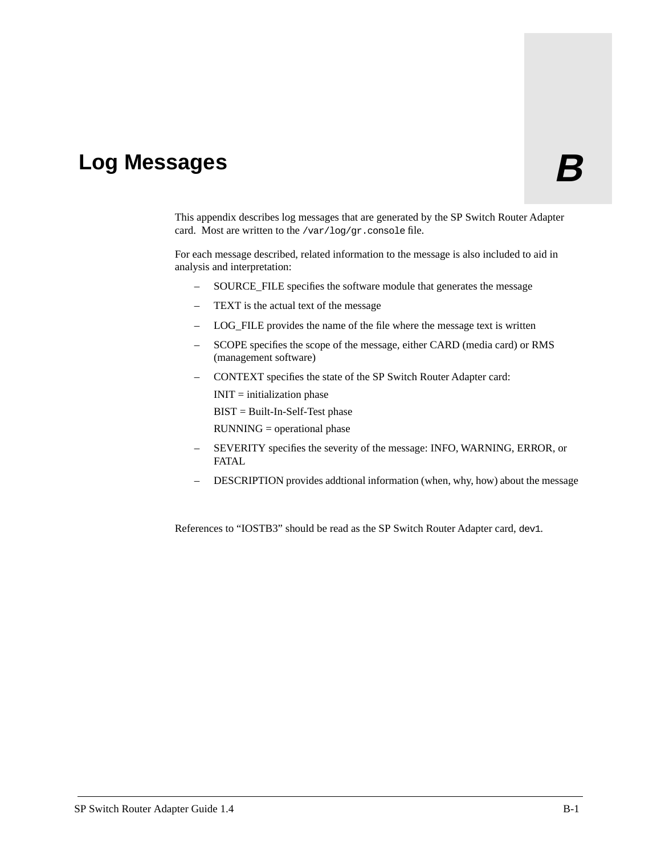# Log Messages **B**

This appendix describes log messages that are generated by the SP Switch Router Adapter card. Most are written to the /var/log/gr.console file.

For each message described, related information to the message is also included to aid in analysis and interpretation:

- SOURCE\_FILE specifies the software module that generates the message
- TEXT is the actual text of the message
- LOG\_FILE provides the name of the file where the message text is written
- SCOPE specifies the scope of the message, either CARD (media card) or RMS (management software)
- CONTEXT specifies the state of the SP Switch Router Adapter card:  $INT = initialization phase$ BIST = Built-In-Self-Test phase
	- RUNNING = operational phase
- SEVERITY specifies the severity of the message: INFO, WARNING, ERROR, or FATAL
- DESCRIPTION provides addtional information (when, why, how) about the message

References to "IOSTB3" should be read as the SP Switch Router Adapter card, dev1.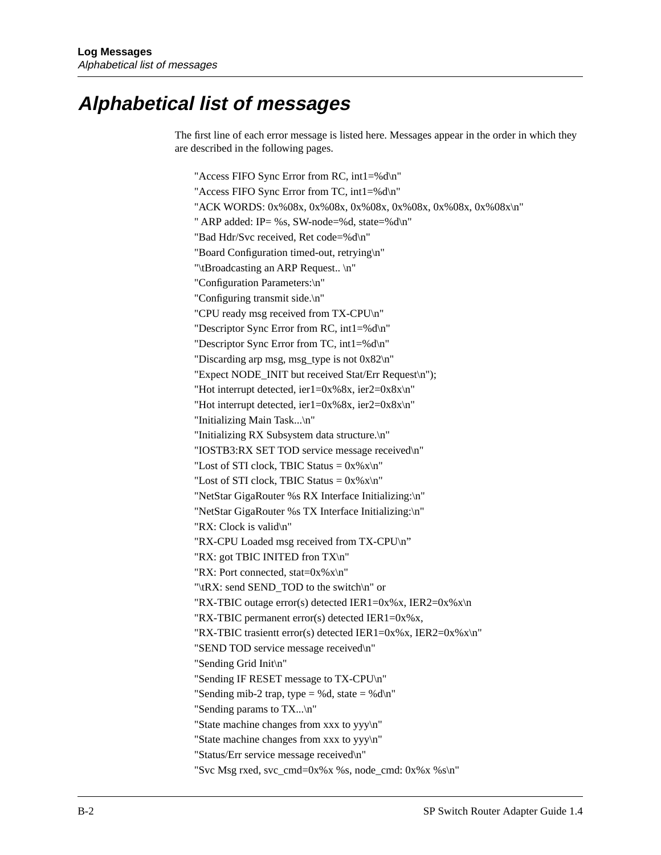# **Alphabetical list of messages**

The first line of each error message is listed here. Messages appear in the order in which they are described in the following pages.

"Access FIFO Sync Error from RC, int1=%d\n" "Access FIFO Sync Error from TC, int1=%d\n" "ACK WORDS: 0x%08x, 0x%08x, 0x%08x, 0x%08x, 0x%08x, 0x%08x\n" " ARP added: IP= %s, SW-node=%d, state=%d\n" "Bad Hdr/Svc received, Ret code=%d\n" "Board Configuration timed-out, retrying\n" "\tBroadcasting an ARP Request.. \n" "Configuration Parameters:\n" "Configuring transmit side.\n" "CPU ready msg received from TX-CPU\n" "Descriptor Sync Error from RC, int1=%d\n" "Descriptor Sync Error from TC, int1=%d\n" "Discarding arp msg, msg\_type is not 0x82\n" "Expect NODE\_INIT but received Stat/Err Request\n"); "Hot interrupt detected, ier1=0x%8x, ier2=0x8x\n" "Hot interrupt detected, ier1=0x%8x, ier2=0x8x\n" "Initializing Main Task...\n" "Initializing RX Subsystem data structure.\n" "IOSTB3:RX SET TOD service message received\n" "Lost of STI clock, TBIC Status =  $0x\%x\$ n" "Lost of STI clock, TBIC Status =  $0x\%x\ln$ " "NetStar GigaRouter %s RX Interface Initializing:\n" "NetStar GigaRouter %s TX Interface Initializing:\n" "RX: Clock is valid\n" "RX-CPU Loaded msg received from TX-CPU\n" "RX: got TBIC INITED fron TX\n" "RX: Port connected, stat= $0x\%x\ln$ " "\tRX: send SEND\_TOD to the switch\n" or "RX-TBIC outage error(s) detected IER1=0x%x, IER2=0x%x\n "RX-TBIC permanent error(s) detected IER1=0x%x, "RX-TBIC trasientt error(s) detected IER1=0x%x, IER2=0x%x\n" "SEND TOD service message received\n" "Sending Grid Init\n" "Sending IF RESET message to TX-CPU\n" "Sending mib-2 trap, type = %d, state = %d\n" "Sending params to TX...\n" "State machine changes from xxx to yyy\n" "State machine changes from xxx to yyy\n" "Status/Err service message received\n" "Svc Msg rxed, svc\_cmd=0x%x %s, node\_cmd: 0x%x %s\n"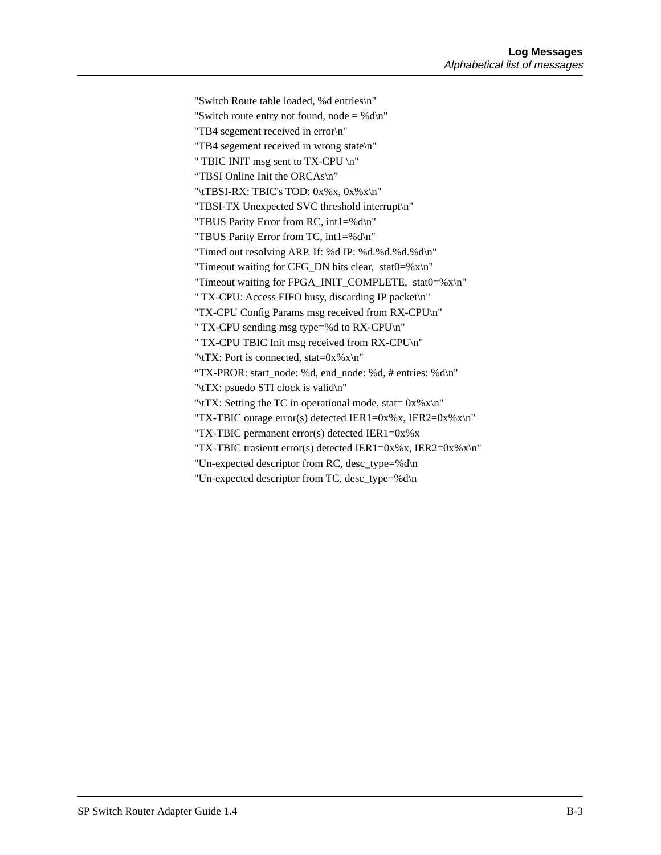"Switch Route table loaded, %d entries\n" "Switch route entry not found, node  $=$  %d\n" "TB4 segement received in error\n" "TB4 segement received in wrong state\n" " TBIC INIT msg sent to TX-CPU \n" "TBSI Online Init the ORCAs\n" "\tTBSI-RX: TBIC's TOD: 0x%x, 0x%x\n" "TBSI-TX Unexpected SVC threshold interrupt\n" "TBUS Parity Error from RC, int1=%d\n" "TBUS Parity Error from TC, int1=%d\n" "Timed out resolving ARP. If: %d IP: %d.%d.%d.%d\n" "Timeout waiting for CFG\_DN bits clear, stat0=% $x\$ <sup>"</sup> "Timeout waiting for FPGA\_INIT\_COMPLETE, stat0=%x\n" " TX-CPU: Access FIFO busy, discarding IP packet\n" "TX-CPU Config Params msg received from RX-CPU\n" " TX-CPU sending msg type=%d to RX-CPU\n" " TX-CPU TBIC Init msg received from RX-CPU\n" "\tTX: Port is connected, stat= $0x\%x\ln$ " "TX-PROR: start\_node: %d, end\_node: %d, # entries: %d\n" "\tTX: psuedo STI clock is valid\n" "\tTX: Setting the TC in operational mode, stat=  $0x\%x\$ n" "TX-TBIC outage error(s) detected IER1=0x%x, IER2=0x%x\n" "TX-TBIC permanent error(s) detected IER1=0x%x "TX-TBIC trasientt error(s) detected IER1=0x%x, IER2=0x%x\n" "Un-expected descriptor from RC, desc\_type=%d\n "Un-expected descriptor from TC, desc\_type=%d\n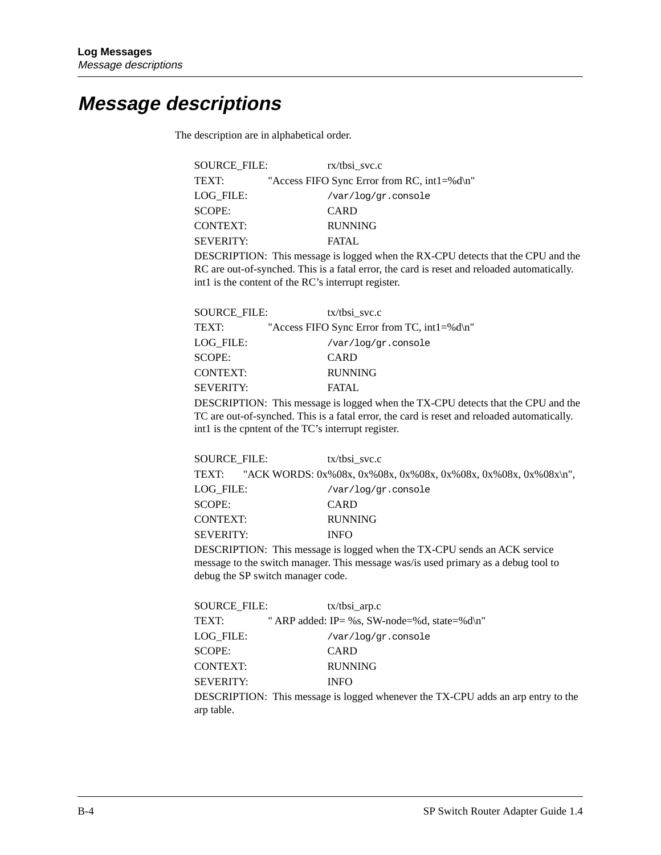# **Message descriptions**

The description are in alphabetical order.

| <b>SOURCE FILE:</b> | $rx/t$ bsi svc.c                            |
|---------------------|---------------------------------------------|
| TEXT:               | "Access FIFO Sync Error from RC, int1=%d\n" |
| LOG FILE:           | /var/log/gr.console                         |
| SCOPE:              | <b>CARD</b>                                 |
| <b>CONTEXT:</b>     | <b>RUNNING</b>                              |
| <b>SEVERITY:</b>    | <b>FATAL</b>                                |
|                     |                                             |

DESCRIPTION: This message is logged when the RX-CPU detects that the CPU and the RC are out-of-synched. This is a fatal error, the card is reset and reloaded automatically. int1 is the content of the RC's interrupt register.

| SOURCE FILE:     | $tx/t$ bsi svc.c                                              |
|------------------|---------------------------------------------------------------|
| TEXT:            | "Access FIFO Sync Error from TC, $int1 = %d\pi$ "             |
| LOG FILE:        | /var/log/gr.console                                           |
| SCOPE:           | <b>CARD</b>                                                   |
| <b>CONTEXT:</b>  | <b>RUNNING</b>                                                |
| <b>SEVERITY:</b> | FATAL.                                                        |
|                  | <b>DECONDEION</b> THE COLLECTED AT 1000 ALTER ONE 10000 ALTER |

DESCRIPTION: This message is logged when the TX-CPU detects that the CPU and the TC are out-of-synched. This is a fatal error, the card is reset and reloaded automatically. int1 is the cpntent of the TC's interrupt register.

| SOURCE FILE:     | $tx/t$ bsi svc.c                                                     |
|------------------|----------------------------------------------------------------------|
|                  | TEXT: "ACK WORDS: 0x%08x, 0x%08x, 0x%08x, 0x%08x, 0x%08x, 0x%08x\n", |
| LOG FILE:        | /var/log/gr.console                                                  |
| SCOPE:           | <b>CARD</b>                                                          |
| CONTEXT:         | <b>RUNNING</b>                                                       |
| <b>SEVERITY:</b> | <b>INFO</b>                                                          |
|                  |                                                                      |

DESCRIPTION: This message is logged when the TX-CPU sends an ACK service message to the switch manager. This message was/is used primary as a debug tool to debug the SP switch manager code.

| SOURCE FILE:     | $tx/tbsi$ <sub>_arp.c</sub>                                            |
|------------------|------------------------------------------------------------------------|
| TEXT:            | " ARP added: IP= %s, SW-node=%d, state=%d\n"                           |
| LOG FILE:        | /var/log/gr.console                                                    |
| SCOPE:           | <b>CARD</b>                                                            |
| <b>CONTEXT:</b>  | <b>RUNNING</b>                                                         |
| <b>SEVERITY:</b> | <b>INFO</b>                                                            |
|                  | DESCRIPTION: This message is logged whenever the TX-CPU adds an arp en |

try to the arp table.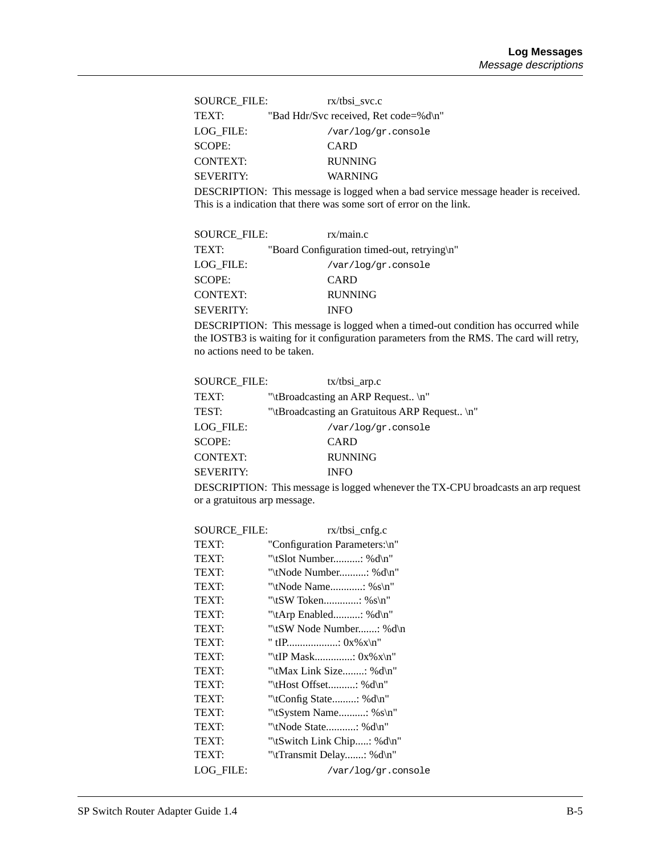| SOURCE FILE:     | $rx/t$ bsi svc.c                      |
|------------------|---------------------------------------|
| TEXT:            | "Bad Hdr/Svc received, Ret code=%d\n" |
| LOG FILE:        | /var/log/gr.console                   |
| <b>SCOPE:</b>    | <b>CARD</b>                           |
| <b>CONTEXT:</b>  | <b>RUNNING</b>                        |
| <b>SEVERITY:</b> | <b>WARNING</b>                        |

DESCRIPTION: This message is logged when a bad service message header is received. This is a indication that there was some sort of error on the link.

| <b>SOURCE FILE:</b> | rx/main.c                                   |
|---------------------|---------------------------------------------|
| TEXT:               | "Board Configuration timed-out, retrying\n" |
| LOG FILE:           | /var/log/gr.console                         |
| <b>SCOPE:</b>       | <b>CARD</b>                                 |
| <b>CONTEXT:</b>     | <b>RUNNING</b>                              |
| <b>SEVERITY:</b>    | <b>INFO</b>                                 |

DESCRIPTION: This message is logged when a timed-out condition has occurred while the IOSTB3 is waiting for it configuration parameters from the RMS. The card will retry, no actions need to be taken.

| <b>SOURCE FILE:</b> | $tx/tbsi$ arp.c                                                                                      |
|---------------------|------------------------------------------------------------------------------------------------------|
| TEXT:               | "\tBroadcasting an ARP Request \n"                                                                   |
| TEST:               | "\tBroadcasting an Gratuitous ARP Request \n"                                                        |
| LOG FILE:           | /var/log/gr.console                                                                                  |
| <b>SCOPE:</b>       | <b>CARD</b>                                                                                          |
| <b>CONTEXT:</b>     | <b>RUNNING</b>                                                                                       |
| <b>SEVERITY:</b>    | <b>INFO</b>                                                                                          |
|                     | $DPICDIDPION$ , $T1$ , $\ldots$ , $1$ , $\ldots$ , $1$ , $\ldots$ , $1$ , $TVI$ , $CDIII$ , $\ldots$ |

DESCRIPTION: This message is logged whenever the TX-CPU broadcasts an arp request or a gratuitous arp message.

| <b>SOURCE_FILE:</b> | $rx/tbsi_cenfg.c$             |
|---------------------|-------------------------------|
| TEXT:               | "Configuration Parameters:\n" |
| TEXT:               | "\tSlot Number: %d\n"         |
| TEXT:               | "\tNode Number: %d\n"         |
| <b>TEXT:</b>        | "\tNode Name: %s\n"           |
| <b>TEXT:</b>        | "\tSW Token: %s\n"            |
| TEXT:               | "\tArp Enabled: %d\n"         |
| TEXT:               | "\tSW Node Number: %d\n       |
| <b>TEXT:</b>        | " tIP: $0x\%x\n''$            |
| TEXT:               | "\tIP Mask: $0x\%x\n"$        |
| TEXT:               | "\tMax Link Size: %d\n"       |
| <b>TEXT:</b>        | "\tHost Offset: %d\n"         |
| TEXT:               | "\tConfig State: % $d\n$ "    |
| TEXT:               | "\tSystem Name: % $s\$ n"     |
| TEXT:               | "\tNode State: %d\n"          |
| TEXT:               | "\tSwitch Link Chip: %d\n"    |
| TEXT:               | "\tTransmit Delay: %d\n"      |
| LOG FILE:           | /var/log/gr.console           |
|                     |                               |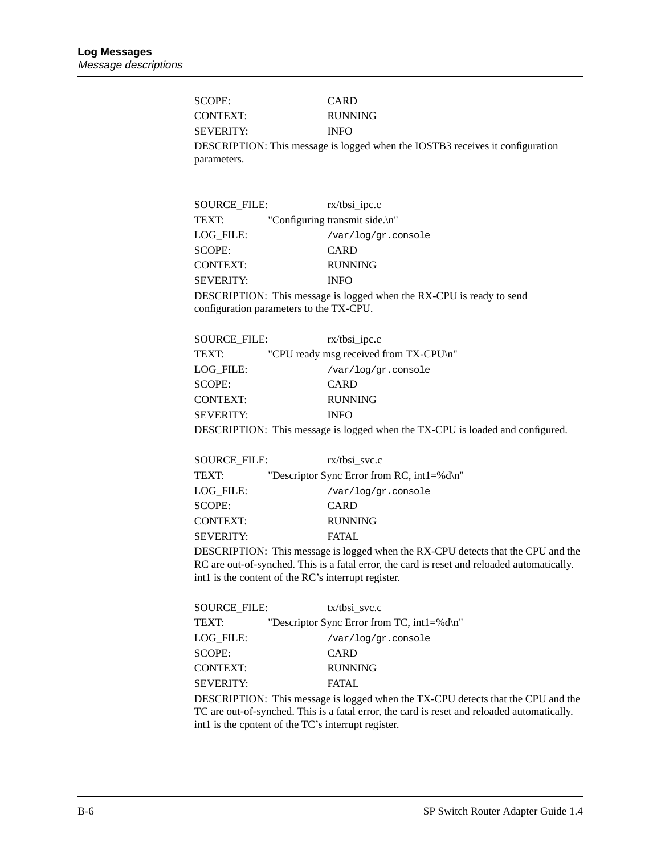SCOPE: CARD CONTEXT: RUNNING SEVERITY: INFO DESCRIPTION: This message is logged when the IOSTB3 receives it configuration parameters.

| <b>SOURCE FILE:</b> | $rx/tbsi\_ipc.c$                                                     |
|---------------------|----------------------------------------------------------------------|
| TEXT:               | "Configuring transmit side.\n"                                       |
| LOG FILE:           | /var/log/gr.console                                                  |
| SCOPE:              | CARD                                                                 |
| <b>CONTEXT:</b>     | <b>RUNNING</b>                                                       |
| <b>SEVERITY:</b>    | <b>INFO</b>                                                          |
|                     | DESCRIPTION: This message is logged when the RX-CPU is ready to send |
|                     | configuration parameters to the TX-CPU.                              |

| SOURCE FILE:     | $rx/tbsi\_ipc.c$                                                                                                                                                                                                                                                                                                                   |
|------------------|------------------------------------------------------------------------------------------------------------------------------------------------------------------------------------------------------------------------------------------------------------------------------------------------------------------------------------|
| TEXT:            | "CPU ready msg received from TX-CPU\n"                                                                                                                                                                                                                                                                                             |
| LOG FILE:        | /var/log/gr.console                                                                                                                                                                                                                                                                                                                |
| <b>SCOPE:</b>    | <b>CARD</b>                                                                                                                                                                                                                                                                                                                        |
| <b>CONTEXT:</b>  | <b>RUNNING</b>                                                                                                                                                                                                                                                                                                                     |
| <b>SEVERITY:</b> | <b>INFO</b>                                                                                                                                                                                                                                                                                                                        |
| $P_{\text{max}}$ | $\mathbf{1}$ $\mathbf{1}$ $\mathbf{1}$ $\mathbf{1}$ $\mathbf{1}$ $\mathbf{1}$ $\mathbf{1}$ $\mathbf{1}$ $\mathbf{1}$ $\mathbf{1}$ $\mathbf{1}$ $\mathbf{1}$ $\mathbf{1}$ $\mathbf{1}$ $\mathbf{1}$ $\mathbf{1}$ $\mathbf{1}$ $\mathbf{1}$ $\mathbf{1}$ $\mathbf{1}$ $\mathbf{1}$ $\mathbf{1}$ $\mathbf{1}$ $\mathbf{1}$ $\mathbf{$ |

DESCRIPTION: This message is logged when the TX-CPU is loaded and configured.

| <b>SOURCE FILE:</b> | $rx/t$ bsi svc.c                                 |
|---------------------|--------------------------------------------------|
| TEXT:               | "Descriptor Sync Error from RC, int $1 = %d\$ n" |
| LOG FILE:           | /var/log/gr.console                              |
| SCOPE:              | CARD                                             |
| <b>CONTEXT:</b>     | <b>RUNNING</b>                                   |
| <b>SEVERITY:</b>    | FATAL.                                           |

DESCRIPTION: This message is logged when the RX-CPU detects that the CPU and the RC are out-of-synched. This is a fatal error, the card is reset and reloaded automatically. int1 is the content of the RC's interrupt register.

| <b>SOURCE FILE:</b> | $tx/t$ bsi svc.c                                 |
|---------------------|--------------------------------------------------|
| <b>TEXT:</b>        | "Descriptor Sync Error from TC, int $1 = %d\$ n" |
| LOG FILE:           | /var/log/gr.console                              |
| SCOPE:              | CARD                                             |
| <b>CONTEXT:</b>     | <b>RUNNING</b>                                   |
| <b>SEVERITY:</b>    | FATAL.                                           |
|                     |                                                  |

DESCRIPTION: This message is logged when the TX-CPU detects that the CPU and the TC are out-of-synched. This is a fatal error, the card is reset and reloaded automatically. int1 is the cpntent of the TC's interrupt register.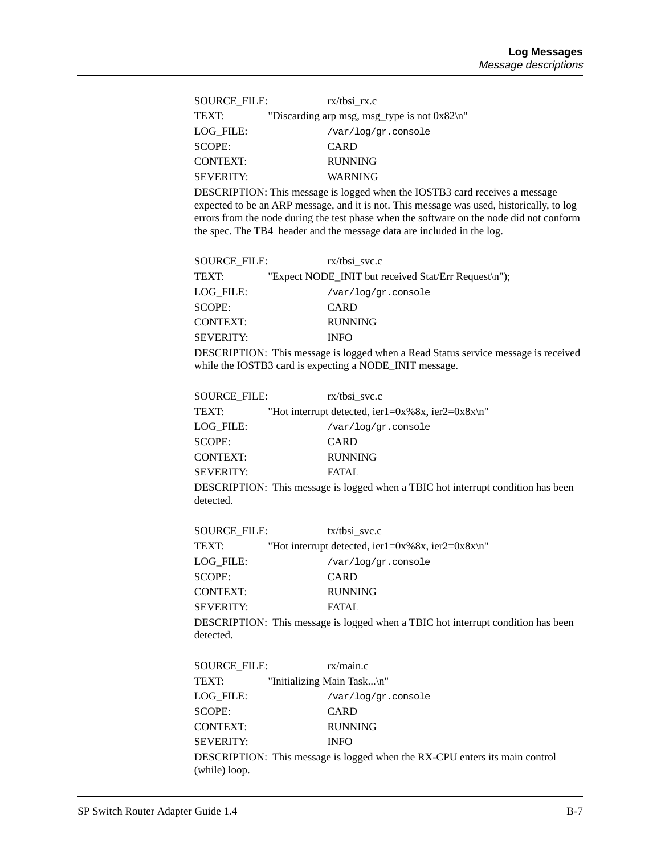| SOURCE FILE:     | $rx/t$ bsi $rx.c$                                   |
|------------------|-----------------------------------------------------|
| TEXT:            | "Discarding arp msg, msg_type is not $0x82 \n\pi$ " |
| LOG FILE:        | /var/log/gr.console                                 |
| SCOPE:           | CARD                                                |
| CONTEXT:         | <b>RUNNING</b>                                      |
| <b>SEVERITY:</b> | WARNING                                             |

DESCRIPTION: This message is logged when the IOSTB3 card receives a message expected to be an ARP message, and it is not. This message was used, historically, to log errors from the node during the test phase when the software on the node did not conform the spec. The TB4 header and the message data are included in the log.

| <b>SOURCE FILE:</b> | $rx/t$ bsi svc.c                                     |
|---------------------|------------------------------------------------------|
| TEXT:               | "Expect NODE_INIT but received Stat/Err Request\n"); |
| LOG FILE:           | /var/log/gr.console                                  |
| <b>SCOPE:</b>       | CARD                                                 |
| <b>CONTEXT:</b>     | <b>RUNNING</b>                                       |
| <b>SEVERITY:</b>    | <b>INFO</b>                                          |
|                     |                                                      |

DESCRIPTION: This message is logged when a Read Status service message is received while the IOSTB3 card is expecting a NODE\_INIT message.

| <b>SOURCE FILE:</b> | $rx/t$ bsi svc.c                                                                                |
|---------------------|-------------------------------------------------------------------------------------------------|
| TEXT:               | "Hot interrupt detected, ier1=0x%8x, ier2=0x8x\n"                                               |
| LOG FILE:           | /var/log/gr.console                                                                             |
| <b>SCOPE:</b>       | CARD                                                                                            |
| <b>CONTEXT:</b>     | <b>RUNNING</b>                                                                                  |
| <b>SEVERITY:</b>    | FATAL.                                                                                          |
|                     | $DECOMIPPION.$ THe same set of $1, \ldots, 1, 1, \ldots$ . TEDIC $1, \ldots, 1, \ldots, \ldots$ |

DESCRIPTION: This message is logged when a TBIC hot interrupt condition has been detected.

| <b>SOURCE FILE:</b> | $tx/t$ bsi svc.c                                                                 |
|---------------------|----------------------------------------------------------------------------------|
| TEXT:               | "Hot interrupt detected, ier1=0x%8x, ier2=0x8x\n"                                |
| LOG FILE:           | /var/log/gr.console                                                              |
| <b>SCOPE:</b>       | <b>CARD</b>                                                                      |
| <b>CONTEXT:</b>     | <b>RUNNING</b>                                                                   |
| <b>SEVERITY:</b>    | <b>FATAL</b>                                                                     |
|                     | DESCRIPTION: This message is logged when a TBIC hot interrupt condition has been |
| detected.           |                                                                                  |

| SOURCE FILE:     | rx/main.c                  |                                                                             |
|------------------|----------------------------|-----------------------------------------------------------------------------|
| TEXT:            | "Initializing Main Task\n" |                                                                             |
| LOG FILE:        | /var/log/gr.console        |                                                                             |
| <b>SCOPE:</b>    | CARD                       |                                                                             |
| <b>CONTEXT:</b>  | <b>RUNNING</b>             |                                                                             |
| <b>SEVERITY:</b> | <b>INFO</b>                |                                                                             |
|                  |                            | DESCRIPTION: This message is logged when the RX-CPU enters its main control |
| (while) loop.    |                            |                                                                             |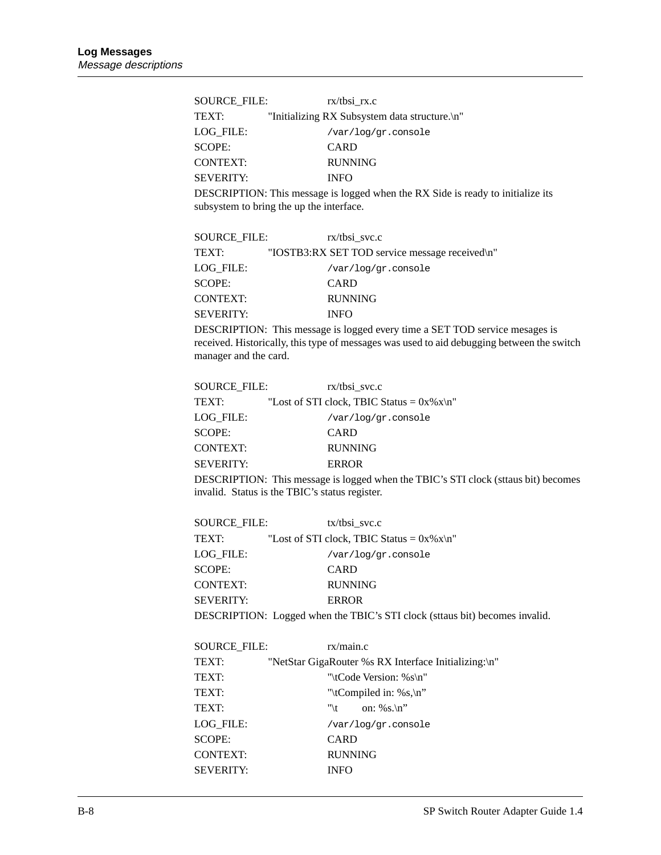| <b>SOURCE FILE:</b> | $rx/t$ bsi $rx.c$                             |
|---------------------|-----------------------------------------------|
| TEXT:               | "Initializing RX Subsystem data structure.\n" |
| LOG FILE:           | /var/log/gr.console                           |
| SCOPE:              | CARD                                          |
| <b>CONTEXT:</b>     | <b>RUNNING</b>                                |
| <b>SEVERITY:</b>    | <b>INFO</b>                                   |

DESCRIPTION: This message is logged when the RX Side is ready to initialize its subsystem to bring the up the interface.

| SOURCE FILE:     | $rx/t$ bsi svc.c                               |
|------------------|------------------------------------------------|
| TEXT:            | "IOSTB3:RX SET TOD service message received\n" |
| LOG FILE:        | /var/log/gr.console                            |
| SCOPE:           | CARD                                           |
| <b>CONTEXT:</b>  | <b>RUNNING</b>                                 |
| <b>SEVERITY:</b> | <b>INFO</b>                                    |

DESCRIPTION: This message is logged every time a SET TOD service mesages is received. Historically, this type of messages was used to aid debugging between the switch manager and the card.

| <b>SOURCE FILE:</b> | $rx/t$ bsi svc.c                               |
|---------------------|------------------------------------------------|
| <b>TEXT:</b>        | "Lost of STI clock, TBIC Status = $0x\%x\ln$ " |
| LOG FILE:           | /var/log/gr.console                            |
| SCOPE:              | <b>CARD</b>                                    |
| <b>CONTEXT:</b>     | <b>RUNNING</b>                                 |
| <b>SEVERITY:</b>    | <b>ERROR</b>                                   |
|                     |                                                |

DESCRIPTION: This message is logged when the TBIC's STI clock (sttaus bit) becomes invalid. Status is the TBIC's status register.

| SOURCE FILE:     | $tx/t$ bsi svc.c                                                            |
|------------------|-----------------------------------------------------------------------------|
| TEXT:            | "Lost of STI clock, TBIC Status = $0x\%x\ln$ "                              |
| LOG FILE:        | /var/log/gr.console                                                         |
| <b>SCOPE:</b>    | CARD                                                                        |
| <b>CONTEXT:</b>  | <b>RUNNING</b>                                                              |
| <b>SEVERITY:</b> | <b>ERROR</b>                                                                |
|                  | DESCRIPTION: Logged when the TBIC's STI clock (sttaus bit) becomes invalid. |

| SOURCE FILE:     | rx/main.c                                            |  |
|------------------|------------------------------------------------------|--|
| TEXT:            | "NetStar GigaRouter %s RX Interface Initializing:\n" |  |
| TEXT:            | "\tCode Version: % $s\$ n"                           |  |
| TEXT:            | "\tCompiled in: %s,\n"                               |  |
| TEXT:            | "\t on: %s.\n"                                       |  |
| LOG FILE:        | /var/log/gr.console                                  |  |
| SCOPE:           | <b>CARD</b>                                          |  |
| <b>CONTEXT:</b>  | <b>RUNNING</b>                                       |  |
| <b>SEVERITY:</b> | INFO                                                 |  |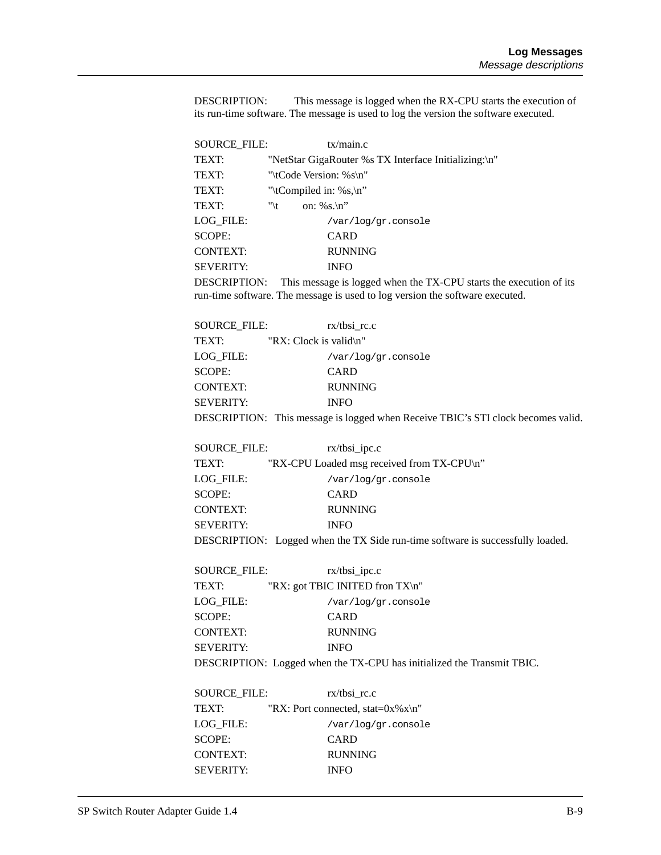DESCRIPTION: This message is logged when the RX-CPU starts the execution of its run-time software. The message is used to log the version the software executed.

| SOURCE_FILE:     | tx/main.c                                            |  |
|------------------|------------------------------------------------------|--|
| TEXT:            | "NetStar GigaRouter %s TX Interface Initializing:\n" |  |
| TEXT:            | "\tCode Version: %s\n"                               |  |
| TEXT:            | "\tCompiled in: %s,\n"                               |  |
| TEXT:            | on: %s.\n"<br>"\t                                    |  |
| LOG FILE:        | /var/log/gr.console                                  |  |
| SCOPE:           | <b>CARD</b>                                          |  |
| <b>CONTEXT:</b>  | <b>RUNNING</b>                                       |  |
| <b>SEVERITY:</b> | INFO                                                 |  |
|                  |                                                      |  |

DESCRIPTION: This message is logged when the TX-CPU starts the execution of its run-time software. The message is used to log version the software executed.

| SOURCE FILE:     | $rx/t$ bsi rc.c        |                                                                                |
|------------------|------------------------|--------------------------------------------------------------------------------|
| TEXT:            | "RX: Clock is valid\n" |                                                                                |
| LOG FILE:        | /var/log/gr.console    |                                                                                |
| SCOPE:           | <b>CARD</b>            |                                                                                |
| CONTEXT:         | <b>RUNNING</b>         |                                                                                |
| <b>SEVERITY:</b> | <b>INFO</b>            |                                                                                |
|                  |                        | DESCRIPTION: This masses is logged when Because TBIC's STI algeb becomes valid |

DESCRIPTION: This message is logged when Receive TBIC's STI clock becomes valid.

| <b>SOURCE FILE:</b> | $rx/tbsi\_ipc.c$                                                               |
|---------------------|--------------------------------------------------------------------------------|
| TEXT:               | "RX-CPU Loaded msg received from TX-CPU\n"                                     |
| LOG FILE:           | /var/log/gr.console                                                            |
| <b>SCOPE:</b>       | <b>CARD</b>                                                                    |
| <b>CONTEXT:</b>     | <b>RUNNING</b>                                                                 |
| <b>SEVERITY:</b>    | <b>INFO</b>                                                                    |
|                     | DESCRIPTION: Logged when the TX Side run-time software is successfully loaded. |

| SOURCE FILE:     | $rx/tbsi\_ipc.c$                                                      |
|------------------|-----------------------------------------------------------------------|
| TEXT:            | "RX: got TBIC INITED from $TX\setminus n$ "                           |
| LOG FILE:        | /var/log/gr.console                                                   |
| SCOPE:           | CARD                                                                  |
| <b>CONTEXT:</b>  | <b>RUNNING</b>                                                        |
| <b>SEVERITY:</b> | <b>INFO</b>                                                           |
|                  | DESCRIPTION. Logged when the TV CDU her initialized the Trenomit TDIC |

DESCRIPTION: Logged when the TX-CPU has initialized the Transmit TBIC.

| SOURCE FILE:     | $rx/t$ bsi rc.c                         |
|------------------|-----------------------------------------|
| TEXT:            | "RX: Port connected, stat= $0x\%x\ln$ " |
| LOG FILE:        | /var/log/gr.console                     |
| <b>SCOPE:</b>    | <b>CARD</b>                             |
| <b>CONTEXT:</b>  | <b>RUNNING</b>                          |
| <b>SEVERITY:</b> | <b>INFO</b>                             |
|                  |                                         |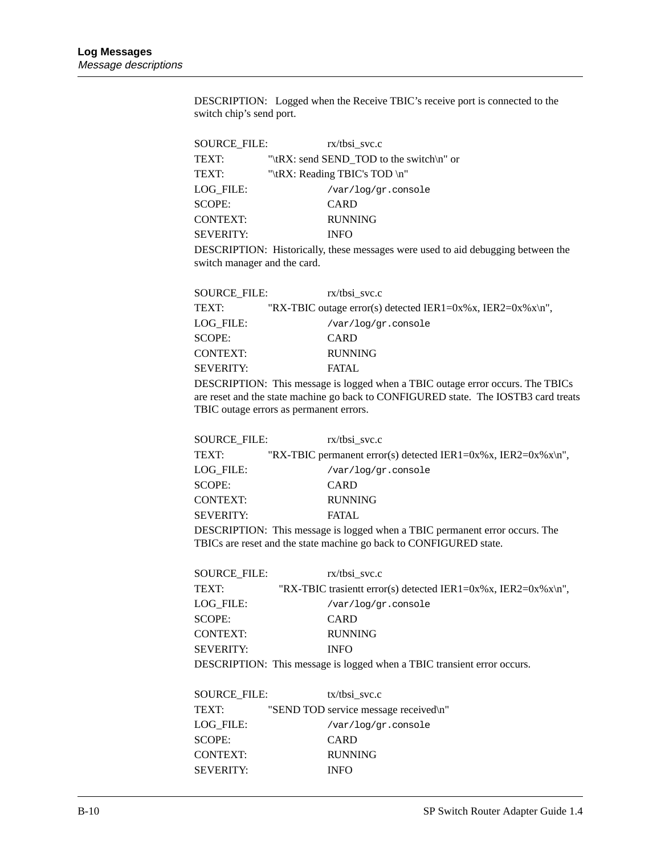DESCRIPTION: Logged when the Receive TBIC's receive port is connected to the switch chip's send port.

| <b>SOURCE FILE:</b> | $rx/t$ bsi svc.c                         |
|---------------------|------------------------------------------|
| TEXT:               | "\tRX: send SEND TOD to the switch\n" or |
| TEXT:               | "\tRX: Reading TBIC's TOD \n"            |
| LOG FILE:           | /var/log/gr.console                      |
| <b>SCOPE:</b>       | <b>CARD</b>                              |
| <b>CONTEXT:</b>     | <b>RUNNING</b>                           |
| <b>SEVERITY:</b>    | <b>INFO</b>                              |
|                     |                                          |

DESCRIPTION: Historically, these messages were used to aid debugging between the switch manager and the card.

| <b>SOURCE FILE:</b> | $rx/t$ bsi svc.c                                                                          |
|---------------------|-------------------------------------------------------------------------------------------|
| TEXT:               | "RX-TBIC outage error(s) detected IER1=0x%x, IER2=0x%x\n",                                |
| LOG FILE:           | /var/log/gr.console                                                                       |
| <b>SCOPE:</b>       | CARD                                                                                      |
| <b>CONTEXT:</b>     | <b>RUNNING</b>                                                                            |
| <b>SEVERITY:</b>    | FATAL.                                                                                    |
|                     | $\overline{DESCRIPTION}$ This message is logged when a TRIC outage error occurs. The TRIC |

DESCRIPTION: This message is logged when a TBIC outage error occurs. The TBICs are reset and the state machine go back to CONFIGURED state. The IOSTB3 card treats TBIC outage errors as permanent errors.

| <b>SOURCE FILE:</b> | $rx/t$ bsi svc.c                                                            |
|---------------------|-----------------------------------------------------------------------------|
| TEXT:               | "RX-TBIC permanent error(s) detected IER1=0x%x, IER2=0x%x\n",               |
| LOG FILE:           | /var/log/gr.console                                                         |
| SCOPE:              | <b>CARD</b>                                                                 |
| <b>CONTEXT:</b>     | <b>RUNNING</b>                                                              |
| <b>SEVERITY:</b>    | <b>FATAL</b>                                                                |
|                     | DESCRIPTION: This message is logged when a TRIC permanent error occurs. The |

DESCRIPTION: This message is logged when a TBIC permanent error occurs. The TBICs are reset and the state machine go back to CONFIGURED state.

| <b>SOURCE FILE:</b> | $rx/t$ bsi svc.c                                                        |
|---------------------|-------------------------------------------------------------------------|
| TEXT:               | "RX-TBIC trasient error(s) detected IER1=0x%x, IER2=0x%x\n",            |
| LOG FILE:           | /var/log/gr.console                                                     |
| SCOPE:              | <b>CARD</b>                                                             |
| <b>CONTEXT:</b>     | <b>RUNNING</b>                                                          |
| <b>SEVERITY:</b>    | <b>INFO</b>                                                             |
|                     | DESCRIPTION: This message is logged when a TBIC transient error occurs. |

| SOURCE FILE:     | $tx/t$ bsi svc.c                      |
|------------------|---------------------------------------|
| <b>TEXT:</b>     | "SEND TOD service message received\n" |
| LOG FILE:        | /var/log/gr.console                   |
| SCOPE:           | <b>CARD</b>                           |
| <b>CONTEXT:</b>  | <b>RUNNING</b>                        |
| <b>SEVERITY:</b> | <b>INFO</b>                           |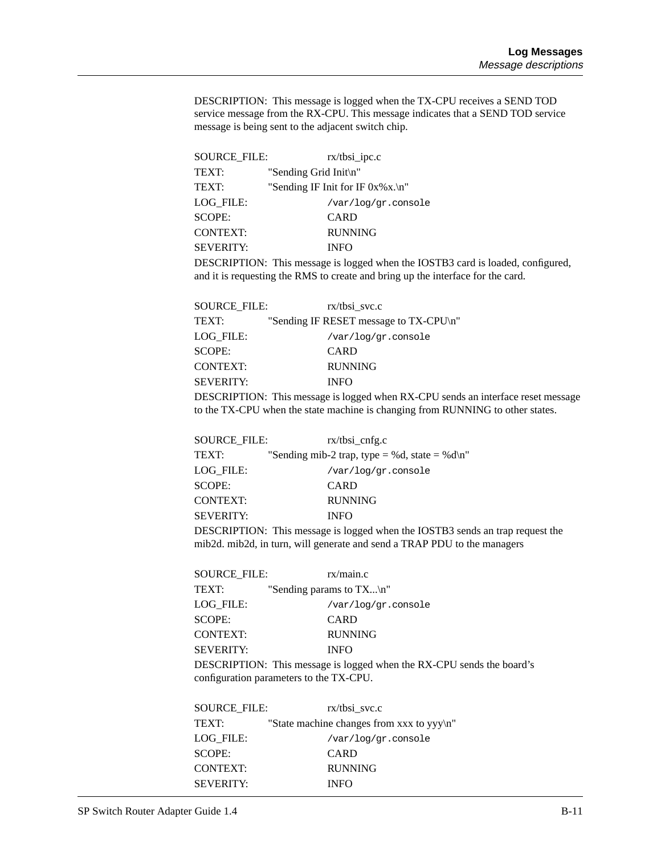DESCRIPTION: This message is logged when the TX-CPU receives a SEND TOD service message from the RX-CPU. This message indicates that a SEND TOD service message is being sent to the adjacent switch chip.

| <b>SOURCE FILE:</b> | $rx/tbsi\_ipc.c$                       |
|---------------------|----------------------------------------|
| <b>TEXT:</b>        | "Sending Grid Init\n"                  |
| <b>TEXT:</b>        | "Sending IF Init for IF $0x\%x.\n\ $ " |
| LOG FILE:           | /var/log/gr.console                    |
| <b>SCOPE:</b>       | <b>CARD</b>                            |
| <b>CONTEXT:</b>     | <b>RUNNING</b>                         |
| <b>SEVERITY:</b>    | <b>INFO</b>                            |
|                     |                                        |

DESCRIPTION: This message is logged when the IOSTB3 card is loaded, configured, and it is requesting the RMS to create and bring up the interface for the card.

| <b>SOURCE FILE:</b> | rx/tbsi svc.c                                       |
|---------------------|-----------------------------------------------------|
| TEXT:               | "Sending IF RESET message to TX-CPU\n"              |
| LOG FILE:           | /var/log/gr.console                                 |
| <b>SCOPE:</b>       | <b>CARD</b>                                         |
| <b>CONTEXT:</b>     | <b>RUNNING</b>                                      |
| <b>SEVERITY:</b>    | <b>INFO</b>                                         |
|                     | DECOUPTION. This masses is larged when DV CDU and a |

DESCRIPTION: This message is logged when RX-CPU sends an interface reset message to the TX-CPU when the state machine is changing from RUNNING to other states.

| <b>SOURCE FILE:</b> | $rx/tbsi_{\text{on}}fg.c$                     |
|---------------------|-----------------------------------------------|
| TEXT:               | "Sending mib-2 trap, type = %d, state = %d\n" |
| LOG FILE:           | /var/log/gr.console                           |
| <b>SCOPE:</b>       | <b>CARD</b>                                   |
| <b>CONTEXT:</b>     | <b>RUNNING</b>                                |
| <b>SEVERITY:</b>    | <b>INFO</b>                                   |
|                     |                                               |

DESCRIPTION: This message is logged when the IOSTB3 sends an trap request the mib2d. mib2d, in turn, will generate and send a TRAP PDU to the managers

| SOURCE FILE:     | rx/main.c                                                                                                        |
|------------------|------------------------------------------------------------------------------------------------------------------|
| TEXT:            | "Sending params to $TX\n\mid n$ "                                                                                |
| LOG FILE:        | /var/log/gr.console                                                                                              |
| <b>SCOPE:</b>    | <b>CARD</b>                                                                                                      |
| <b>CONTEXT:</b>  | <b>RUNNING</b>                                                                                                   |
| <b>SEVERITY:</b> | <b>INFO</b>                                                                                                      |
|                  | DESCRIPTION: This message is logged when the RX-CPU sends the board's<br>configuration parameters to the TX-CPU. |

| SOURCE FILE:     | $rx/t$ bsi svc.c                            |
|------------------|---------------------------------------------|
| TEXT:            | "State machine changes from xxx to $yy\$ n" |
| LOG FILE:        | /var/log/gr.console                         |
| <b>SCOPE:</b>    | <b>CARD</b>                                 |
| <b>CONTEXT:</b>  | <b>RUNNING</b>                              |
| <b>SEVERITY:</b> | <b>INFO</b>                                 |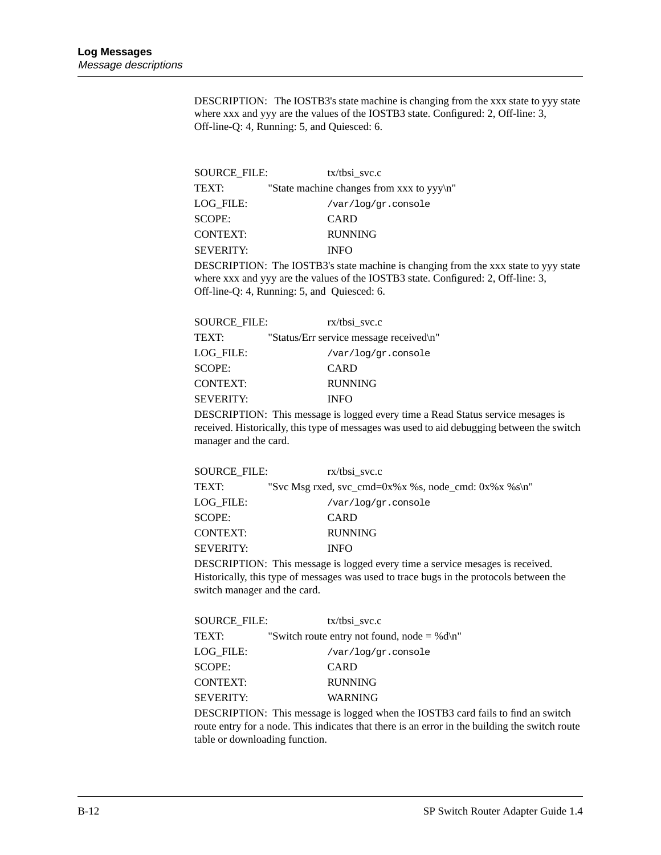DESCRIPTION: The IOSTB3's state machine is changing from the xxx state to yyy state where xxx and yyy are the values of the IOSTB3 state. Configured: 2, Off-line: 3, Off-line-Q: 4, Running: 5, and Quiesced: 6.

| SOURCE FILE:     | $tx/t$ bsi svc.c                             |
|------------------|----------------------------------------------|
| TEXT:            | "State machine changes from xxx to $yyy\$ n" |
| LOG FILE:        | /var/log/gr.console                          |
| <b>SCOPE:</b>    | <b>CARD</b>                                  |
| <b>CONTEXT:</b>  | <b>RUNNING</b>                               |
| <b>SEVERITY:</b> | <b>INFO</b>                                  |

DESCRIPTION: The IOSTB3's state machine is changing from the xxx state to yyy state where xxx and yyy are the values of the IOSTB3 state. Configured: 2, Off-line: 3, Off-line-Q: 4, Running: 5, and Quiesced: 6.

| <b>SOURCE FILE:</b> | $rx/t$ bsi svc.c                        |
|---------------------|-----------------------------------------|
| <b>TEXT:</b>        | "Status/Err service message received\n" |
| LOG FILE:           | /var/log/gr.console                     |
| SCOPE:              | <b>CARD</b>                             |
| <b>CONTEXT:</b>     | <b>RUNNING</b>                          |
| <b>SEVERITY:</b>    | <b>INFO</b>                             |
|                     |                                         |

DESCRIPTION: This message is logged every time a Read Status service mesages is received. Historically, this type of messages was used to aid debugging between the switch manager and the card.

| <b>SOURCE FILE:</b> | $rx/t$ bsi svc.c                                               |
|---------------------|----------------------------------------------------------------|
| TEXT:               | "Svc Msg rxed, svc_cmd= $0x\%x\%s$ , node_cmd: $0x\%x\%s\}n$ " |
| LOG FILE:           | /var/log/gr.console                                            |
| SCOPE:              | <b>CARD</b>                                                    |
| <b>CONTEXT:</b>     | <b>RUNNING</b>                                                 |
| <b>SEVERITY:</b>    | <b>INFO</b>                                                    |
|                     |                                                                |

DESCRIPTION: This message is logged every time a service mesages is received. Historically, this type of messages was used to trace bugs in the protocols between the switch manager and the card.

| <b>SOURCE FILE:</b> | $tx/t$ bsi svc.c                              |
|---------------------|-----------------------------------------------|
| TEXT:               | "Switch route entry not found, node $=$ %d\n" |
| LOG FILE:           | /var/log/gr.console                           |
| SCOPE:              | CARD                                          |
| <b>CONTEXT:</b>     | <b>RUNNING</b>                                |
| <b>SEVERITY:</b>    | WARNING                                       |
|                     |                                               |

DESCRIPTION: This message is logged when the IOSTB3 card fails to find an switch route entry for a node. This indicates that there is an error in the building the switch route table or downloading function.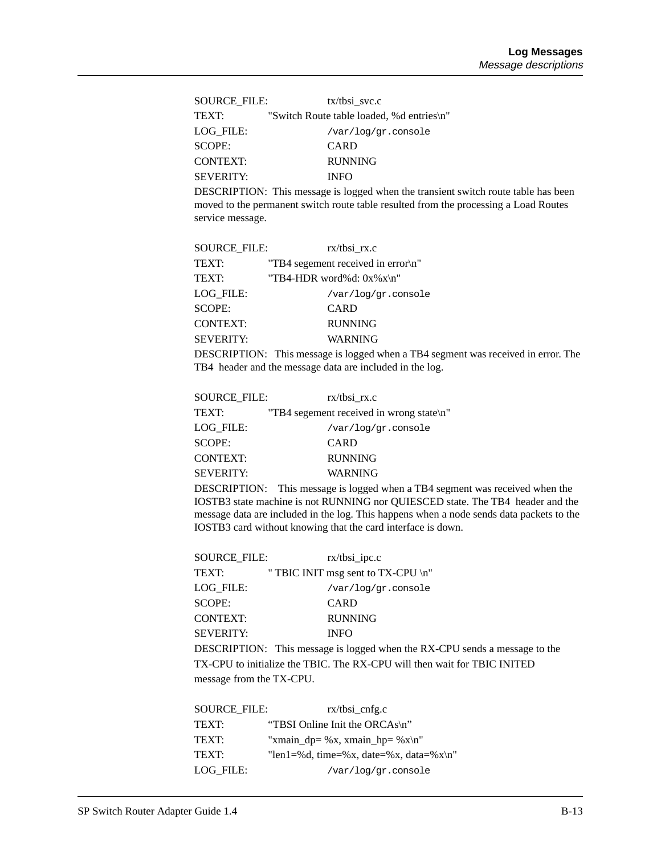| SOURCE FILE:     | $tx/t$ bsi svc.c                          |
|------------------|-------------------------------------------|
| TEXT:            | "Switch Route table loaded, %d entries\n" |
| LOG FILE:        | /var/log/gr.console                       |
| SCOPE:           | CARD                                      |
| <b>CONTEXT:</b>  | <b>RUNNING</b>                            |
| <b>SEVERITY:</b> | <b>INFO</b>                               |

DESCRIPTION: This message is logged when the transient switch route table has been moved to the permanent switch route table resulted from the processing a Load Routes service message.

| <b>SOURCE FILE:</b> | rx/tbsi rx.c                       |
|---------------------|------------------------------------|
| TEXT:               | "TB4 segement received in error\n" |
| TEXT:               | "TB4-HDR word%d: $0x\%x\ln$ "      |
| LOG FILE:           | /var/log/gr.console                |
| SCOPE:              | <b>CARD</b>                        |
| <b>CONTEXT:</b>     | <b>RUNNING</b>                     |
| <b>SEVERITY:</b>    | <b>WARNING</b>                     |
|                     |                                    |

DESCRIPTION: This message is logged when a TB4 segment was received in error. The TB4 header and the message data are included in the log.

| <b>SOURCE FILE:</b> | $rx/tbsi_rx.c$                           |
|---------------------|------------------------------------------|
| TEXT:               | "TB4 segement received in wrong state\n" |
| LOG FILE:           | /var/log/gr.console                      |
| <b>SCOPE:</b>       | CARD                                     |
| <b>CONTEXT:</b>     | <b>RUNNING</b>                           |
| <b>SEVERITY:</b>    | <b>WARNING</b>                           |
|                     |                                          |

DESCRIPTION: This message is logged when a TB4 segment was received when the IOSTB3 state machine is not RUNNING nor QUIESCED state. The TB4 header and the message data are included in the log. This happens when a node sends data packets to the IOSTB3 card without knowing that the card interface is down.

| <b>SOURCE FILE:</b> | $rx/tbsi\_ipc.c$                   |
|---------------------|------------------------------------|
| TEXT:               | " TBIC INIT msg sent to TX-CPU \n" |
| LOG FILE:           | /var/log/gr.console                |
| <b>SCOPE:</b>       | <b>CARD</b>                        |
| <b>CONTEXT:</b>     | <b>RUNNING</b>                     |
| <b>SEVERITY:</b>    | <b>INFO</b>                        |
|                     | $P(X \cap Y) = P(Y \cap Y)$        |

DESCRIPTION: This message is logged when the RX-CPU sends a message to the TX-CPU to initialize the TBIC. The RX-CPU will then wait for TBIC INITED message from the TX-CPU.

| <b>SOURCE FILE:</b> | $rx/tbsi_cnfg.c$                       |
|---------------------|----------------------------------------|
| <b>TEXT:</b>        | "TBSI Online Init the ORCAs\n"         |
| TEXT:               | "xmain_dp= %x, xmain_hp= %x\n"         |
| <b>TEXT:</b>        | "len1=%d, time=%x, date=%x, data=%x\n" |
| LOG FILE:           | /var/log/gr.console                    |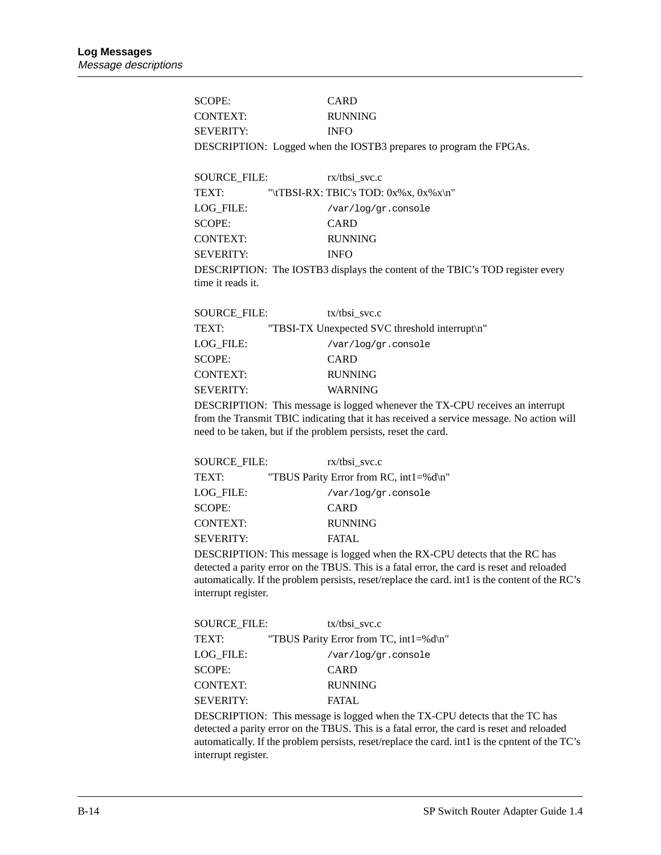SCOPE: CARD CONTEXT: RUNNING SEVERITY: INFO DESCRIPTION: Logged when the IOSTB3 prepares to program the FPGAs. SOURCE\_FILE: rx/tbsi\_svc.c TEXT:  $\forall$ ''\tTBSI-RX: TBIC's TOD: 0x%x, 0x%x\n LOG\_FILE: /var/log/gr.console SCOPE: CARD CONTEXT: RUNNING SEVERITY: INFO DESCRIPTION: The IOSTB3 displays the content of the TBIC's TOD register every time it reads it. SOURCE\_FILE: tx/tbsi\_svc.c TEXT: "TBSI-TX Unexpected SVC threshold interrupt\n" LOG\_FILE: /var/log/gr.console SCOPE: CARD CONTEXT: RUNNING SEVERITY: WARNING

DESCRIPTION: This message is logged whenever the TX-CPU receives an interrupt from the Transmit TBIC indicating that it has received a service message. No action will need to be taken, but if the problem persists, reset the card.

| SOURCE FILE:     | $rx/t$ bsi svc.c                       |
|------------------|----------------------------------------|
| TEXT:            | "TBUS Parity Error from RC, int1=%d\n" |
| LOG FILE:        | /var/log/gr.console                    |
| SCOPE:           | <b>CARD</b>                            |
| <b>CONTEXT:</b>  | <b>RUNNING</b>                         |
| <b>SEVERITY:</b> | FATAL.                                 |
|                  |                                        |

DESCRIPTION: This message is logged when the RX-CPU detects that the RC has detected a parity error on the TBUS. This is a fatal error, the card is reset and reloaded automatically. If the problem persists, reset/replace the card. int1 is the content of the RC's interrupt register.

| <b>SOURCE FILE:</b><br>$tx/t$ bsi svc.c |
|-----------------------------------------|
| "TBUS Parity Error from TC, int1=%d\n"  |
| /var/log/gr.console                     |
| CARD                                    |
| <b>RUNNING</b>                          |
| FATAL.                                  |
|                                         |

DESCRIPTION: This message is logged when the TX-CPU detects that the TC has detected a parity error on the TBUS. This is a fatal error, the card is reset and reloaded automatically. If the problem persists, reset/replace the card. int1 is the cpntent of the TC's interrupt register.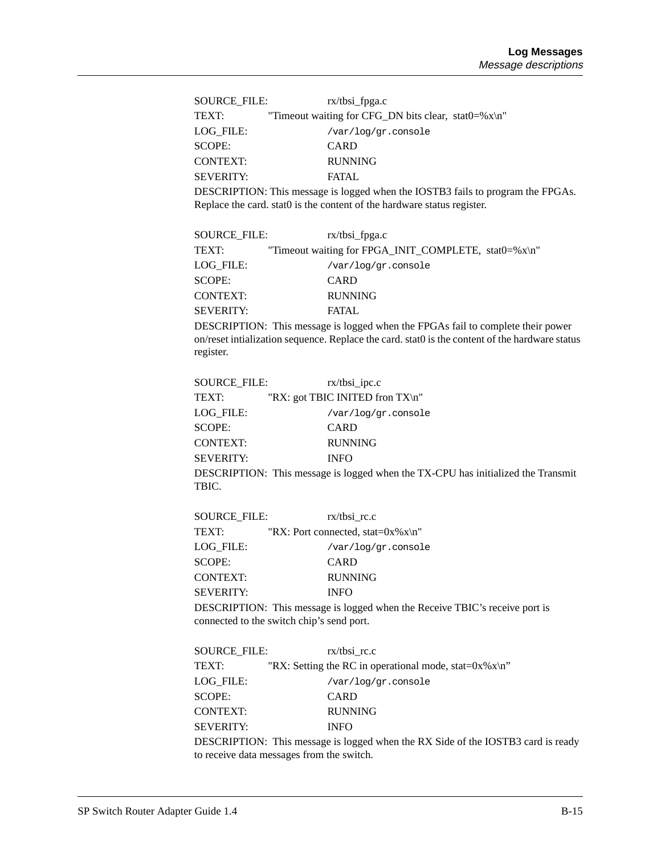| SOURCE FILE:     | $rx/t$ bsi fpga.c                                       |
|------------------|---------------------------------------------------------|
| TEXT:            | "Timeout waiting for CFG_DN bits clear, stat0=% $x\$ n" |
| LOG FILE:        | /var/log/gr.console                                     |
| SCOPE:           | <b>CARD</b>                                             |
| <b>CONTEXT:</b>  | <b>RUNNING</b>                                          |
| <b>SEVERITY:</b> | FATAL.                                                  |
|                  |                                                         |

DESCRIPTION: This message is logged when the IOSTB3 fails to program the FPGAs. Replace the card. stat0 is the content of the hardware status register.

| SOURCE FILE:     | $rx/tbsi_fpga.c$                                     |
|------------------|------------------------------------------------------|
| TEXT:            | "Timeout waiting for FPGA_INIT_COMPLETE, stat0=%x\n" |
| LOG FILE:        | /var/log/gr.console                                  |
| SCOPE:           | CARD                                                 |
| <b>CONTEXT:</b>  | <b>RUNNING</b>                                       |
| <b>SEVERITY:</b> | <b>FATAL</b>                                         |
|                  |                                                      |

DESCRIPTION: This message is logged when the FPGAs fail to complete their power on/reset intialization sequence. Replace the card. stat0 is the content of the hardware status register.

| <b>SOURCE FILE:</b> | $rx/tbsi\_ipc.c$                                                  |
|---------------------|-------------------------------------------------------------------|
| TEXT:               | "RX: got TBIC INITED fron TX\n"                                   |
| LOG FILE:           | /var/log/gr.console                                               |
| <b>SCOPE:</b>       | CARD                                                              |
| <b>CONTEXT:</b>     | <b>RUNNING</b>                                                    |
| <b>SEVERITY:</b>    | <b>INFO</b>                                                       |
|                     | <b>DESCRIPTION:</b> This message is logged when the TX-CPU has in |

ge is logged when the TX-CPU has initialized the Transmit TBIC.

| SOURCE FILE:     | $rx/t$ bsi rc.c                         |
|------------------|-----------------------------------------|
| TEXT:            | "RX: Port connected, stat= $0x\%x\ln$ " |
| LOG FILE:        | /var/log/gr.console                     |
| SCOPE:           | CARD                                    |
| <b>CONTEXT:</b>  | <b>RUNNING</b>                          |
| <b>SEVERITY:</b> | <b>INFO</b>                             |
|                  |                                         |

DESCRIPTION: This message is logged when the Receive TBIC's receive port is connected to the switch chip's send port.

| SOURCE FILE:     | $rx/t$ bsi rc.c                                                                  |
|------------------|----------------------------------------------------------------------------------|
| TEXT:            | "RX: Setting the RC in operational mode, stat= $0x\%x\n$ "                       |
| LOG FILE:        | /var/log/gr.console                                                              |
| SCOPE:           | <b>CARD</b>                                                                      |
| <b>CONTEXT:</b>  | <b>RUNNING</b>                                                                   |
| <b>SEVERITY:</b> | <b>INFO</b>                                                                      |
|                  | DESCRIPTION: This message is logged when the RX Side of the IOSTB3 card is ready |

to receive data messages from the switch.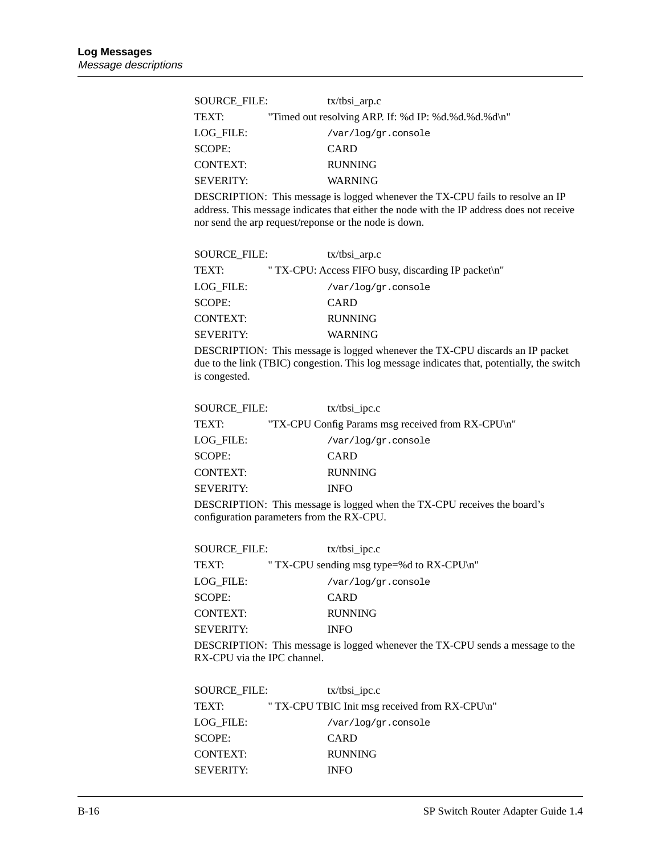| SOURCE FILE:     | $tx/tbsi_{arp.c}$                                   |  |
|------------------|-----------------------------------------------------|--|
| TEXT:            | "Timed out resolving ARP. If: %d IP: %d.%d.%d.%d\n" |  |
| LOG FILE:        | /var/log/gr.console                                 |  |
| SCOPE:           | <b>CARD</b>                                         |  |
| <b>CONTEXT:</b>  | <b>RUNNING</b>                                      |  |
| <b>SEVERITY:</b> | WARNING                                             |  |

DESCRIPTION: This message is logged whenever the TX-CPU fails to resolve an IP address. This message indicates that either the node with the IP address does not receive nor send the arp request/reponse or the node is down.

| SOURCE FILE:     | $tx/tbsi_{arp.c}$                                   |
|------------------|-----------------------------------------------------|
| TEXT:            | " TX-CPU: Access FIFO busy, discarding IP packet\n" |
| LOG FILE:        | /var/log/gr.console                                 |
| <b>SCOPE:</b>    | <b>CARD</b>                                         |
| CONTEXT:         | <b>RUNNING</b>                                      |
| <b>SEVERITY:</b> | WARNING                                             |
|                  |                                                     |

DESCRIPTION: This message is logged whenever the TX-CPU discards an IP packet due to the link (TBIC) congestion. This log message indicates that, potentially, the switch is congested.

| <b>SOURCE FILE:</b> | $tx/tbsi\_ipc.c$                                                         |
|---------------------|--------------------------------------------------------------------------|
| TEXT:               | "TX-CPU Config Params msg received from RX-CPU\n"                        |
| LOG FILE:           | /var/log/gr.console                                                      |
| <b>SCOPE:</b>       | CARD                                                                     |
| <b>CONTEXT:</b>     | <b>RUNNING</b>                                                           |
| <b>SEVERITY:</b>    | <b>INFO</b>                                                              |
|                     | DESCRIPTION: This message is logged when the TX-CPU receives the board's |

configuration parameters from the RX-CPU.

| <b>SOURCE FILE:</b> | $tx/tbsi\_ipc.c$                                                               |
|---------------------|--------------------------------------------------------------------------------|
| TEXT:               | " TX-CPU sending msg type=%d to $RX$ -CPU\n"                                   |
| LOG FILE:           | /var/log/gr.console                                                            |
| SCOPE:              | CARD                                                                           |
| <b>CONTEXT:</b>     | <b>RUNNING</b>                                                                 |
| <b>SEVERITY:</b>    | <b>INFO</b>                                                                    |
|                     | DESCRIPTION: This message is logged whenever the TX-CPU sends a message to the |

RX-CPU via the IPC channel.

| SOURCE FILE:     | $tx/tbsi\_ipc.c$                               |
|------------------|------------------------------------------------|
| TEXT:            | " TX-CPU TBIC Init msg received from RX-CPU\n" |
| LOG FILE:        | /var/log/gr.console                            |
| SCOPE:           | <b>CARD</b>                                    |
| <b>CONTEXT:</b>  | <b>RUNNING</b>                                 |
| <b>SEVERITY:</b> | <b>INFO</b>                                    |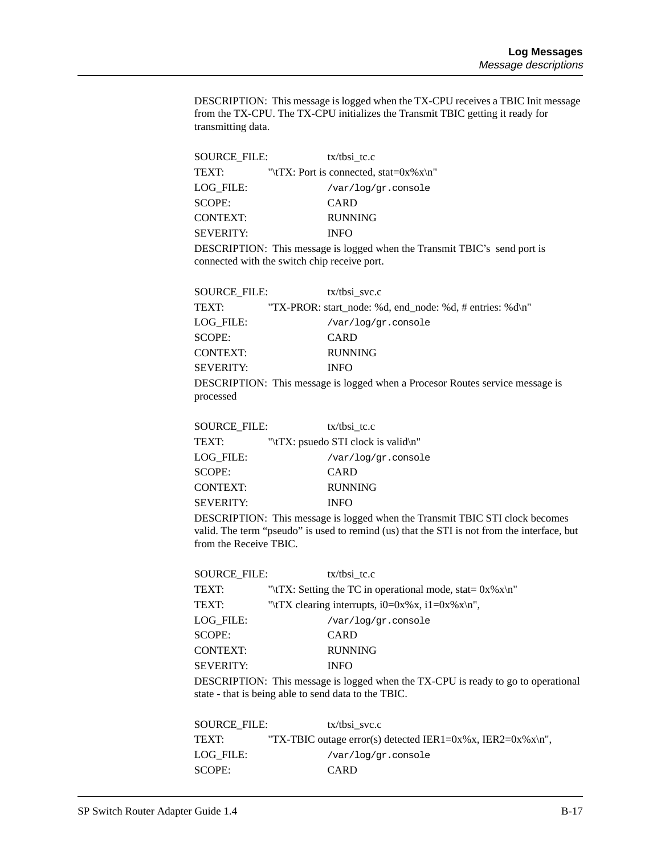DESCRIPTION: This message is logged when the TX-CPU receives a TBIC Init message from the TX-CPU. The TX-CPU initializes the Transmit TBIC getting it ready for transmitting data.

| SOURCE FILE:     | $tx/t$ bsi tc.c                              |  |
|------------------|----------------------------------------------|--|
| TEXT:            | "\tTX: Port is connected, stat= $0x\%x\ln$ " |  |
| LOG FILE:        | /var/log/gr.console                          |  |
| SCOPE:           | <b>CARD</b>                                  |  |
| <b>CONTEXT:</b>  | <b>RUNNING</b>                               |  |
| <b>SEVERITY:</b> | <b>INFO</b>                                  |  |
|                  |                                              |  |

DESCRIPTION: This message is logged when the Transmit TBIC's send port is connected with the switch chip receive port.

| <b>SOURCE FILE:</b> | $tx/t$ bsi svc.c                                                                     |
|---------------------|--------------------------------------------------------------------------------------|
| TEXT:               | "TX-PROR: start node: %d, end node: %d, # entries: %d\n"                             |
| LOG FILE:           | /var/log/gr.console                                                                  |
| <b>SCOPE:</b>       | <b>CARD</b>                                                                          |
| <b>CONTEXT:</b>     | <b>RUNNING</b>                                                                       |
| <b>SEVERITY:</b>    | <b>INFO</b>                                                                          |
|                     | <b>DESCRIPTION:</b> This message is logged when a Procesor Routes service message is |
| processed           |                                                                                      |

| SOURCE FILE:     | $tx/t$ bsi tc.c                     |  |  |
|------------------|-------------------------------------|--|--|
| TEXT:            | "\tTX: psuedo STI clock is valid\n" |  |  |
| LOG FILE:        | /var/log/gr.console                 |  |  |
| SCOPE:           | <b>CARD</b>                         |  |  |
| <b>CONTEXT:</b>  | <b>RUNNING</b>                      |  |  |
| <b>SEVERITY:</b> | <b>INFO</b>                         |  |  |

DESCRIPTION: This message is logged when the Transmit TBIC STI clock becomes valid. The term "pseudo" is used to remind (us) that the STI is not from the interface, but from the Receive TBIC.

| SOURCE FILE:     | $tx/t$ bsi tc.c                                              |
|------------------|--------------------------------------------------------------|
| TEXT:            | "\tTX: Setting the TC in operational mode, stat= $0x\%x\$ n" |
| TEXT:            | "\tTX clearing interrupts, $i0=0x\%x$ , $i1=0x\%x\n\pi$ ",   |
| LOG FILE:        | /var/log/gr.console                                          |
| <b>SCOPE:</b>    | CARD                                                         |
| <b>CONTEXT:</b>  | <b>RUNNING</b>                                               |
| <b>SEVERITY:</b> | <b>INFO</b>                                                  |
|                  |                                                              |

DESCRIPTION: This message is logged when the TX-CPU is ready to go to operational state - that is being able to send data to the TBIC.

| <b>SOURCE FILE:</b> | $tx/t$ bsi svc.c                                           |
|---------------------|------------------------------------------------------------|
| TEXT:               | "TX-TBIC outage error(s) detected IER1=0x%x, IER2=0x%x\n", |
| LOG FILE:           | /var/log/gr.console                                        |
| SCOPE:              | <b>CARD</b>                                                |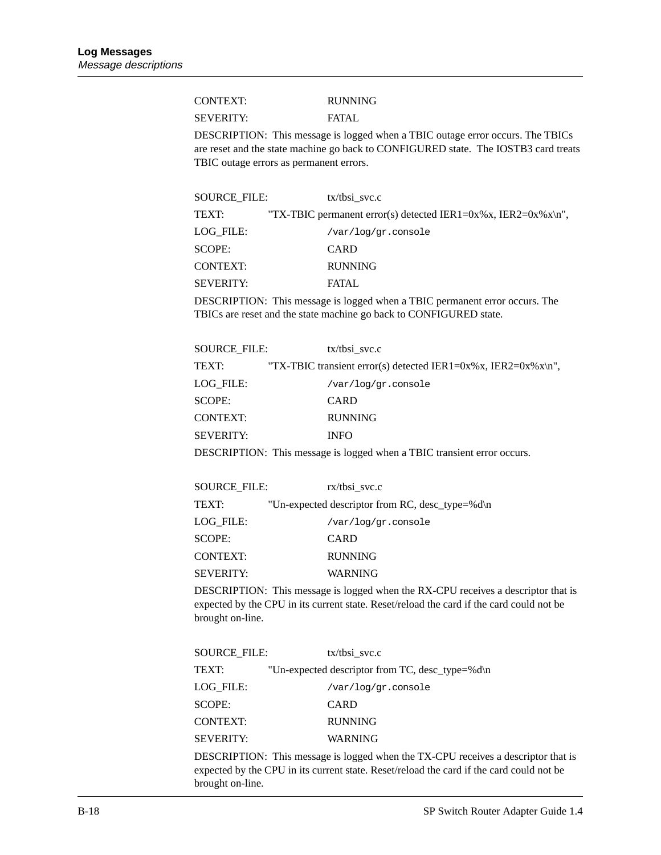| CONTEXT:         | <b>RUNNING</b> |
|------------------|----------------|
| <b>SEVERITY:</b> | FATAL          |

DESCRIPTION: This message is logged when a TBIC outage error occurs. The TBICs are reset and the state machine go back to CONFIGURED state. The IOSTB3 card treats TBIC outage errors as permanent errors.

| SOURCE FILE:     | $tx/t$ bsi svc.c                                              |
|------------------|---------------------------------------------------------------|
| TEXT:            | "TX-TBIC permanent error(s) detected IER1=0x%x, IER2=0x%x\n", |
| LOG FILE:        | /var/log/gr.console                                           |
| SCOPE:           | <b>CARD</b>                                                   |
| <b>CONTEXT:</b>  | <b>RUNNING</b>                                                |
| <b>SEVERITY:</b> | FATAL.                                                        |

DESCRIPTION: This message is logged when a TBIC permanent error occurs. The TBICs are reset and the state machine go back to CONFIGURED state.

| <b>SOURCE FILE:</b> | $tx/t$ bsi svc.c                                                        |
|---------------------|-------------------------------------------------------------------------|
| TEXT:               | "TX-TBIC transient error(s) detected IER1=0x%x, IER2=0x%x\n",           |
| LOG FILE:           | /var/log/gr.console                                                     |
| <b>SCOPE:</b>       | <b>CARD</b>                                                             |
| <b>CONTEXT:</b>     | <b>RUNNING</b>                                                          |
| <b>SEVERITY:</b>    | <b>INFO</b>                                                             |
|                     | DESCRIPTION: This message is logged when a TBIC transient error occurs. |

| SOURCE FILE:     | $rx/t$ bsi svc.c                                |
|------------------|-------------------------------------------------|
| TEXT:            | "Un-expected descriptor from RC, desc_type=%d\n |
| LOG FILE:        | /var/log/gr.console                             |
| <b>SCOPE:</b>    | <b>CARD</b>                                     |
| <b>CONTEXT:</b>  | <b>RUNNING</b>                                  |
| <b>SEVERITY:</b> | <b>WARNING</b>                                  |

DESCRIPTION: This message is logged when the RX-CPU receives a descriptor that is expected by the CPU in its current state. Reset/reload the card if the card could not be brought on-line.

| <b>SOURCE FILE:</b><br>$tx/t$ bsi svc.c         |
|-------------------------------------------------|
| "Un-expected descriptor from TC, desc_type=%d\n |
| /var/log/gr.console                             |
| <b>CARD</b>                                     |
| <b>RUNNING</b>                                  |
| WARNING                                         |
|                                                 |

DESCRIPTION: This message is logged when the TX-CPU receives a descriptor that is expected by the CPU in its current state. Reset/reload the card if the card could not be brought on-line.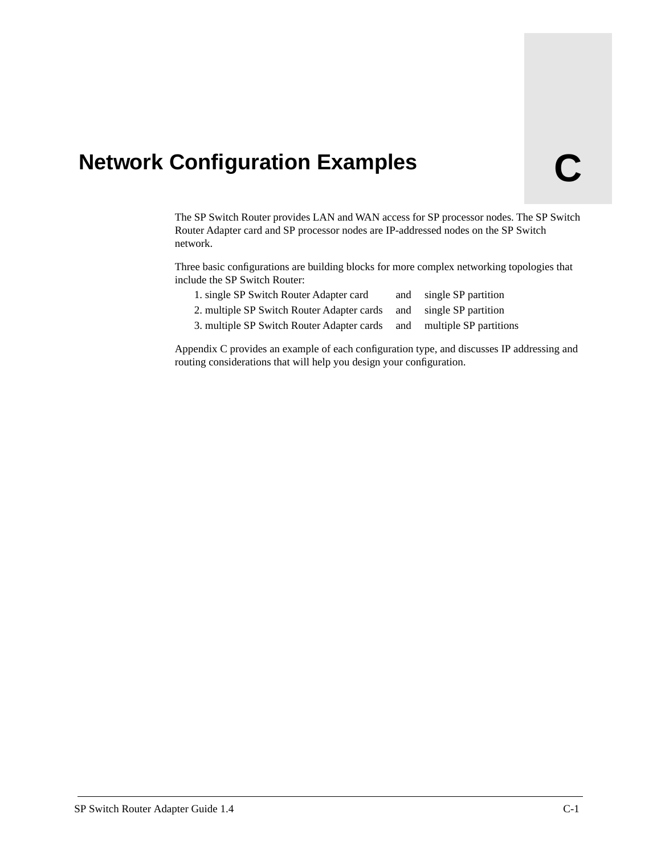# <span id="page-110-0"></span>**Network Configuration Examples C**

The SP Switch Router provides LAN and WAN access for SP processor nodes. The SP Switch Router Adapter card and SP processor nodes are IP-addressed nodes on the SP Switch network.

Three basic configurations are building blocks for more complex networking topologies that include the SP Switch Router:

| 1. single SP Switch Router Adapter card                               | and single SP partition |
|-----------------------------------------------------------------------|-------------------------|
| 2. multiple SP Switch Router Adapter cards                            | and single SP partition |
| 3. multiple SP Switch Router Adapter cards and multiple SP partitions |                         |
|                                                                       |                         |

Appendix C provides an example of each configuration type, and discusses IP addressing and routing considerations that will help you design your configuration.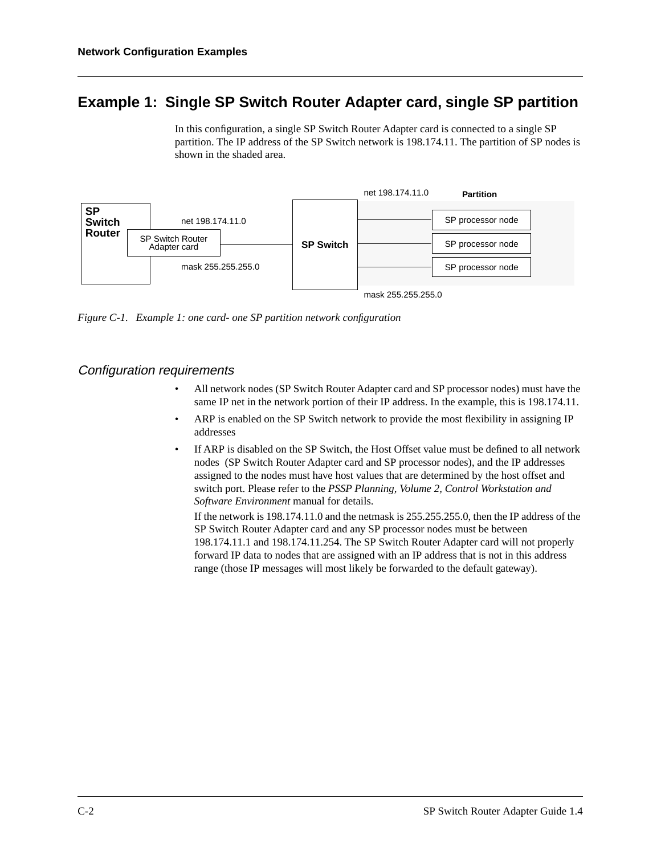# <span id="page-111-0"></span>**Example 1: Single SP Switch Router Adapter card, single SP partition**

In this configuration, a single SP Switch Router Adapter card is connected to a single SP partition. The IP address of the SP Switch network is 198.174.11. The partition of SP nodes is shown in the shaded area.



*Figure C-1. Example 1: one card- one SP partition network configuration* 

#### Configuration requirements

- All network nodes (SP Switch Router Adapter card and SP processor nodes) must have the same IP net in the network portion of their IP address. In the example, this is 198.174.11.
- ARP is enabled on the SP Switch network to provide the most flexibility in assigning IP addresses
- If ARP is disabled on the SP Switch, the Host Offset value must be defined to all network nodes (SP Switch Router Adapter card and SP processor nodes), and the IP addresses assigned to the nodes must have host values that are determined by the host offset and switch port. Please refer to the *PSSP Planning, Volume 2, Control Workstation and Software Environment* manual for details.

If the network is 198.174.11.0 and the netmask is 255.255.255.0, then the IP address of the SP Switch Router Adapter card and any SP processor nodes must be between 198.174.11.1 and 198.174.11.254. The SP Switch Router Adapter card will not properly forward IP data to nodes that are assigned with an IP address that is not in this address range (those IP messages will most likely be forwarded to the default gateway).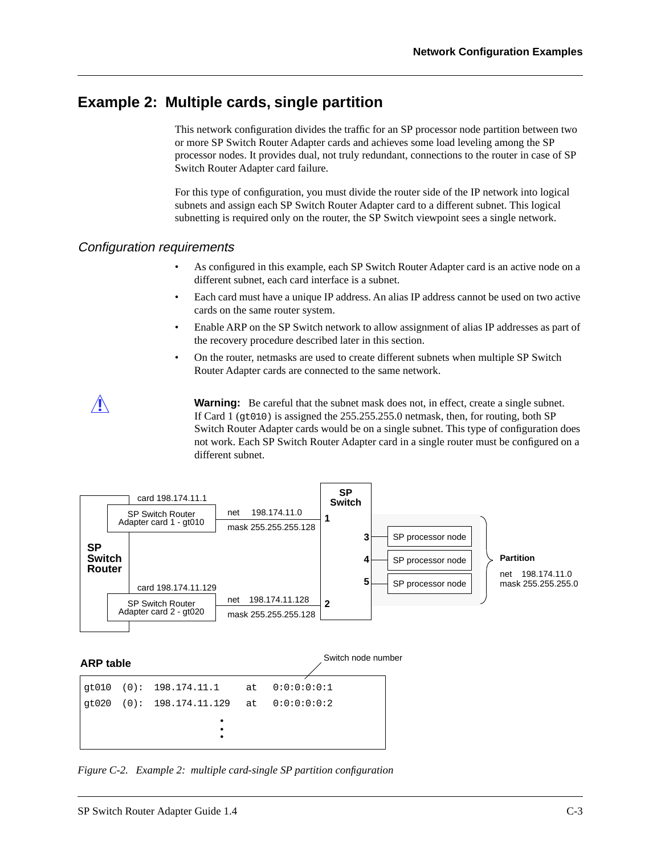# <span id="page-112-0"></span>**Example 2: Multiple cards, single partition**

This network configuration divides the traffic for an SP processor node partition between two or more SP Switch Router Adapter cards and achieves some load leveling among the SP processor nodes. It provides dual, not truly redundant, connections to the router in case of SP Switch Router Adapter card failure.

For this type of configuration, you must divide the router side of the IP network into logical subnets and assign each SP Switch Router Adapter card to a different subnet. This logical subnetting is required only on the router, the SP Switch viewpoint sees a single network.

#### Configuration requirements

- As configured in this example, each SP Switch Router Adapter card is an active node on a different subnet, each card interface is a subnet.
- Each card must have a unique IP address. An alias IP address cannot be used on two active cards on the same router system.
- Enable ARP on the SP Switch network to allow assignment of alias IP addresses as part of the recovery procedure described later in this section.
- On the router, netmasks are used to create different subnets when multiple SP Switch Router Adapter cards are connected to the same network.

**Warning:** Be careful that the subnet mask does not, in effect, create a single subnet. If Card 1 (gt010) is assigned the 255.255.255.0 netmask, then, for routing, both SP Switch Router Adapter cards would be on a single subnet. This type of configuration does not work. Each SP Switch Router Adapter card in a single router must be configured on a different subnet.



*Figure C-2. Example 2: multiple card-single SP partition configuration*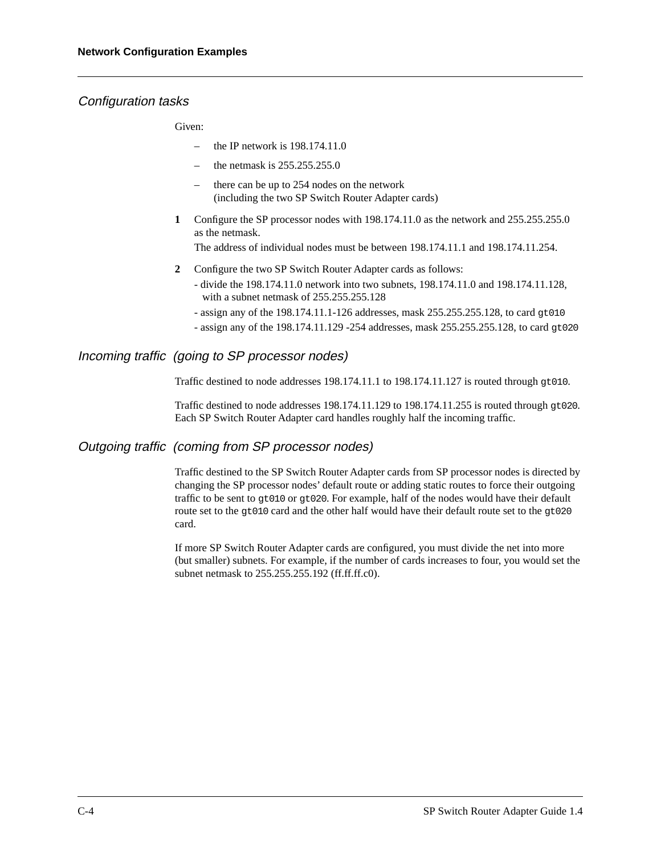#### <span id="page-113-0"></span>Configuration tasks

Given:

- the IP network is 198.174.11.0
- the netmask is 255.255.255.0
- there can be up to 254 nodes on the network (including the two SP Switch Router Adapter cards)
- **1** Configure the SP processor nodes with 198.174.11.0 as the network and 255.255.255.0 as the netmask.

The address of individual nodes must be between 198.174.11.1 and 198.174.11.254.

- **2** Configure the two SP Switch Router Adapter cards as follows:
	- divide the 198.174.11.0 network into two subnets, 198.174.11.0 and 198.174.11.128, with a subnet netmask of 255.255.255.128
	- assign any of the 198.174.11.1-126 addresses, mask 255.255.255.128, to card gt010
	- assign any of the 198.174.11.129 -254 addresses, mask 255.255.255.128, to card gt020

#### Incoming traffic (going to SP processor nodes)

Traffic destined to node addresses 198.174.11.1 to 198.174.11.127 is routed through gt010.

Traffic destined to node addresses  $198.174.11.129$  to  $198.174.11.255$  is routed through  $\sigma$ to 20. Each SP Switch Router Adapter card handles roughly half the incoming traffic.

#### Outgoing traffic (coming from SP processor nodes)

Traffic destined to the SP Switch Router Adapter cards from SP processor nodes is directed by changing the SP processor nodes' default route or adding static routes to force their outgoing traffic to be sent to gt010 or gt020. For example, half of the nodes would have their default route set to the gt010 card and the other half would have their default route set to the gt020 card.

If more SP Switch Router Adapter cards are configured, you must divide the net into more (but smaller) subnets. For example, if the number of cards increases to four, you would set the subnet netmask to 255.255.255.192 (ff.ff.ff.c0).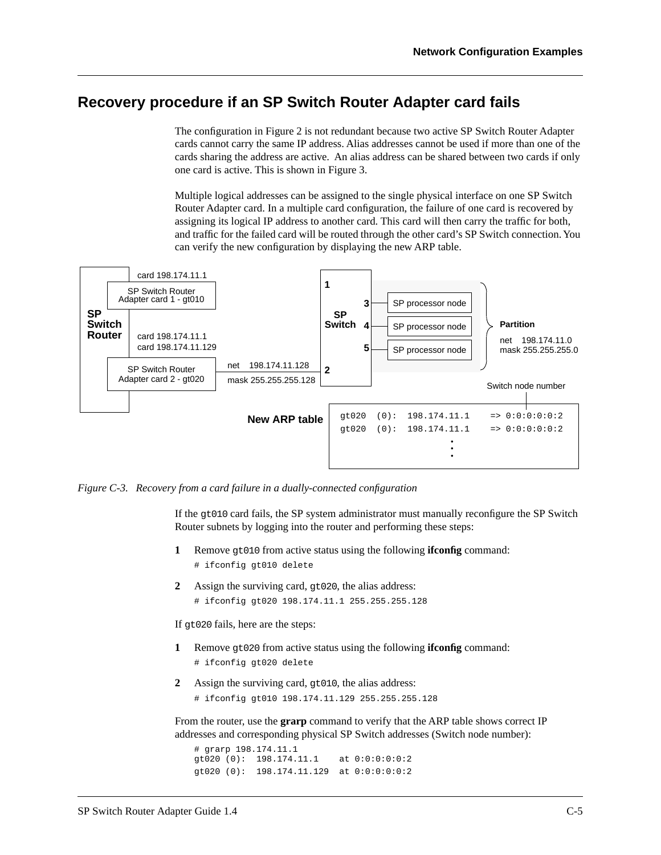#### <span id="page-114-0"></span>**Recovery procedure if an SP Switch Router Adapter card fails**

The configuration in [Figure 2](#page-112-0) is not redundant because two active SP Switch Router Adapter cards cannot carry the same IP address. Alias addresses cannot be used if more than one of the cards sharing the address are active. An alias address can be shared between two cards if only one card is active. This is shown in Figure 3.

Multiple logical addresses can be assigned to the single physical interface on one SP Switch Router Adapter card. In a multiple card configuration, the failure of one card is recovered by assigning its logical IP address to another card. This card will then carry the traffic for both, and traffic for the failed card will be routed through the other card's SP Switch connection. You can verify the new configuration by displaying the new ARP table.



*Figure C-3. Recovery from a card failure in a dually-connected configuration*

If the gt010 card fails, the SP system administrator must manually reconfigure the SP Switch Router subnets by logging into the router and performing these steps:

- **1** Remove gt010 from active status using the following **ifconfig** command: # ifconfig gt010 delete
- **2** Assign the surviving card, gt020, the alias address: # ifconfig gt020 198.174.11.1 255.255.255.128

If gt020 fails, here are the steps:

- **1** Remove gt020 from active status using the following **ifconfig** command: # ifconfig gt020 delete
- **2** Assign the surviving card, gt010, the alias address:
	- # ifconfig gt010 198.174.11.129 255.255.255.128

From the router, use the **grarp** command to verify that the ARP table shows correct IP addresses and corresponding physical SP Switch addresses (Switch node number):

```
# grarp 198.174.11.1
gt020 (0): 198.174.11.1 at 0:0:0:0:0:2
gt020 (0): 198.174.11.129 at 0:0:0:0:0:2
```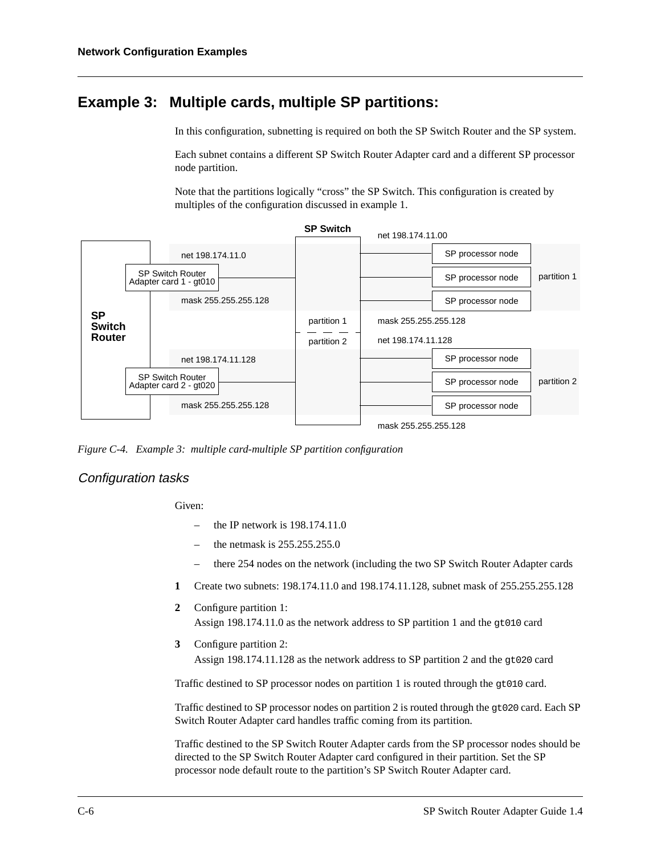#### <span id="page-115-0"></span>**Example 3: Multiple cards, multiple SP partitions:**

In this configuration, subnetting is required on both the SP Switch Router and the SP system.

Each subnet contains a different SP Switch Router Adapter card and a different SP processor node partition.

Note that the partitions logically "cross" the SP Switch. This configuration is created by multiples of the configuration discussed in example 1.



*Figure C-4. Example 3: multiple card-multiple SP partition configuration*

#### Configuration tasks

Given:

- the IP network is 198.174.11.0
- the netmask is  $255.255.255.0$
- there 254 nodes on the network (including the two SP Switch Router Adapter cards
- **1** Create two subnets: 198.174.11.0 and 198.174.11.128, subnet mask of 255.255.255.128
- **2** Configure partition 1: Assign 198.174.11.0 as the network address to SP partition 1 and the gt010 card
- **3** Configure partition 2: Assign 198.174.11.128 as the network address to SP partition 2 and the gt020 card

Traffic destined to SP processor nodes on partition 1 is routed through the gt010 card.

Traffic destined to SP processor nodes on partition 2 is routed through the gt020 card. Each SP Switch Router Adapter card handles traffic coming from its partition.

Traffic destined to the SP Switch Router Adapter cards from the SP processor nodes should be directed to the SP Switch Router Adapter card configured in their partition. Set the SP processor node default route to the partition's SP Switch Router Adapter card.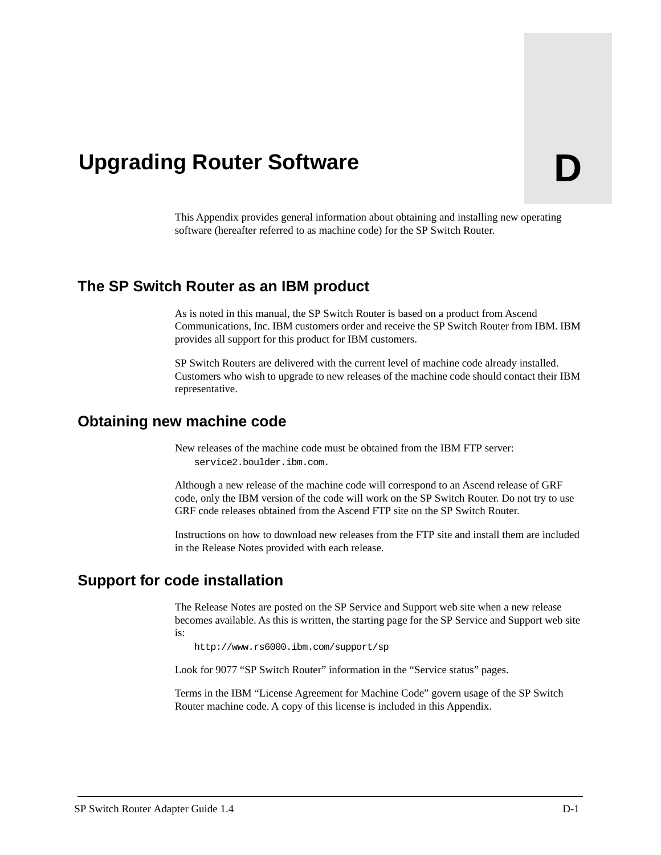This Appendix provides general information about obtaining and installing new operating software (hereafter referred to as machine code) for the SP Switch Router.

#### **The SP Switch Router as an IBM product**

<span id="page-116-0"></span>**Upgrading Router Software** 

As is noted in this manual, the SP Switch Router is based on a product from Ascend Communications, Inc. IBM customers order and receive the SP Switch Router from IBM. IBM provides all support for this product for IBM customers.

SP Switch Routers are delivered with the current level of machine code already installed. Customers who wish to upgrade to new releases of the machine code should contact their IBM representative.

#### **Obtaining new machine code**

New releases of the machine code must be obtained from the IBM FTP server: service2.boulder.ibm.com.

Although a new release of the machine code will correspond to an Ascend release of GRF code, only the IBM version of the code will work on the SP Switch Router. Do not try to use GRF code releases obtained from the Ascend FTP site on the SP Switch Router.

Instructions on how to download new releases from the FTP site and install them are included in the Release Notes provided with each release.

#### **Support for code installation**

The Release Notes are posted on the SP Service and Support web site when a new release becomes available. As this is written, the starting page for the SP Service and Support web site is:

http://www.rs6000.ibm.com/support/sp

Look for 9077 "SP Switch Router" information in the "Service status" pages.

Terms in the IBM "License Agreement for Machine Code" govern usage of the SP Switch Router machine code. A copy of this license is included in this Appendix.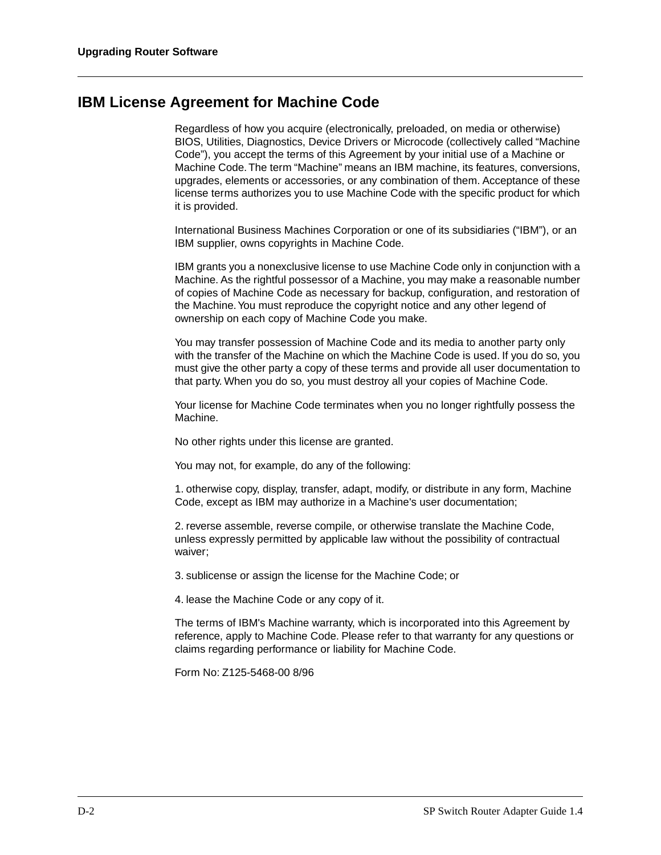# <span id="page-117-0"></span>**IBM License Agreement for Machine Code**

Regardless of how you acquire (electronically, preloaded, on media or otherwise) BIOS, Utilities, Diagnostics, Device Drivers or Microcode (collectively called "Machine Code"), you accept the terms of this Agreement by your initial use of a Machine or Machine Code. The term "Machine" means an IBM machine, its features, conversions, upgrades, elements or accessories, or any combination of them. Acceptance of these license terms authorizes you to use Machine Code with the specific product for which it is provided.

International Business Machines Corporation or one of its subsidiaries ("IBM"), or an IBM supplier, owns copyrights in Machine Code.

IBM grants you a nonexclusive license to use Machine Code only in conjunction with a Machine. As the rightful possessor of a Machine, you may make a reasonable number of copies of Machine Code as necessary for backup, configuration, and restoration of the Machine. You must reproduce the copyright notice and any other legend of ownership on each copy of Machine Code you make.

You may transfer possession of Machine Code and its media to another party only with the transfer of the Machine on which the Machine Code is used. If you do so, you must give the other party a copy of these terms and provide all user documentation to that party. When you do so, you must destroy all your copies of Machine Code.

Your license for Machine Code terminates when you no longer rightfully possess the Machine.

No other rights under this license are granted.

You may not, for example, do any of the following:

1. otherwise copy, display, transfer, adapt, modify, or distribute in any form, Machine Code, except as IBM may authorize in a Machine's user documentation;

2. reverse assemble, reverse compile, or otherwise translate the Machine Code, unless expressly permitted by applicable law without the possibility of contractual waiver;

3. sublicense or assign the license for the Machine Code; or

4. lease the Machine Code or any copy of it.

The terms of IBM's Machine warranty, which is incorporated into this Agreement by reference, apply to Machine Code. Please refer to that warranty for any questions or claims regarding performance or liability for Machine Code.

Form No: Z125-5468-00 8/96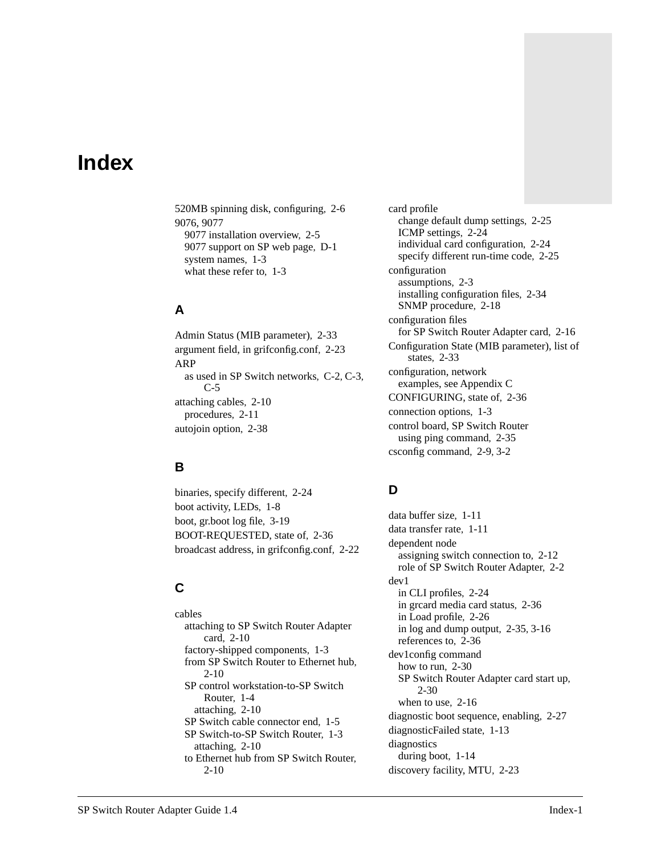# **Index**

520MB spinning disk, configuring, [2-6](#page-33-0) 9076, 9077 9077 installation overview, [2-5](#page-32-0) 9077 support on SP web page, [D-1](#page-116-0) system names, [1-3](#page-16-0) what these refer to, [1-3](#page-16-0)

# **A**

Admin Status (MIB parameter), [2-33](#page-60-0) argument field, in grifconfig.conf, [2-23](#page-50-0) ARP as used in SP Switch networks, [C-2](#page-111-0), [C-3,](#page-112-0) [C-5](#page-114-0) attaching cables, [2-10](#page-37-0) procedures, [2-11](#page-38-0) autojoin option, [2-38](#page-65-0)

#### **B**

binaries, specify different, [2-24](#page-51-0) boot activity, LEDs, [1-8](#page-21-0) boot, gr.boot log file, [3-19](#page-86-0) BOOT-REQUESTED, state of, [2-36](#page-63-0) broadcast address, in grifconfig.conf, [2-22](#page-49-0)

# **C**

cables attaching to SP Switch Router Adapter card, [2-10](#page-37-0) factory-shipped components, [1-3](#page-16-0) from SP Switch Router to Ethernet hub, [2-10](#page-37-0) SP control workstation-to-SP Switch Router, [1-4](#page-17-0) attaching, [2-10](#page-37-0) SP Switch cable connector end, [1-5](#page-18-0) SP Switch-to-SP Switch Router, [1-3](#page-16-0) attaching, [2-10](#page-37-0) to Ethernet hub from SP Switch Router, [2-10](#page-37-0)

card profile change default dump settings, [2-25](#page-52-0) ICMP settings, [2-24](#page-51-0) individual card configuration, [2-24](#page-51-0) specify different run-time code, [2-25](#page-52-0) configuration assumptions, [2-3](#page-30-0) installing configuration files, [2-34](#page-61-0) SNMP procedure, [2-18](#page-45-0) configuration files for SP Switch Router Adapter card, [2-16](#page-43-0) Configuration State (MIB parameter), list of states, [2-33](#page-60-0) configuration, network [examples, see Appendix C](#page-110-0) CONFIGURING, state of, [2-36](#page-63-0) connection options, [1-3](#page-16-0) control board, SP Switch Router using ping command, [2-35](#page-62-0) csconfig command, [2-9](#page-36-0), [3-2](#page-69-0)

# **D**

data buffer size, [1-11](#page-24-0) data transfer rate, [1-11](#page-24-0) dependent node assigning switch connection to, [2-12](#page-39-0) role of SP Switch Router Adapter, [2-2](#page-29-0) dev1 in CLI profiles, [2-24](#page-51-0) in grcard media card status, [2-36](#page-63-0) in Load profile, [2-26](#page-53-0) in log and dump output, [2-35](#page-62-0), [3-16](#page-83-0) references to, [2-36](#page-63-0) dev1config command how to run, [2-30](#page-57-0) SP Switch Router Adapter card start up, [2-30](#page-57-0) when to use, [2-16](#page-43-0) diagnostic boot sequence, enabling, [2-27](#page-54-0) diagnosticFailed state, [1-13](#page-26-0) diagnostics during boot, [1-14](#page-27-0) discovery facility, MTU, [2-23](#page-50-0)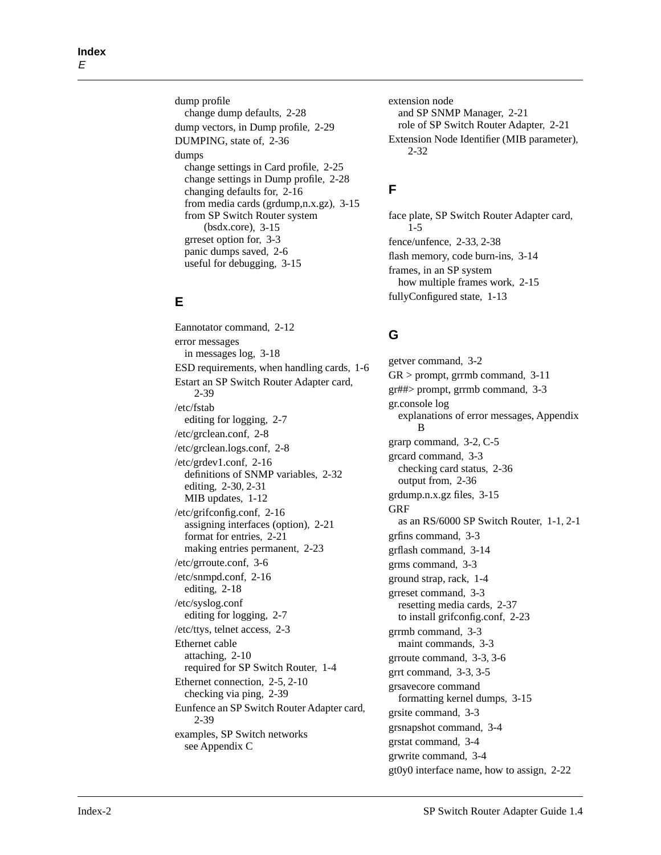dump profile change dump defaults, [2-28](#page-55-0) dump vectors, in Dump profile, [2-29](#page-56-0) DUMPING, state of, [2-36](#page-63-0) dumps change settings in Card profile, [2-25](#page-52-0) change settings in Dump profile, [2-28](#page-55-0) changing defaults for, [2-16](#page-43-0) from media cards (grdump,n.x.gz), [3-15](#page-82-0) from SP Switch Router system (bsdx.core), [3-15](#page-82-0) grreset option for, [3-3](#page-70-0) panic dumps saved, [2-6](#page-33-0) useful for debugging, [3-15](#page-82-0)

# **E**

Eannotator command, [2-12](#page-39-0) error messages in messages log, [3-18](#page-85-0) ESD requirements, when handling cards, [1-6](#page-19-0) Estart an SP Switch Router Adapter card, [2-39](#page-66-0) /etc/fstab editing for logging, [2-7](#page-34-0) /etc/grclean.conf, [2-8](#page-35-0) /etc/grclean.logs.conf, [2-8](#page-35-0) /etc/grdev1.conf, [2-16](#page-43-0) definitions of SNMP variables, [2-32](#page-59-0) editing, [2-30,](#page-57-0) [2-31](#page-58-0) MIB updates, [1-12](#page-25-0) /etc/grifconfig.conf, [2-16](#page-43-0) assigning interfaces (option), [2-21](#page-48-0) format for entries, [2-21](#page-48-0) making entries permanent, [2-23](#page-50-0) /etc/grroute.conf, [3-6](#page-73-0) /etc/snmpd.conf, [2-16](#page-43-0) editing, [2-18](#page-45-0) /etc/syslog.conf editing for logging, [2-7](#page-34-0) /etc/ttys, telnet access, [2-3](#page-30-0) Ethernet cable attaching, [2-10](#page-37-0) required for SP Switch Router, [1-4](#page-17-0) Ethernet connection, [2-5](#page-32-0), [2-10](#page-37-0) checking via ping, [2-39](#page-66-0) Eunfence an SP Switch Router Adapter card, [2-39](#page-66-0) examples, SP Switch networks [see Appendix C](#page-110-0)

extension node and SP SNMP Manager, [2-21](#page-48-0) role of SP Switch Router Adapter, [2-21](#page-48-0) Extension Node Identifier (MIB parameter), [2-32](#page-59-0)

# **F**

face plate, SP Switch Router Adapter card, [1-5](#page-18-0) fence/unfence, [2-33](#page-60-0), [2-38](#page-65-0) flash memory, code burn-ins, [3-14](#page-81-0) frames, in an SP system how multiple frames work, [2-15](#page-42-0) fullyConfigured state, [1-13](#page-26-0)

# **G**

getver command, [3-2](#page-69-0)  $GR >$  prompt, grrmb command, [3-11](#page-78-0) gr##> prompt, grrmb command, [3-3](#page-70-0) gr.console log [explanations of error messages, Appendix](#page-92-0)  B grarp command, [3-2](#page-69-0), [C-5](#page-114-0) grcard command, [3-3](#page-70-0) checking card status, [2-36](#page-63-0) output from, [2-36](#page-63-0) grdump.n.x.gz files, [3-15](#page-82-0) GRF as an RS/6000 SP Switch Router, [1-1](#page-14-0), [2-1](#page-28-0) grfins command, [3-3](#page-70-0) grflash command, [3-14](#page-81-0) grms command, [3-3](#page-70-0) ground strap, rack, [1-4](#page-17-0) grreset command, [3-3](#page-70-0) resetting media cards, [2-37](#page-64-0) to install grifconfig.conf, [2-23](#page-50-0) grrmb command, [3-3](#page-70-0) maint commands, [3-3](#page-70-0) grroute command, [3-3,](#page-70-0) [3-6](#page-73-0) grrt command, [3-3](#page-70-0), [3-5](#page-72-0) grsavecore command formatting kernel dumps, [3-15](#page-82-0) grsite command, [3-3](#page-70-0) grsnapshot command, [3-4](#page-71-0) grstat command, [3-4](#page-71-0) grwrite command, [3-4](#page-71-0) gt0y0 interface name, ho[w to assign, 2-22](#page-50-0)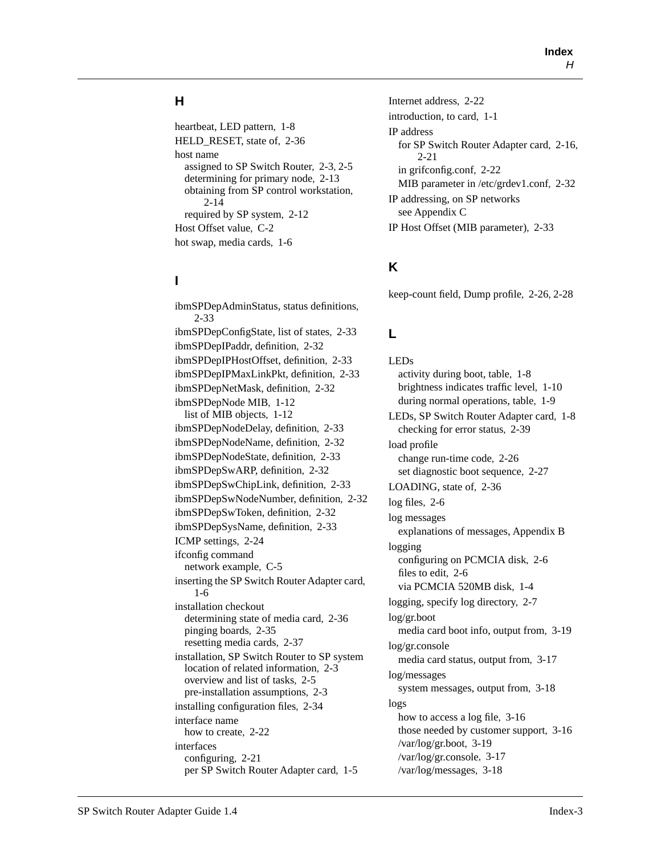#### **H**

heartbeat, LED pattern, [1-8](#page-21-0) HELD\_RESET, state of, [2-36](#page-63-0) host name assigned to SP Switch Router, [2-3](#page-30-0), [2-5](#page-32-0) determining for primary node, [2-13](#page-40-0) obtaining from SP control workstation, [2-14](#page-41-0) required by SP system, [2-12](#page-39-0) Host Offset value, [C-2](#page-111-0) hot swap, media cards, [1-6](#page-19-0)

#### **I**

ibmSPDepAdminStatus, status definitions, [2-33](#page-60-0) ibmSPDepConfigState, list of states, [2-33](#page-60-0) ibmSPDepIPaddr, definition, [2-32](#page-59-0) ibmSPDepIPHostOffset, definition, [2-33](#page-60-0) ibmSPDepIPMaxLinkPkt, definition, [2-33](#page-60-0) ibmSPDepNetMask, definition, [2-32](#page-59-0) ibmSPDepNode MIB, [1-12](#page-25-0) list of MIB objects, [1-12](#page-25-0) ibmSPDepNodeDelay, definition, [2-33](#page-60-0) ibmSPDepNodeName, definition, [2-32](#page-59-0) ibmSPDepNodeState, definition, [2-33](#page-60-0) ibmSPDepSwARP, definition, [2-32](#page-59-0) ibmSPDepSwChipLink, definition, [2-33](#page-60-0) ibmSPDepSwNodeNumber, definition, [2-32](#page-59-0) ibmSPDepSwToken, definition, [2-32](#page-59-0) ibmSPDepSysName, definition, [2-33](#page-60-0) ICMP settings, [2-24](#page-51-0) ifconfig command network example, [C-5](#page-114-0) inserting the SP Switch Router Adapter card, [1-6](#page-19-0) installation checkout determining state of media card, [2-36](#page-63-0) pinging boards, [2-35](#page-62-0) resetting media cards, [2-37](#page-64-0) installation, SP Switch Router to SP system location of related information, [2-3](#page-30-0) overview and list of tasks, [2-5](#page-32-0) pre-installation assumptions, [2-3](#page-30-0) installing configuration files, [2-34](#page-61-0) interface name how to create, [2-22](#page-49-0) interfaces configuring, [2-21](#page-48-0) per SP Switch Router Adapter card, [1-5](#page-18-0)

Internet address, [2-22](#page-49-0) introduction, to card, [1-1](#page-14-0) IP address for SP Switch Router Adapter card, [2-16](#page-43-0), [2-21](#page-48-0) in grifconfig.conf, [2-22](#page-49-0) MIB parameter in /etc/grdev1.conf, [2-32](#page-59-0) IP addressing, on SP networks [see Appendix C](#page-110-0) IP Host Offset (MIB parameter), [2-33](#page-60-0)

# **K**

keep-count field, Dump profile, [2-26](#page-53-0), [2-28](#page-55-0)

# **L**

LEDs activity during boot, table, [1-8](#page-21-0) brightness indicates traffic level, [1-10](#page-23-0) during normal operations, table, [1-9](#page-22-0) LEDs, SP Switch Router Adapter card, [1-8](#page-21-0) checking for error status, [2-39](#page-66-0) load profile change run-time code, [2-26](#page-53-0) set diagnostic boot sequence, [2-27](#page-54-0) LOADING, state of, [2-36](#page-63-0) log files, [2-6](#page-33-0) log messages [explanations of messages, Appendix B](#page-92-0) logging configuring on PCMCIA disk, [2-6](#page-33-0) files to edit, [2-6](#page-33-0) via PCMCIA 520MB disk, [1-4](#page-17-0) logging, specify log directory, [2-7](#page-34-0) log/gr.boot media card boot info, output from, [3-19](#page-86-0) log/gr.console media card status, output from, [3-17](#page-84-0) log/messages system messages, output from, [3-18](#page-85-0) logs how to access a log file, [3-16](#page-83-0) those needed by customer support, [3-16](#page-83-0) /var/log/gr.boot, [3-19](#page-86-0) /var/log/gr.console, [3-17](#page-84-0) /var/log/messages, [3-18](#page-85-0)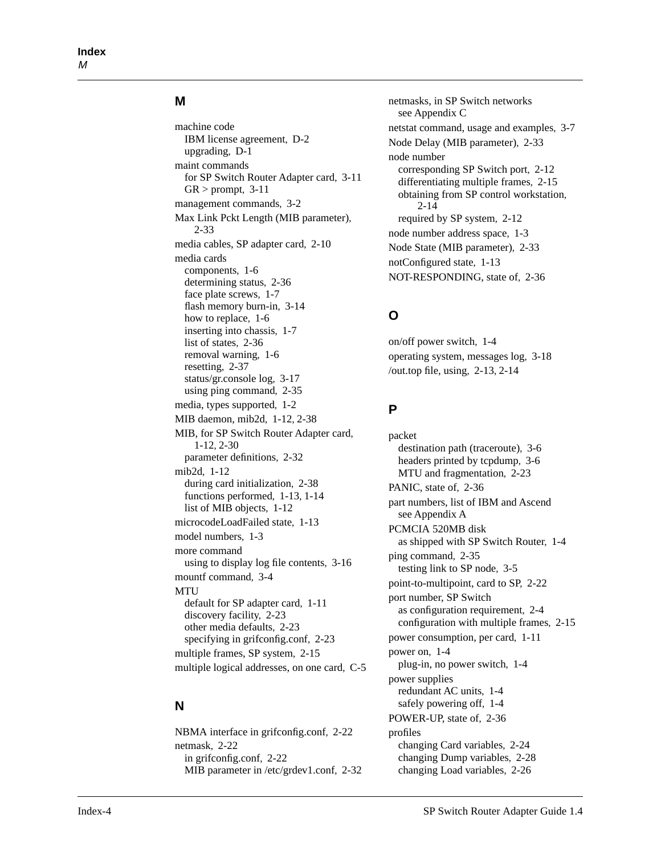#### **M**

machine code IBM license agreement, [D-2](#page-117-0) upgrading, [D-1](#page-116-0) maint commands for SP Switch Router Adapter card, [3-11](#page-78-0)  $GR > prompt$ , [3-11](#page-78-0) management commands, [3-2](#page-69-0) Max Link Pckt Length (MIB parameter), [2-33](#page-60-0) media cables, SP adapter card, [2-10](#page-37-0) media cards components, [1-6](#page-19-0) determining status, [2-36](#page-63-0) face plate screws, [1-7](#page-20-0) flash memory burn-in, [3-14](#page-81-0) how to replace, [1-6](#page-19-0) inserting into chassis, [1-7](#page-20-0) list of states, [2-36](#page-63-0) removal warning, [1-6](#page-19-0) resetting, [2-37](#page-64-0) status/gr.console log, [3-17](#page-84-0) using ping command, [2-35](#page-62-0) media, types supported, [1-2](#page-15-0) MIB daemon, mib2d, [1-12,](#page-25-0) [2-38](#page-65-0) MIB, for SP Switch Router Adapter card, [1-12](#page-25-0), [2-30](#page-57-0) parameter definitions, [2-32](#page-59-0) mib2d, [1-12](#page-25-0) during card initialization, [2-38](#page-65-0) functions performed, [1-13](#page-26-0), [1-14](#page-27-0) list of MIB objects, [1-12](#page-25-0) microcodeLoadFailed state, [1-13](#page-26-0) model numbers, [1-3](#page-16-0) more command using to display log file contents, [3-16](#page-83-0) mountf command, [3-4](#page-71-0) **MTU** default for SP adapter card, [1-11](#page-24-0) discovery facility, [2-23](#page-50-0) other media defaults, [2-23](#page-50-0) specifying in grifconfig.conf, [2-23](#page-50-0) multiple frames, SP system, [2-15](#page-42-0) multiple logical addresses, on one card, [C-5](#page-114-0)

#### **N**

NBMA interface in grifconfig.conf, [2-22](#page-49-0) netmask, [2-22](#page-49-0) in grifconfig.conf, [2-22](#page-49-0) MIB parameter in /etc/grdev1.conf, [2-32](#page-59-0) netmasks, in SP Switch networks [see Appendix C](#page-110-0) netstat command, usage and examples, [3-7](#page-74-0) Node Delay (MIB parameter), [2-33](#page-60-0) node number corresponding SP Switch port, [2-12](#page-39-0) differentiating multiple frames, [2-15](#page-42-0) obtaining from SP control workstation, [2-14](#page-41-0) required by SP system, [2-12](#page-39-0) node number address space, [1-3](#page-16-0) Node State (MIB parameter), [2-33](#page-60-0) notConfigured state, [1-13](#page-26-0) NOT-RESPONDING, state of, [2-36](#page-63-0)

#### **O**

on/off power switch, [1-4](#page-17-0) operating system, messages log, [3-18](#page-85-0) /out.top file, using, [2-13,](#page-40-0) [2-14](#page-41-0)

#### **P**

packet destination path (traceroute), [3-6](#page-73-0) headers printed by tcpdump, [3-6](#page-73-0) MTU and fragmentation, [2-23](#page-50-0) PANIC, state of, [2-36](#page-63-0) part numbers, list of IBM and Ascend [see Appendix A](#page-88-0) PCMCIA 520MB disk as shipped with SP Switch Router, [1-4](#page-17-0) ping command, [2-35](#page-62-0) testing link to SP node, [3-5](#page-72-0) point-to-multipoint, card to SP, [2-22](#page-49-0) port number, SP Switch as configuration requirement, [2-4](#page-31-0) configuration with multiple frames, [2-15](#page-42-0) power consumption, per card, [1-11](#page-24-0) power on, [1-4](#page-17-0) plug-in, no power switch, [1-4](#page-17-0) power supplies redundant AC units, [1-4](#page-17-0) safely powering off, [1-4](#page-17-0) POWER-UP, state of, [2-36](#page-63-0) profiles changing Card variables, [2-24](#page-51-0) changing Dump variables, [2-28](#page-55-0) changing Load vari[ables, 2-26](#page-85-0)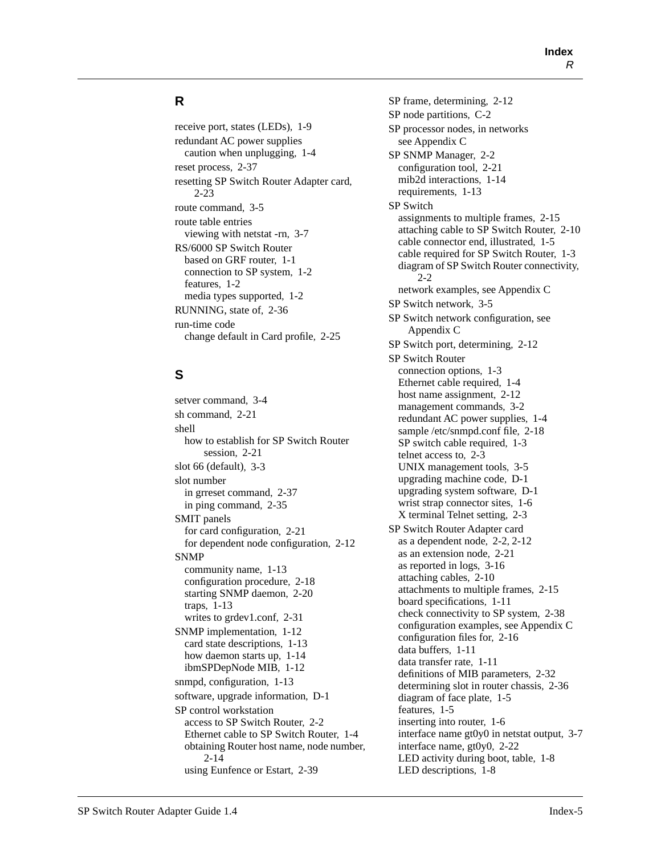#### **R**

receive port, states (LEDs), [1-9](#page-22-0) redundant AC power supplies caution when unplugging, [1-4](#page-17-0) reset process, [2-37](#page-64-0) resetting SP Switch Router Adapter card, [2-23](#page-50-0) route command, [3-5](#page-72-0) route table entries viewing with netstat -rn, [3-7](#page-74-0) RS/6000 SP Switch Router based on GRF router, [1-1](#page-14-0) connection to SP system, [1-2](#page-15-0) features, [1-2](#page-15-0) media types supported, [1-2](#page-15-0) RUNNING, state of, [2-36](#page-63-0) run-time code change default in Card profile, [2-25](#page-52-0)

# **S**

setver command, [3-4](#page-71-0) sh command, [2-21](#page-48-0) shell how to establish for SP Switch Router session, [2-21](#page-48-0) slot 66 (default), [3-3](#page-70-0) slot number in grreset command, [2-37](#page-64-0) in ping command, [2-35](#page-62-0) SMIT panels for card configuration, [2-21](#page-48-0) for dependent node configuration, [2-12](#page-39-0) SNMP community name, [1-13](#page-26-0) configuration procedure, [2-18](#page-45-0) starting SNMP daemon, [2-20](#page-47-0) traps, [1-13](#page-26-0) writes to grdev1.conf, [2-31](#page-58-0) SNMP implementation, [1-12](#page-25-0) card state descriptions, [1-13](#page-26-0) how daemon starts up, [1-14](#page-27-0) ibmSPDepNode MIB, [1-12](#page-25-0) snmpd, configuration, [1-13](#page-26-0) software, upgrade information, [D-1](#page-116-0) SP control workstation access to SP Switch Router, [2-2](#page-29-0) Ethernet cable to SP Switch Router, [1-4](#page-17-0) obtaining Router host name, node number, [2-14](#page-41-0) using Eunfence or Estart, [2-39](#page-66-0)

SP frame, determining, [2-12](#page-39-0) SP node partitions, [C-2](#page-111-0) SP processor nodes, in networks [see Appendix C](#page-111-0) SP SNMP Manager, [2-2](#page-29-0) configuration tool, [2-21](#page-48-0) mib2d interactions, [1-14](#page-27-0) requirements, [1-13](#page-26-0) SP Switch assignments to multiple frames, [2-15](#page-42-0) attaching cable to SP Switch Router, [2-10](#page-37-0) cable connector end, illustrated, [1-5](#page-18-0) cable required for SP Switch Router, [1-3](#page-16-0) diagram of SP Switch Router connectivity, [2-2](#page-29-0) [network examples, see Appendix C](#page-110-0) SP Switch network, [3-5](#page-72-0) [SP Switch network configuration, see](#page-110-0)  Appendix C SP Switch port, determining, [2-12](#page-39-0) SP Switch Router connection options, [1-3](#page-16-0) Ethernet cable required, [1-4](#page-17-0) host name assignment, [2-12](#page-39-0) management commands, [3-2](#page-69-0) redundant AC power supplies, [1-4](#page-17-0) sample /etc/snmpd.conf file, [2-18](#page-45-0) SP switch cable required, [1-3](#page-16-0) telnet access to, [2-3](#page-30-0) UNIX management tools, [3-5](#page-72-0) upgrading machine code, [D-1](#page-116-0) upgrading system software, [D-1](#page-116-0) wrist strap connector sites, [1-6](#page-19-0) X terminal Telnet setting, [2-3](#page-30-0) SP Switch Router Adapter card as a dependent node, [2-2,](#page-29-0) [2-12](#page-39-0) as an extension node, [2-21](#page-48-0) as reported in logs, [3-16](#page-83-0) attaching cables, [2-10](#page-37-0) attachments to multiple frames, [2-15](#page-42-0) board specifications, [1-11](#page-24-0) check connectivity to SP system, [2-38](#page-65-0) [configuration examples, see Appendix C](#page-110-0) configuration files for, [2-16](#page-43-0) data buffers, [1-11](#page-24-0) data transfer rate, [1-11](#page-24-0) definitions of MIB parameters, [2-32](#page-59-0) determining slot in router chassis, [2-36](#page-63-0) diagram of face plate, [1-5](#page-18-0) features, [1-5](#page-18-0) inserting into router, [1-6](#page-19-0) interface name gt0y0 in netstat output, [3-7](#page-74-0) interface name, gt0y0, [2-22](#page-49-0) LED activity during boot, table, [1-8](#page-21-0) LED descriptions, [1-8](#page-21-0)